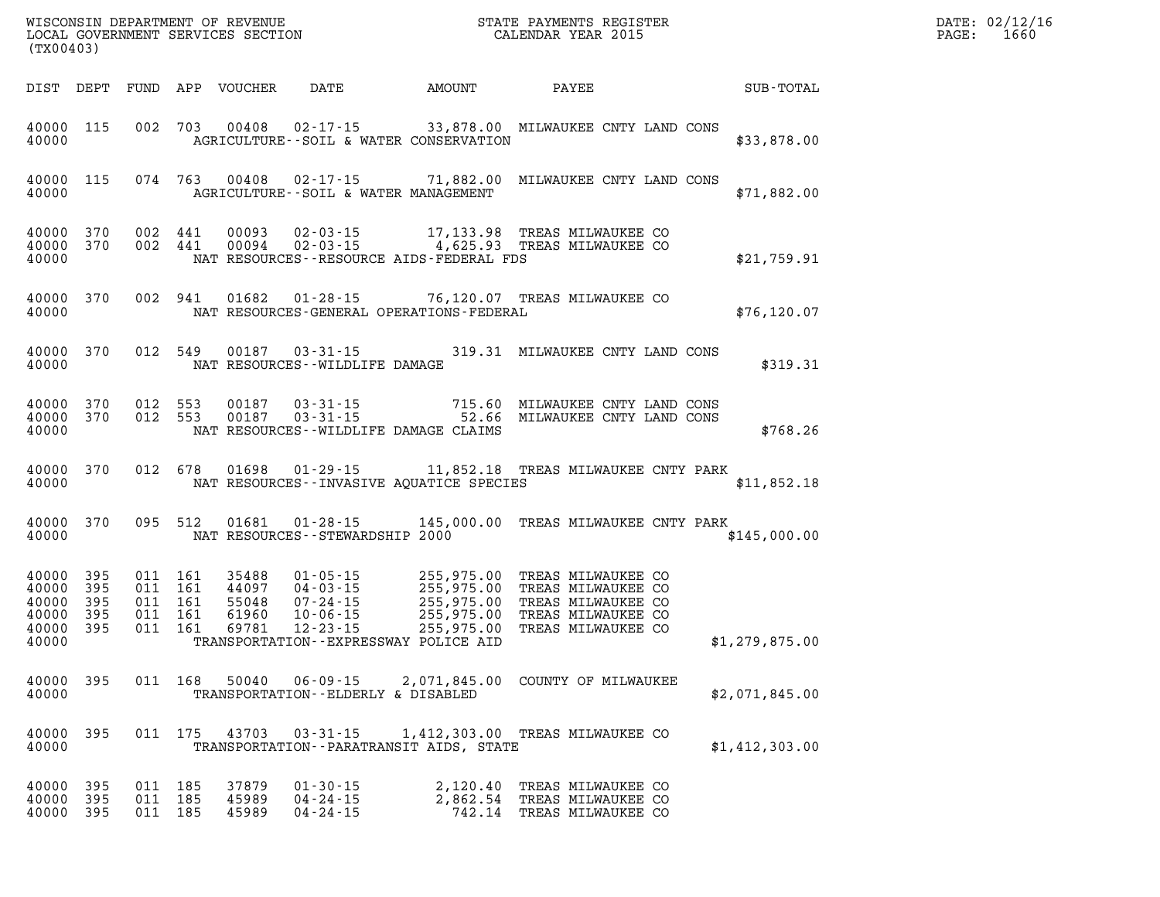| (TX00403)                                                  |                   |         |                                                     |                                           |                                                                                        |                                            |                                                                                                                                                                   |                | DATE: 02/12/16<br>$\mathtt{PAGE}$ :<br>1660 |
|------------------------------------------------------------|-------------------|---------|-----------------------------------------------------|-------------------------------------------|----------------------------------------------------------------------------------------|--------------------------------------------|-------------------------------------------------------------------------------------------------------------------------------------------------------------------|----------------|---------------------------------------------|
|                                                            |                   |         |                                                     | DIST DEPT FUND APP VOUCHER                |                                                                                        | DATE AMOUNT                                | PAYEE                                                                                                                                                             | SUB-TOTAL      |                                             |
| 40000 115<br>40000                                         |                   |         |                                                     |                                           |                                                                                        | AGRICULTURE--SOIL & WATER CONSERVATION     | 002 703 00408 02-17-15 33,878.00 MILWAUKEE CNTY LAND CONS                                                                                                         | \$33,878.00    |                                             |
| 40000 115<br>40000                                         |                   |         |                                                     |                                           |                                                                                        | AGRICULTURE--SOIL & WATER MANAGEMENT       | 074 763 00408 02-17-15 71,882.00 MILWAUKEE CNTY LAND CONS                                                                                                         | \$71,882.00    |                                             |
| 40000 370<br>40000 370<br>40000                            |                   |         |                                                     |                                           |                                                                                        | NAT RESOURCES--RESOURCE AIDS-FEDERAL FDS   | 002 441 00093 02-03-15 17,133.98 TREAS MILWAUKEE CO 002 441 00094 02-03-15 4,625.93 TREAS MILWAUKEE CO                                                            | \$21,759.91    |                                             |
| 40000 370<br>40000                                         |                   |         |                                                     |                                           |                                                                                        | NAT RESOURCES-GENERAL OPERATIONS-FEDERAL   | 002 941 01682 01-28-15 76,120.07 TREAS MILWAUKEE CO                                                                                                               | \$76, 120.07   |                                             |
| 40000 370<br>40000                                         |                   |         |                                                     |                                           | 012 549 00187 03-31-15<br>NAT RESOURCES--WILDLIFE DAMAGE                               |                                            | 319.31 MILWAUKEE CNTY LAND CONS                                                                                                                                   | \$319.31       |                                             |
| 40000 370<br>40000 370<br>40000                            |                   |         |                                                     | 012 553 00187<br>012 553 00187            |                                                                                        | NAT RESOURCES--WILDLIFE DAMAGE CLAIMS      | 03-31-15 715.60 MILWAUKEE CNTY LAND CONS<br>03-31-15 52.66 MILWAUKEE CNTY LAND CONS                                                                               | \$768.26       |                                             |
| 40000 370<br>40000                                         |                   |         |                                                     |                                           |                                                                                        | NAT RESOURCES - INVASIVE AQUATICE SPECIES  | 012 678 01698 01-29-15 11,852.18 TREAS MILWAUKEE CNTY PARK                                                                                                        | \$11,852.18    |                                             |
| 40000<br>40000                                             | 370               |         |                                                     | 095 512 01681                             | NAT RESOURCES--STEWARDSHIP 2000                                                        |                                            | 01-28-15 145,000.00 TREAS MILWAUKEE CNTY PARK                                                                                                                     | \$145,000.00   |                                             |
| 40000 395<br>40000<br>40000<br>40000<br>40000 395<br>40000 | 395<br>395<br>395 |         | 011 161<br>011 161<br>011 161<br>011 161<br>011 161 | 35488<br>44097<br>55048<br>61960<br>69781 | $01 - 05 - 15$<br>$04 - 03 - 15$<br>$07 - 24 - 15$<br>$10 - 06 - 15$<br>$12 - 23 - 15$ | TRANSPORTATION--EXPRESSWAY POLICE AID      | 255,975.00 TREAS MILWAUKEE CO<br>255,975.00 TREAS MILWAUKEE CO<br>255,975.00 TREAS MILWAUKEE CO<br>255,975.00 TREAS MILWAUKEE CO<br>255,975.00 TREAS MILWAUKEE CO | \$1,279,875.00 |                                             |
| 40000<br>40000                                             | 395               |         | 011 168                                             | 50040                                     | $06 - 09 - 15$<br>TRANSPORTATION--ELDERLY & DISABLED                                   |                                            | 2,071,845.00 COUNTY OF MILWAUKEE                                                                                                                                  | \$2,071,845.00 |                                             |
| 40000<br>40000                                             | 395               |         | 011 175                                             | 43703                                     | $03 - 31 - 15$                                                                         | TRANSPORTATION - - PARATRANSIT AIDS, STATE | 1,412,303.00 TREAS MILWAUKEE CO                                                                                                                                   | \$1,412,303.00 |                                             |
| 40000<br>40000<br>40000 395                                | 395<br>395        | 011 185 | 011 185<br>011 185                                  | 37879<br>45989<br>45989                   | $01 - 30 - 15$<br>$04 - 24 - 15$<br>$04 - 24 - 15$                                     | 2,120.40<br>2,862.54                       | TREAS MILWAUKEE CO<br>TREAS MILWAUKEE CO<br>742.14 TREAS MILWAUKEE CO                                                                                             |                |                                             |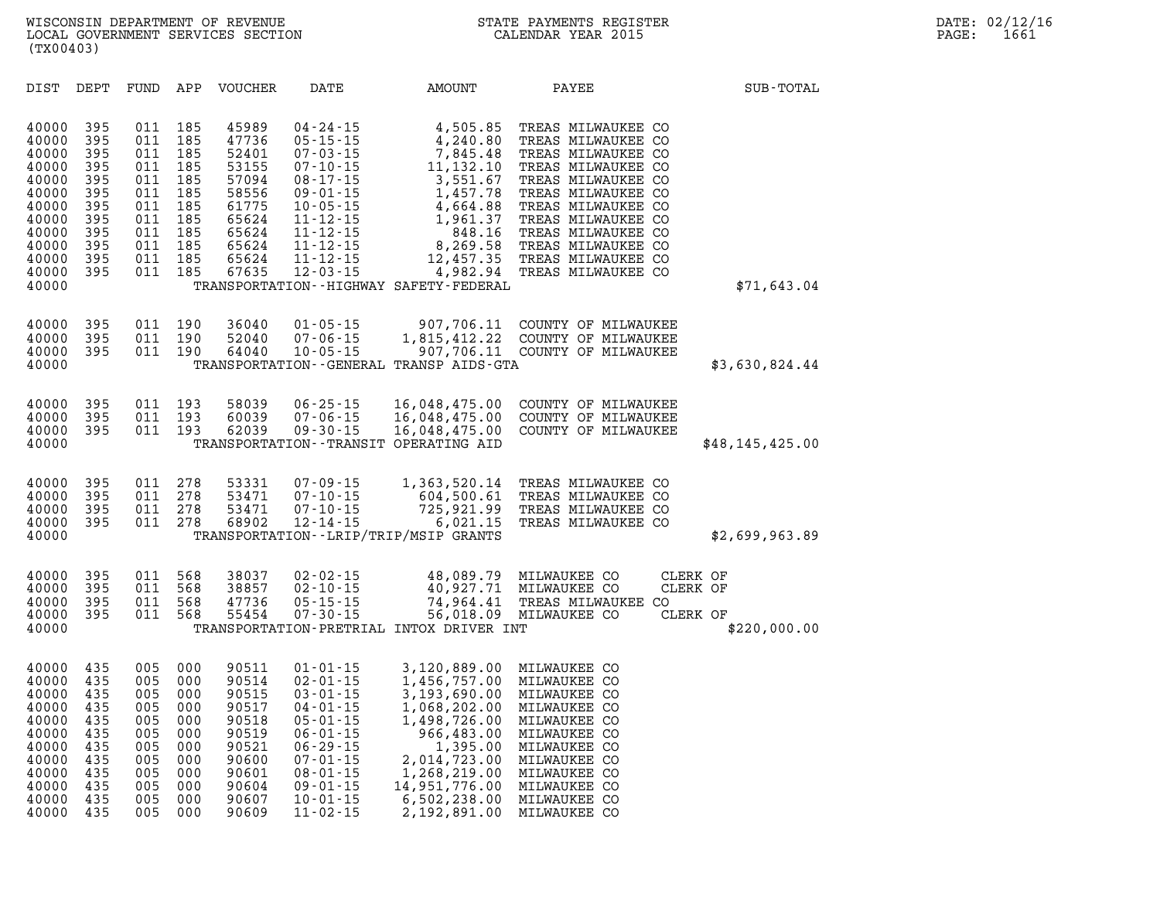| DIST                                                                                                              | DEPT                                                                             | FUND                                                                             | APP                                                                              | <b>VOUCHER</b>                                                                                           | DATE                                                                                                                                                                                                               | AMOUNT                                                                                                                                                                                      | PAYEE                                                                                                                                                                                                                                                                | SUB-TOTAL                                        |
|-------------------------------------------------------------------------------------------------------------------|----------------------------------------------------------------------------------|----------------------------------------------------------------------------------|----------------------------------------------------------------------------------|----------------------------------------------------------------------------------------------------------|--------------------------------------------------------------------------------------------------------------------------------------------------------------------------------------------------------------------|---------------------------------------------------------------------------------------------------------------------------------------------------------------------------------------------|----------------------------------------------------------------------------------------------------------------------------------------------------------------------------------------------------------------------------------------------------------------------|--------------------------------------------------|
| 40000<br>40000<br>40000<br>40000<br>40000<br>40000<br>40000<br>40000<br>40000<br>40000<br>40000<br>40000<br>40000 | 395<br>395<br>395<br>395<br>395<br>395<br>395<br>395<br>395<br>395<br>395<br>395 | 011<br>011<br>011<br>011<br>011<br>011<br>011<br>011<br>011<br>011<br>011<br>011 | 185<br>185<br>185<br>185<br>185<br>185<br>185<br>185<br>185<br>185<br>185<br>185 | 45989<br>47736<br>52401<br>53155<br>57094<br>58556<br>61775<br>65624<br>65624<br>65624<br>65624<br>67635 | 04 - 24 - 15<br>$05 - 15 - 15$<br>$07 - 03 - 15$<br>$07 - 10 - 15$<br>$08 - 17 - 15$<br>$09 - 01 - 15$<br>$10 - 05 - 15$<br>$11 - 12 - 15$<br>$11 - 12 - 15$<br>$11 - 12 - 15$<br>$11 - 12 - 15$<br>$12 - 03 - 15$ | 4,505.85<br>4,240.80<br>7,845.48<br>11,132.10<br>3,551.67<br>1,457.78<br>4,664.88<br>1,961.37<br>848.16<br>8,269.58<br>12,457.35<br>4,982.94<br>TRANSPORTATION - - HIGHWAY SAFETY - FEDERAL | TREAS MILWAUKEE CO<br>TREAS MILWAUKEE CO<br>TREAS MILWAUKEE CO<br>TREAS MILWAUKEE CO<br>TREAS MILWAUKEE CO<br>TREAS MILWAUKEE CO<br>TREAS MILWAUKEE CO<br>TREAS MILWAUKEE CO<br>TREAS MILWAUKEE CO<br>TREAS MILWAUKEE CO<br>TREAS MILWAUKEE CO<br>TREAS MILWAUKEE CO | \$71,643.04                                      |
| 40000<br>40000<br>40000<br>40000                                                                                  | 395<br>395<br>395                                                                | 011<br>011<br>011                                                                | 190<br>190<br>190                                                                | 36040<br>52040<br>64040                                                                                  | $01 - 05 - 15$<br>07-06-15<br>$10 - 05 - 15$                                                                                                                                                                       | 907,706.11<br>1,815,412.22<br>907,706.11<br>TRANSPORTATION--GENERAL TRANSP AIDS-GTA                                                                                                         | COUNTY OF MILWAUKEE<br>COUNTY OF MILWAUKEE<br>COUNTY OF MILWAUKEE                                                                                                                                                                                                    | \$3,630,824.44                                   |
| 40000<br>40000<br>40000<br>40000                                                                                  | 395<br>395<br>395                                                                | 011<br>011<br>011                                                                | 193<br>193<br>193                                                                | 58039<br>60039<br>62039                                                                                  | $06 - 25 - 15$<br>$07 - 06 - 15$<br>$09 - 30 - 15$                                                                                                                                                                 | 16,048,475.00<br>16,048,475.00<br>16,048,475.00<br>TRANSPORTATION--TRANSIT OPERATING AID                                                                                                    | COUNTY OF MILWAUKEE<br>COUNTY OF MILWAUKEE<br>COUNTY OF MILWAUKEE                                                                                                                                                                                                    | \$48,145,425.00                                  |
| 40000<br>40000<br>40000<br>40000<br>40000                                                                         | 395<br>395<br>395<br>395                                                         | 011<br>011<br>011<br>011                                                         | 278<br>278<br>278<br>278                                                         | 53331<br>53471<br>53471<br>68902                                                                         | $07 - 09 - 15$<br>$07 - 10 - 15$<br>07-10-15<br>$12 - 14 - 15$                                                                                                                                                     | 1,363,520.14<br>604,500.61<br>725,921.99<br>6,021.15<br>TRANSPORTATION - - LRIP/TRIP/MSIP GRANTS                                                                                            | TREAS MILWAUKEE CO<br>TREAS MILWAUKEE<br>CO.<br>TREAS MILWAUKEE CO<br>TREAS MILWAUKEE CO                                                                                                                                                                             | \$2,699,963.89                                   |
| 40000<br>40000<br>40000<br>40000<br>40000                                                                         | 395<br>395<br>395<br>395                                                         | 011<br>011<br>011<br>011                                                         | 568<br>568<br>568<br>568                                                         | 38037<br>38857<br>47736<br>55454                                                                         | 02-02-15<br>$02 - 10 - 15$<br>$05 - 15 - 15$<br>$07 - 30 - 15$                                                                                                                                                     | 48,089.79<br>40,927.71<br>74,964.41<br>56,018.09<br>TRANSPORTATION-PRETRIAL INTOX DRIVER INT                                                                                                | MILWAUKEE CO<br>MILWAUKEE CO<br>TREAS MILWAUKEE CO<br>MILWAUKEE CO                                                                                                                                                                                                   | CLERK OF<br>CLERK OF<br>CLERK OF<br>\$220,000.00 |
| 40000<br>40000<br>40000<br>40000<br>40000<br>40000<br>40000<br>40000<br>40000<br>40000<br>40000<br>40000          | 435<br>435<br>435<br>435<br>435<br>435<br>435<br>435<br>435<br>435<br>435<br>435 | 005<br>005<br>005<br>005<br>005<br>005<br>005<br>005<br>005<br>005<br>005<br>005 | 000<br>000<br>000<br>000<br>000<br>000<br>000<br>000<br>000<br>000<br>000<br>000 | 90511<br>90514<br>90515<br>90517<br>90518<br>90519<br>90521<br>90600<br>90601<br>90604<br>90607<br>90609 | $01 - 01 - 15$<br>02-01-15<br>$03 - 01 - 15$<br>04-01-15<br>$05 - 01 - 15$<br>$06 - 01 - 15$<br>$06 - 29 - 15$<br>$07 - 01 - 15$<br>$08 - 01 - 15$<br>09-01-15<br>$10 - 01 - 15$<br>$11 - 02 - 15$                 | 3,120,889.00<br>1,456,757.00<br>3,193,690.00<br>1,068,202.00<br>1,498,726.00<br>966,483.00<br>1,395.00<br>2,014,723.00<br>1,268,219.00<br>14,951,776.00<br>6,502,238.00<br>2,192,891.00     | MILWAUKEE CO<br>MILWAUKEE CO<br>MILWAUKEE CO<br>MILWAUKEE CO<br>MILWAUKEE CO<br>MILWAUKEE CO<br>MILWAUKEE CO<br>MILWAUKEE CO<br>MILWAUKEE<br>CO<br>MILWAUKEE CO<br>MILWAUKEE CO<br>MILWAUKEE CO                                                                      |                                                  |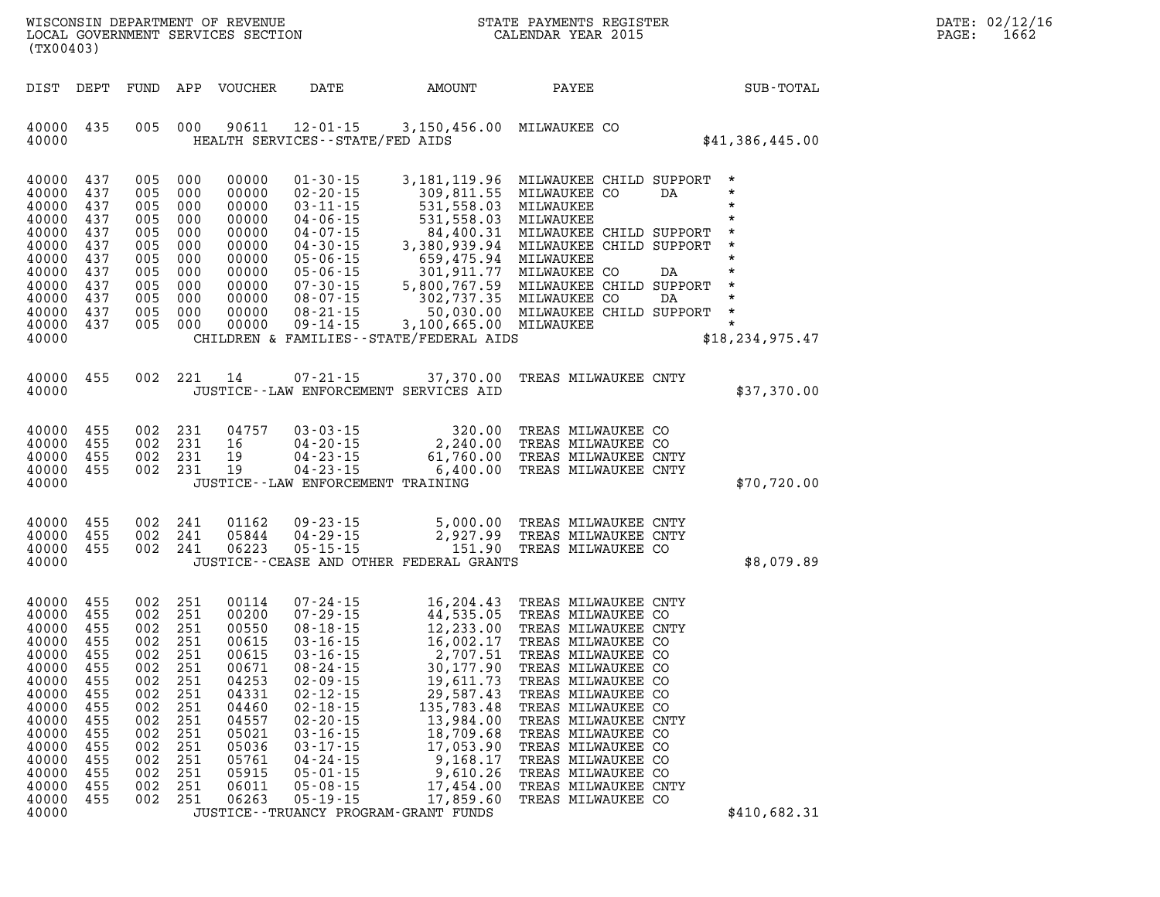| (TX00403)                                                                                                                                                     |                                                                                                 |                                                                                                                   |                                                                                             |                                                                                                                                              |                                                                                                                                                                                                                |                                                                                                                                                                                                                                                                              | WISCONSIN DEPARTMENT OF REVENUE<br>LOCAL GOVERNMENT SERVICES SECTION CALENDAR YEAR 2015<br>STATE PAYMENTS REGISTER                                                                                                                                                                                                                                                             | DATE: 02/12/16<br>PAGE:<br>1662                          |  |
|---------------------------------------------------------------------------------------------------------------------------------------------------------------|-------------------------------------------------------------------------------------------------|-------------------------------------------------------------------------------------------------------------------|---------------------------------------------------------------------------------------------|----------------------------------------------------------------------------------------------------------------------------------------------|----------------------------------------------------------------------------------------------------------------------------------------------------------------------------------------------------------------|------------------------------------------------------------------------------------------------------------------------------------------------------------------------------------------------------------------------------------------------------------------------------|--------------------------------------------------------------------------------------------------------------------------------------------------------------------------------------------------------------------------------------------------------------------------------------------------------------------------------------------------------------------------------|----------------------------------------------------------|--|
| DIST DEPT                                                                                                                                                     |                                                                                                 |                                                                                                                   |                                                                                             | FUND APP VOUCHER                                                                                                                             | DATE                                                                                                                                                                                                           | AMOUNT                                                                                                                                                                                                                                                                       | PAYEE                                                                                                                                                                                                                                                                                                                                                                          | SUB-TOTAL                                                |  |
| 40000 435<br>40000                                                                                                                                            |                                                                                                 | 005 000                                                                                                           |                                                                                             | 90611                                                                                                                                        | HEALTH SERVICES -- STATE/FED AIDS                                                                                                                                                                              | 12-01-15 3,150,456.00 MILWAUKEE CO                                                                                                                                                                                                                                           |                                                                                                                                                                                                                                                                                                                                                                                | \$41,386,445.00                                          |  |
| 40000<br>40000<br>40000<br>40000<br>40000<br>40000<br>40000<br>40000<br>40000<br>40000<br>40000<br>40000<br>40000                                             | 437<br>437<br>437<br>437<br>437<br>437<br>437<br>437<br>437<br>437<br>437<br>437                | 005 000<br>005<br>005<br>005<br>005<br>005<br>005<br>005<br>005<br>005 000<br>005<br>005 000                      | 000<br>000<br>- 000<br>000<br>- 000<br>000<br>- 000<br>000<br>000                           | 00000<br>00000<br>00000<br>00000<br>00000<br>00000<br>00000<br>00000<br>00000<br>00000<br>00000<br>00000                                     | $01 - 30 - 15$<br>$02 - 20 - 15$<br>$03 - 11 - 15$                                                                                                                                                             | 309,811.55 MILWAUKEE CO<br>531,558.03 MILWAUKEE<br>531,558.03 MILWAUKEE<br>531,558.03 MILWAUKEE<br>CHILDREN & FAMILIES - - STATE/FEDERAL AIDS                                                                                                                                | 3,181,119.96 MILWAUKEE CHILD SUPPORT<br>04-07-15<br>04-07-15<br>04-07-15<br>04-30-15<br>3,380,939.94<br>05-06-15<br>05-06-15<br>05-06-15<br>05-06-15<br>05-06-15<br>07-30-15<br>5,800,767.59<br>MILWAUKEE CO DA<br>07-30-15<br>08-07-15<br>08-07-15<br>08-21-15<br>08-21-15<br>07-30-08-07.35<br>08-21-15<br>0                                                                 | $\star$<br>$\star$<br>DA<br>$\star$<br>\$18, 234, 975.47 |  |
| 40000 455<br>40000                                                                                                                                            |                                                                                                 | 002 221                                                                                                           |                                                                                             | 14                                                                                                                                           | $07 - 21 - 15$                                                                                                                                                                                                 | JUSTICE -- LAW ENFORCEMENT SERVICES AID                                                                                                                                                                                                                                      | 37,370.00 TREAS MILWAUKEE CNTY                                                                                                                                                                                                                                                                                                                                                 | \$37,370.00                                              |  |
| 40000 455<br>40000<br>40000<br>40000 455<br>40000                                                                                                             | 455<br>455                                                                                      | 002 231<br>002 231<br>002 231<br>002 231                                                                          |                                                                                             | 04757<br>16<br>19<br>19                                                                                                                      | JUSTICE - - LAW ENFORCEMENT TRAINING                                                                                                                                                                           | 03 - 03 - 15<br>04 - 20 - 15<br>04 - 23 - 15<br>04 - 23 - 15<br>61 , 760 - 00<br>$04 - 23 - 15$ 6,400.00                                                                                                                                                                     | TREAS MILWAUKEE CO<br>TREAS MILWAUKEE CO<br>TREAS MILWAUKEE CNTY<br>TREAS MILWAUKEE CNTY                                                                                                                                                                                                                                                                                       | \$70,720.00                                              |  |
| 40000<br>40000<br>40000<br>40000                                                                                                                              | 455<br>455<br>455                                                                               | 002 241<br>002<br>002                                                                                             | 241<br>241                                                                                  | 01162<br>05844<br>06223                                                                                                                      | 09 - 23 - 15<br>04 - 29 - 15<br>04-29-15<br>$05 - 15 - 15$                                                                                                                                                     | 2,927.99<br>JUSTICE - - CEASE AND OTHER FEDERAL GRANTS                                                                                                                                                                                                                       | 5,000.00 TREAS MILWAUKEE CNTY<br>TREAS MILWAUKEE CNTY<br>151.90 TREAS MILWAUKEE CO                                                                                                                                                                                                                                                                                             | \$8,079.89                                               |  |
| 40000 455<br>40000<br>40000<br>40000<br>40000<br>40000 455<br>40000<br>40000<br>40000<br>40000<br>40000<br>40000<br>40000<br>40000<br>40000<br>40000<br>40000 | 455<br>455<br>-455<br>455<br>455<br>455<br>455<br>455<br>455<br>455<br>455<br>455<br>455<br>455 | 002 251<br>002 251<br>002<br>002<br>002<br>002 251<br>002<br>002<br>002<br>002<br>002<br>002<br>002<br>002<br>002 | 251<br>251<br>251<br>251<br>251<br>251<br>251<br>251<br>251<br>251<br>251<br>251<br>002 251 | 00114<br>00200<br>00550<br>00615<br>00615<br>00671<br>04253<br>04331<br>04460<br>04557<br>05021<br>05036<br>05761<br>05915<br>06011<br>06263 | $03 - 16 - 15$<br>08-24-15<br>$02 - 09 - 15$<br>$02 - 12 - 15$<br>$02 - 18 - 15$<br>$02 - 20 - 15$<br>$03 - 16 - 15$<br>$03 - 17 - 15$<br>$04 - 24 - 15$<br>$05 - 01 - 15$<br>$05 - 08 - 15$<br>$05 - 19 - 15$ | 07-24-15<br>07-29-15<br>08-18-15<br>03-16-15<br>03-16-15<br>16,002.17<br>16,002.17<br>2,707.51<br>19,611.73<br>29,587.43<br>135,783.48<br>13,984.00<br>18,709.68<br>17,053.90<br>9,168.17<br>9,610.26<br>17,454.00<br>17,859.60<br>JUSTICE - - TRUANCY PROGRAM - GRANT FUNDS | TREAS MILWAUKEE CNTY<br>TREAS MILWAUKEE CO<br>TREAS MILWAUKEE CNTY<br>TREAS MILWAUKEE CO<br>TREAS MILWAUKEE CO<br>30,177.90 TREAS MILWAUKEE CO<br>TREAS MILWAUKEE CO<br>TREAS MILWAUKEE CO<br>TREAS MILWAUKEE CO<br>TREAS MILWAUKEE CNTY<br>TREAS MILWAUKEE CO<br>TREAS MILWAUKEE CO<br>TREAS MILWAUKEE CO<br>TREAS MILWAUKEE CO<br>TREAS MILWAUKEE CNTY<br>TREAS MILWAUKEE CO | \$410,682.31                                             |  |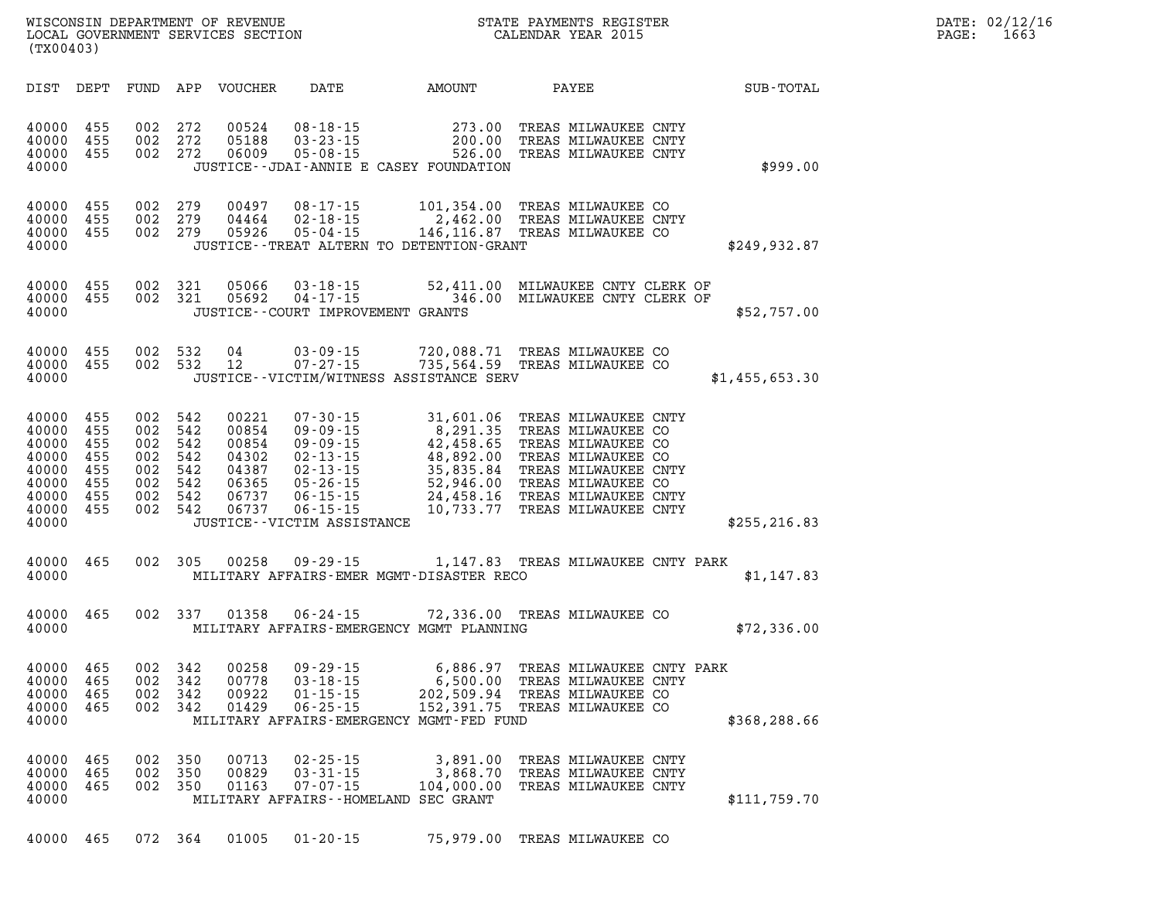| (TX00403)                                                                         |                                               |                                                                                      |                       | WISCONSIN DEPARTMENT OF REVENUE<br>LOCAL GOVERNMENT SERVICES SECTION |                                                                                                                  |                                      | STATE PAYMENTS REGISTER<br>CALENDAR YEAR 2015                                                                                                                                                                                                                                                                            |                | DATE: 02/12/16<br>1663<br>PAGE: |  |  |
|-----------------------------------------------------------------------------------|-----------------------------------------------|--------------------------------------------------------------------------------------|-----------------------|----------------------------------------------------------------------|------------------------------------------------------------------------------------------------------------------|--------------------------------------|--------------------------------------------------------------------------------------------------------------------------------------------------------------------------------------------------------------------------------------------------------------------------------------------------------------------------|----------------|---------------------------------|--|--|
| DIST DEPT                                                                         |                                               |                                                                                      |                       | FUND APP VOUCHER DATE                                                |                                                                                                                  | AMOUNT                               | PAYEE                                                                                                                                                                                                                                                                                                                    | SUB-TOTAL      |                                 |  |  |
| 40000<br>40000<br>40000<br>40000                                                  | 455<br>455<br>455                             | 002 272<br>002 272<br>002 272                                                        |                       | 00524<br>05188<br>06009                                              | JUSTICE - - JDAI - ANNIE E CASEY FOUNDATION                                                                      |                                      | 08-18-15   273.00 TREAS MILWAUKEE CNTY<br>03-23-15   200.00 TREAS MILWAUKEE CNTY<br>05-08-15   526.00 TREAS MILWAUKEE CNTY                                                                                                                                                                                               | \$999.00       |                                 |  |  |
| 40000 455<br>40000<br>40000<br>40000                                              | 455<br>455                                    | 002 279<br>002 279                                                                   | 002 279               | 00497                                                                | 08-17-15<br>JUSTICE - - TREAT ALTERN TO DETENTION - GRANT                                                        |                                      | 101,354.00 TREAS MILWAUKEE CO<br>04464  02-18-15  2,462.00 TREAS MILWAUKEE CNTY<br>05926  05-04-15  146,116.87 TREAS MILWAUKEE CO                                                                                                                                                                                        | \$249,932.87   |                                 |  |  |
| 40000<br>40000<br>40000                                                           | 455<br>455                                    | 002 321<br>002 321                                                                   |                       |                                                                      | JUSTICE -- COURT IMPROVEMENT GRANTS                                                                              |                                      | 05066  03-18-15  52,411.00  MILWAUKEE CNTY CLERK OF<br>05692  04-17-15  346.00  MILWAUKEE CNTY CLERK OF                                                                                                                                                                                                                  | \$52,757.00    |                                 |  |  |
| 40000<br>40000<br>40000                                                           | 455<br>455                                    | 002 532<br>002 532                                                                   |                       | 04<br>12                                                             | JUSTICE - - VICTIM/WITNESS ASSISTANCE SERV                                                                       |                                      | 03-09-15 720,088.71 TREAS MILWAUKEE CO<br>07-27-15 735,564.59 TREAS MILWAUKEE CO                                                                                                                                                                                                                                         | \$1,455,653.30 |                                 |  |  |
| 40000 455<br>40000<br>40000<br>40000<br>40000<br>40000<br>40000<br>40000<br>40000 | 455<br>455<br>455<br>455<br>455<br>455<br>455 | 002 542<br>002 542<br>002 542<br>002 542<br>002 542<br>002 542<br>002 542<br>002 542 |                       | 00221<br>00854<br>00854<br>04302<br>04387<br>06365<br>06737<br>06737 | 07-30-15<br>05-26-15<br>$06 - 15 - 15$<br>JUSTICE - - VICTIM ASSISTANCE                                          |                                      | 31,601.06 TREAS MILWAUKEE CNTY<br>09-09-15<br>09-09-15<br>09-09-15<br>42,458.65 TREAS MILWAUKEE CO<br>02-13-15<br>48,892.00 TREAS MILWAUKEE CO<br>02-13-15<br>52,946.00 TREAS MILWAUKEE CNTY<br>05-26-15<br>24,458.16 TREAS MILWAUKEE CO<br>06-15-15<br>24,458.16 TREAS MILWAUKEE CNTY<br>10,733.77 TREAS MILWAUKEE CNTY | \$255, 216.83  |                                 |  |  |
| 40000 465<br>40000                                                                |                                               |                                                                                      |                       |                                                                      | MILITARY AFFAIRS-EMER MGMT-DISASTER RECO                                                                         |                                      | 002 305 00258 09-29-15 1,147.83 TREAS MILWAUKEE CNTY PARK                                                                                                                                                                                                                                                                | \$1,147.83     |                                 |  |  |
| 40000 465<br>40000                                                                |                                               |                                                                                      |                       |                                                                      | MILITARY AFFAIRS-EMERGENCY MGMT PLANNING                                                                         |                                      | 002 337 01358 06-24-15 72,336.00 TREAS MILWAUKEE CO                                                                                                                                                                                                                                                                      | \$72,336.00    |                                 |  |  |
| 40000 465<br>40000<br>40000<br>40000<br>40000                                     | 465<br>465<br>465                             | 002<br>002<br>002 342                                                                | 002 342<br>342<br>342 | 00258<br>00778<br>00922<br>01429                                     | $09 - 29 - 15$<br>$03 - 18 - 15$<br>$01 - 15 - 15$<br>$06 - 25 - 15$<br>MILITARY AFFAIRS-EMERGENCY MGMT-FED FUND | 6,500.00<br>202,509.94<br>152,391.75 | 6,886.97 TREAS MILWAUKEE CNTY PARK<br>TREAS MILWAUKEE CNTY<br>TREAS MILWAUKEE CO<br>TREAS MILWAUKEE CO                                                                                                                                                                                                                   | \$368,288.66   |                                 |  |  |
| 40000<br>40000<br>40000<br>40000                                                  | 465<br>465<br>465                             | 002 350<br>002 350<br>002 350                                                        |                       | 00713<br>00829<br>01163                                              | $02 - 25 - 15$<br>$03 - 31 - 15$<br>$07 - 07 - 15$<br>MILITARY AFFAIRS--HOMELAND SEC GRANT                       | 3,891.00<br>3,868.70<br>104,000.00   | TREAS MILWAUKEE CNTY<br>TREAS MILWAUKEE CNTY<br>TREAS MILWAUKEE CNTY                                                                                                                                                                                                                                                     | \$111,759.70   |                                 |  |  |

**40000 465 072 364 01005 01-20-15 75,979.00 TREAS MILWAUKEE CO**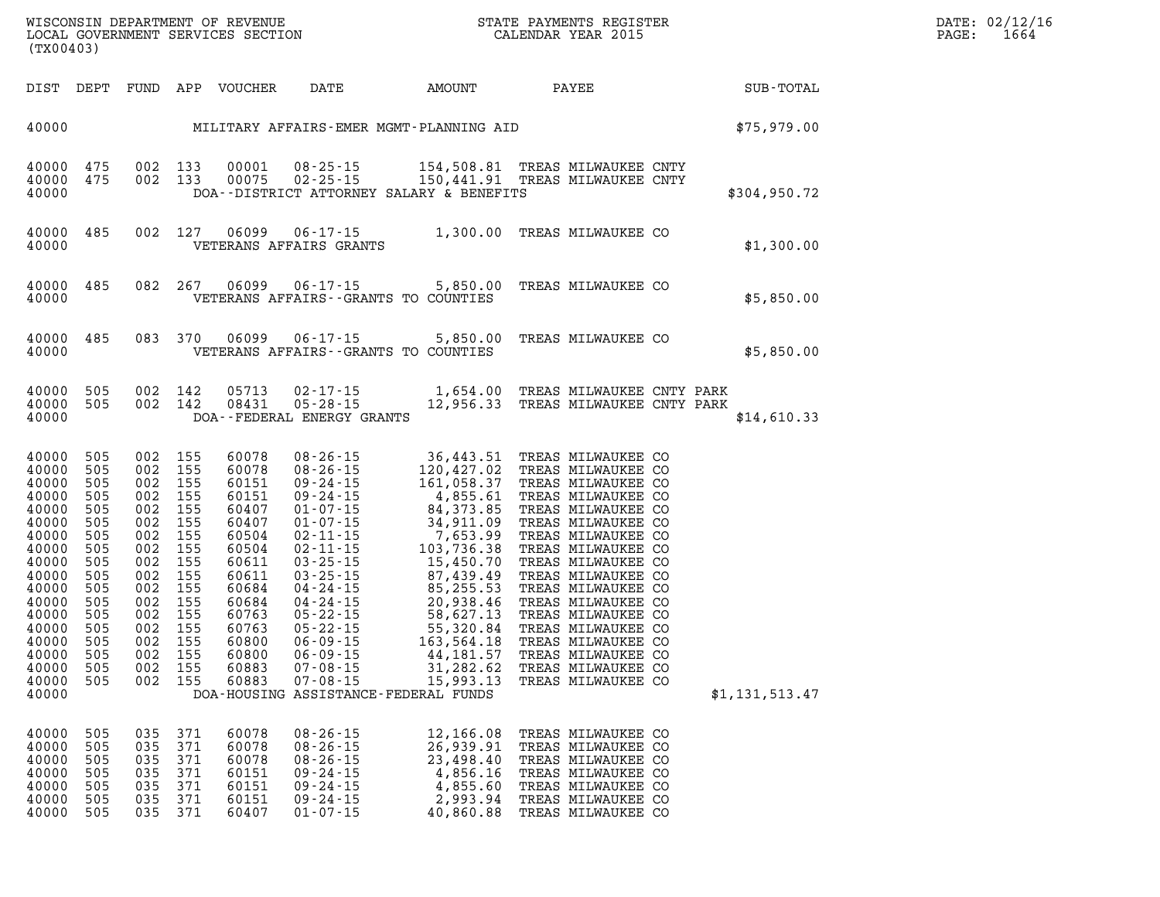| WISCONSIN DEPARTMENT OF REVENUE         | PAYMENTS REGISTER<br>3TATE | DATE: | 02/12/16 |
|-----------------------------------------|----------------------------|-------|----------|
| SERVICES SECTION<br>LOCAL<br>GOVERNMENT | CALENDAR YEAR 2015         | PAGE  | 1064     |

| (TX00403)                                                                                                                                                               | LOCAL GOVERNMENT SERVICES SECTION                                                                                          |                                                                                                                                                                                                    |                                                                                                                                                                |                                                                                                                            | CALENDAR YEAR 2015                                                                   |              |                                                                                                                                                        |  |                | PAGE: | 1664 |
|-------------------------------------------------------------------------------------------------------------------------------------------------------------------------|----------------------------------------------------------------------------------------------------------------------------|----------------------------------------------------------------------------------------------------------------------------------------------------------------------------------------------------|----------------------------------------------------------------------------------------------------------------------------------------------------------------|----------------------------------------------------------------------------------------------------------------------------|--------------------------------------------------------------------------------------|--------------|--------------------------------------------------------------------------------------------------------------------------------------------------------|--|----------------|-------|------|
| DIST DEPT                                                                                                                                                               |                                                                                                                            |                                                                                                                                                                                                    | FUND APP VOUCHER                                                                                                                                               | DATE AMOUNT                                                                                                                |                                                                                      | <b>PAYEE</b> |                                                                                                                                                        |  | SUB-TOTAL      |       |      |
| 40000                                                                                                                                                                   |                                                                                                                            |                                                                                                                                                                                                    |                                                                                                                                                                | MILITARY AFFAIRS-EMER MGMT-PLANNING AID                                                                                    |                                                                                      |              |                                                                                                                                                        |  | \$75,979.00    |       |      |
| 40000 475<br>40000<br>40000                                                                                                                                             | 475                                                                                                                        | 002 133<br>002 133                                                                                                                                                                                 | 00001<br>00075                                                                                                                                                 | 08-25-15<br>$02 - 25 - 15$<br>DOA--DISTRICT ATTORNEY SALARY & BENEFITS                                                     | 154,508.81 TREAS MILWAUKEE CNTY<br>150,441.91 TREAS MILWAUKEE CNTY                   |              |                                                                                                                                                        |  | \$304,950.72   |       |      |
| 40000<br>40000                                                                                                                                                          | 485                                                                                                                        | 002 127                                                                                                                                                                                            | 06099                                                                                                                                                          | 06-17-15 1,300.00 TREAS MILWAUKEE CO<br>VETERANS AFFAIRS GRANTS                                                            |                                                                                      |              |                                                                                                                                                        |  | \$1,300.00     |       |      |
| 40000<br>40000                                                                                                                                                          | 485                                                                                                                        | 082 267                                                                                                                                                                                            | 06099                                                                                                                                                          | $06 - 17 - 15$<br>VETERANS AFFAIRS -- GRANTS TO COUNTIES                                                                   | 5,850.00                                                                             |              | TREAS MILWAUKEE CO                                                                                                                                     |  | \$5,850.00     |       |      |
| 40000<br>40000                                                                                                                                                          | 485                                                                                                                        | 083 370                                                                                                                                                                                            | 06099                                                                                                                                                          | $06 - 17 - 15$<br>VETERANS AFFAIRS -- GRANTS TO COUNTIES                                                                   | 5,850.00                                                                             |              | TREAS MILWAUKEE CO                                                                                                                                     |  | \$5,850.00     |       |      |
| 40000<br>40000<br>40000                                                                                                                                                 | 505<br>505                                                                                                                 | 002 142<br>002 142                                                                                                                                                                                 | 05713<br>08431                                                                                                                                                 | 02-17-15 1,654.00 TREAS MILWAUKEE CNTY PARK<br>05-28-15 12,956.33 TREAS MILWAUKEE CNTY PARK<br>DOA--FEDERAL ENERGY GRANTS  |                                                                                      |              |                                                                                                                                                        |  | \$14,610.33    |       |      |
| 40000<br>40000<br>40000<br>40000<br>40000<br>40000<br>40000<br>40000<br>40000<br>40000<br>40000<br>40000<br>40000<br>40000<br>40000<br>40000<br>40000<br>40000<br>40000 | 505<br>505<br>505<br>505<br>505<br>505<br>505<br>505<br>505<br>505<br>505<br>505<br>505<br>505<br>505<br>505<br>505<br>505 | 002 155<br>002 155<br>002 155<br>002 155<br>002 155<br>002 155<br>002 155<br>002 155<br>002 155<br>002 155<br>002 155<br>002 155<br>002 155<br>002 155<br>002 155<br>002 155<br>002 155<br>002 155 | 60078<br>60078<br>60151<br>60151<br>60407<br>60407<br>60504<br>60504<br>60611<br>60611<br>60684<br>60684<br>60763<br>60763<br>60800<br>60800<br>60883<br>60883 | $08 - 26 - 15$<br>$07 - 08 - 15$<br>DOA-HOUSING ASSISTANCE-FEDERAL FUNDS                                                   | 36,443.51 TREAS MILWAUKEE CO<br>15,993.13                                            |              | TREAS MILWAUKEE CO                                                                                                                                     |  | \$1,131,513.47 |       |      |
| 40000<br>40000<br>40000<br>40000<br>40000<br>40000<br>40000                                                                                                             | 505<br>035<br>505<br>035<br>505<br>035<br>035<br>505<br>505<br>035<br>505<br>035<br>505<br>035                             | 371<br>371<br>371<br>371<br>371<br>371<br>371                                                                                                                                                      | 60078<br>60078<br>60078<br>60151<br>60151<br>60151<br>60407                                                                                                    | $08 - 26 - 15$<br>$08 - 26 - 15$<br>$08 - 26 - 15$<br>$09 - 24 - 15$<br>$09 - 24 - 15$<br>$09 - 24 - 15$<br>$01 - 07 - 15$ | 12,166.08<br>26,939.91<br>23,498.40<br>4,856.16<br>4,855.60<br>2,993.94<br>40,860.88 |              | TREAS MILWAUKEE CO<br>TREAS MILWAUKEE CO<br>TREAS MILWAUKEE CO<br>TREAS MILWAUKEE CO<br>TREAS MILWAUKEE CO<br>TREAS MILWAUKEE CO<br>TREAS MILWAUKEE CO |  |                |       |      |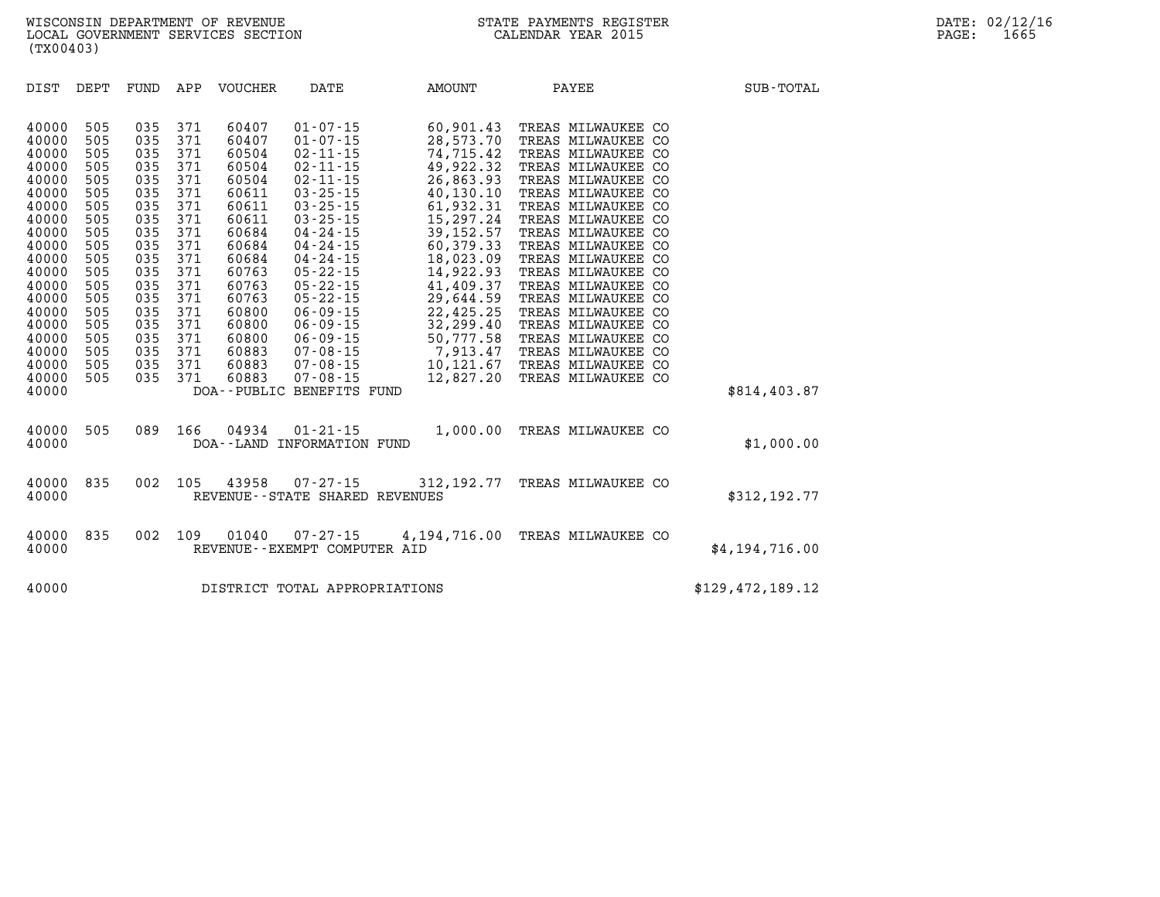| DIST                                                                                                                                                                                      | DEPT                                                                                                                                     | FUND                                                                                                                                     | APP                                                                                                                                      | <b>VOUCHER</b>                                                                                                                                                                   | DATE                                                                                                                                                                                                                                                                                                                                                                                              | AMOUNT                                                                                                                                                                                                                                                           | PAYEE                                                                                                                                                                                                                                                                                                                                                                                                                                                            | SUB-TOTAL        |
|-------------------------------------------------------------------------------------------------------------------------------------------------------------------------------------------|------------------------------------------------------------------------------------------------------------------------------------------|------------------------------------------------------------------------------------------------------------------------------------------|------------------------------------------------------------------------------------------------------------------------------------------|----------------------------------------------------------------------------------------------------------------------------------------------------------------------------------|---------------------------------------------------------------------------------------------------------------------------------------------------------------------------------------------------------------------------------------------------------------------------------------------------------------------------------------------------------------------------------------------------|------------------------------------------------------------------------------------------------------------------------------------------------------------------------------------------------------------------------------------------------------------------|------------------------------------------------------------------------------------------------------------------------------------------------------------------------------------------------------------------------------------------------------------------------------------------------------------------------------------------------------------------------------------------------------------------------------------------------------------------|------------------|
| 40000<br>40000<br>40000<br>40000<br>40000<br>40000<br>40000<br>40000<br>40000<br>40000<br>40000<br>40000<br>40000<br>40000<br>40000<br>40000<br>40000<br>40000<br>40000<br>40000<br>40000 | 505<br>505<br>505<br>505<br>505<br>505<br>505<br>505<br>505<br>505<br>505<br>505<br>505<br>505<br>505<br>505<br>505<br>505<br>505<br>505 | 035<br>035<br>035<br>035<br>035<br>035<br>035<br>035<br>035<br>035<br>035<br>035<br>035<br>035<br>035<br>035<br>035<br>035<br>035<br>035 | 371<br>371<br>371<br>371<br>371<br>371<br>371<br>371<br>371<br>371<br>371<br>371<br>371<br>371<br>371<br>371<br>371<br>371<br>371<br>371 | 60407<br>60407<br>60504<br>60504<br>60504<br>60611<br>60611<br>60611<br>60684<br>60684<br>60684<br>60763<br>60763<br>60763<br>60800<br>60800<br>60800<br>60883<br>60883<br>60883 | $01 - 07 - 15$<br>$01 - 07 - 15$<br>$02 - 11 - 15$<br>$02 - 11 - 15$<br>$02 - 11 - 15$<br>$03 - 25 - 15$<br>$03 - 25 - 15$<br>$03 - 25 - 15$<br>$04 - 24 - 15$<br>$04 - 24 - 15$<br>$04 - 24 - 15$<br>$05 - 22 - 15$<br>$05 - 22 - 15$<br>$05 - 22 - 15$<br>$06 - 09 - 15$<br>$06 - 09 - 15$<br>$06 - 09 - 15$<br>$07 - 08 - 15$<br>$07 - 08 - 15$<br>$07 - 08 - 15$<br>DOA--PUBLIC BENEFITS FUND | 60,901.43<br>28,573.70<br>74,715.42<br>49,922.32<br>26,863.93<br>40,130.10<br>61,932.31<br>15,297.24<br>39, 152.57<br>60,379.33<br>18,023.09<br>14,922.93<br>41,409.37<br>29,644.59<br>22,425.25<br>32,299.40<br>50,777.58<br>7,913.47<br>10,121.67<br>12,827.20 | TREAS MILWAUKEE CO<br>TREAS MILWAUKEE CO<br>TREAS MILWAUKEE<br>CO<br>TREAS MILWAUKEE CO<br>TREAS MILWAUKEE CO<br>TREAS MILWAUKEE CO<br>TREAS MILWAUKEE CO<br>TREAS MILWAUKEE CO<br>TREAS MILWAUKEE CO<br>TREAS MILWAUKEE<br>CO<br>TREAS MILWAUKEE CO<br>TREAS MILWAUKEE CO<br>TREAS MILWAUKEE CO<br>TREAS MILWAUKEE CO<br>TREAS MILWAUKEE CO<br>TREAS MILWAUKEE CO<br>TREAS MILWAUKEE<br>CO<br>TREAS MILWAUKEE<br>CO<br>TREAS MILWAUKEE CO<br>TREAS MILWAUKEE CO | \$814,403.87     |
| 40000<br>40000                                                                                                                                                                            | 505                                                                                                                                      | 089                                                                                                                                      | 166                                                                                                                                      | 04934<br>DOA - - LAND                                                                                                                                                            | $01 - 21 - 15$<br>INFORMATION FUND                                                                                                                                                                                                                                                                                                                                                                | 1,000.00                                                                                                                                                                                                                                                         | TREAS MILWAUKEE CO                                                                                                                                                                                                                                                                                                                                                                                                                                               | \$1,000.00       |
| 40000<br>40000                                                                                                                                                                            | 835                                                                                                                                      | 002                                                                                                                                      | 105                                                                                                                                      | 43958                                                                                                                                                                            | $07 - 27 - 15$<br>REVENUE - - STATE SHARED REVENUES                                                                                                                                                                                                                                                                                                                                               | 312, 192. 77                                                                                                                                                                                                                                                     | TREAS MILWAUKEE CO                                                                                                                                                                                                                                                                                                                                                                                                                                               | \$312,192.77     |
| 40000<br>40000                                                                                                                                                                            | 835                                                                                                                                      | 002                                                                                                                                      | 109                                                                                                                                      | 01040                                                                                                                                                                            | $07 - 27 - 15$<br>REVENUE - - EXEMPT COMPUTER AID                                                                                                                                                                                                                                                                                                                                                 | 4,194,716.00                                                                                                                                                                                                                                                     | TREAS MILWAUKEE CO                                                                                                                                                                                                                                                                                                                                                                                                                                               | \$4,194,716.00   |
| 40000                                                                                                                                                                                     |                                                                                                                                          |                                                                                                                                          |                                                                                                                                          |                                                                                                                                                                                  | DISTRICT TOTAL APPROPRIATIONS                                                                                                                                                                                                                                                                                                                                                                     |                                                                                                                                                                                                                                                                  |                                                                                                                                                                                                                                                                                                                                                                                                                                                                  | \$129,472,189.12 |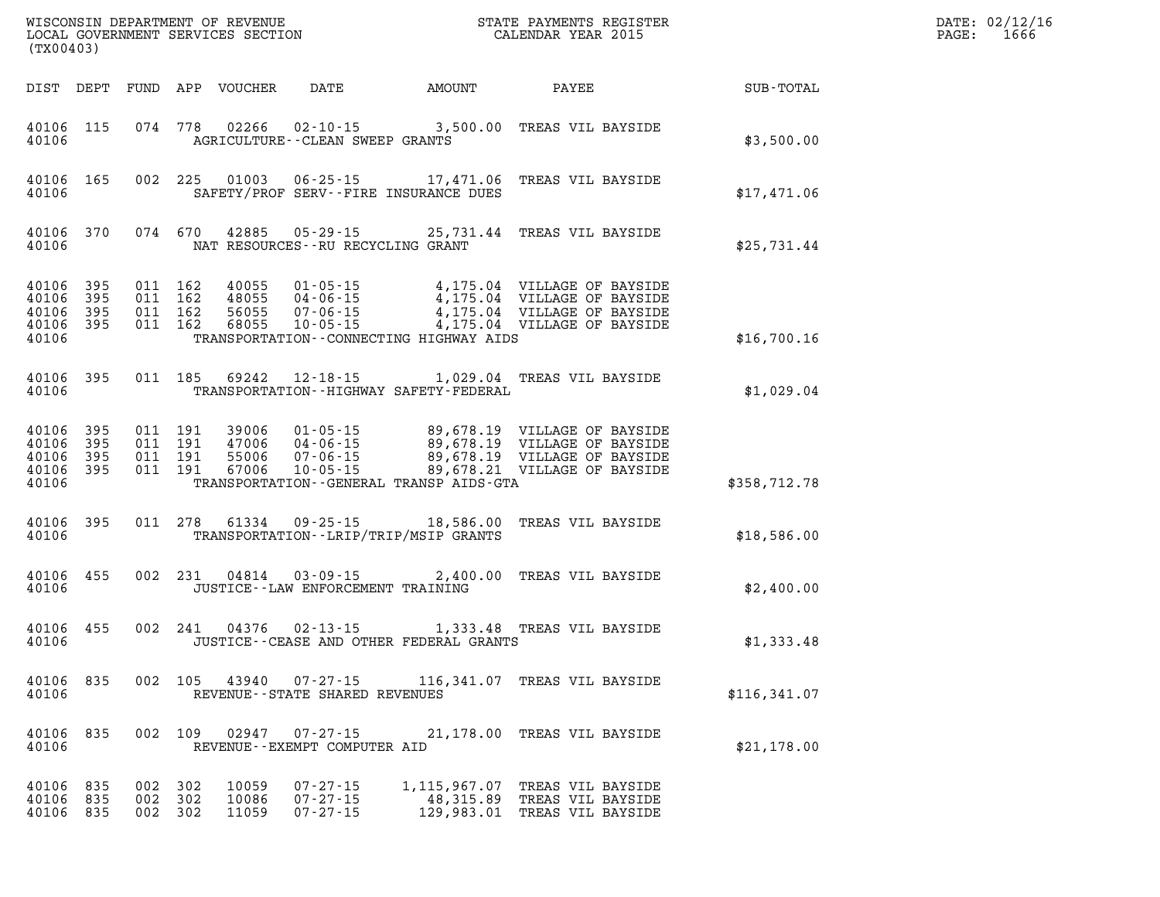| (TX00403)                                 |                          |                          |                          | WISCONSIN DEPARTMENT OF REVENUE<br>LOCAL GOVERNMENT SERVICES SECTION |                                                                      |                                                                        | STATE PAYMENTS REGISTER<br>CALENDAR YEAR 2015                                                                                |               |
|-------------------------------------------|--------------------------|--------------------------|--------------------------|----------------------------------------------------------------------|----------------------------------------------------------------------|------------------------------------------------------------------------|------------------------------------------------------------------------------------------------------------------------------|---------------|
| DIST                                      | DEPT                     | FUND                     | APP                      | VOUCHER                                                              | DATE                                                                 | AMOUNT                                                                 | PAYEE                                                                                                                        | SUB-TOTAL     |
| 40106<br>40106                            | 115                      | 074                      | 778                      | 02266                                                                | AGRICULTURE -- CLEAN SWEEP GRANTS                                    |                                                                        | 02-10-15 3,500.00 TREAS VIL BAYSIDE                                                                                          | \$3,500.00    |
| 40106<br>40106                            | 165                      | 002                      | 225                      |                                                                      |                                                                      | 01003 06-25-15 17,471.06<br>SAFETY/PROF SERV--FIRE INSURANCE DUES      | TREAS VIL BAYSIDE                                                                                                            | \$17,471.06   |
| 40106<br>40106                            | 370                      |                          | 074 670                  | 42885                                                                | NAT RESOURCES -- RU RECYCLING GRANT                                  | 05-29-15 25,731.44                                                     | TREAS VIL BAYSIDE                                                                                                            | \$25,731.44   |
| 40106<br>40106<br>40106<br>40106<br>40106 | 395<br>395<br>395<br>395 | 011<br>011<br>011<br>011 | 162<br>162<br>162<br>162 | 40055<br>48055<br>56055<br>68055                                     | $01 - 05 - 15$<br>$04 - 06 - 15$<br>$07 - 06 - 15$<br>$10 - 05 - 15$ | TRANSPORTATION--CONNECTING HIGHWAY AIDS                                | 4,175.04 VILLAGE OF BAYSIDE<br>4,175.04 VILLAGE OF BAYSIDE<br>4,175.04 VILLAGE OF BAYSIDE<br>4,175.04 VILLAGE OF BAYSIDE     | \$16,700.16   |
| 40106<br>40106                            | 395                      | 011                      | 185                      | 69242                                                                |                                                                      | $12 - 18 - 15$ 1,029.04<br>TRANSPORTATION - - HIGHWAY SAFETY - FEDERAL | TREAS VIL BAYSIDE                                                                                                            | \$1,029.04    |
| 40106<br>40106<br>40106<br>40106<br>40106 | 395<br>395<br>395<br>395 | 011<br>011<br>011<br>011 | 191<br>191<br>191<br>191 | 39006<br>47006<br>55006<br>67006                                     | $01 - 05 - 15$<br>$04 - 06 - 15$<br>$07 - 06 - 15$<br>$10 - 05 - 15$ | TRANSPORTATION--GENERAL TRANSP AIDS-GTA                                | 89,678.19 VILLAGE OF BAYSIDE<br>89,678.19 VILLAGE OF BAYSIDE<br>89,678.19 VILLAGE OF BAYSIDE<br>89,678.21 VILLAGE OF BAYSIDE | \$358,712.78  |
| 40106<br>40106                            | 395                      | 011                      | 278                      | 61334                                                                |                                                                      | $09 - 25 - 15$ 18,586.00<br>TRANSPORTATION - - LRIP/TRIP/MSIP GRANTS   | TREAS VIL BAYSIDE                                                                                                            | \$18,586.00   |
| 40106<br>40106                            | 455                      | 002                      | 231                      | 04814                                                                | $03 - 09 - 15$<br>JUSTICE -- LAW ENFORCEMENT TRAINING                | 2,400.00                                                               | TREAS VIL BAYSIDE                                                                                                            | \$2,400.00    |
| 40106<br>40106                            | 455                      | 002                      | 241                      | 04376                                                                | $02 - 13 - 15$                                                       | JUSTICE -- CEASE AND OTHER FEDERAL GRANTS                              | 1,333.48 TREAS VIL BAYSIDE                                                                                                   | \$1,333.48    |
| 40106<br>40106                            | 835                      | 002                      | 105                      | 43940                                                                | $07 - 27 - 15$<br>REVENUE - - STATE SHARED REVENUES                  | 116,341.07                                                             | TREAS VIL BAYSIDE                                                                                                            | \$116, 341.07 |
| 40106<br>40106                            | 835                      | 002                      | 109                      | 02947                                                                | $07 - 27 - 15$<br>REVENUE - - EXEMPT COMPUTER AID                    | 21,178.00                                                              | TREAS VIL BAYSIDE                                                                                                            | \$21,178.00   |
| 40106<br>40106<br>40106                   | 835<br>835<br>835        | 002<br>002<br>002        | 302<br>302<br>302        | 10059<br>10086<br>11059                                              | $07 - 27 - 15$<br>$07 - 27 - 15$<br>$07 - 27 - 15$                   | 1,115,967.07<br>48,315.89<br>129,983.01                                | TREAS VIL BAYSIDE<br>TREAS VIL BAYSIDE<br>TREAS VIL BAYSIDE                                                                  |               |

DATE: 02/12/16 PAGE: 1666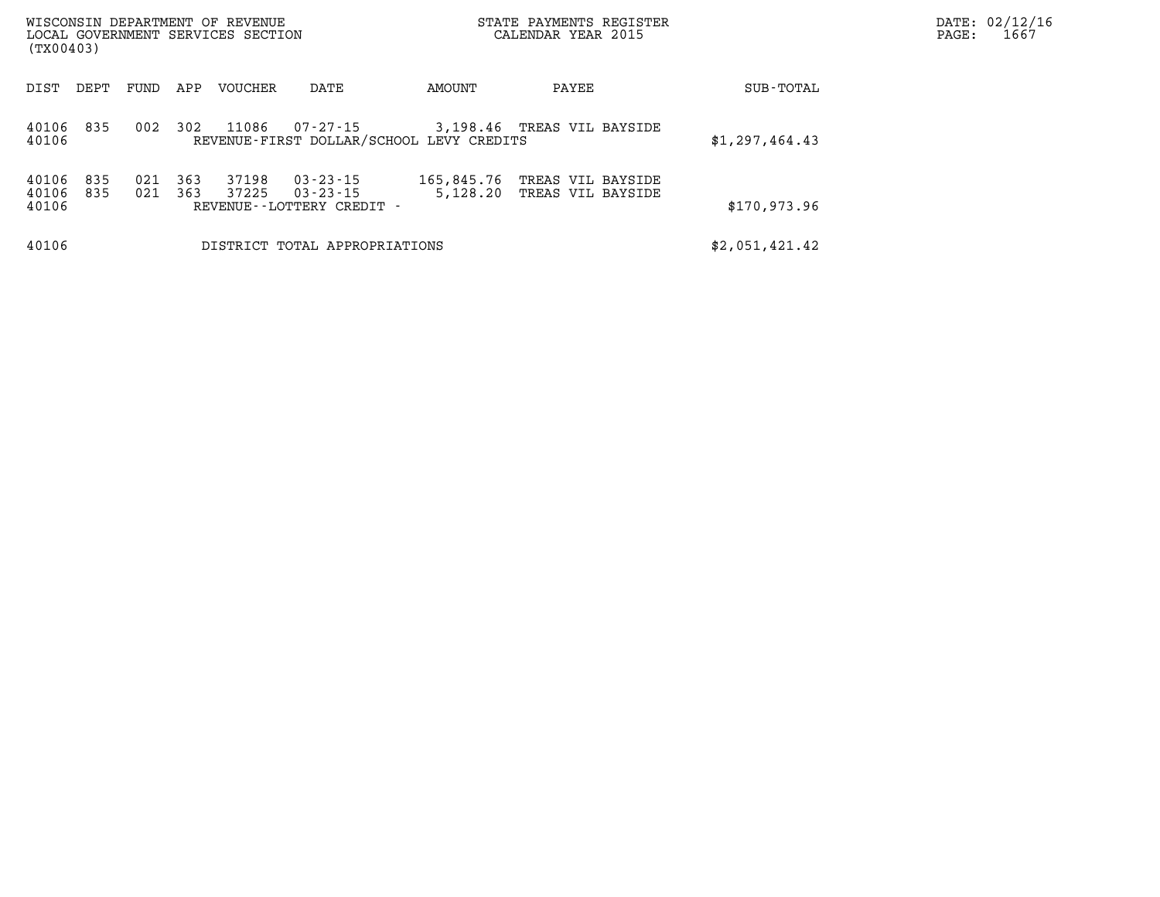| (TX00403)               |            |            |            | WISCONSIN DEPARTMENT OF REVENUE<br>LOCAL GOVERNMENT SERVICES SECTION |                                                                  |                                          | STATE PAYMENTS REGISTER<br>CALENDAR YEAR 2015 |                | DATE: 02/12/16<br>1667<br>PAGE: |
|-------------------------|------------|------------|------------|----------------------------------------------------------------------|------------------------------------------------------------------|------------------------------------------|-----------------------------------------------|----------------|---------------------------------|
| DIST                    | DEPT       | FUND       | APP        | VOUCHER                                                              | DATE                                                             | AMOUNT                                   | PAYEE                                         | SUB-TOTAL      |                                 |
| 40106 835<br>40106      |            | 002        | 302        | 11086                                                                | 07-27-15                                                         | REVENUE-FIRST DOLLAR/SCHOOL LEVY CREDITS | 3,198.46 TREAS VIL BAYSIDE                    | \$1,297,464.43 |                                 |
| 40106<br>40106<br>40106 | 835<br>835 | 021<br>021 | 363<br>363 | 37198<br>37225                                                       | $03 - 23 - 15$<br>$03 - 23 - 15$<br>REVENUE - - LOTTERY CREDIT - | 165,845.76<br>5,128.20                   | TREAS VIL BAYSIDE<br>TREAS VIL BAYSIDE        | \$170,973.96   |                                 |
| 40106                   |            |            |            |                                                                      | DISTRICT TOTAL APPROPRIATIONS                                    |                                          |                                               | \$2,051,421.42 |                                 |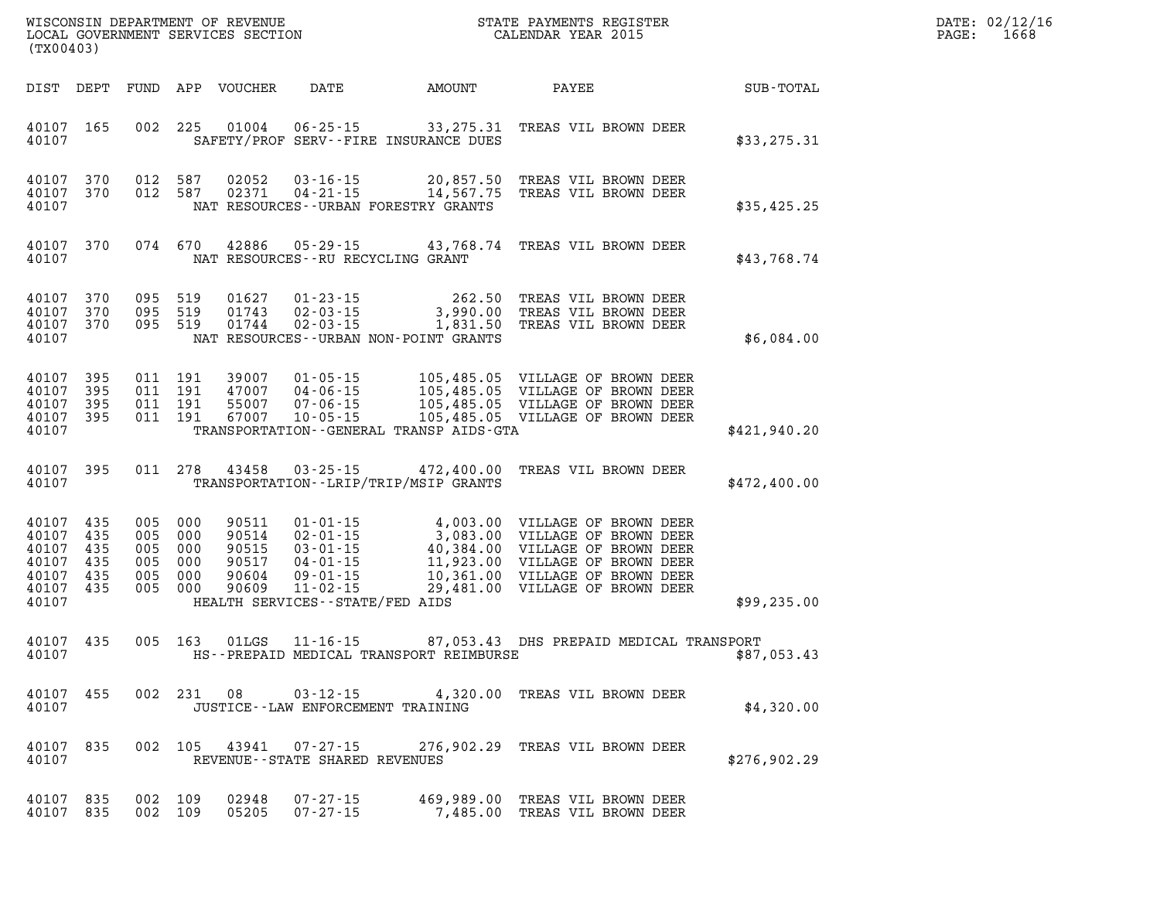| DATE: | 02/12/16 |
|-------|----------|
| PAGE: | 1668     |

| (TX00403)                                                               |                        |     |                                                            |                                                    |                                            |                                          | % WISCONSIN DEPARTMENT OF REVENUE WISCONSIN STATE PAYMENTS REGIST LOCAL GOVERNMENT SERVICES SECTION<br>STATE PAYMENTS REGISTER                                                                           |              | DATE: 02/12/1<br>PAGE:<br>1668 |  |  |
|-------------------------------------------------------------------------|------------------------|-----|------------------------------------------------------------|----------------------------------------------------|--------------------------------------------|------------------------------------------|----------------------------------------------------------------------------------------------------------------------------------------------------------------------------------------------------------|--------------|--------------------------------|--|--|
|                                                                         |                        |     |                                                            | DIST DEPT FUND APP VOUCHER                         | <b>DATE</b>                                |                                          | AMOUNT PAYEE                                                                                                                                                                                             | SUB-TOTAL    |                                |  |  |
| 40107                                                                   | 40107 165              |     |                                                            |                                                    | SAFETY/PROF SERV--FIRE INSURANCE DUES      |                                          | 002 225 01004 06-25-15 33,275.31 TREAS VIL BROWN DEER                                                                                                                                                    | \$33, 275.31 |                                |  |  |
| 40107                                                                   | 40107 370<br>40107 370 |     |                                                            | 012 587 02052                                      | NAT RESOURCES--URBAN FORESTRY GRANTS       |                                          | 012 587 02052 03-16-15 20,857.50 TREAS VIL BROWN DEER<br>012 587 02371 04-21-15 14,567.75 TREAS VIL BROWN DEER                                                                                           | \$35,425.25  |                                |  |  |
| 40107                                                                   | 40107 370              |     | 074 670                                                    |                                                    | NAT RESOURCES -- RU RECYCLING GRANT        |                                          | 42886  05-29-15  43,768.74  TREAS VIL BROWN DEER                                                                                                                                                         | \$43,768.74  |                                |  |  |
| 40107 370<br>40107                                                      | 40107 370<br>40107 370 |     | 095 519                                                    | 095 519 01627<br>095 519 01743<br>01744            | NAT RESOURCES - - URBAN NON-POINT GRANTS   |                                          | 01-23-15 262.50 TREAS VIL BROWN DEER<br>02-03-15 3,990.00 TREAS VIL BROWN DEER<br>02-03-15 1,831.50 TREAS VIL BROWN DEER                                                                                 | \$6,084.00   |                                |  |  |
| 40107 395<br>40107<br>40107 395<br>40107 395<br>40107                   | 395                    |     | 011 191<br>011 191<br>011 191<br>011 191                   | 39007<br>47007<br>55007<br>67007                   |                                            | TRANSPORTATION--GENERAL TRANSP AIDS-GTA  | 01-05-15    105,485.05    VILLAGE OF BROWN DEER<br>04-06-15    105,485.05    VILLAGE OF BROWN DEER<br>07-06-15    105,485.05    VILLAGE OF BROWN DEER<br>10-05-15    105,485.05    VILLAGE OF BROWN DEER | \$421,940.20 |                                |  |  |
| 40107                                                                   | 40107 395              |     |                                                            | 011 278 43458                                      |                                            | TRANSPORTATION - - LRIP/TRIP/MSIP GRANTS | 03-25-15 472,400.00 TREAS VIL BROWN DEER                                                                                                                                                                 | \$472,400.00 |                                |  |  |
| 40107 435<br>40107<br>40107<br>40107<br>40107 435<br>40107 435<br>40107 | 435<br>435<br>435      | 005 | 005 000<br>005 000<br>005 000<br>005 000<br>000<br>005 000 | 90511<br>90514<br>90515<br>90517<br>90604<br>90609 | HEALTH SERVICES--STATE/FED AIDS            |                                          |                                                                                                                                                                                                          | \$99,235.00  |                                |  |  |
| 40107 435<br>40107                                                      |                        |     | 005 163                                                    | 01LGS                                              | $11 - 16 - 15$                             | HS--PREPAID MEDICAL TRANSPORT REIMBURSE  | 87,053.43 DHS PREPAID MEDICAL TRANSPORT                                                                                                                                                                  | \$87,053.43  |                                |  |  |
| 40107 455<br>40107                                                      |                        |     |                                                            | 002 231 08                                         | JUSTICE - - LAW ENFORCEMENT TRAINING       |                                          | 03-12-15 4,320.00 TREAS VIL BROWN DEER                                                                                                                                                                   | \$4,320.00   |                                |  |  |
| 40107 835<br>40107                                                      |                        |     | 002 105                                                    | 43941                                              | 07-27-15<br>REVENUE--STATE SHARED REVENUES |                                          | 276,902.29 TREAS VIL BROWN DEER                                                                                                                                                                          | \$276,902.29 |                                |  |  |
| 40107 835<br>40107 835                                                  |                        |     | 002 109<br>002 109                                         | 02948<br>05205                                     | $07 - 27 - 15$<br>$07 - 27 - 15$           |                                          | 469,989.00 TREAS VIL BROWN DEER<br>7,485.00 TREAS VIL BROWN DEER                                                                                                                                         |              |                                |  |  |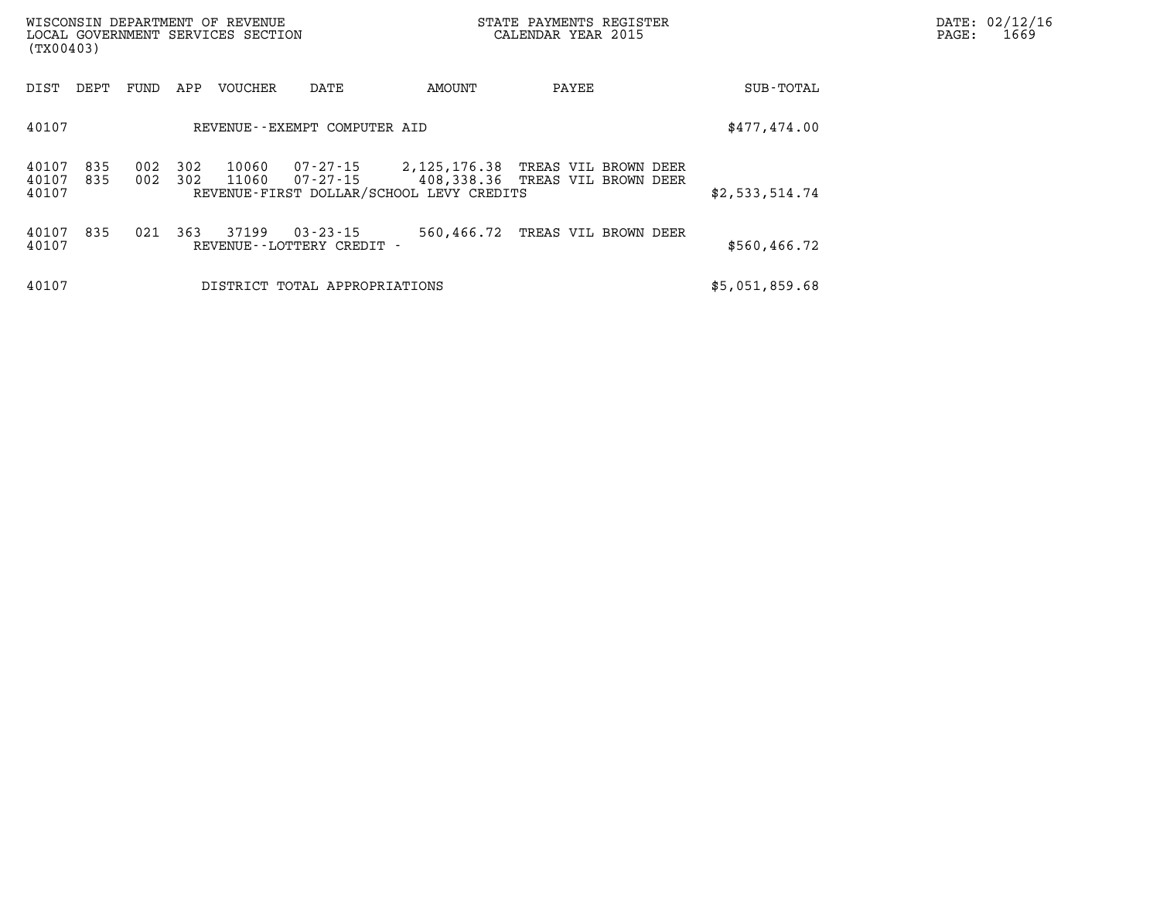| (TX00403)               |            |            |            | WISCONSIN DEPARTMENT OF REVENUE<br>LOCAL GOVERNMENT SERVICES SECTION |                                                |                                          | STATE PAYMENTS REGISTER<br>CALENDAR YEAR 2015 | DATE: 02/12/16<br>PAGE:<br>1669 |  |
|-------------------------|------------|------------|------------|----------------------------------------------------------------------|------------------------------------------------|------------------------------------------|-----------------------------------------------|---------------------------------|--|
| DIST                    | DEPT       | FUND       | APP        | VOUCHER                                                              | DATE                                           | AMOUNT                                   | PAYEE                                         | SUB-TOTAL                       |  |
| 40107                   |            |            |            |                                                                      | REVENUE--EXEMPT COMPUTER AID                   |                                          |                                               | \$477,474.00                    |  |
| 40107<br>40107<br>40107 | 835<br>835 | 002<br>002 | 302<br>302 | 10060<br>11060                                                       |                                                | REVENUE-FIRST DOLLAR/SCHOOL LEVY CREDITS | 07-27-15   408,338.36   TREAS VIL BROWN DEER  | \$2,533,514.74                  |  |
| 40107<br>40107          | 835        | 021        | 363        | 37199                                                                | $03 - 23 - 15$<br>REVENUE - - LOTTERY CREDIT - | 560,466.72                               | TREAS VIL BROWN DEER                          | \$560,466.72                    |  |
| 40107                   |            |            |            |                                                                      | DISTRICT TOTAL APPROPRIATIONS                  |                                          |                                               | \$5,051,859.68                  |  |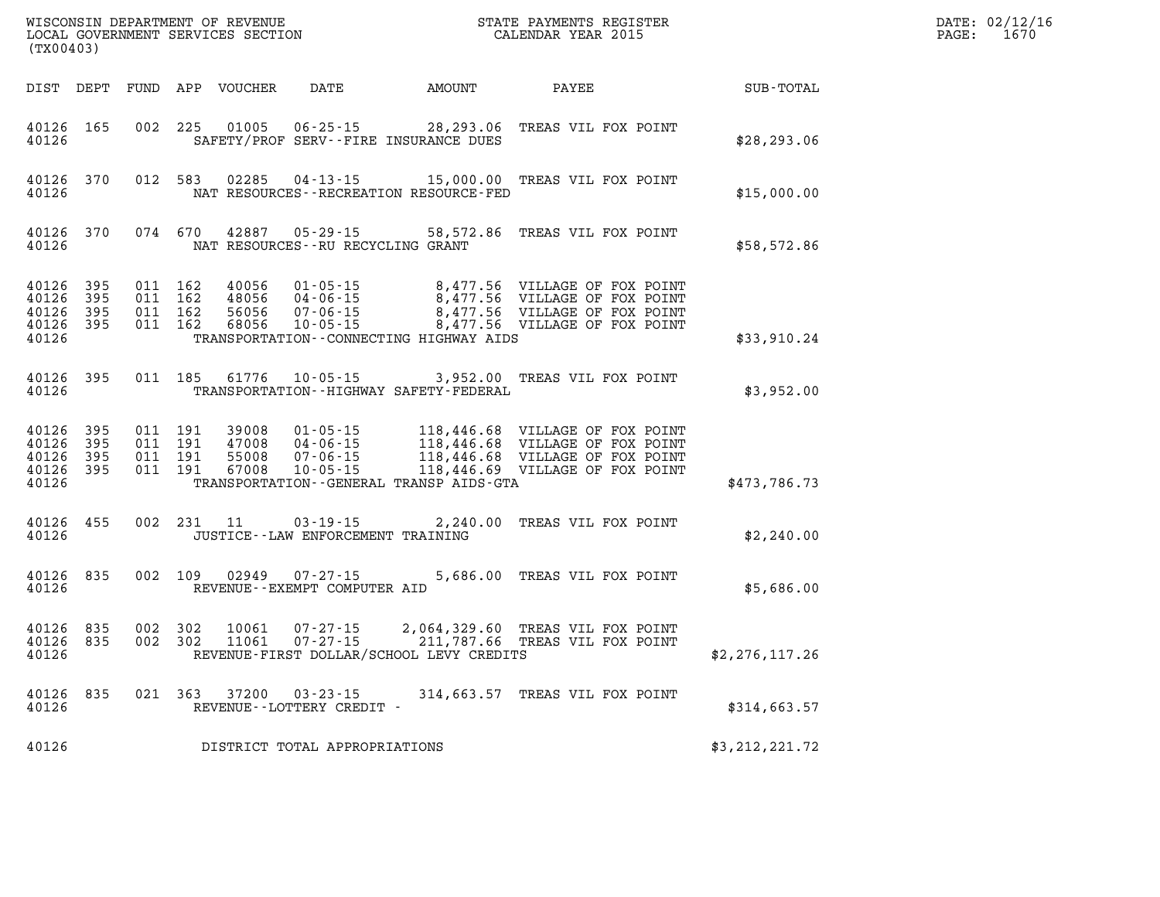| (TX00403)                                         |                       |                                          |         | WISCONSIN DEPARTMENT OF REVENUE<br>LOCAL GOVERNMENT SERVICES SECTION |                                                                      |                                                    | STATE PAYMENTS REGISTER<br>CALENDAR YEAR 2015                                                                                            |                | DATE: 02/12/16<br>PAGE:<br>1670 |
|---------------------------------------------------|-----------------------|------------------------------------------|---------|----------------------------------------------------------------------|----------------------------------------------------------------------|----------------------------------------------------|------------------------------------------------------------------------------------------------------------------------------------------|----------------|---------------------------------|
|                                                   |                       |                                          |         | DIST DEPT FUND APP VOUCHER                                           | DATE                                                                 | AMOUNT                                             | PAYEE                                                                                                                                    | SUB-TOTAL      |                                 |
| 40126 165<br>40126                                |                       | 002 225                                  |         | 01005                                                                | $06 - 25 - 15$                                                       | 28,293.06<br>SAFETY/PROF SERV--FIRE INSURANCE DUES | TREAS VIL FOX POINT                                                                                                                      | \$28, 293.06   |                                 |
| 40126 370<br>40126                                |                       | 012 583                                  |         | 02285                                                                | 04-13-15                                                             | NAT RESOURCES - - RECREATION RESOURCE - FED        | 15,000.00 TREAS VIL FOX POINT                                                                                                            | \$15,000.00    |                                 |
| 40126 370<br>40126                                |                       |                                          | 074 670 | 42887                                                                | 05 - 29 - 15<br>NAT RESOURCES--RU RECYCLING GRANT                    |                                                    | 58,572.86 TREAS VIL FOX POINT                                                                                                            | \$58,572.86    |                                 |
| 40126 395<br>40126<br>40126<br>40126 395<br>40126 | -395<br>- 395         | 011 162<br>011 162<br>011 162<br>011 162 |         | 40056<br>48056<br>56056<br>68056                                     | $01 - 05 - 15$<br>$04 - 06 - 15$<br>$07 - 06 - 15$<br>$10 - 05 - 15$ | TRANSPORTATION--CONNECTING HIGHWAY AIDS            | 8,477.56 VILLAGE OF FOX POINT<br>8,477.56 VILLAGE OF FOX POINT<br>8,477.56 VILLAGE OF FOX POINT<br>8,477.56 VILLAGE OF FOX POINT         | \$33,910.24    |                                 |
| 40126 395<br>40126                                |                       | 011 185                                  |         | 61776                                                                | $10 - 05 - 15$                                                       | TRANSPORTATION - - HIGHWAY SAFETY - FEDERAL        | 3,952.00 TREAS VIL FOX POINT                                                                                                             | \$3,952.00     |                                 |
| 40126 395<br>40126<br>40126<br>40126<br>40126     | -395<br>-395<br>- 395 | 011 191<br>011 191<br>011 191<br>011 191 |         | 39008<br>47008<br>55008<br>67008                                     | 01-05-15<br>04-06-15<br>$07 - 06 - 15$<br>$10 - 05 - 15$             | TRANSPORTATION--GENERAL TRANSP AIDS-GTA            | 118,446.68 VILLAGE OF FOX POINT<br>118,446.68 VILLAGE OF FOX POINT<br>118,446.68 VILLAGE OF FOX POINT<br>118,446.69 VILLAGE OF FOX POINT | \$473,786.73   |                                 |
| 40126 455<br>40126                                |                       |                                          | 002 231 | 11                                                                   | $03 - 19 - 15$<br>JUSTICE -- LAW ENFORCEMENT TRAINING                | 2,240.00                                           | TREAS VIL FOX POINT                                                                                                                      | \$2,240.00     |                                 |
| 40126<br>40126                                    | 835                   | 002 109                                  |         | 02949                                                                | 07-27-15<br>REVENUE--EXEMPT COMPUTER AID                             |                                                    | 5,686.00 TREAS VIL FOX POINT                                                                                                             | \$5,686.00     |                                 |
| 40126 835<br>40126 835<br>40126                   |                       | 002<br>002 302                           | 302     | 10061<br>11061                                                       | $07 - 27 - 15$<br>$07 - 27 - 15$                                     | REVENUE-FIRST DOLLAR/SCHOOL LEVY CREDITS           | 2,064,329.60 TREAS VIL FOX POINT<br>211,787.66   TREAS VIL FOX POINT                                                                     | \$2,276,117.26 |                                 |
| 40126<br>40126                                    | 835                   | 021 363                                  |         | 37200                                                                | 03 - 23 - 15<br>REVENUE--LOTTERY CREDIT -                            |                                                    | 314,663.57 TREAS VIL FOX POINT                                                                                                           | \$314,663.57   |                                 |
| 40126                                             |                       |                                          |         |                                                                      | DISTRICT TOTAL APPROPRIATIONS                                        |                                                    |                                                                                                                                          | \$3,212,221.72 |                                 |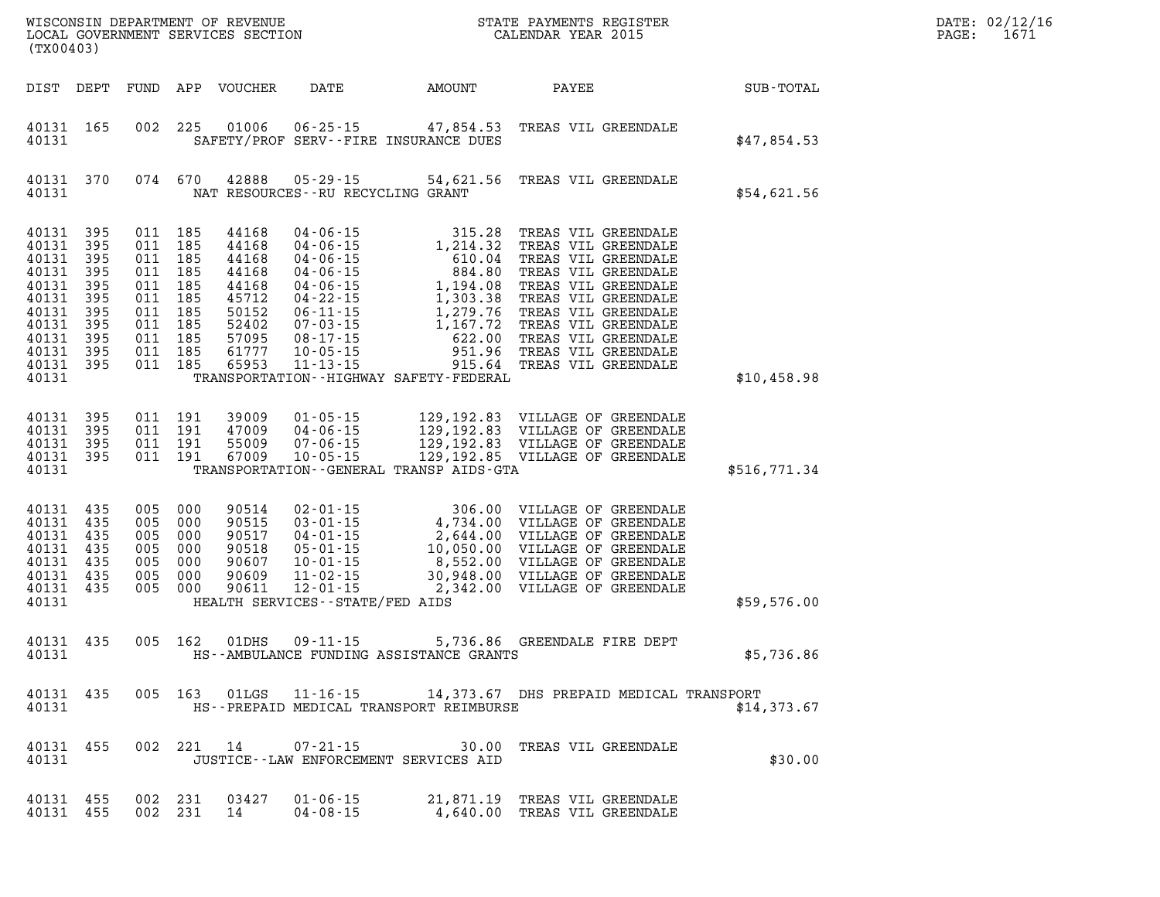| DATE: | 02/12/16 |
|-------|----------|
| PAGE: | 1671     |

| (TX00403)                                                                                                                    |                                        |                                                                                                            |                                                             |                                     |                                              | STATE PAYMENTS REGISTER                                                                                                                                                                                                                                                                                                                           | $\mathbb{R}^n$ | DATE: 02/12/1<br>$\mathtt{PAGE}$ :<br>1671 |
|------------------------------------------------------------------------------------------------------------------------------|----------------------------------------|------------------------------------------------------------------------------------------------------------|-------------------------------------------------------------|-------------------------------------|----------------------------------------------|---------------------------------------------------------------------------------------------------------------------------------------------------------------------------------------------------------------------------------------------------------------------------------------------------------------------------------------------------|----------------|--------------------------------------------|
|                                                                                                                              | DIST DEPT                              |                                                                                                            |                                                             |                                     |                                              |                                                                                                                                                                                                                                                                                                                                                   |                |                                            |
| 40131 165<br>40131                                                                                                           |                                        |                                                                                                            |                                                             |                                     | SAFETY/PROF SERV--FIRE INSURANCE DUES        | 002 225 01006 06-25-15 47,854.53 TREAS VIL GREENDALE                                                                                                                                                                                                                                                                                              | \$47,854.53    |                                            |
| 40131 370<br>40131                                                                                                           |                                        |                                                                                                            |                                                             | NAT RESOURCES -- RU RECYCLING GRANT |                                              | 074 670 42888 05-29-15 54,621.56 TREAS VIL GREENDALE                                                                                                                                                                                                                                                                                              | \$54,621.56    |                                            |
| 40131<br>40131 395<br>40131<br>40131<br>40131<br>40131 395<br>40131<br>40131 395<br>40131<br>40131 395<br>40131 395<br>40131 | 395<br>395<br>395<br>395<br>395<br>395 | 011 185<br>011 185<br>011 185<br>011 185<br>011 185<br>011 185<br>011 185<br>011 185<br>011 185<br>011 185 |                                                             | 011 185 65953 11-13-15              | TRANSPORTATION - HIGHWAY SAFETY - FEDERAL    |                                                                                                                                                                                                                                                                                                                                                   | \$10,458.98    |                                            |
|                                                                                                                              |                                        |                                                                                                            |                                                             |                                     |                                              |                                                                                                                                                                                                                                                                                                                                                   |                |                                            |
| 40131<br>40131<br>40131 395<br>40131 395<br>40131                                                                            | 395<br>395                             |                                                                                                            |                                                             |                                     | TRANSPORTATION - - GENERAL TRANSP AIDS - GTA | $\begin{array}{cccc} 011 & 191 & 39009 & 01\cdot 05\cdot 15 & 129\,, 192\,.83 & \text{VILLAGE OF GREENDALE} \\ 011 & 191 & 47009 & 04\cdot 06\cdot 15 & 129\,, 192\,.83 & \text{VILLAGE OF GREENDALE} \\ 011 & 191 & 55009 & 07\cdot 06\cdot 15 & 129\,, 192\,.83 & \text{VILLAGE OF GREENDALE} \\ 011 & 191 & 67009 & 10\cdot 05\cdot 15 & 129\$ | \$516,771.34   |                                            |
| 40131<br>40131<br>40131<br>40131<br>40131<br>40131<br>40131 435<br>40131                                                     | 435<br>435<br>435<br>435<br>435<br>435 | 005 000<br>005 000<br>005 000<br>005 000<br>005 000<br>005 000<br>005 000                                  | 90514<br>90515<br>90517<br>90518<br>90607<br>90609<br>90611 | HEALTH SERVICES -- STATE/FED AIDS   |                                              |                                                                                                                                                                                                                                                                                                                                                   | \$59,576.00    |                                            |
| 40131 435<br>40131                                                                                                           |                                        |                                                                                                            | 005 162 01DHS                                               |                                     | HS--AMBULANCE FUNDING ASSISTANCE GRANTS      | 09-11-15 5,736.86 GREENDALE FIRE DEPT                                                                                                                                                                                                                                                                                                             | \$5,736.86     |                                            |
| 40131 435<br>40131                                                                                                           |                                        | 005 163                                                                                                    |                                                             |                                     | HS--PREPAID MEDICAL TRANSPORT REIMBURSE      | 01LGS 11-16-15 14,373.67 DHS PREPAID MEDICAL TRANSPORT                                                                                                                                                                                                                                                                                            | \$14,373.67    |                                            |
| 40131<br>40131                                                                                                               | 455                                    |                                                                                                            | 002 221 14                                                  | $07 - 21 - 15$                      | JUSTICE -- LAW ENFORCEMENT SERVICES AID      | 30.00 TREAS VIL GREENDALE                                                                                                                                                                                                                                                                                                                         | \$30.00        |                                            |
| 40131 455<br>40131 455                                                                                                       |                                        | 002 231<br>002 231                                                                                         | 03427<br>14                                                 | $01 - 06 - 15$<br>$04 - 08 - 15$    |                                              | 21,871.19 TREAS VIL GREENDALE<br>4,640.00 TREAS VIL GREENDALE                                                                                                                                                                                                                                                                                     |                |                                            |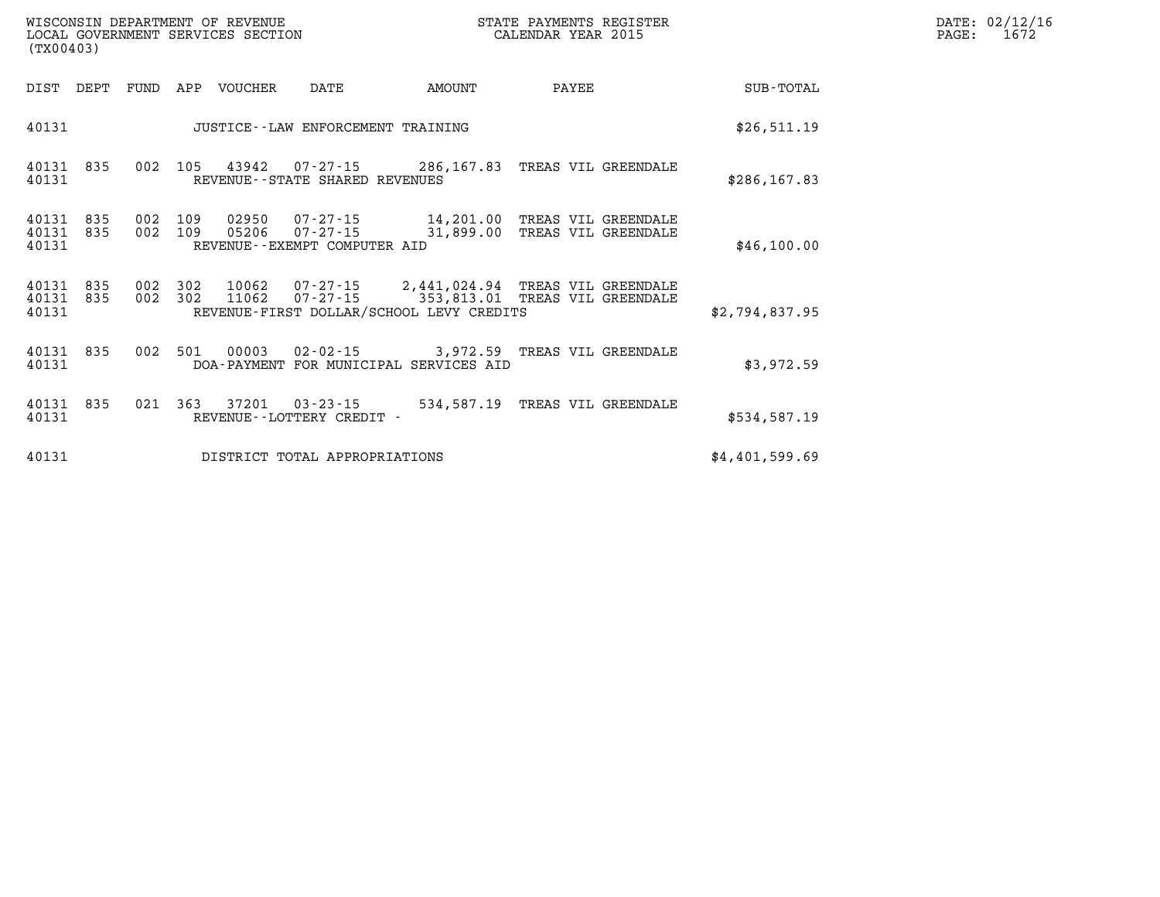| $\texttt{DATE}$ : | 02/12/16 |
|-------------------|----------|
| PAGE:             | 1672     |

| (TX00403)                       |  | WISCONSIN DEPARTMENT OF REVENUE<br>LOCAL GOVERNMENT SERVICES SECTION |                                                           |                                          | STATE PAYMENTS REGISTER<br>CALENDAR YEAR 2015                                             | DATE: 02/12/1<br>1672<br>PAGE: |  |
|---------------------------------|--|----------------------------------------------------------------------|-----------------------------------------------------------|------------------------------------------|-------------------------------------------------------------------------------------------|--------------------------------|--|
| DIST DEPT                       |  | FUND APP VOUCHER                                                     | DATE                                                      | AMOUNT                                   | PAYEE                                                                                     | SUB-TOTAL                      |  |
| 40131                           |  |                                                                      | JUSTICE--LAW ENFORCEMENT TRAINING                         |                                          |                                                                                           | \$26,511.19                    |  |
| 40131 835<br>40131              |  |                                                                      | REVENUE--STATE SHARED REVENUES                            |                                          | 002 105 43942 07-27-15 286,167.83 TREAS VIL GREENDALE                                     | \$286, 167.83                  |  |
| 40131 835<br>40131 835<br>40131 |  |                                                                      | 002 109 05206 07-27-15<br>REVENUE - - EXEMPT COMPUTER AID |                                          | 002 109 02950 07-27-15 14,201.00 TREAS VIL GREENDALE<br>31,899.00 TREAS VIL GREENDALE     | \$46,100.00                    |  |
| 40131 835<br>40131 835<br>40131 |  | 002 302 11062                                                        | $07 - 27 - 15$                                            | REVENUE-FIRST DOLLAR/SCHOOL LEVY CREDITS | 002 302 10062 07-27-15 2,441,024.94 TREAS VIL GREENDALE<br>353,813.01 TREAS VIL GREENDALE | \$2,794,837.95                 |  |
| 40131 835<br>40131              |  |                                                                      |                                                           | DOA-PAYMENT FOR MUNICIPAL SERVICES AID   | 002 501 00003 02-02-15 3,972.59 TREAS VIL GREENDALE                                       | \$3,972.59                     |  |
| 40131 835<br>40131              |  | 021 363 37201                                                        | REVENUE--LOTTERY CREDIT -                                 |                                          | 03-23-15 534,587.19 TREAS VIL GREENDALE                                                   | \$534,587.19                   |  |
| 40131                           |  |                                                                      | DISTRICT TOTAL APPROPRIATIONS                             |                                          |                                                                                           | \$4,401,599.69                 |  |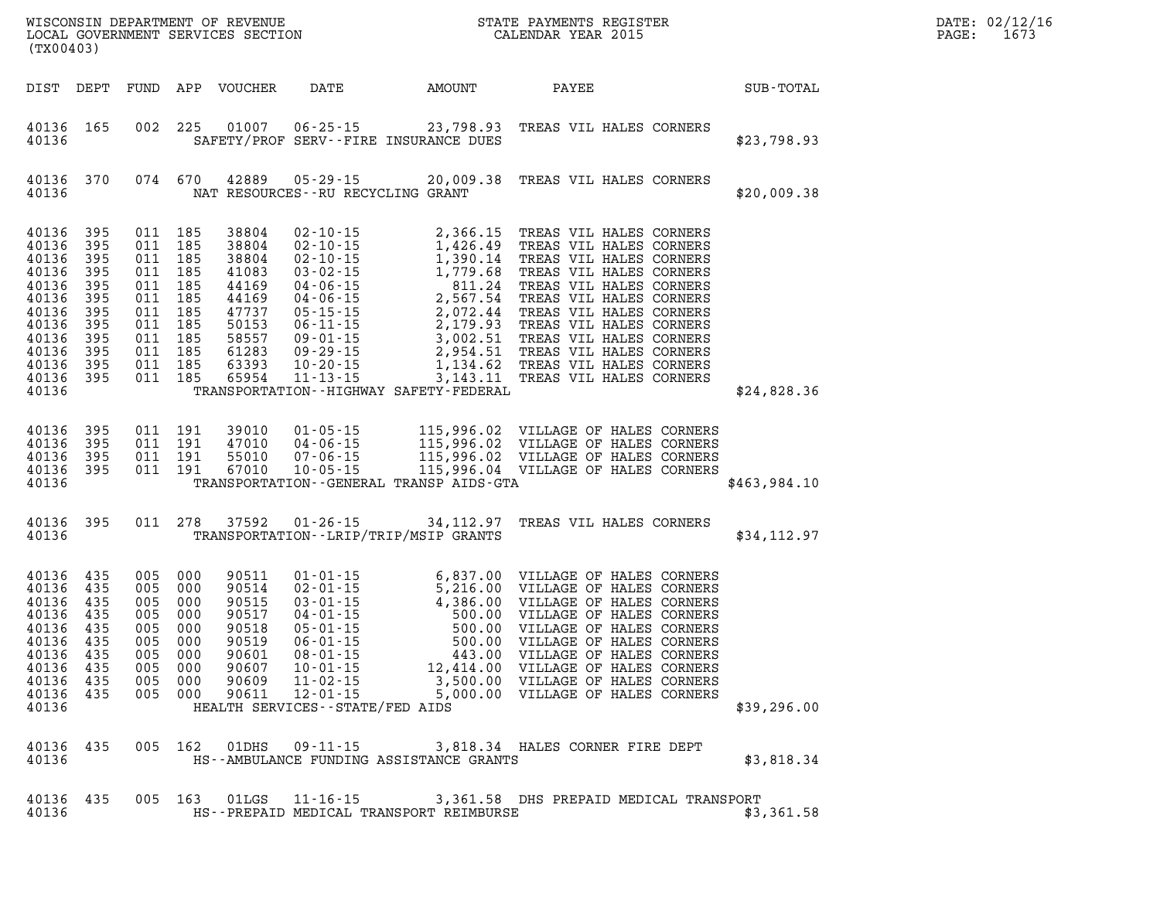| (TX00403)                                                                                                                         |                                                      |                                                                                                                                  |                                  |                                 |                                             | WISCONSIN DEPARTMENT OF REVENUE<br>LOCAL GOVERNMENT SERVICES SECTION CALENDAR YEAR 2015                                                                                                                                            | $\mathbb{E} \mathbf{R}$ | DATE: 02/12/16<br>$\mathtt{PAGE}$ :<br>1673 |  |
|-----------------------------------------------------------------------------------------------------------------------------------|------------------------------------------------------|----------------------------------------------------------------------------------------------------------------------------------|----------------------------------|---------------------------------|---------------------------------------------|------------------------------------------------------------------------------------------------------------------------------------------------------------------------------------------------------------------------------------|-------------------------|---------------------------------------------|--|
|                                                                                                                                   |                                                      |                                                                                                                                  | DIST DEPT FUND APP VOUCHER       |                                 |                                             | DATE AMOUNT PAYEE                                                                                                                                                                                                                  |                         | SUB-TOTAL                                   |  |
| 40136 165<br>40136                                                                                                                |                                                      |                                                                                                                                  |                                  |                                 | SAFETY/PROF SERV--FIRE INSURANCE DUES       | 002 225 01007 06-25-15 23,798.93 TREAS VIL HALES CORNERS                                                                                                                                                                           |                         | \$23,798.93                                 |  |
| 40136 370<br>40136                                                                                                                |                                                      |                                                                                                                                  |                                  |                                 | NAT RESOURCES--RU RECYCLING GRANT           | 074 670 42889 05-29-15 20,009.38 TREAS VIL HALES CORNERS                                                                                                                                                                           |                         | \$20,009.38                                 |  |
| 40136<br>40136<br>40136<br>40136<br>40136<br>40136<br>40136<br>40136 395<br>40136<br>40136 395<br>40136 395<br>40136 395<br>40136 | 395<br>395<br>395<br>395<br>395<br>395<br>395<br>395 | 011 185<br>011 185<br>011 185<br>011 185<br>011 185<br>011 185<br>011 185<br>011 185<br>011 185<br>011 185<br>011 185<br>011 185 |                                  |                                 | TRANSPORTATION - - HIGHWAY SAFETY - FEDERAL |                                                                                                                                                                                                                                    |                         | \$24,828.36                                 |  |
| 40136 395<br>40136<br>40136 395<br>40136 395<br>40136                                                                             | 395                                                  | 011 191<br>011 191<br>011 191<br>011 191                                                                                         | 39010<br>47010<br>55010<br>67010 |                                 | TRANSPORTATION - - GENERAL TRANSP AIDS-GTA  | 01-05-15 115,996.02 VILLAGE OF HALES CORNERS<br>04-06-15 115,996.02 VILLAGE OF HALES CORNERS<br>07-06-15 115,996.02 VILLAGE OF HALES CORNERS<br>10-05-15 115,996.04 VILLAGE OF HALES CORNERS                                       |                         | \$463,984.10                                |  |
| 40136                                                                                                                             |                                                      |                                                                                                                                  |                                  |                                 | TRANSPORTATION - - LRIP/TRIP/MSIP GRANTS    | 40136 395 011 278 37592 01-26-15 34,112.97 TREAS VIL HALES CORNERS                                                                                                                                                                 |                         | \$34,112.97                                 |  |
| 40136 435<br>40136 435<br>40136<br>40136 435<br>40136<br>40136 435<br>40136 435<br>40136 435<br>40136 435<br>40136                | 435<br>435                                           | 40136 435 005 000                                                                                                                |                                  | HEALTH SERVICES--STATE/FED AIDS |                                             | 005 000 90511 01-01-15 6,837.00 VILLAGE OF HALES CORNERS<br>005 000 90514 02-01-15 5,216.00 VILLAGE OF HALES CORNERS<br>005 000 90515 03-01-15 4,386.00 VILLAGE OF HALES CORNERS<br>005 000 90517 04-01-15 500.00 VILLAGE OF HALES |                         | \$39,296.00                                 |  |
| 40136 435<br>40136                                                                                                                |                                                      |                                                                                                                                  |                                  |                                 | HS--AMBULANCE FUNDING ASSISTANCE GRANTS     | 005 162 01DHS 09-11-15 3,818.34 HALES CORNER FIRE DEPT                                                                                                                                                                             |                         | \$3,818.34                                  |  |
| 40136 435<br>40136                                                                                                                |                                                      |                                                                                                                                  |                                  |                                 | HS--PREPAID MEDICAL TRANSPORT REIMBURSE     | 005 163 01LGS 11-16-15 3,361.58 DHS PREPAID MEDICAL TRANSPORT                                                                                                                                                                      |                         | \$3,361.58                                  |  |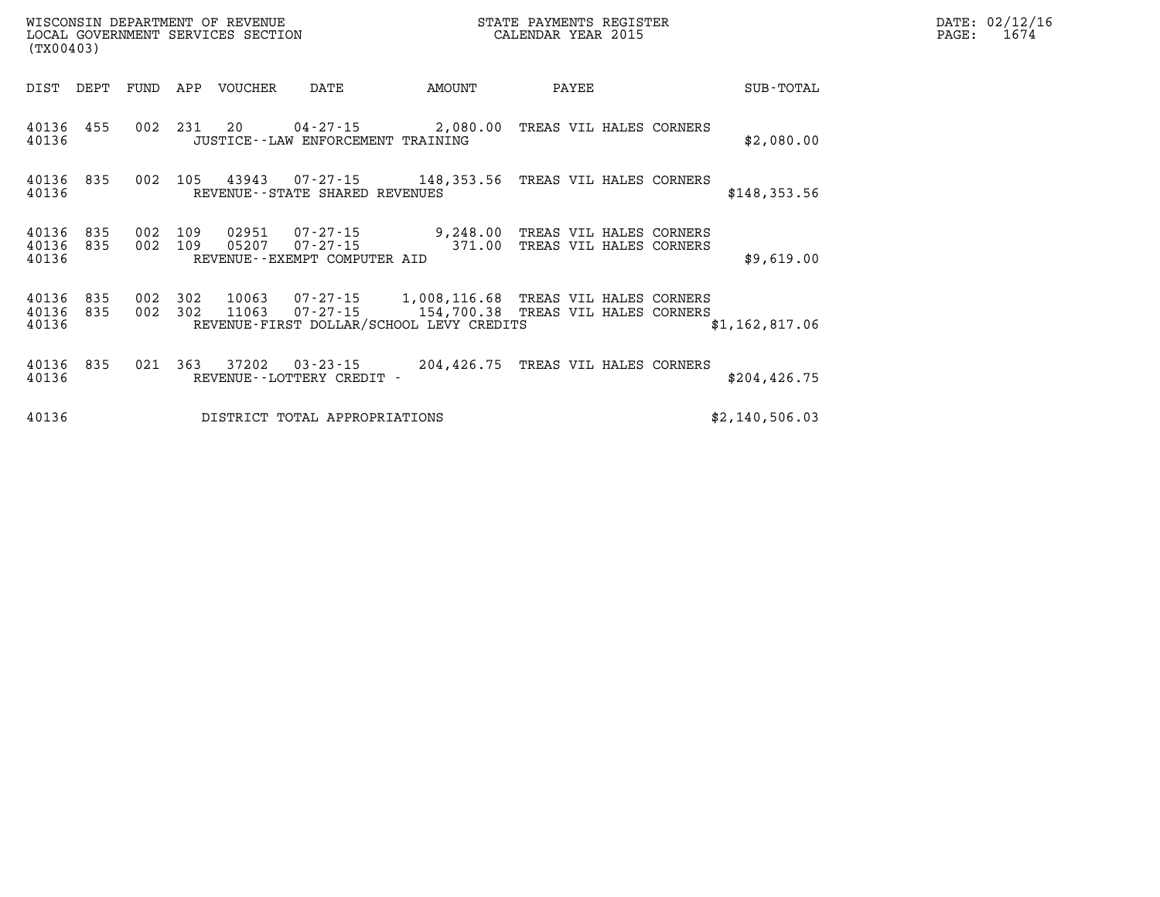| (TX00403)                       |     |            |                | WISCONSIN DEPARTMENT OF REVENUE<br>LOCAL GOVERNMENT SERVICES SECTION |                                       | STATE PAYMENTS REGISTER<br>CALENDAR YEAR 2015                     | DATE: 02/12/16<br>PAGE:                            | 1674 |                |  |  |  |
|---------------------------------|-----|------------|----------------|----------------------------------------------------------------------|---------------------------------------|-------------------------------------------------------------------|----------------------------------------------------|------|----------------|--|--|--|
| DIST DEPT                       |     | FUND       |                | APP VOUCHER                                                          | DATE                                  | AMOUNT                                                            | PAYEE                                              |      | SUB-TOTAL      |  |  |  |
| 40136 455<br>40136              |     |            | 002 231 20     |                                                                      | JUSTICE - - LAW ENFORCEMENT TRAINING  | $04 - 27 - 15$ 2,080.00                                           | TREAS VIL HALES CORNERS                            |      | \$2,080.00     |  |  |  |
| 40136 835<br>40136              |     | 002        | 105            | 43943                                                                | REVENUE - - STATE SHARED REVENUES     |                                                                   |                                                    |      | \$148,353.56   |  |  |  |
| 40136<br>40136 835<br>40136     | 835 | 002<br>002 | 109<br>109     | 02951<br>05207                                                       | REVENUE--EXEMPT COMPUTER AID          | $07 - 27 - 15$ 9,248.00<br>$07 - 27 - 15$ 371.00                  | TREAS VIL HALES CORNERS<br>TREAS VIL HALES CORNERS |      | \$9,619.00     |  |  |  |
| 40136 835<br>40136 835<br>40136 |     | 002        | 302<br>002 302 | 10063<br>11063                                                       |                                       | 07-27-15 1,008,116.68<br>REVENUE-FIRST DOLLAR/SCHOOL LEVY CREDITS | TREAS VIL HALES CORNERS                            |      | \$1,162,817.06 |  |  |  |
| 40136 835<br>40136              |     | 021        | 363            | 37202                                                                | 03-23-15<br>REVENUE--LOTTERY CREDIT - | 204,426.75 TREAS VIL HALES CORNERS                                |                                                    |      | \$204, 426.75  |  |  |  |
| 40136                           |     |            |                |                                                                      | DISTRICT TOTAL APPROPRIATIONS         |                                                                   |                                                    |      | \$2,140,506.03 |  |  |  |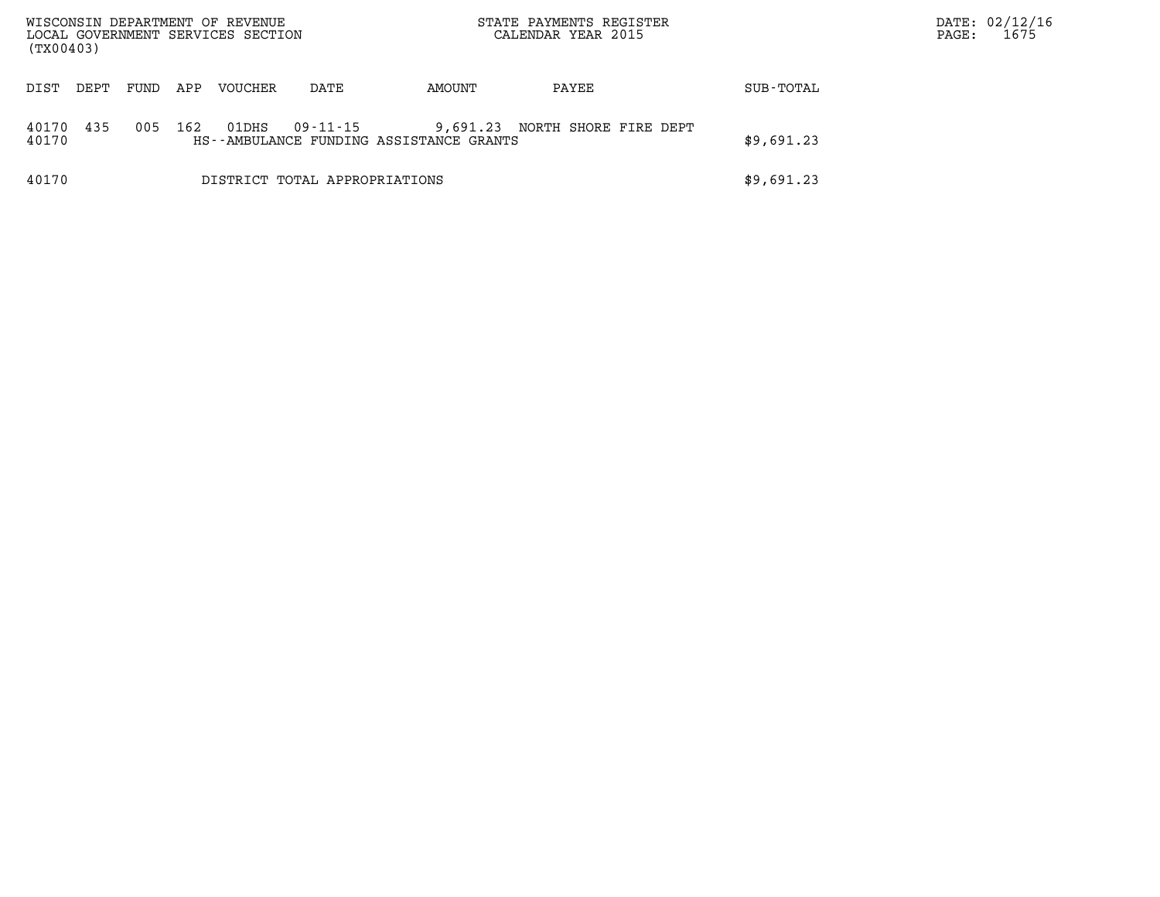| WISCONSIN DEPARTMENT OF REVENUE<br>LOCAL GOVERNMENT SERVICES SECTION<br>(TX00403) |      |      |     |         |                                                     | STATE PAYMENTS REGISTER<br>CALENDAR YEAR 2015 | DATE: 02/12/16<br>1675<br>PAGE: |            |  |
|-----------------------------------------------------------------------------------|------|------|-----|---------|-----------------------------------------------------|-----------------------------------------------|---------------------------------|------------|--|
| DIST                                                                              | DEPT | FUND | APP | VOUCHER | DATE                                                | AMOUNT                                        | PAYEE                           | SUB-TOTAL  |  |
| 40170<br>40170                                                                    | 435  | 005  | 162 | 01DHS   | 09-11-15<br>HS--AMBULANCE FUNDING ASSISTANCE GRANTS | 9,691.23 NORTH SHORE FIRE DEPT<br>\$9,691.23  |                                 |            |  |
| 40170<br>DISTRICT TOTAL APPROPRIATIONS                                            |      |      |     |         |                                                     |                                               |                                 | \$9,691.23 |  |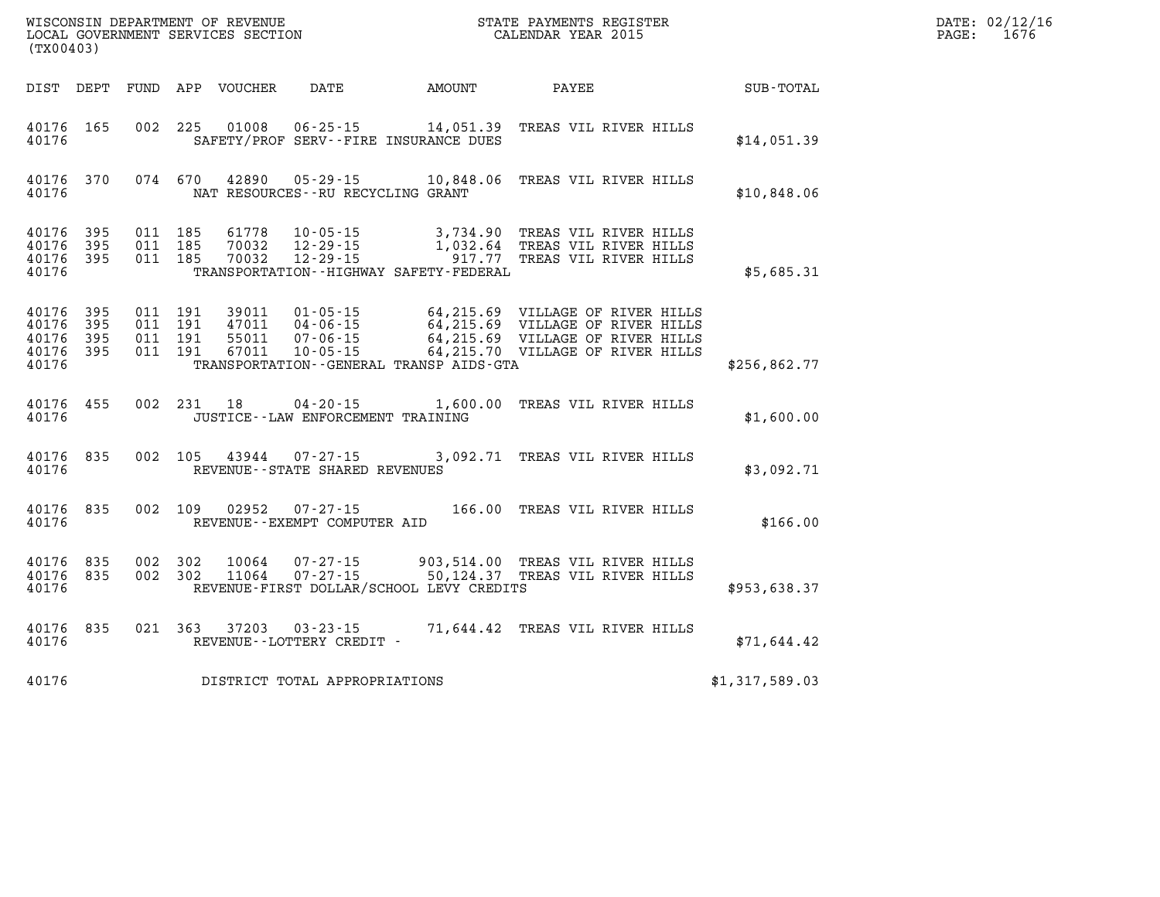| (TX00403)                                                 |           |                                          |            |                            |                                                     |                                             | STATE PAYMENTS REGISTER                                                                                   |                | DATE: 02/12/16<br>$\mathtt{PAGE:}$<br>1676 |
|-----------------------------------------------------------|-----------|------------------------------------------|------------|----------------------------|-----------------------------------------------------|---------------------------------------------|-----------------------------------------------------------------------------------------------------------|----------------|--------------------------------------------|
|                                                           |           |                                          |            | DIST DEPT FUND APP VOUCHER | DATE AMOUNT                                         |                                             | <b>PAYEE</b>                                                                                              | SUB-TOTAL      |                                            |
| 40176 165<br>40176                                        |           |                                          | 002 225    |                            | SAFETY/PROF SERV--FIRE INSURANCE DUES               |                                             | 01008  06-25-15  14,051.39  TREAS VIL RIVER HILLS                                                         | \$14,051.39    |                                            |
| 40176                                                     | 40176 370 |                                          | 074 670    |                            | NAT RESOURCES--RU RECYCLING GRANT                   |                                             | 42890  05-29-15  10,848.06  TREAS VIL RIVER HILLS                                                         | \$10,848.06    |                                            |
| 40176 395<br>40176 395<br>40176 395<br>40176              |           | 011 185<br>011 185<br>011 185            |            | 61778<br>70032<br>70032    |                                                     | TRANSPORTATION - - HIGHWAY SAFETY - FEDERAL | 10-05-15 3,734.90 TREAS VIL RIVER HILLS<br>1,032.64 TREAS VIL RIVER HILLS<br>917.77 TREAS VIL RIVER HILLS | \$5,685.31     |                                            |
| 40176 395<br>40176 395<br>40176 395<br>40176 395<br>40176 |           | 011 191<br>011 191<br>011 191<br>011 191 |            |                            |                                                     | TRANSPORTATION--GENERAL TRANSP AIDS-GTA     |                                                                                                           | \$256,862.77   |                                            |
| 40176 455<br>40176                                        |           |                                          | 002 231 18 |                            | JUSTICE - - LAW ENFORCEMENT TRAINING                |                                             | 04-20-15 1,600.00 TREAS VIL RIVER HILLS                                                                   | \$1,600.00     |                                            |
| 40176 835<br>40176                                        |           |                                          |            |                            | REVENUE - - STATE SHARED REVENUES                   |                                             | 002 105 43944 07-27-15 3,092.71 TREAS VIL RIVER HILLS                                                     | \$3,092.71     |                                            |
| 40176 835<br>40176                                        |           |                                          | 002 109    | 02952                      | $07 - 27 - 15$<br>REVENUE--EXEMPT COMPUTER AID      |                                             | 166.00 TREAS VIL RIVER HILLS                                                                              | \$166.00       |                                            |
| 40176                                                     | 40176 835 | 40176 835 002 302<br>002 302             |            |                            |                                                     | REVENUE-FIRST DOLLAR/SCHOOL LEVY CREDITS    | 10064  07-27-15  903,514.00 TREAS VIL RIVER HILLS<br>11064  07-27-15  50,124.37  TREAS VIL RIVER HILLS    | \$953,638.37   |                                            |
| 40176                                                     | 40176 835 |                                          |            |                            | 021 363 37203 03-23-15<br>REVENUE--LOTTERY CREDIT - |                                             | 71,644.42 TREAS VIL RIVER HILLS                                                                           | \$71,644.42    |                                            |
| 40176                                                     |           |                                          |            |                            | DISTRICT TOTAL APPROPRIATIONS                       |                                             |                                                                                                           | \$1,317,589.03 |                                            |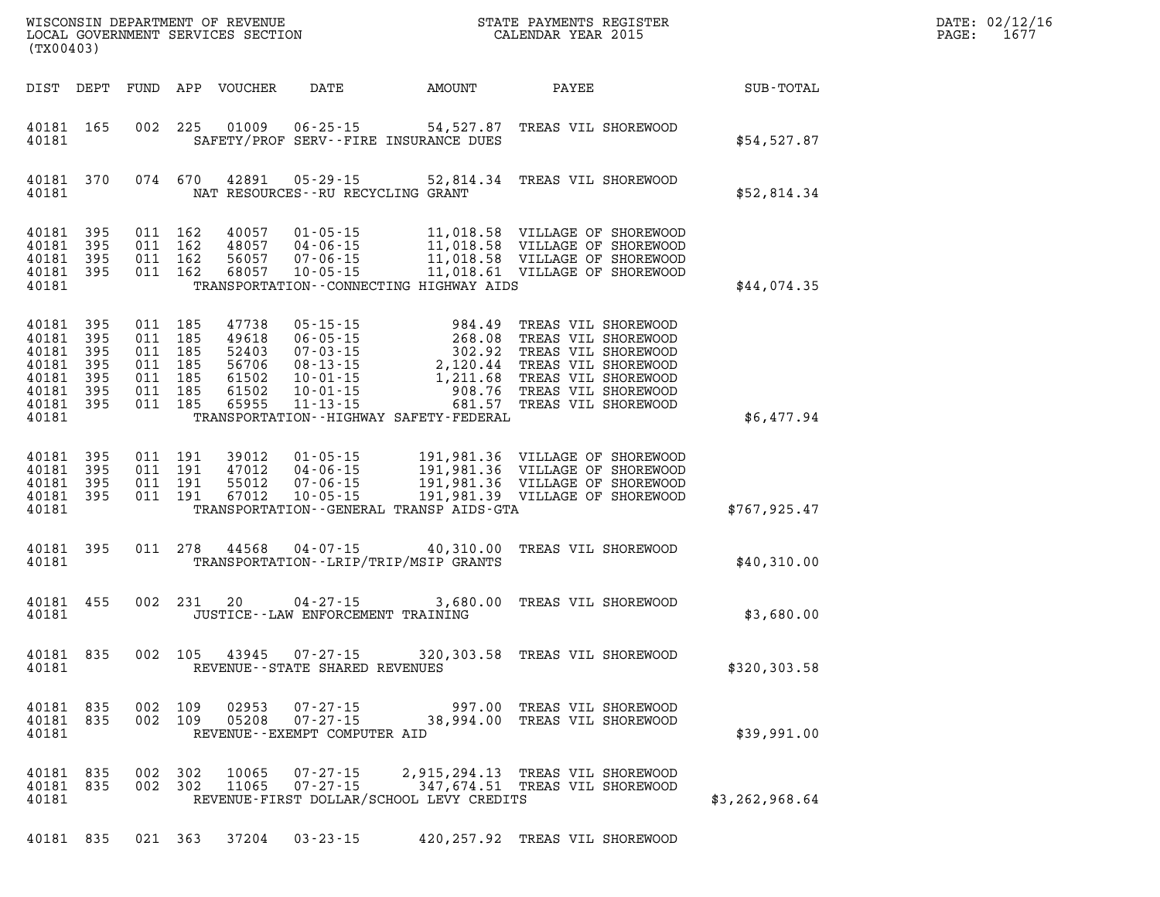| (TX00403)                                                            |                                               |                                                       |                                 | WISCONSIN DEPARTMENT OF REVENUE<br>LOCAL GOVERNMENT SERVICES SECTION |                                                                                                                            |                                                                                                                                     | STATE PAYMENTS REGISTER<br>CALENDAR YEAR 2015                                                                                                                 |                | DATE: 02/12/16<br>PAGE:<br>1677 |
|----------------------------------------------------------------------|-----------------------------------------------|-------------------------------------------------------|---------------------------------|----------------------------------------------------------------------|----------------------------------------------------------------------------------------------------------------------------|-------------------------------------------------------------------------------------------------------------------------------------|---------------------------------------------------------------------------------------------------------------------------------------------------------------|----------------|---------------------------------|
| DIST DEPT                                                            |                                               | FUND                                                  |                                 | APP VOUCHER                                                          | DATE                                                                                                                       | AMOUNT                                                                                                                              | PAYEE                                                                                                                                                         | SUB-TOTAL      |                                 |
| 40181 165<br>40181                                                   |                                               | 002                                                   | 225                             | 01009                                                                | $06 - 25 - 15$                                                                                                             | 54,527.87<br>SAFETY/PROF SERV--FIRE INSURANCE DUES                                                                                  | TREAS VIL SHOREWOOD                                                                                                                                           | \$54,527.87    |                                 |
| 40181 370<br>40181                                                   |                                               |                                                       | 074 670                         | 42891                                                                | 05-29-15<br>NAT RESOURCES--RU RECYCLING GRANT                                                                              | 52,814.34                                                                                                                           | TREAS VIL SHOREWOOD                                                                                                                                           | \$52,814.34    |                                 |
| 40181<br>40181<br>40181<br>40181<br>40181                            | 395<br>395<br>395<br>395                      | 011<br>011<br>011<br>011                              | 162<br>162<br>162<br>- 162      | 40057<br>48057<br>56057<br>68057                                     | $01 - 05 - 15$<br>04-06-15<br>$07 - 06 - 15$<br>$10 - 05 - 15$                                                             | TRANSPORTATION--CONNECTING HIGHWAY AIDS                                                                                             | 11,018.58 VILLAGE OF SHOREWOOD<br>11,018.58 VILLAGE OF SHOREWOOD<br>11,018.58 VILLAGE OF SHOREWOOD<br>11,018.61 VILLAGE OF SHOREWOOD                          | \$44,074.35    |                                 |
| 40181<br>40181<br>40181<br>40181<br>40181<br>40181<br>40181<br>40181 | 395<br>395<br>395<br>395<br>395<br>395<br>395 | 011 185<br>011<br>011<br>011<br>011<br>011<br>011 185 | 185<br>185<br>185<br>185<br>185 | 47738<br>49618<br>52403<br>56706<br>61502<br>61502<br>65955          | $05 - 15 - 15$<br>$06 - 05 - 15$<br>$07 - 03 - 15$<br>$08 - 13 - 15$<br>$10 - 01 - 15$<br>$10 - 01 - 15$<br>$11 - 13 - 15$ | 984.49<br>268.08<br>$302.92$<br>2,120.44<br>2,120.44<br>1,211.68<br>908.76<br>681.57<br>TRANSPORTATION - - HIGHWAY SAFETY - FEDERAL | TREAS VIL SHOREWOOD<br>TREAS VIL SHOREWOOD<br>TREAS VIL SHOREWOOD<br>TREAS VIL SHOREWOOD<br>TREAS VIL SHOREWOOD<br>TREAS VIL SHOREWOOD<br>TREAS VIL SHOREWOOD | \$6,477.94     |                                 |
| 40181<br>40181<br>40181<br>40181<br>40181                            | 395<br>395<br>395<br>395                      | 011<br>011<br>011<br>011                              | 191<br>191<br>191<br>191        | 39012<br>47012<br>55012<br>67012                                     | $01 - 05 - 15$<br>04-06-15<br>$07 - 06 - 15$<br>$10 - 05 - 15$                                                             | TRANSPORTATION--GENERAL TRANSP AIDS-GTA                                                                                             | 191,981.36 VILLAGE OF SHOREWOOD<br>191,981.36 VILLAGE OF SHOREWOOD<br>191,981.36 VILLAGE OF SHOREWOOD<br>191,981.39 VILLAGE OF SHOREWOOD                      | \$767, 925.47  |                                 |
| 40181 395<br>40181                                                   |                                               | 011                                                   | 278                             | 44568                                                                | $04 - 07 - 15$                                                                                                             | 40,310.00<br>TRANSPORTATION - - LRIP/TRIP/MSIP GRANTS                                                                               | TREAS VIL SHOREWOOD                                                                                                                                           | \$40,310.00    |                                 |
| 40181 455<br>40181                                                   |                                               |                                                       | 002 231                         | 20                                                                   | $04 - 27 - 15$<br>JUSTICE - - LAW ENFORCEMENT TRAINING                                                                     | 3,680.00                                                                                                                            | TREAS VIL SHOREWOOD                                                                                                                                           | \$3,680.00     |                                 |
| 40181 835<br>40181                                                   |                                               | 002                                                   | 105                             | 43945                                                                | $07 - 27 - 15$<br>REVENUE - - STATE SHARED REVENUES                                                                        | 320,303.58                                                                                                                          | TREAS VIL SHOREWOOD                                                                                                                                           | \$320,303.58   |                                 |
| 40181 835<br>40181 835<br>40181                                      |                                               | 002 109                                               | 002 109                         | 02953<br>05208                                                       | 07-27-15<br>$07 - 27 - 15$<br>REVENUE - - EXEMPT COMPUTER AID                                                              | 997.00<br>38,994.00                                                                                                                 | TREAS VIL SHOREWOOD<br>TREAS VIL SHOREWOOD                                                                                                                    | \$39,991.00    |                                 |
| 40181<br>40181 835<br>40181                                          | 835                                           |                                                       | 002 302<br>002 302              | 10065<br>11065                                                       | 07-27-15                                                                                                                   | REVENUE-FIRST DOLLAR/SCHOOL LEVY CREDITS                                                                                            | 2,915,294.13 TREAS VIL SHOREWOOD<br>07-27-15 347,674.51 TREAS VIL SHOREWOOD                                                                                   | \$3,262,968.64 |                                 |
| 40181 835                                                            |                                               | 021 363                                               |                                 | 37204                                                                | $03 - 23 - 15$                                                                                                             |                                                                                                                                     | 420,257.92 TREAS VIL SHOREWOOD                                                                                                                                |                |                                 |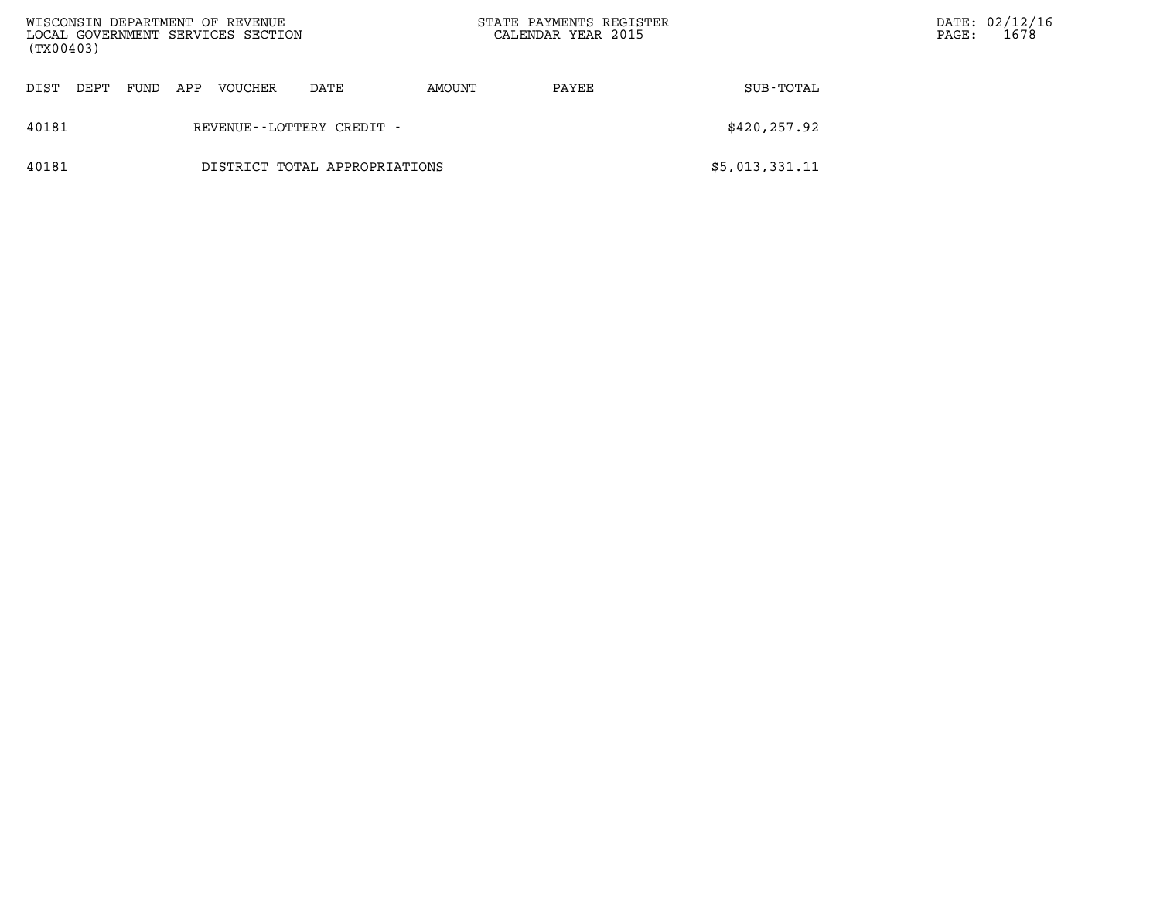| WISCONSIN DEPARTMENT OF REVENUE<br>(TX00403) |      |     | LOCAL GOVERNMENT SERVICES SECTION |                           |        | STATE PAYMENTS REGISTER<br>CALENDAR YEAR 2015 |                | DATE: 02/12/16<br>1678<br>PAGE: |
|----------------------------------------------|------|-----|-----------------------------------|---------------------------|--------|-----------------------------------------------|----------------|---------------------------------|
| DIST<br>DEPT                                 | FUND | APP | <b>VOUCHER</b>                    | DATE                      | AMOUNT | PAYEE                                         | SUB-TOTAL      |                                 |
| 40181                                        |      |     |                                   | REVENUE--LOTTERY CREDIT - |        |                                               | \$420,257.92   |                                 |
| 40181<br>DISTRICT TOTAL APPROPRIATIONS       |      |     |                                   |                           |        |                                               | \$5,013,331.11 |                                 |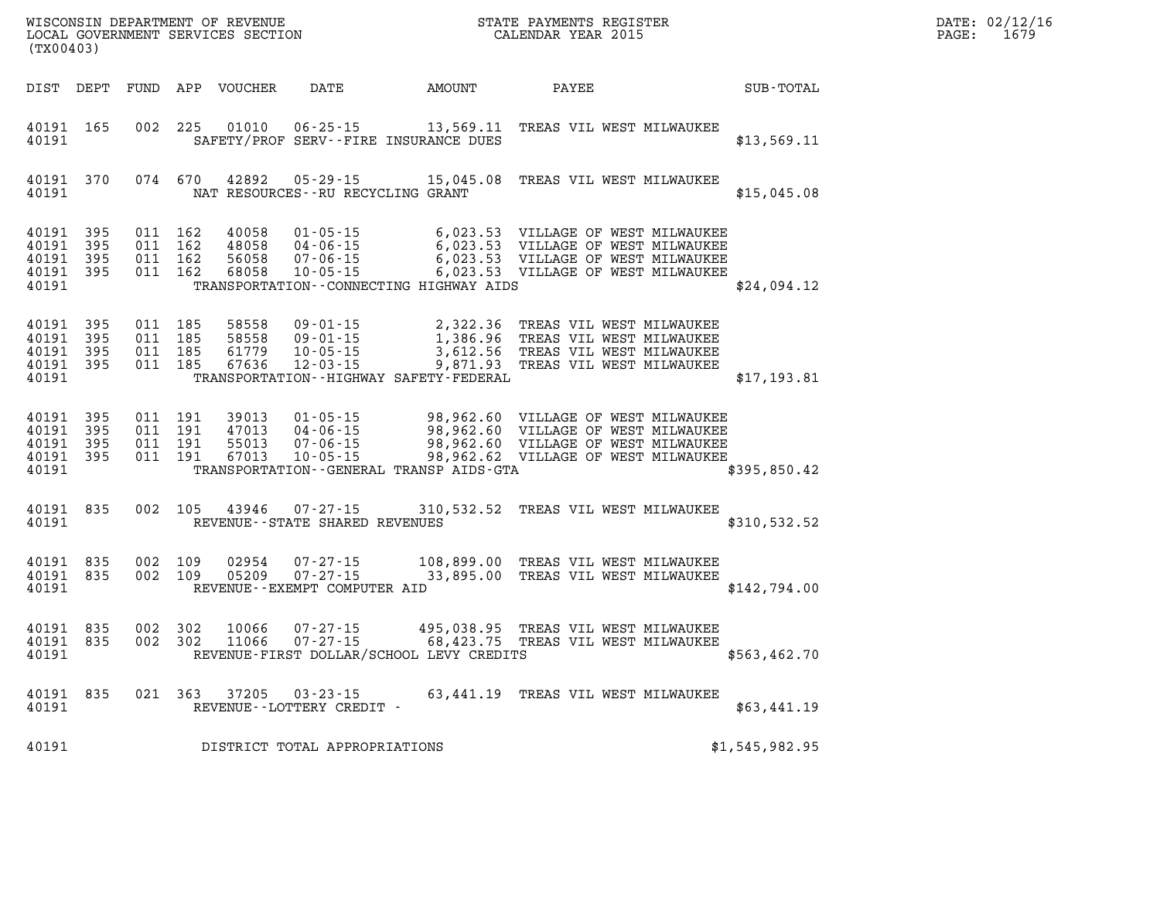| (TX00403)                                         |                       |                                          |         | WISCONSIN DEPARTMENT OF REVENUE<br>LOCAL GOVERNMENT SERVICES SECTION |                                                            | STATE PAYMENTS REGIS'<br>CALENDAR YEAR 2015                                    | STATE PAYMENTS REGISTER |                                                                                                                                                                                                                                                                                                                                                                         |                | PAGE: | DATE: 02/12/16<br>1679 |
|---------------------------------------------------|-----------------------|------------------------------------------|---------|----------------------------------------------------------------------|------------------------------------------------------------|--------------------------------------------------------------------------------|-------------------------|-------------------------------------------------------------------------------------------------------------------------------------------------------------------------------------------------------------------------------------------------------------------------------------------------------------------------------------------------------------------------|----------------|-------|------------------------|
|                                                   |                       |                                          |         | DIST DEPT FUND APP VOUCHER                                           | DATE                                                       | AMOUNT                                                                         | PAYEE                   |                                                                                                                                                                                                                                                                                                                                                                         | SUB-TOTAL      |       |                        |
| 40191 165<br>40191                                |                       |                                          | 002 225 | 01010                                                                | SAFETY/PROF SERV--FIRE INSURANCE DUES                      |                                                                                |                         | 06-25-15 13,569.11 TREAS VIL WEST MILWAUKEE                                                                                                                                                                                                                                                                                                                             | \$13,569.11    |       |                        |
| 40191 370<br>40191                                |                       |                                          |         | 074 670 42892                                                        | NAT RESOURCES - - RU RECYCLING GRANT                       | 05-29-15 15,045.08 TREAS VIL WEST MILWAUKEE                                    |                         |                                                                                                                                                                                                                                                                                                                                                                         | \$15,045.08    |       |                        |
| 40191<br>40191<br>40191<br>40191 395<br>40191     | 395<br>- 395<br>- 395 | 011 162<br>011 162<br>011 162<br>011 162 |         |                                                                      |                                                            | TRANSPORTATION -- CONNECTING HIGHWAY AIDS                                      |                         | $\begin{tabular}{lllllllllllllllllllll} \multicolumn{4}{c}{40058} & 01\hbox{-}05\hbox{-}15 & 6\hbox{-}023.53 & \texttt{VILLAGE} & \texttt{OF WEST} & \texttt{MLWAUKEE} \\ 48058 & 04\hbox{-}06\hbox{-}15 & 6\hbox{-}023.53 & \texttt{VILLAGE} & \texttt{OF WEST} & \texttt{MLWAUKEE} \\ 56058 & 07\hbox{-}06\hbox{-}15 & 6\hbox{-}023.53 & \texttt{VILLAGE} & \texttt{$ | \$24,094.12    |       |                        |
| 40191 395<br>40191<br>40191<br>40191 395<br>40191 | 395<br>395            | 011 185<br>011 185<br>011 185<br>011 185 |         | 58558<br>58558<br>61779<br>67636                                     | 09-01-15<br>09-01-15<br>10 - 05 - 15<br>12 - 03 - 15       | TRANSPORTATION - - HIGHWAY SAFETY - FEDERAL                                    |                         | 2,322.36 TREAS VIL WEST MILWAUKEE<br>1,386.96 TREAS VIL WEST MILWAUKEE<br>3,612.56 TREAS VIL WEST MILWAUKEE<br>9,871.93 TREAS VIL WEST MILWAUKEE                                                                                                                                                                                                                        | \$17,193.81    |       |                        |
| 40191 395<br>40191<br>40191<br>40191<br>40191     | 395<br>- 395<br>- 395 | 011 191<br>011 191<br>011 191            | 011 191 | 39013<br>47013<br>55013<br>67013                                     |                                                            | TRANSPORTATION--GENERAL TRANSP AIDS-GTA                                        |                         | $01 - 05 - 15$ 98,962.60 VILLAGE OF WEST MILWAUKEE<br>04-06-15 98,962.60 VILLAGE OF WEST MILWAUKEE<br>07-06-15 98,962.60 VILLAGE OF WEST MILWAUKEE<br>10-05-15 98,962.62 VILLAGE OF WEST MILWAUKEE                                                                                                                                                                      | \$395,850.42   |       |                        |
| 40191 835<br>40191                                |                       |                                          | 002 105 |                                                                      | REVENUE - - STATE SHARED REVENUES                          | 43946 07-27-15 310,532.52 TREAS VIL WEST MILWAUKEE                             |                         |                                                                                                                                                                                                                                                                                                                                                                         | \$310,532.52   |       |                        |
| 40191 835<br>40191 835<br>40191                   |                       | 002 109<br>002 109                       |         | 02954<br>05209                                                       | $07 - 27 - 15$<br>07-27-15<br>REVENUE--EXEMPT COMPUTER AID |                                                                                |                         | 108,899.00 TREAS VIL WEST MILWAUKEE<br>33,895.00 TREAS VIL WEST MILWAUKEE                                                                                                                                                                                                                                                                                               | \$142,794.00   |       |                        |
| 40191 835<br>40191 835<br>40191                   |                       | 002 302<br>002 302                       |         | 10066<br>11066                                                       | 07-27-15<br>$07 - 27 - 15$                                 | 68,423.75 TREAS VIL WEST MILWAUKEE<br>REVENUE-FIRST DOLLAR/SCHOOL LEVY CREDITS |                         | 495,038.95 TREAS VIL WEST MILWAUKEE                                                                                                                                                                                                                                                                                                                                     | \$563,462.70   |       |                        |
| 40191 835<br>40191                                |                       |                                          |         |                                                                      | 021 363 37205 03-23-15<br>REVENUE--LOTTERY CREDIT -        |                                                                                |                         | 63,441.19 TREAS VIL WEST MILWAUKEE                                                                                                                                                                                                                                                                                                                                      | \$63,441.19    |       |                        |
| 40191                                             |                       |                                          |         |                                                                      | DISTRICT TOTAL APPROPRIATIONS                              |                                                                                |                         |                                                                                                                                                                                                                                                                                                                                                                         | \$1,545,982.95 |       |                        |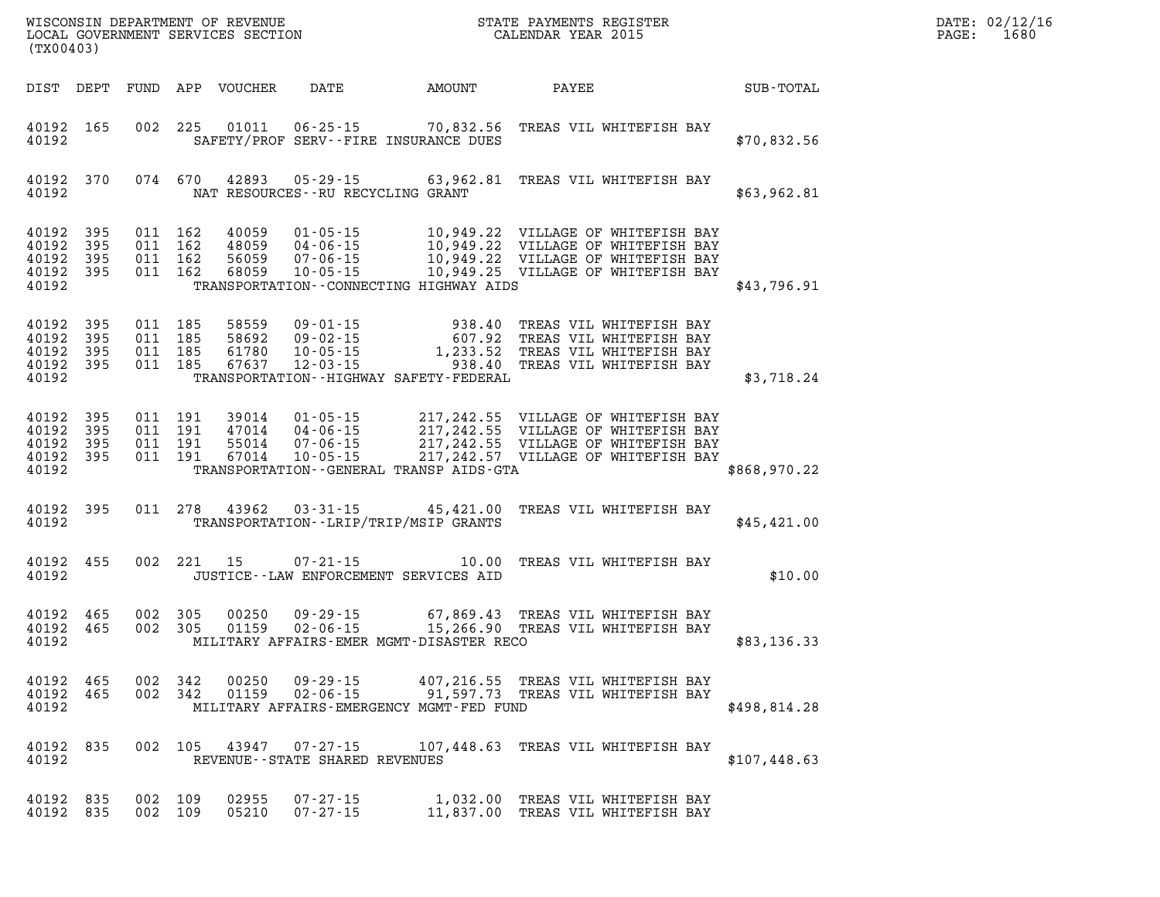| (TX00403)                                             |                  |                                          |         |                |                                                                              |                       | WISCONSIN DEPARTMENT OF REVENUE<br>LOCAL GOVERNMENT SERVICES SECTION FOR THE PAYMENTS REGISTER<br>CALENDAR YEAR 2015                                                                                                             | $\mathbb{R}^n$ | DATE: 02/12/16<br>$\mathtt{PAGE}$ :<br>1680 |
|-------------------------------------------------------|------------------|------------------------------------------|---------|----------------|------------------------------------------------------------------------------|-----------------------|----------------------------------------------------------------------------------------------------------------------------------------------------------------------------------------------------------------------------------|----------------|---------------------------------------------|
|                                                       |                  |                                          |         |                |                                                                              |                       | DIST DEPT FUND APP VOUCHER DATE AMOUNT PAYEE TOTAL                                                                                                                                                                               |                |                                             |
| 40192                                                 | 40192 165        |                                          |         |                | SAFETY/PROF SERV--FIRE INSURANCE DUES                                        |                       | 002 225 01011 06-25-15 70,832.56 TREAS VIL WHITEFISH BAY                                                                                                                                                                         | \$70,832.56    |                                             |
| 40192                                                 |                  |                                          |         |                | NAT RESOURCES--RU RECYCLING GRANT                                            |                       | 40192 370 074 670 42893 05-29-15 63,962.81 TREAS VIL WHITEFISH BAY                                                                                                                                                               | \$63,962.81    |                                             |
| 40192 395<br>40192 395<br>40192<br>40192              | 395<br>40192 395 | 011 162<br>011 162                       | 011 162 | 011 162 40059  | TRANSPORTATION--CONNECTING HIGHWAY AIDS                                      |                       | 40059  01-05-15  10,949.22  VILLAGE OF WHITEFISH BAY<br>48059  04-06-15  10,949.22  VILLAGE OF WHITEFISH BAY<br>56059  07-06-15  10,949.22  VILLAGE OF WHITEFISH BAY<br>68059  10-05-15  10,949.25  VILLAGE OF WHITEFISH BAY     | \$43,796.91    |                                             |
| 40192 395<br>40192<br>40192 395<br>40192              | 395<br>40192 395 | 011 185<br>011 185<br>011 185            | 011 185 |                | TRANSPORTATION - - HIGHWAY SAFETY - FEDERAL                                  |                       | 938.40 TREAS VIL WHITEFISH BAY 58692 09-02-15<br>58692 09-02-15 607.92 TREAS VIL WHITEFISH BAY<br>61780 10-05-15 1,233.52 TREAS VIL WHITEFISH BAY<br>67637 12-03-15 938.40 TREAS VIL WHITEFISH BAY                               | \$3,718.24     |                                             |
| 40192 395<br>40192<br>40192 395<br>40192 395<br>40192 | 395              | 011 191<br>011 191<br>011 191<br>011 191 |         |                | TRANSPORTATION - - GENERAL TRANSP AIDS - GTA                                 |                       | 39014  01-05-15  217,242.55  VILLAGE OF WHITEFISH BAY<br>47014  04-06-15  217,242.55  VILLAGE OF WHITEFISH BAY<br>55014  07-06-15  217,242.55  VILLAGE OF WHITEFISH BAY<br>67014  10-05-15  217,242.57  VILLAGE OF WHITEFISH BAY | \$868,970.22   |                                             |
| 40192                                                 | 40192 395        |                                          |         |                | TRANSPORTATION--LRIP/TRIP/MSIP GRANTS                                        |                       | 011 278 43962 03-31-15 45,421.00 TREAS VIL WHITEFISH BAY                                                                                                                                                                         | \$45,421.00    |                                             |
| 40192                                                 | 40192 455        |                                          |         | 002 221 15     | $07 - 21 - 15$<br>JUSTICE -- LAW ENFORCEMENT SERVICES AID                    |                       | 10.00 TREAS VIL WHITEFISH BAY                                                                                                                                                                                                    | \$10.00        |                                             |
| 40192 465<br>40192 465<br>40192                       |                  | 002 305<br>002 305                       |         |                | MILITARY AFFAIRS-EMER MGMT-DISASTER RECO                                     |                       | 00250  09-29-15  67,869.43  TREAS  VIL WHITEFISH BAY<br>01159  02-06-15   15,266.90  TREAS  VIL WHITEFISH BAY                                                                                                                    | \$83,136.33    |                                             |
| 40192<br>40192 465<br>40192                           | 465              | 002 342                                  | 002 342 | 00250<br>01159 | $09 - 29 - 15$<br>$02 - 06 - 15$<br>MILITARY AFFAIRS-EMERGENCY MGMT-FED FUND |                       | 407,216.55 TREAS VIL WHITEFISH BAY<br>91,597.73 TREAS VIL WHITEFISH BAY                                                                                                                                                          | \$498,814.28   |                                             |
| 40192 835<br>40192                                    |                  |                                          | 002 105 |                | 43947 07-27-15<br>REVENUE--STATE SHARED REVENUES                             |                       | 107,448.63 TREAS VIL WHITEFISH BAY                                                                                                                                                                                               | \$107,448.63   |                                             |
| 40192 835<br>40192 835                                |                  | 002 109<br>002 109                       |         | 02955<br>05210 | $07 - 27 - 15$<br>$07 - 27 - 15$                                             | 1,032.00<br>11,837.00 | TREAS VIL WHITEFISH BAY<br>TREAS VIL WHITEFISH BAY                                                                                                                                                                               |                |                                             |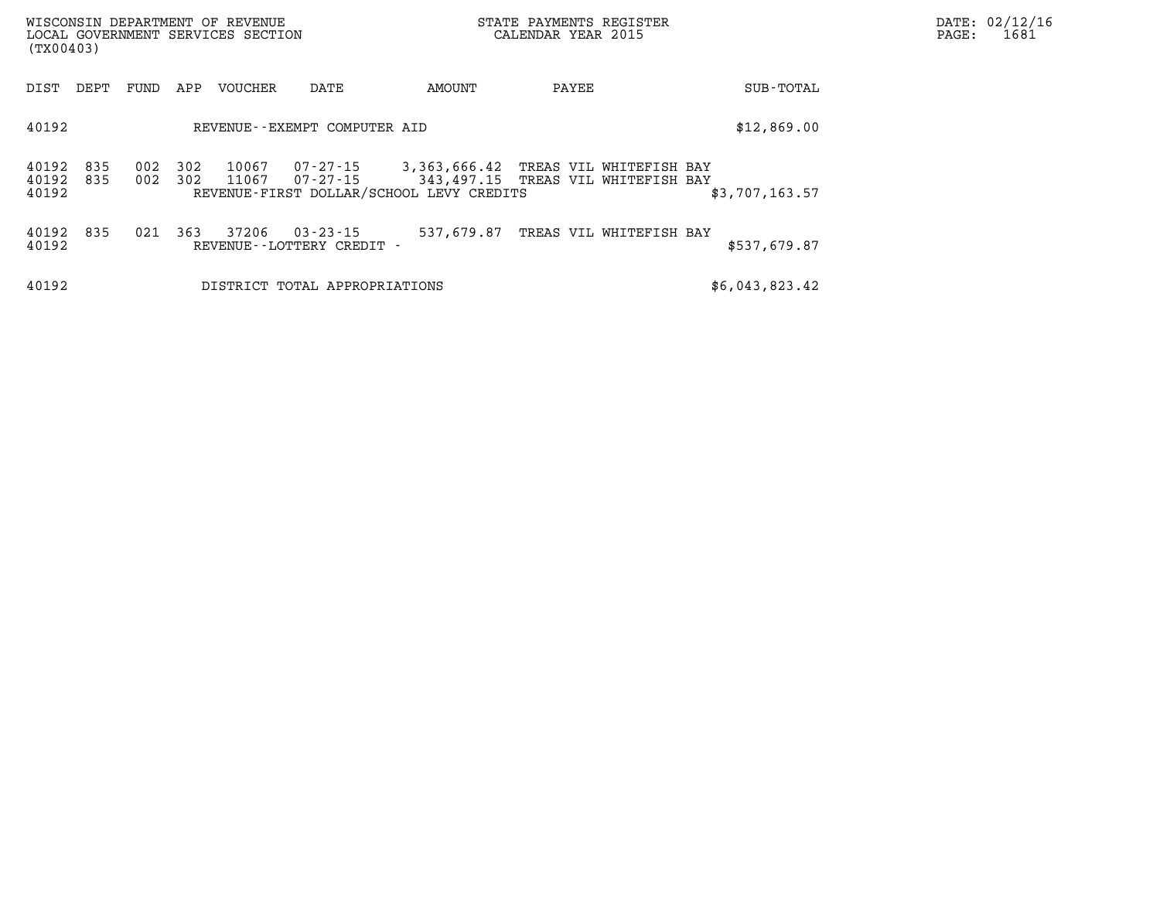| (TX00403)                   |      |            |            | WISCONSIN DEPARTMENT OF REVENUE<br>LOCAL GOVERNMENT SERVICES SECTION |                                          | STATE PAYMENTS REGISTER<br>CALENDAR YEAR 2015                                                                          | $\mathtt{PAGE:}$ | DATE: 02/12/16<br>1681             |                |  |  |
|-----------------------------|------|------------|------------|----------------------------------------------------------------------|------------------------------------------|------------------------------------------------------------------------------------------------------------------------|------------------|------------------------------------|----------------|--|--|
| DIST                        | DEPT | FUND       | APP        | VOUCHER                                                              | DATE                                     | AMOUNT                                                                                                                 | PAYEE            |                                    | SUB-TOTAL      |  |  |
| 40192                       |      |            |            |                                                                      | REVENUE--EXEMPT COMPUTER AID             |                                                                                                                        |                  |                                    | \$12,869.00    |  |  |
| 40192<br>40192 835<br>40192 | 835  | 002<br>002 | 302<br>302 | 10067<br>11067                                                       | 07-27-15<br>07-27-15                     | 3,363,666.42 TREAS VIL WHITEFISH BAY<br>343,497.15 TREAS VIL WHITEFISH BAY<br>REVENUE-FIRST DOLLAR/SCHOOL LEVY CREDITS |                  |                                    | \$3,707,163.57 |  |  |
| 40192 835<br>40192          |      | 021        | 363        | 37206                                                                | 03-23-15<br>REVENUE - - LOTTERY CREDIT - |                                                                                                                        |                  | 537,679.87 TREAS VIL WHITEFISH BAY | \$537,679.87   |  |  |
| 40192                       |      |            |            |                                                                      | DISTRICT TOTAL APPROPRIATIONS            |                                                                                                                        |                  |                                    | \$6,043,823.42 |  |  |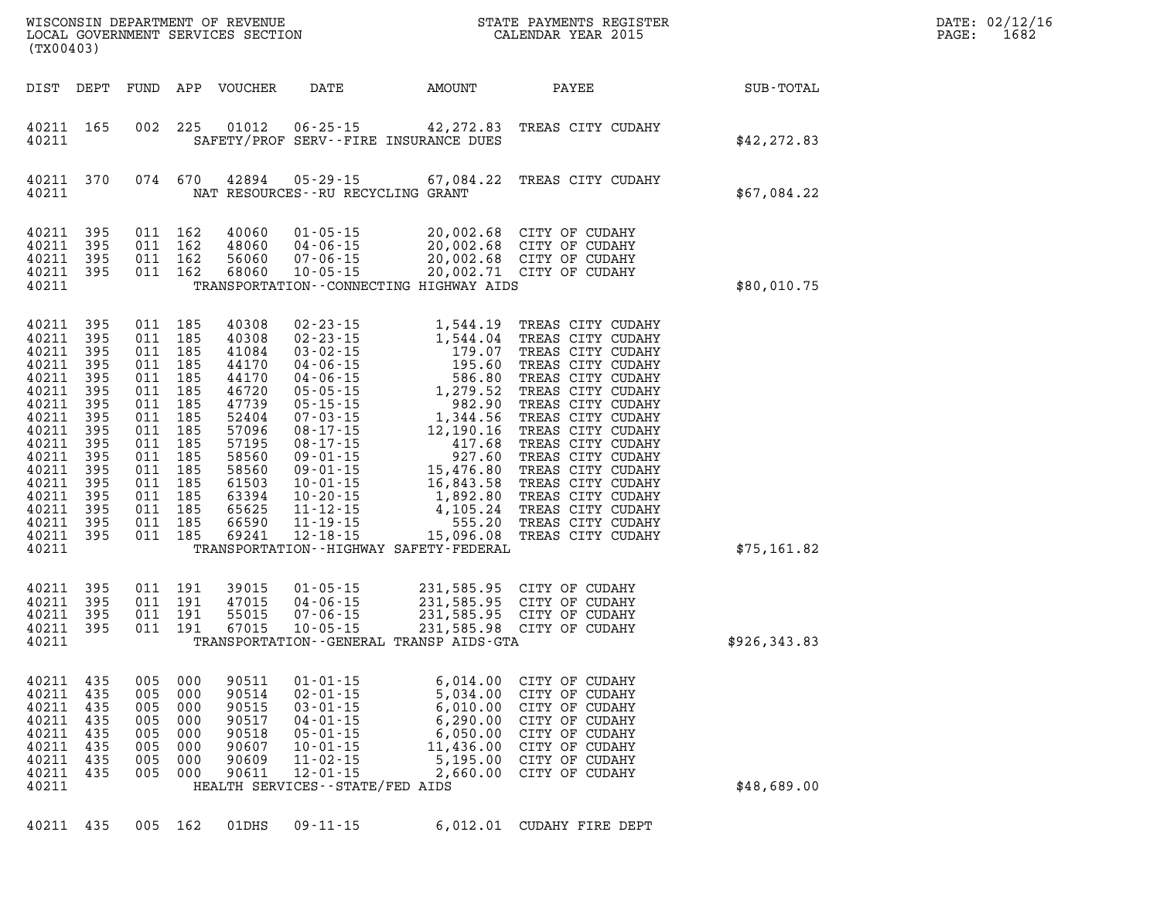| (TX00403)                                                                                                                                                              |                                                                                                       |                                                                                                                                                                   |                                                      |                                                                                                                                                       |                                                                                                                                                                                 |                                                                                                                                                                                                      | STATE PAYMENTS REGISTER                                                                                                                                                                                                                                                                          |               | DATE: 02/12/1<br>PAGE:<br>1682 |
|------------------------------------------------------------------------------------------------------------------------------------------------------------------------|-------------------------------------------------------------------------------------------------------|-------------------------------------------------------------------------------------------------------------------------------------------------------------------|------------------------------------------------------|-------------------------------------------------------------------------------------------------------------------------------------------------------|---------------------------------------------------------------------------------------------------------------------------------------------------------------------------------|------------------------------------------------------------------------------------------------------------------------------------------------------------------------------------------------------|--------------------------------------------------------------------------------------------------------------------------------------------------------------------------------------------------------------------------------------------------------------------------------------------------|---------------|--------------------------------|
|                                                                                                                                                                        |                                                                                                       |                                                                                                                                                                   |                                                      | DIST DEPT FUND APP VOUCHER                                                                                                                            | DATE                                                                                                                                                                            | AMOUNT                                                                                                                                                                                               | PAYEE                                                                                                                                                                                                                                                                                            | SUB-TOTAL     |                                |
| 40211 165<br>40211                                                                                                                                                     |                                                                                                       |                                                                                                                                                                   | 002 225                                              | 01012                                                                                                                                                 |                                                                                                                                                                                 | SAFETY/PROF SERV--FIRE INSURANCE DUES                                                                                                                                                                | 06-25-15 42, 272.83 TREAS CITY CUDAHY                                                                                                                                                                                                                                                            | \$42, 272.83  |                                |
| 40211<br>40211                                                                                                                                                         | 370                                                                                                   |                                                                                                                                                                   | 074 670                                              | 42894                                                                                                                                                 |                                                                                                                                                                                 | NAT RESOURCES--RU RECYCLING GRANT                                                                                                                                                                    | 05-29-15 67,084.22 TREAS CITY CUDAHY                                                                                                                                                                                                                                                             | \$67,084.22   |                                |
| 40211<br>40211<br>40211<br>40211 395<br>40211                                                                                                                          | 395<br>395<br>395                                                                                     | 011 162<br>011 162<br>011 162                                                                                                                                     | 011 162                                              | 40060<br>48060<br>56060<br>68060                                                                                                                      | 01 - 05 - 15<br>04 - 06 - 15<br>07 - 06 - 15<br>$10 - 05 - 15$                                                                                                                  | TRANSPORTATION--CONNECTING HIGHWAY AIDS                                                                                                                                                              | 20,002.68 CITY OF CUDAHY<br>20,002.68 CITY OF CUDAHY<br>20,002.68 CITY OF CUDAHY<br>20,002.71 CITY OF CUDAHY                                                                                                                                                                                     | \$80,010.75   |                                |
| 40211<br>40211<br>40211<br>40211<br>40211<br>40211<br>40211<br>40211<br>40211<br>40211<br>40211<br>40211<br>40211<br>40211<br>40211<br>40211 395<br>40211 395<br>40211 | 395<br>395<br>395<br>395<br>395<br>395<br>395<br>395<br>395<br>395<br>395<br>395<br>395<br>395<br>395 | 011 185<br>011 185<br>011 185<br>011 185<br>011 185<br>011 185<br>011 185<br>011 185<br>011 185<br>011 185<br>011 185<br>011 185<br>011 185<br>011 185<br>011 185 | 011 185<br>011 185                                   | 40308<br>40308<br>41084<br>44170<br>44170<br>46720<br>47739<br>52404<br>57096<br>57195<br>58560<br>58560<br>61503<br>63394<br>65625<br>66590<br>69241 | $12 - 18 - 15$                                                                                                                                                                  | TRANSPORTATION - - HIGHWAY SAFETY - FEDERAL                                                                                                                                                          | 02-23-15<br>02-23-15<br>02-23-15<br>03-02-15<br>1,544.04<br>1,79.07<br>TREAS CITY CUDAHY<br>04-06-15<br>195.60<br>TREAS CITY CUDAHY<br>04-06-15<br>586.80<br>TREAS CITY CUDAHY<br>05-05-15<br>1,279.52<br>TREAS CITY CUDAHY<br>05-17-15<br>1,344.56<br>TREAS CITY<br>15,096.08 TREAS CITY CUDAHY | \$75,161.82   |                                |
| 40211<br>40211<br>40211<br>40211 395<br>40211                                                                                                                          | 395<br>395<br>395                                                                                     | 011 191<br>011 191<br>011 191                                                                                                                                     | 011 191                                              | 39015<br>47015<br>55015<br>67015                                                                                                                      |                                                                                                                                                                                 | 01-05-15 231,585.95 CITY OF CUDAHY<br>04-06-15 231,585.95 CITY OF CUDAHY<br>07-06-15 231,585.95 CITY OF CUDAHY<br>10-05-15 231,585.98 CITY OF CUDAHY<br>TRANSPORTATION - - GENERAL TRANSP AIDS - GTA |                                                                                                                                                                                                                                                                                                  | \$926, 343.83 |                                |
| 40211<br>40211<br>40211<br>40211<br>40211<br>40211<br>40211<br>40211<br>40211                                                                                          | 435<br>435<br>435<br>435<br>435<br>435<br>435<br>435                                                  | 005<br>005<br>005<br>005<br>005<br>005<br>005<br>005                                                                                                              | 000<br>000<br>000<br>000<br>000<br>000<br>000<br>000 | 90511<br>90514<br>90515<br>90517<br>90518<br>90607<br>90609<br>90611                                                                                  | $01 - 01 - 15$<br>$02 - 01 - 15$<br>$03 - 01 - 15$<br>$04 - 01 - 15$<br>$05 - 01 - 15$<br>$10 - 01 - 15$<br>$11 - 02 - 15$<br>$12 - 01 - 15$<br>HEALTH SERVICES--STATE/FED AIDS | 6,014.00<br>5,034.00<br>6,010.00<br>6,290.00<br>6,050.00<br>11,436.00<br>5,195.00<br>2,660.00                                                                                                        | CITY OF CUDAHY<br>CITY OF CUDAHY<br>CITY OF CUDAHY<br>CITY OF CUDAHY<br>CITY OF CUDAHY<br>CITY OF CUDAHY<br>CITY OF CUDAHY<br>CITY OF CUDAHY                                                                                                                                                     | \$48,689.00   |                                |
| 40211 435                                                                                                                                                              |                                                                                                       |                                                                                                                                                                   | 005 162                                              | 01DHS                                                                                                                                                 | $09 - 11 - 15$                                                                                                                                                                  |                                                                                                                                                                                                      | 6,012.01 CUDAHY FIRE DEPT                                                                                                                                                                                                                                                                        |               |                                |

**DATE: 02/12/16<br>PAGE: 1682**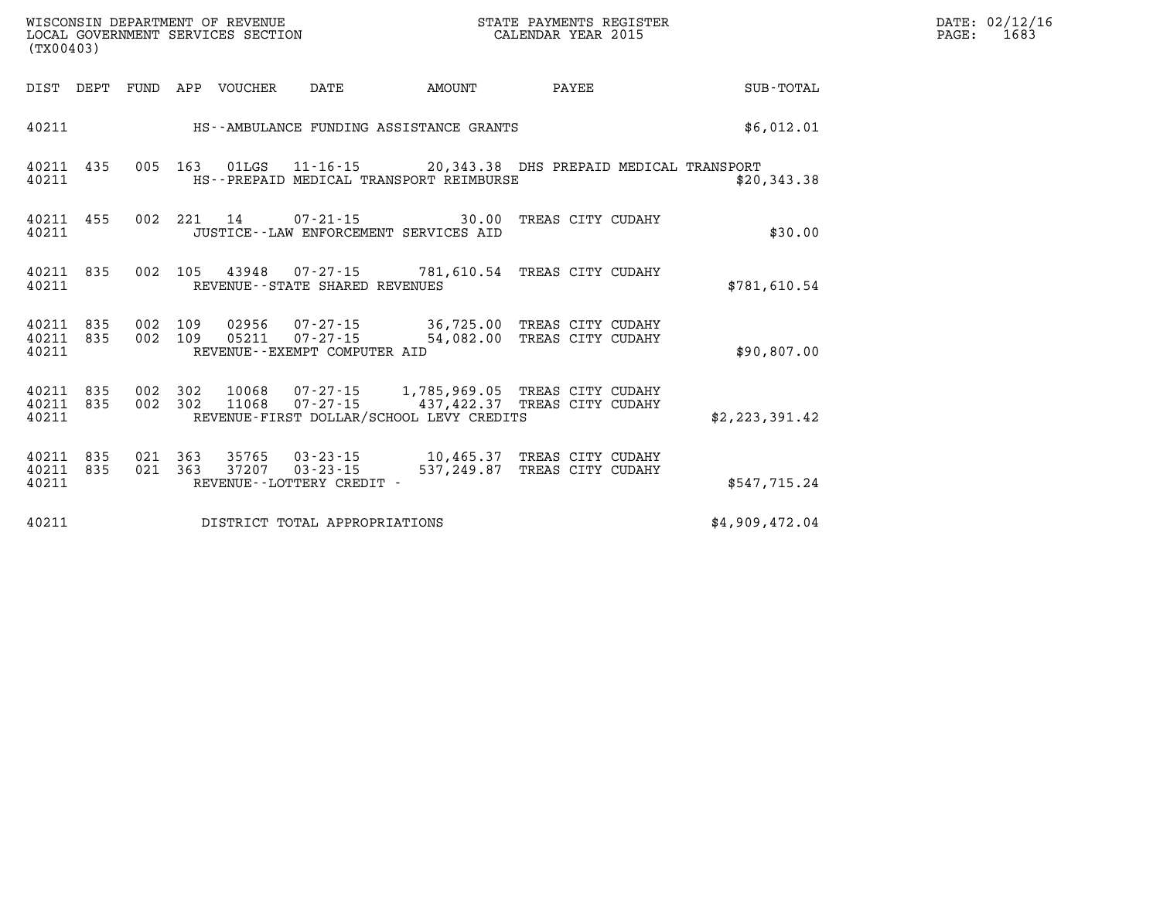| $\mathtt{DATE}$ : | 02/12/16 |
|-------------------|----------|
| PAGE:             | 1683     |

| (TX00403)                             | WISCONSIN DEPARTMENT OF REVENUE<br>LOCAL GOVERNMENT SERVICES SECTION                |                                                                                                                                                 |                   |                |
|---------------------------------------|-------------------------------------------------------------------------------------|-------------------------------------------------------------------------------------------------------------------------------------------------|-------------------|----------------|
| DIST<br>DEPT                          | FUND<br>APP<br>VOUCHER<br>DATE                                                      | AMOUNT                                                                                                                                          | <b>PAYEE</b>      | SUB-TOTAL      |
| 40211                                 | HS--AMBULANCE FUNDING ASSISTANCE GRANTS                                             |                                                                                                                                                 |                   | \$6,012.01     |
| 40211<br>435<br>40211                 | 005<br>163<br>HS--PREPAID MEDICAL TRANSPORT REIMBURSE                               | 01LGS  11-16-15  20,343.38 DHS PREPAID MEDICAL TRANSPORT                                                                                        |                   | \$20,343.38    |
| 40211<br>455<br>40211                 | 002<br>221<br>14<br>JUSTICE -- LAW ENFORCEMENT SERVICES AID                         | $07 - 21 - 15$<br>30.00                                                                                                                         | TREAS CITY CUDAHY | \$30.00        |
| 835<br>40211<br>40211                 | 002<br>105<br>REVENUE - - STATE SHARED REVENUES                                     | 43948  07-27-15  781,610.54  TREAS CITY CUDAHY                                                                                                  |                   | \$781,610.54   |
| 835<br>40211<br>40211<br>835<br>40211 | 002<br>109<br>002<br>109<br>05211<br>REVENUE--EXEMPT COMPUTER AID                   | 02956  07-27-15  36,725.00 TREAS CITY CUDAHY<br>07-27-15 54,082.00 TREAS CITY CUDAHY                                                            |                   | \$90,807.00    |
| 40211<br>835<br>835<br>40211<br>40211 | 002<br>302<br>002<br>302                                                            | 10068  07-27-15  1,785,969.05  TREAS CITY CUDAHY<br>11068  07-27-15  437, 422.37  TREAS CITY CUDAHY<br>REVENUE-FIRST DOLLAR/SCHOOL LEVY CREDITS |                   | \$2,223,391.42 |
| 835<br>40211<br>835<br>40211<br>40211 | 021<br>363<br>021<br>363<br>37207<br>$03 - 23 - 15$<br>REVENUE - - LOTTERY CREDIT - | 537,249.87                                                                                                                                      | TREAS CITY CUDAHY | \$547,715.24   |
| 40211                                 | DISTRICT TOTAL APPROPRIATIONS                                                       |                                                                                                                                                 |                   | \$4,909,472.04 |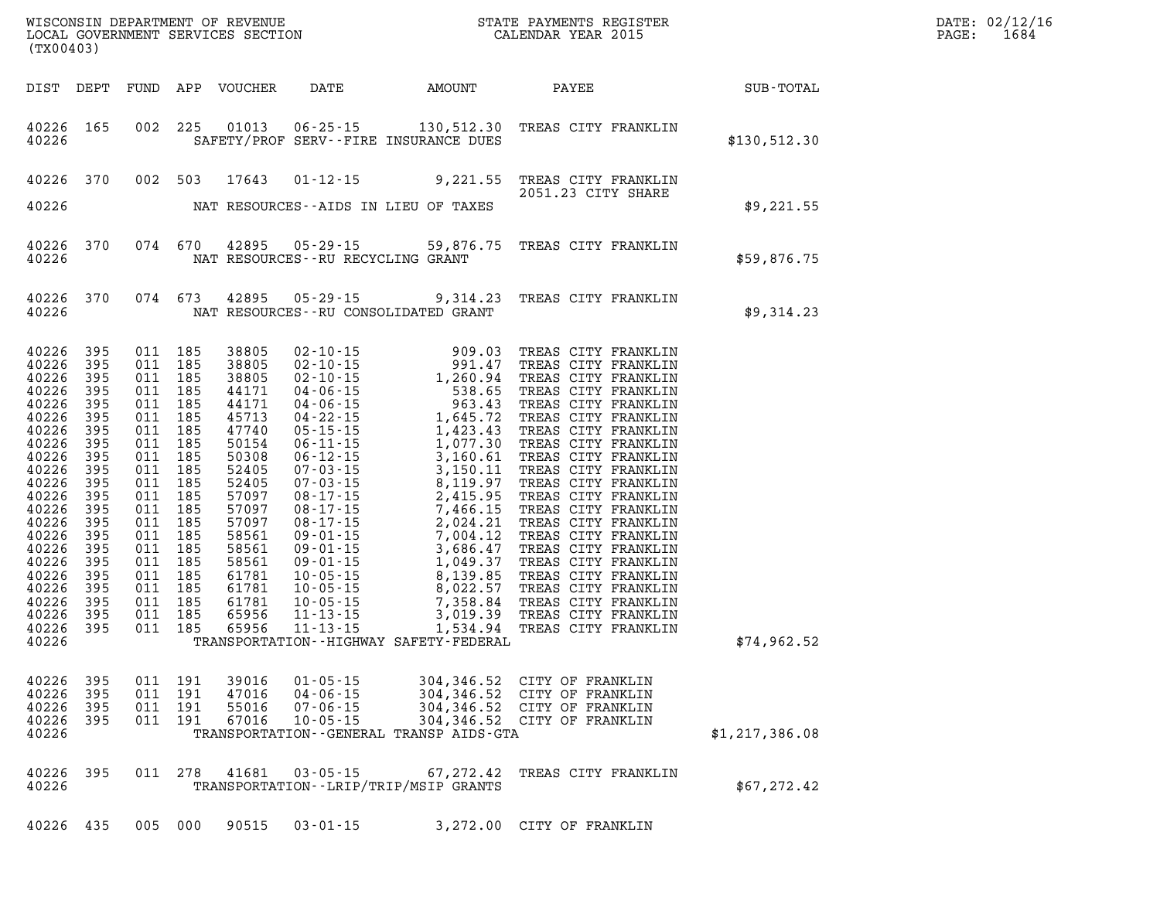| DATE: | 02/12/16 |
|-------|----------|
| PAGE: | 1684     |

| (TX00403)                                                                                                                                                                                                                           |                                                                                                              |                                                     |                                                                                                                                                                              |                                                                                                                                                                                                            |                                                                      | WISCONSIN DEPARTMENT OF REVENUE<br>LOCAL GOVERNMENT SERVICES SECTION FOR THE STATE PAYMENTS REGISTER<br>(TYAQAQQ)                                                                                                                                                             |                                                                                                                          | $\mathbb{R}^n$ | DATE: 02/12/1<br>PAGE:<br>1684 |
|-------------------------------------------------------------------------------------------------------------------------------------------------------------------------------------------------------------------------------------|--------------------------------------------------------------------------------------------------------------|-----------------------------------------------------|------------------------------------------------------------------------------------------------------------------------------------------------------------------------------|------------------------------------------------------------------------------------------------------------------------------------------------------------------------------------------------------------|----------------------------------------------------------------------|-------------------------------------------------------------------------------------------------------------------------------------------------------------------------------------------------------------------------------------------------------------------------------|--------------------------------------------------------------------------------------------------------------------------|----------------|--------------------------------|
|                                                                                                                                                                                                                                     |                                                                                                              |                                                     |                                                                                                                                                                              |                                                                                                                                                                                                            |                                                                      | DIST DEPT FUND APP VOUCHER DATE AMOUNT PAYEE SUB-TOTAL                                                                                                                                                                                                                        |                                                                                                                          |                |                                |
| 40226                                                                                                                                                                                                                               | 40226 165                                                                                                    |                                                     |                                                                                                                                                                              |                                                                                                                                                                                                            |                                                                      | 002 225 01013 06-25-15 130,512.30 TREAS CITY FRANKLIN<br>SAFETY/PROF SERV--FIRE INSURANCE DUES                                                                                                                                                                                |                                                                                                                          | \$130,512.30   |                                |
|                                                                                                                                                                                                                                     |                                                                                                              |                                                     |                                                                                                                                                                              |                                                                                                                                                                                                            |                                                                      | 40226 370 002 503 17643 01-12-15 9,221.55 TREAS CITY FRANKLIN<br>2051.23 CITY SHARE<br>40226 MAT RESOURCES--AIDS IN LIEU OF TAXES                                                                                                                                             | 2051.23 CITY SHARE                                                                                                       | \$9,221.55     |                                |
|                                                                                                                                                                                                                                     | 40226                                                                                                        |                                                     |                                                                                                                                                                              |                                                                                                                                                                                                            | NAT RESOURCES -- RU RECYCLING GRANT                                  | 40226 370 074 670 42895 05-29-15 59,876.75 TREAS CITY FRANKLIN                                                                                                                                                                                                                |                                                                                                                          | \$59,876.75    |                                |
|                                                                                                                                                                                                                                     | 40226                                                                                                        |                                                     |                                                                                                                                                                              |                                                                                                                                                                                                            |                                                                      | 40226 370 074 673 42895 05-29-15 9,314.23 TREAS CITY FRANKLIN<br>NAT RESOURCES--RU CONSOLIDATED GRANT                                                                                                                                                                         |                                                                                                                          | \$9,314.23     |                                |
| 40226<br>40226<br>40226<br>40226<br>40226<br>40226<br>40226<br>40226<br>40226 395<br>40226<br>40226<br>40226<br>40226 395<br>40226<br>40226<br>40226<br>40226 395<br>40226<br>40226 395<br>40226<br>40226 395<br>40226 395<br>40226 | 395<br>395<br>395<br>395<br>395<br>395<br>395<br>395<br>395<br>395<br>395<br>395<br>395<br>395<br>395<br>395 | 011 185<br>011 185<br>011 185<br>011 185<br>011 185 | 011 185<br>011 185<br>011 185<br>011 185<br>011 185<br>011 185<br>011 185<br>011 185<br>011 185<br>011 185<br>011 185<br>011 185<br>011 185<br>011 185<br>011 185<br>011 185 | 38805<br>38805<br>38805<br>44171<br>44171<br>45713<br>47740<br>50154<br>50308<br>52405<br>52405<br>57097<br>57097<br>57097<br>58561<br>58561<br>58561<br>61781<br>61781<br>61781<br>65956<br>011 185 65956 |                                                                      | 02-10-15 909.03 TREAS CITY FRANKLIN 02-10-15 991.47 TREAS CITY FRANKLIN 02-10-15 1,260.94 TREAS CITY FRANKLIN 04-06-15 538.65 TREAS CITY FRANKLIN 04-06-15 538.65 TREAS CITY FRANKLIN 04-22-15 1,645.72 TREAS CITY FRANKLIN 05<br>TRANSPORTATION - - HIGHWAY SAFETY - FEDERAL |                                                                                                                          | \$74,962.52    |                                |
| 40226<br>40226<br>40226<br>40226<br>40226                                                                                                                                                                                           | 395<br>395<br>395<br>-395                                                                                    |                                                     | 011 191<br>011 191<br>011 191<br>011 191                                                                                                                                     | 39016<br>47016<br>55016<br>67016                                                                                                                                                                           | $01 - 05 - 15$<br>$04 - 06 - 15$<br>$07 - 06 - 15$<br>$10 - 05 - 15$ | TRANSPORTATION--GENERAL TRANSP AIDS-GTA                                                                                                                                                                                                                                       | 304,346.52 CITY OF FRANKLIN<br>304,346.52 CITY OF FRANKLIN<br>304,346.52 CITY OF FRANKLIN<br>304,346.52 CITY OF FRANKLIN | \$1,217,386.08 |                                |
| 40226<br>40226                                                                                                                                                                                                                      | 395                                                                                                          |                                                     | 011 278                                                                                                                                                                      | 41681                                                                                                                                                                                                      | $03 - 05 - 15$                                                       | TRANSPORTATION - - LRIP/TRIP/MSIP GRANTS                                                                                                                                                                                                                                      | 67,272.42 TREAS CITY FRANKLIN                                                                                            | \$67,272.42    |                                |

**40226 435 005 000 90515 03-01-15 3,272.00 CITY OF FRANKLIN**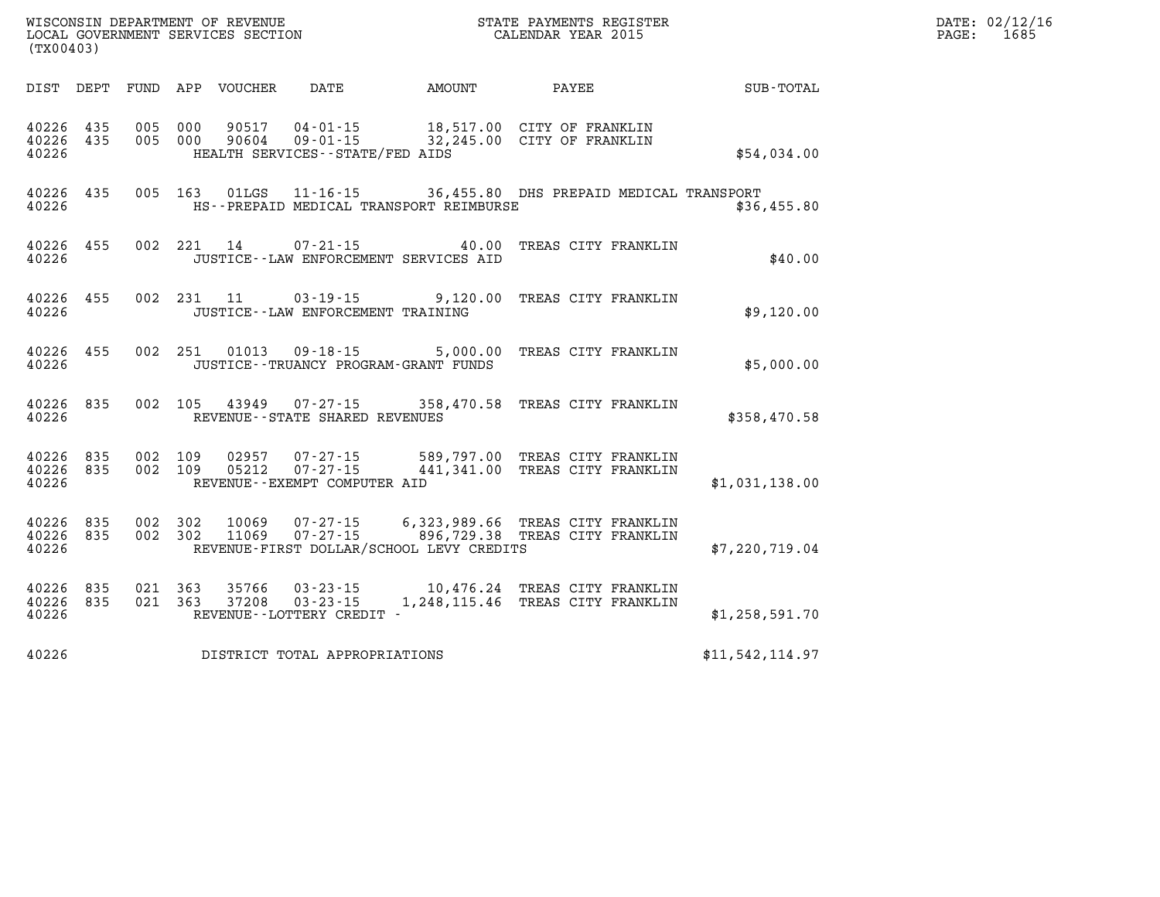| WISCONSIN DEPARTMENT OF REVENUE   | STATE PAYMENTS REGISTER | DATE: 02/12/16 |
|-----------------------------------|-------------------------|----------------|
| LOCAL GOVERNMENT SERVICES SECTION | CALENDAR YEAR 2015      | 1685<br>PAGE:  |

| LOCAL GOVERNMENT SERVICES SECTION<br>(TX00403) |                    |  |                    |                        |                                           |                                          | CALENDAR YEAR 2015                                                                                               |                 | PAGE: | 1685 |
|------------------------------------------------|--------------------|--|--------------------|------------------------|-------------------------------------------|------------------------------------------|------------------------------------------------------------------------------------------------------------------|-----------------|-------|------|
|                                                |                    |  |                    |                        |                                           |                                          | DIST DEPT FUND APP VOUCHER DATE AMOUNT PAYEE PATE SUB-TOTAL                                                      |                 |       |      |
| 40226 435<br>40226 435<br>40226                |                    |  | 005 000            | 90517<br>005 000 90604 | HEALTH SERVICES--STATE/FED AIDS           |                                          | 04-01-15 18,517.00 CITY OF FRANKLIN<br>09-01-15 32,245.00 CITY OF FRANKLIN                                       | \$54,034.00     |       |      |
| 40226 435<br>40226                             |                    |  |                    | 005 163 01LGS          |                                           | HS--PREPAID MEDICAL TRANSPORT REIMBURSE  | 11-16-15 36,455.80 DHS PREPAID MEDICAL TRANSPORT                                                                 | \$36,455.80     |       |      |
| 40226 455<br>40226                             |                    |  |                    | 002 221 14             |                                           | JUSTICE -- LAW ENFORCEMENT SERVICES AID  | 07-21-15 40.00 TREAS CITY FRANKLIN                                                                               | \$40.00         |       |      |
| 40226                                          | 40226 455          |  |                    |                        | JUSTICE - - LAW ENFORCEMENT TRAINING      |                                          | 002 231 11 03-19-15 9,120.00 TREAS CITY FRANKLIN                                                                 | \$9,120.00      |       |      |
| 40226 455<br>40226                             |                    |  |                    |                        | JUSTICE - - TRUANCY PROGRAM - GRANT FUNDS |                                          | 002 251 01013 09-18-15 5,000.00 TREAS CITY FRANKLIN                                                              | \$5,000.00      |       |      |
|                                                | 40226 835<br>40226 |  |                    |                        | REVENUE--STATE SHARED REVENUES            |                                          | 002 105 43949 07-27-15 358,470.58 TREAS CITY FRANKLIN                                                            | \$358,470.58    |       |      |
| 40226 835<br>40226 835<br>40226                |                    |  | 002 109<br>002 109 |                        | REVENUE--EXEMPT COMPUTER AID              |                                          | 02957  07-27-15  589,797.00  TREAS CITY FRANKLIN<br>05212  07-27-15  441,341.00  TREAS CITY FRANKLIN             | \$1,031,138.00  |       |      |
| 40226 835<br>40226 835<br>40226                |                    |  |                    | 002 302 11069          |                                           | REVENUE-FIRST DOLLAR/SCHOOL LEVY CREDITS | 002 302 10069 07-27-15 6,323,989.66 TREAS CITY FRANKLIN<br>002 302 11069 07-27-15 896,729.38 TREAS CITY FRANKLIN | \$7,220,719.04  |       |      |
| 40226 835<br>40226 835<br>40226                |                    |  |                    |                        | REVENUE--LOTTERY CREDIT -                 |                                          | 021 363 35766 03-23-15 10,476.24 TREAS CITY FRANKLIN<br>021 363 37208 03-23-15 1,248,115.46 TREAS CITY FRANKLIN  | \$1,258,591.70  |       |      |
| 40226                                          |                    |  |                    |                        | DISTRICT TOTAL APPROPRIATIONS             |                                          |                                                                                                                  | \$11,542,114.97 |       |      |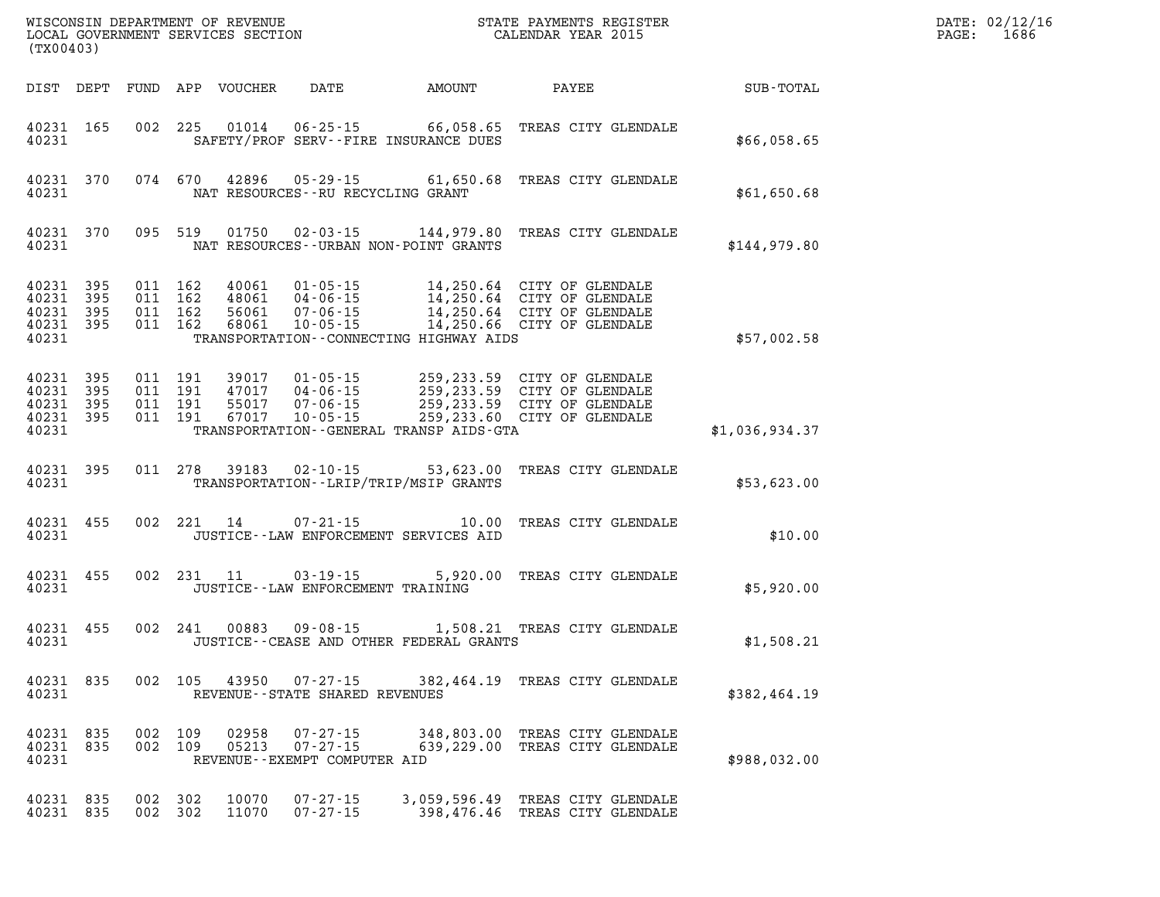| DATE: | 02/12/16 |
|-------|----------|
| PAGE: | 1686     |

| (TX00403)                       |     |                    |                |                                                            |                                              |                                                                                                                                                                                                                                                                                                                                                                   | WISCONSIN DEPARTMENT OF REVENUE<br>LOCAL GOVERNMENT SERVICES SECTION<br>(TYAOAAQ) | DATE: 02/12/1<br>$\mathtt{PAGE:}$<br>1686 |
|---------------------------------|-----|--------------------|----------------|------------------------------------------------------------|----------------------------------------------|-------------------------------------------------------------------------------------------------------------------------------------------------------------------------------------------------------------------------------------------------------------------------------------------------------------------------------------------------------------------|-----------------------------------------------------------------------------------|-------------------------------------------|
|                                 |     |                    |                |                                                            |                                              | DIST DEPT FUND APP VOUCHER DATE AMOUNT PAYEE PAYER SUB-TOTAL                                                                                                                                                                                                                                                                                                      |                                                                                   |                                           |
| 40231 165                       |     |                    |                |                                                            | 40231 SAFETY/PROF SERV--FIRE INSURANCE DUES  | 002 225 01014 06-25-15 66,058.65 TREAS CITY GLENDALE                                                                                                                                                                                                                                                                                                              | \$66,058.65                                                                       |                                           |
| 40231                           |     |                    |                | NAT RESOURCES--RU RECYCLING GRANT                          |                                              | 40231 370 074 670 42896 05-29-15 61,650.68 TREAS CITY GLENDALE                                                                                                                                                                                                                                                                                                    | \$61,650.68                                                                       |                                           |
| 40231                           |     |                    |                |                                                            | NAT RESOURCES--URBAN NON-POINT GRANTS        | 40231 370 095 519 01750 02-03-15 144,979.80 TREAS CITY GLENDALE                                                                                                                                                                                                                                                                                                   | \$144,979.80                                                                      |                                           |
| 40231                           |     |                    |                |                                                            | TRANSPORTATION - CONNECTING HIGHWAY AIDS     | 40231 395 011 162 40061 01-05-15 14,250.64 CITY OF GLENDALE<br>40231 395 011 162 48061 04-06-15 14,250.64 CITY OF GLENDALE<br>40231 395 011 162 56061 07-06-15 14,250.64 CITY OF GLENDALE<br>40231 395 011 162 68061 10-05-15 14,250.66                                                                                                                           | \$57,002.58                                                                       |                                           |
|                                 |     |                    |                |                                                            |                                              | $\begin{array}{cccccccc} 4\,0\,2\,3\,1 & 39\,5 & 0\,1\,1 & 19\,1 & 39\,0\,17 & 0\,1\cdot\,0\,5\cdot\,15 & 259\,,2\,3\,3\cdot\,59 & \text{CITY OF GLENDALE} \\ 4\,0\,2\,3\,1 & 39\,5 & 0\,1\,1 & 19\,1 & 4\,7\,0\,17 & 0\,4\cdot\,0\,6\cdot\,15 & 259\,,2\,3\,3\cdot\,59 & \text{CITY OF GLENDALE} \\ 4\,0\,2$<br>40231 TRANSPORTATION - GENERAL TRANSP AIDS - GTA | \$1,036,934.37                                                                    |                                           |
|                                 |     |                    |                |                                                            |                                              | 40231 395 011 278 39183 02-10-15 53,623.00 TREAS CITY GLENDALE<br>40231 TRANSPORTATION - LRIP/TRIP/MSIP GRANTS                                                                                                                                                                                                                                                    | \$53,623.00                                                                       |                                           |
|                                 |     |                    |                |                                                            | 40231 JUSTICE - LAW ENFORCEMENT SERVICES AID | 40231 455 002 221 14 07-21-15 10.00 TREAS CITY GLENDALE                                                                                                                                                                                                                                                                                                           | \$10.00                                                                           |                                           |
|                                 |     |                    |                |                                                            | 40231 JUSTICE--LAW ENFORCEMENT TRAINING      | 40231 455 002 231 11 03-19-15 5,920.00 TREAS CITY GLENDALE                                                                                                                                                                                                                                                                                                        | \$5,920.00                                                                        |                                           |
|                                 |     |                    |                |                                                            |                                              | 40231 455 002 241 00883 09-08-15 1,508.21 TREAS CITY GLENDALE                                                                                                                                                                                                                                                                                                     | \$1,508.21                                                                        |                                           |
| 40231 835<br>40231              | 002 | 105                | 43950          | $07 - 27 - 15$<br>REVENUE - - STATE SHARED REVENUES        |                                              | 382,464.19 TREAS CITY GLENDALE                                                                                                                                                                                                                                                                                                                                    | \$382,464.19                                                                      |                                           |
| 40231 835<br>40231 835<br>40231 | 002 | 109<br>002 109     | 02958<br>05213 | 07-27-15<br>$07 - 27 - 15$<br>REVENUE--EXEMPT COMPUTER AID |                                              | 348,803.00 TREAS CITY GLENDALE<br>639,229.00 TREAS CITY GLENDALE                                                                                                                                                                                                                                                                                                  | \$988,032.00                                                                      |                                           |
| 40231 835<br>40231 835          |     | 002 302<br>002 302 | 10070<br>11070 | $07 - 27 - 15$<br>$07 - 27 - 15$                           |                                              | 3,059,596.49 TREAS CITY GLENDALE<br>398,476.46 TREAS CITY GLENDALE                                                                                                                                                                                                                                                                                                |                                                                                   |                                           |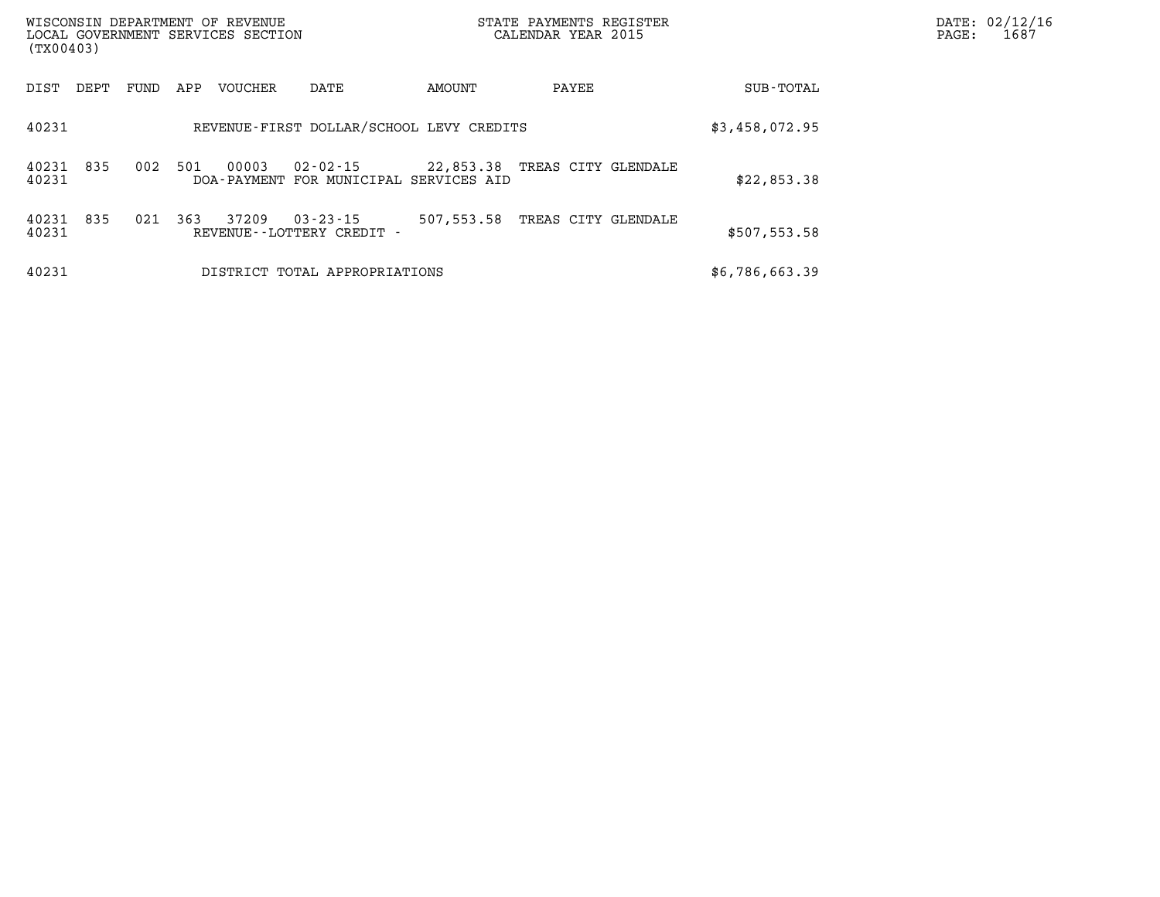| (TX00403)      |      |      |     | WISCONSIN DEPARTMENT OF REVENUE<br>LOCAL GOVERNMENT SERVICES SECTION |                                                    |            | STATE PAYMENTS REGISTER<br>CALENDAR YEAR 2015 | DATE: 02/12/16<br>1687<br>PAGE: |  |
|----------------|------|------|-----|----------------------------------------------------------------------|----------------------------------------------------|------------|-----------------------------------------------|---------------------------------|--|
| DIST           | DEPT | FUND | APP | VOUCHER                                                              | DATE                                               | AMOUNT     | PAYEE                                         | SUB-TOTAL                       |  |
| 40231          |      |      |     |                                                                      | REVENUE-FIRST DOLLAR/SCHOOL LEVY CREDITS           |            |                                               | \$3,458,072.95                  |  |
| 40231<br>40231 | 835  | 002  | 501 | 00003                                                                | 02-02-15<br>DOA-PAYMENT FOR MUNICIPAL SERVICES AID |            | 22,853.38 TREAS CITY GLENDALE                 | \$22,853.38                     |  |
| 40231<br>40231 | 835  | 021  | 363 | 37209                                                                | $03 - 23 - 15$<br>REVENUE - - LOTTERY CREDIT -     | 507,553.58 | TREAS CITY GLENDALE                           | \$507,553.58                    |  |
| 40231          |      |      |     |                                                                      | DISTRICT TOTAL APPROPRIATIONS                      |            |                                               | \$6,786,663.39                  |  |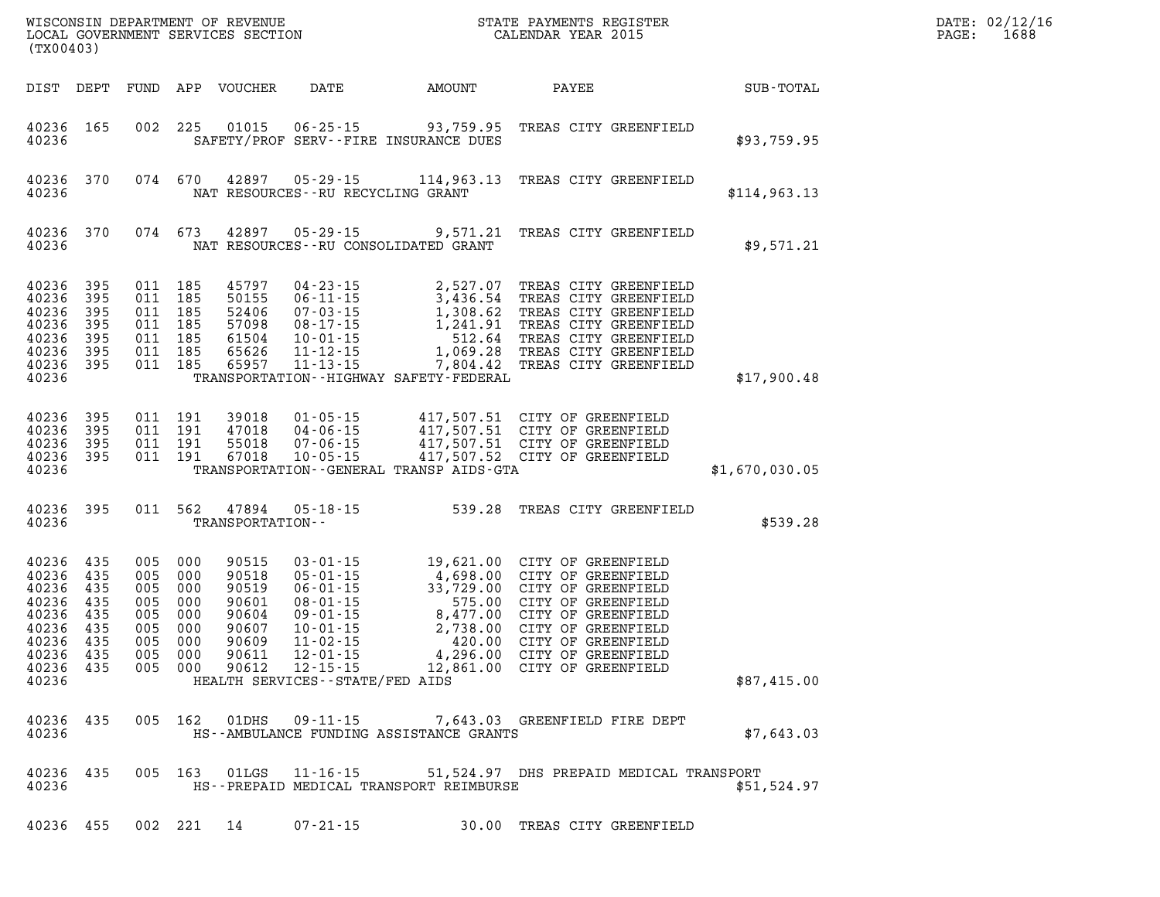| (TX00403)                                                                                      |                                                                                  |                                                                             | WISCONSIN DEPARTMENT OF REVENUE<br>LOCAL GOVERNMENT SERVICES SECTION          |                                                                                                                                                                                                   | N                                                                 | STATE PAYMENTS REGISTER<br>CALENDAR YEAR 2015                                                                                                                                                                                                                              |                | DATE: 02/12/1<br>1688<br>PAGE: |
|------------------------------------------------------------------------------------------------|----------------------------------------------------------------------------------|-----------------------------------------------------------------------------|-------------------------------------------------------------------------------|---------------------------------------------------------------------------------------------------------------------------------------------------------------------------------------------------|-------------------------------------------------------------------|----------------------------------------------------------------------------------------------------------------------------------------------------------------------------------------------------------------------------------------------------------------------------|----------------|--------------------------------|
| DIST DEPT                                                                                      |                                                                                  |                                                                             | FUND APP VOUCHER                                                              | DATE                                                                                                                                                                                              | AMOUNT                                                            | PAYEE                                                                                                                                                                                                                                                                      | SUB-TOTAL      |                                |
| 40236 165<br>40236                                                                             |                                                                                  | 002 225                                                                     | 01015                                                                         |                                                                                                                                                                                                   | $06 - 25 - 15$ 93,759.95<br>SAFETY/PROF SERV--FIRE INSURANCE DUES | TREAS CITY GREENFIELD                                                                                                                                                                                                                                                      | \$93,759.95    |                                |
| 40236<br>40236                                                                                 | 370                                                                              | 074 670                                                                     | 42897                                                                         | NAT RESOURCES--RU RECYCLING GRANT                                                                                                                                                                 |                                                                   | 05-29-15 114,963.13 TREAS CITY GREENFIELD                                                                                                                                                                                                                                  | \$114, 963.13  |                                |
| 40236<br>40236                                                                                 | 370                                                                              | 074 673                                                                     | 42897                                                                         |                                                                                                                                                                                                   | NAT RESOURCES - - RU CONSOLIDATED GRANT                           | 05-29-15 9,571.21 TREAS CITY GREENFIELD                                                                                                                                                                                                                                    | \$9,571.21     |                                |
| 40236<br>40236<br>40236<br>40236<br>40236<br>40236<br>40236 395<br>40236                       | 395<br>395<br>395<br>395<br>395<br>395                                           | 011 185<br>011 185<br>011 185<br>011 185<br>011 185<br>011 185<br>011 185   | 45797<br>50155<br>52406<br>57098<br>61504<br>65626<br>65957                   | $04 - 23 - 15$<br>$06 - 11 - 15$<br>$07 - 03 - 15$<br>$08 - 17 - 15$<br>$10 - 01 - 15$<br>$11 - 12 - 15$<br>$11 - 13 - 15$                                                                        | TRANSPORTATION - - HIGHWAY SAFETY - FEDERAL                       | 2,527.07 TREAS CITY GREENFIELD<br>3,436.54 TREAS CITY GREENFIELD<br>1,308.62 TREAS CITY GREENFIELD<br>1,241.91 TREAS CITY GREENFIELD<br>512.64 TREAS CITY GREENFIELD<br>1,069.28 TREAS CITY GREENFIELD<br>1,069.28 TREAS CITY GREENFIELD<br>7,804.42 TREAS CITY GREENFIELD | \$17,900.48    |                                |
| 40236<br>40236<br>40236<br>40236 395<br>40236                                                  | 395<br>395<br>395                                                                | 011 191<br>011 191<br>011 191<br>011 191                                    | 39018<br>47018<br>55018<br>67018                                              | $01 - 05 - 15$<br>$04 - 06 - 15$<br>$07 - 06 - 15$<br>$10 - 05 - 15$                                                                                                                              | TRANSPORTATION--GENERAL TRANSP AIDS-GTA                           | 417,507.51 CITY OF GREENFIELD<br>417,507.51 CITY OF GREENFIELD<br>417,507.51 CITY OF GREENFIELD<br>417,507.52 CITY OF GREENFIELD                                                                                                                                           | \$1,670,030.05 |                                |
| 40236 395<br>40236                                                                             |                                                                                  | 011 562                                                                     | 47894<br>TRANSPORTATION--                                                     | $05 - 18 - 15$                                                                                                                                                                                    |                                                                   | 539.28 TREAS CITY GREENFIELD                                                                                                                                                                                                                                               | \$539.28       |                                |
| 40236<br>40236<br>40236<br>40236<br>40236<br>40236<br>40236<br>40236 435<br>40236 435<br>40236 | 435<br>435<br>435<br>005<br>435<br>435<br>005<br>435<br>435<br>005<br>005<br>005 | 005 000<br>005 000<br>000<br>005 000<br>000<br>005 000<br>000<br>000<br>000 | 90515<br>90518<br>90519<br>90601<br>90604<br>90607<br>90609<br>90611<br>90612 | $03 - 01 - 15$<br>$05 - 01 - 15$<br>$06 - 01 - 15$<br>$08 - 01 - 15$<br>$09 - 01 - 15$<br>$10 - 01 - 15$<br>$11 - 02 - 15$<br>$12 - 01 - 15$<br>$12 - 15 - 15$<br>HEALTH SERVICES--STATE/FED AIDS | 8,477.00<br>2,738.00<br>420.00                                    | 19,621.00 CITY OF GREENFIELD<br>4,698.00 CITY OF GREENFIELD<br>33,729.00 CITY OF GREENFIELD<br>575.00 CITY OF GREENFIELD<br>CITY OF GREENFIELD<br>CITY OF GREENFIELD<br>CITY OF GREENFIELD<br>4,296.00 CITY OF GREENFIELD<br>12,861.00 CITY OF GREENFIELD                  | \$87,415.00    |                                |
| 40236 435<br>40236                                                                             |                                                                                  |                                                                             |                                                                               |                                                                                                                                                                                                   | HS--AMBULANCE FUNDING ASSISTANCE GRANTS                           | 005 162 01DHS 09-11-15 7,643.03 GREENFIELD FIRE DEPT                                                                                                                                                                                                                       | \$7,643.03     |                                |
| 40236 435<br>40236                                                                             |                                                                                  |                                                                             |                                                                               |                                                                                                                                                                                                   | HS--PREPAID MEDICAL TRANSPORT REIMBURSE                           | 005 163 01LGS 11-16-15 51,524.97 DHS PREPAID MEDICAL TRANSPORT                                                                                                                                                                                                             | \$51,524.97    |                                |
|                                                                                                |                                                                                  |                                                                             | 40236 455 002 221 14 07-21-15                                                 |                                                                                                                                                                                                   |                                                                   | 30.00 TREAS CITY GREENFIELD                                                                                                                                                                                                                                                |                |                                |

**DATE: 02/12/16<br>PAGE: 1688**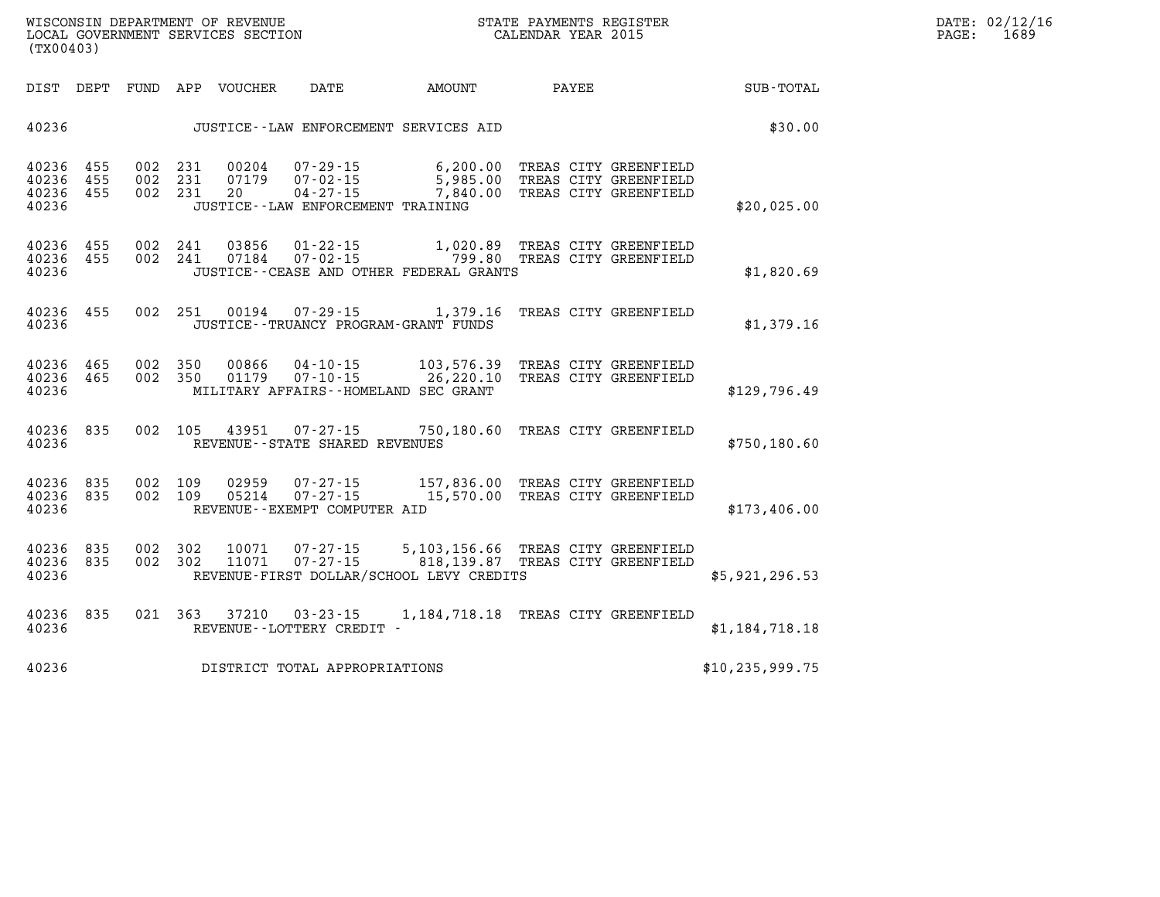| (TX00403)                        |                   |                   |                   |                      |                                                                                            |                                                                        |       |                                                                         |                   |
|----------------------------------|-------------------|-------------------|-------------------|----------------------|--------------------------------------------------------------------------------------------|------------------------------------------------------------------------|-------|-------------------------------------------------------------------------|-------------------|
| DIST                             | DEPT              | FUND              | APP               | VOUCHER              | DATE                                                                                       | AMOUNT                                                                 | PAYEE |                                                                         | SUB-TOTAL         |
| 40236                            |                   |                   |                   |                      |                                                                                            | JUSTICE -- LAW ENFORCEMENT SERVICES AID                                |       |                                                                         | \$30.00           |
| 40236<br>40236<br>40236<br>40236 | 455<br>455<br>455 | 002<br>002<br>002 | 231<br>231<br>231 | 00204<br>07179<br>20 | $07 - 29 - 15$<br>$07 - 02 - 15$<br>$04 - 27 - 15$<br>JUSTICE - - LAW ENFORCEMENT TRAINING | 6,200.00<br>5,985.00<br>7,840.00                                       |       | TREAS CITY GREENFIELD<br>TREAS CITY GREENFIELD<br>TREAS CITY GREENFIELD | \$20,025.00       |
| 40236<br>40236<br>40236          | 455<br>455        | 002<br>002        | 241<br>241        | 03856<br>07184       | $01 - 22 - 15$<br>$07 - 02 - 15$                                                           | 1,020.89<br>799.80<br>JUSTICE -- CEASE AND OTHER FEDERAL GRANTS        |       | TREAS CITY GREENFIELD<br>TREAS CITY GREENFIELD                          | \$1,820.69        |
| 40236<br>40236                   | 455               | 002               | 251               | 00194                | $07 - 29 - 15$                                                                             | 1,379.16<br>JUSTICE - - TRUANCY PROGRAM - GRANT FUNDS                  |       | TREAS CITY GREENFIELD                                                   | \$1,379.16        |
| 40236<br>40236<br>40236          | 465<br>465        | 002<br>002        | 350<br>350        | 00866<br>01179       | $04 - 10 - 15$<br>$07 - 10 - 15$                                                           | 103,576.39<br>26,220.10<br>MILITARY AFFAIRS--HOMELAND SEC GRANT        |       | TREAS CITY GREENFIELD<br>TREAS CITY GREENFIELD                          | \$129,796.49      |
| 40236<br>40236                   | 835               | 002               | 105               | 43951                | $07 - 27 - 15$<br>REVENUE--STATE SHARED REVENUES                                           | 750,180.60                                                             |       | TREAS CITY GREENFIELD                                                   | \$750,180.60      |
| 40236<br>40236<br>40236          | 835<br>835        | 002<br>002        | 109<br>109        | 02959<br>05214       | $07 - 27 - 15$<br>$07 - 27 - 15$<br>REVENUE - - EXEMPT COMPUTER AID                        | 157,836.00<br>15,570.00                                                |       | TREAS CITY GREENFIELD<br>TREAS CITY GREENFIELD                          | \$173,406.00      |
| 40236<br>40236<br>40236          | 835<br>835        | 002<br>002        | 302<br>302        | 10071<br>11071       | $07 - 27 - 15$<br>$07 - 27 - 15$                                                           | 5,103,156.66<br>818,139.87<br>REVENUE-FIRST DOLLAR/SCHOOL LEVY CREDITS |       | TREAS CITY GREENFIELD<br>TREAS CITY GREENFIELD                          | \$5,921,296.53    |
| 40236<br>40236                   | 835               | 021               | 363               | 37210                | $03 - 23 - 15$<br>REVENUE - - LOTTERY CREDIT -                                             | 1, 184, 718. 18                                                        |       | TREAS CITY GREENFIELD                                                   | \$1,184,718.18    |
| 40236                            |                   |                   |                   |                      | DISTRICT TOTAL APPROPRIATIONS                                                              |                                                                        |       |                                                                         | \$10, 235, 999.75 |

LOCAL GOVERNMENT SERVICES SECTION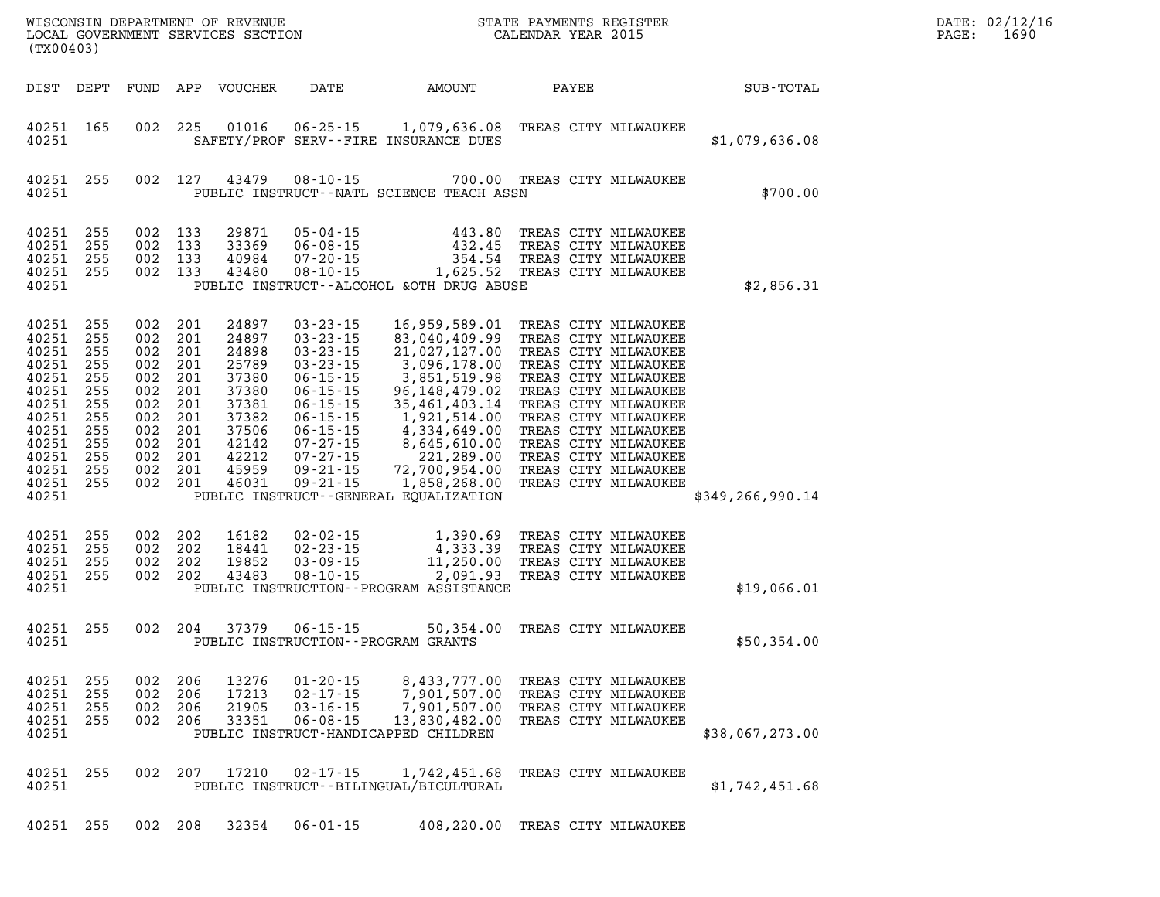| WISCONSIN DEPARTMENT OF REVENUE<br>LOCAL GOVERNMENT SERVICES SECTION<br>(TX00403) |                                                                                                                            |                                                                                         |                                                                                         | STATE PAYMENTS REGISTER<br>CALENDAR YEAR 2015                                           |                                                                                                                   |                                                                                                                                                                                                                                        | DATE: 02/12/1<br>1690<br>PAGE:                                                                                                                                                                                                                                                                        |       |                                                                                                                                                                                                                                                                      |                    |  |
|-----------------------------------------------------------------------------------|----------------------------------------------------------------------------------------------------------------------------|-----------------------------------------------------------------------------------------|-----------------------------------------------------------------------------------------|-----------------------------------------------------------------------------------------|-------------------------------------------------------------------------------------------------------------------|----------------------------------------------------------------------------------------------------------------------------------------------------------------------------------------------------------------------------------------|-------------------------------------------------------------------------------------------------------------------------------------------------------------------------------------------------------------------------------------------------------------------------------------------------------|-------|----------------------------------------------------------------------------------------------------------------------------------------------------------------------------------------------------------------------------------------------------------------------|--------------------|--|
|                                                                                   | DIST                                                                                                                       | DEPT                                                                                    | FUND                                                                                    |                                                                                         | APP VOUCHER                                                                                                       | DATE                                                                                                                                                                                                                                   | AMOUNT                                                                                                                                                                                                                                                                                                | PAYEE |                                                                                                                                                                                                                                                                      | SUB-TOTAL          |  |
|                                                                                   | 40251<br>40251                                                                                                             | 165                                                                                     | 002                                                                                     | 225                                                                                     | 01016                                                                                                             | $06 - 25 - 15$                                                                                                                                                                                                                         | 1,079,636.08 TREAS CITY MILWAUKEE<br>SAFETY/PROF SERV--FIRE INSURANCE DUES                                                                                                                                                                                                                            |       |                                                                                                                                                                                                                                                                      | \$1,079,636.08     |  |
|                                                                                   | 40251<br>40251                                                                                                             | 255                                                                                     | 002                                                                                     | 127                                                                                     | 43479                                                                                                             | $08 - 10 - 15$                                                                                                                                                                                                                         | PUBLIC INSTRUCT--NATL SCIENCE TEACH ASSN                                                                                                                                                                                                                                                              |       | 700.00 TREAS CITY MILWAUKEE                                                                                                                                                                                                                                          | \$700.00           |  |
|                                                                                   | 40251<br>40251<br>40251<br>40251<br>40251                                                                                  | 255<br>255<br>255<br>255                                                                | 002<br>002<br>002                                                                       | 002 133<br>133<br>133<br>133                                                            | 29871<br>33369<br>40984<br>43480                                                                                  | $05 - 04 - 15$<br>$06 - 08 - 15$<br>$07 - 20 - 15$<br>$08 - 10 - 15$                                                                                                                                                                   | 443.80<br>432.45<br>354.54<br>PUBLIC INSTRUCT--ALCOHOL & OTH DRUG ABUSE                                                                                                                                                                                                                               |       | TREAS CITY MILWAUKEE<br>TREAS CITY MILWAUKEE<br>TREAS CITY MILWAUKEE<br>1,625.52 TREAS CITY MILWAUKEE                                                                                                                                                                | \$2,856.31         |  |
|                                                                                   | 40251<br>40251<br>40251<br>40251<br>40251<br>40251<br>40251<br>40251<br>40251<br>40251<br>40251<br>40251<br>40251<br>40251 | 255<br>255<br>255<br>255<br>255<br>255<br>255<br>255<br>255<br>255<br>255<br>255<br>255 | 002<br>002<br>002<br>002<br>002<br>002<br>002<br>002<br>002<br>002<br>002<br>002<br>002 | 201<br>201<br>201<br>201<br>201<br>201<br>201<br>201<br>201<br>201<br>201<br>201<br>201 | 24897<br>24897<br>24898<br>25789<br>37380<br>37380<br>37381<br>37382<br>37506<br>42142<br>42212<br>45959<br>46031 | $03 - 23 - 15$<br>$03 - 23 - 15$<br>$03 - 23 - 15$<br>$03 - 23 - 15$<br>$06 - 15 - 15$<br>$06 - 15 - 15$<br>$06 - 15 - 15$<br>$06 - 15 - 15$<br>$06 - 15 - 15$<br>$07 - 27 - 15$<br>$07 - 27 - 15$<br>$09 - 21 - 15$<br>$09 - 21 - 15$ | 16,959,589.01<br>83,040,409.99<br>21,027,127.00<br>3,096,178.00<br>3,851,519.98<br>96, 148, 479.02<br>35,461,403.14<br>1,921,514.00<br>4,334,649.00<br>8,645,610.00 TREAS CITY MILWAUKEE<br>221,289.00<br>72,700,954.00 TREAS CITY MILWAUKEE<br>1,858,268.00<br>PUBLIC INSTRUCT--GENERAL EQUALIZATION |       | TREAS CITY MILWAUKEE<br>TREAS CITY MILWAUKEE<br>TREAS CITY MILWAUKEE<br>TREAS CITY MILWAUKEE<br>TREAS CITY MILWAUKEE<br>TREAS CITY MILWAUKEE<br>TREAS CITY MILWAUKEE<br>TREAS CITY MILWAUKEE<br>TREAS CITY MILWAUKEE<br>TREAS CITY MILWAUKEE<br>TREAS CITY MILWAUKEE | \$349, 266, 990.14 |  |
|                                                                                   | 40251<br>40251<br>40251<br>40251<br>40251                                                                                  | 255<br>255<br>255<br>255                                                                | 002<br>002<br>002<br>002                                                                | 202<br>202<br>202<br>202                                                                | 16182<br>18441<br>19852<br>43483                                                                                  | $02 - 02 - 15$<br>$02 - 23 - 15$<br>$03 - 09 - 15$<br>$08 - 10 - 15$                                                                                                                                                                   | 1,390.69<br>4,333.39<br>11,250.00<br>2,091.93<br>PUBLIC INSTRUCTION - - PROGRAM ASSISTANCE                                                                                                                                                                                                            |       | TREAS CITY MILWAUKEE<br>TREAS CITY MILWAUKEE<br>TREAS CITY MILWAUKEE<br>TREAS CITY MILWAUKEE                                                                                                                                                                         | \$19,066.01        |  |
|                                                                                   | 40251<br>40251                                                                                                             | 255                                                                                     | 002                                                                                     | 204                                                                                     | 37379                                                                                                             | $06 - 15 - 15$                                                                                                                                                                                                                         | 50,354.00<br>PUBLIC INSTRUCTION - - PROGRAM GRANTS                                                                                                                                                                                                                                                    |       | TREAS CITY MILWAUKEE                                                                                                                                                                                                                                                 | \$50,354.00        |  |
|                                                                                   | 40251<br>40251<br>40251<br>40251<br>40251                                                                                  | 255<br>255<br>255<br>-255                                                               | 002<br>002<br>002<br>002                                                                | 206<br>206<br>206<br>206                                                                | 13276<br>17213<br>21905<br>33351                                                                                  | $01 - 20 - 15$<br>$02 - 17 - 15$<br>$03 - 16 - 15$<br>$06 - 08 - 15$                                                                                                                                                                   | 8,433,777.00<br>7,901,507.00<br>7,901,507.00<br>13,830,482.00<br>PUBLIC INSTRUCT-HANDICAPPED CHILDREN                                                                                                                                                                                                 |       | TREAS CITY MILWAUKEE<br>TREAS CITY MILWAUKEE<br>TREAS CITY MILWAUKEE<br>TREAS CITY MILWAUKEE                                                                                                                                                                         | \$38,067,273.00    |  |
|                                                                                   | 40251<br>40251                                                                                                             | 255                                                                                     | 002                                                                                     | 207                                                                                     | 17210                                                                                                             | $02 - 17 - 15$                                                                                                                                                                                                                         | 1,742,451.68<br>PUBLIC INSTRUCT - - BILINGUAL/BICULTURAL                                                                                                                                                                                                                                              |       | TREAS CITY MILWAUKEE                                                                                                                                                                                                                                                 | \$1,742,451.68     |  |
|                                                                                   |                                                                                                                            | 40251 255                                                                               |                                                                                         | 002 208                                                                                 | 32354                                                                                                             | $06 - 01 - 15$                                                                                                                                                                                                                         | 408,220.00 TREAS CITY MILWAUKEE                                                                                                                                                                                                                                                                       |       |                                                                                                                                                                                                                                                                      |                    |  |

**DATE: 02/12/16<br>PAGE: 1690**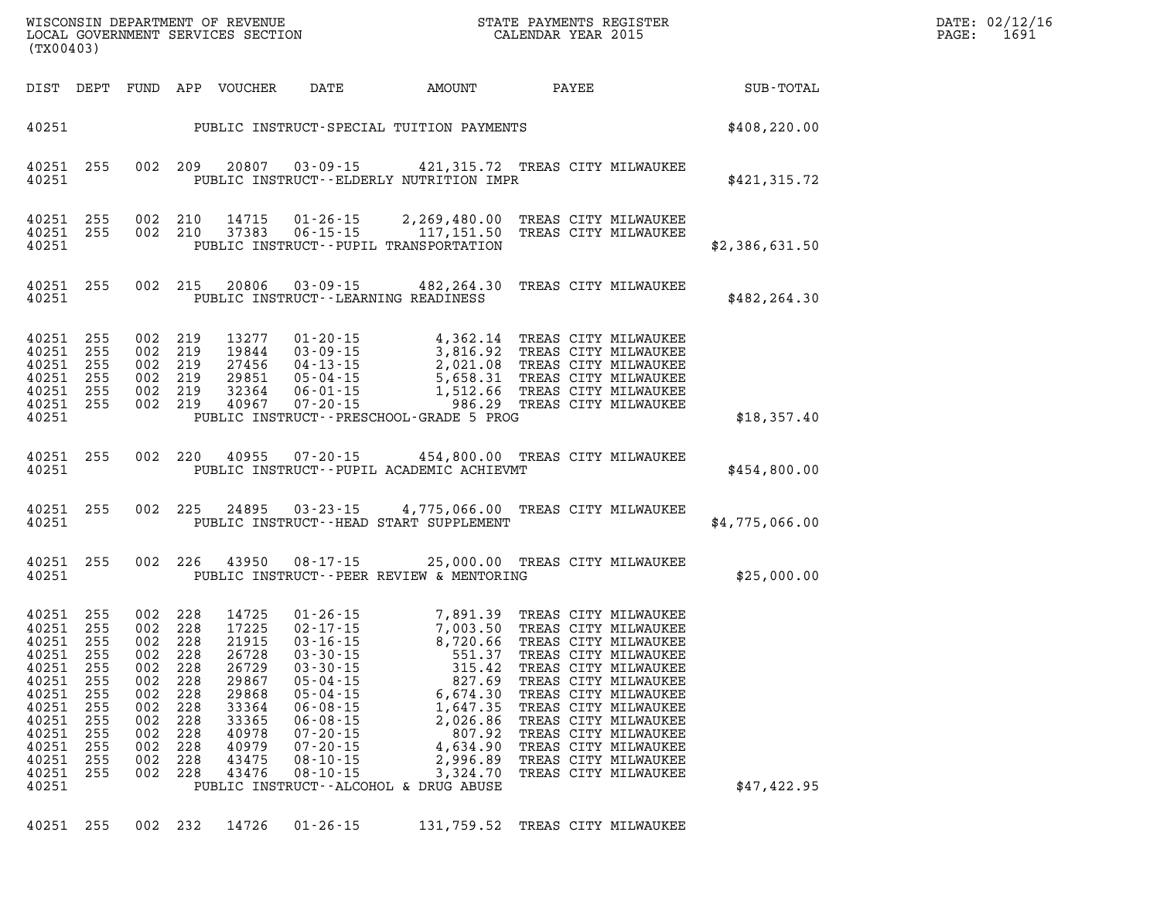| DATE: | 02/12/16 |
|-------|----------|
| PAGE: | 1691     |

|                                                                                                                            | LOCAL GOVERNMENT SERVICES SECTION<br>(TX00403)                                          |                                                                                                         |                                                             |                                                                                                                   |                                                                                                                                                                                       | CALENDAR YEAR 2015                                                                       |  |                                                                                                                                                                                                                                                          | PAGE:           | 1691 |  |
|----------------------------------------------------------------------------------------------------------------------------|-----------------------------------------------------------------------------------------|---------------------------------------------------------------------------------------------------------|-------------------------------------------------------------|-------------------------------------------------------------------------------------------------------------------|---------------------------------------------------------------------------------------------------------------------------------------------------------------------------------------|------------------------------------------------------------------------------------------|--|----------------------------------------------------------------------------------------------------------------------------------------------------------------------------------------------------------------------------------------------------------|-----------------|------|--|
|                                                                                                                            |                                                                                         |                                                                                                         |                                                             |                                                                                                                   | DIST DEPT FUND APP VOUCHER DATE AMOUNT                                                                                                                                                |                                                                                          |  |                                                                                                                                                                                                                                                          | PAYEE SUB-TOTAL |      |  |
|                                                                                                                            |                                                                                         |                                                                                                         |                                                             |                                                                                                                   | 40251 PUBLIC INSTRUCT-SPECIAL TUITION PAYMENTS                                                                                                                                        |                                                                                          |  |                                                                                                                                                                                                                                                          | \$408,220.00    |      |  |
| 40251                                                                                                                      | 40251 255                                                                               |                                                                                                         | 002 209                                                     | 20807                                                                                                             | PUBLIC INSTRUCT--ELDERLY NUTRITION IMPR                                                                                                                                               |                                                                                          |  | 03-09-15 421,315.72 TREAS CITY MILWAUKEE                                                                                                                                                                                                                 | \$421,315.72    |      |  |
| 40251<br>40251                                                                                                             | 40251 255<br>255                                                                        |                                                                                                         | 002 210<br>002 210                                          | 14715<br>37383                                                                                                    | 06-15-15<br>PUBLIC INSTRUCT--PUPIL TRANSPORTATION                                                                                                                                     |                                                                                          |  | 01-26-15 2,269,480.00 TREAS CITY MILWAUKEE<br>06-15-15 117,151.50 TREAS CITY MILWAUKEE                                                                                                                                                                   | \$2,386,631.50  |      |  |
| 40251                                                                                                                      | 40251 255                                                                               |                                                                                                         | 002 215                                                     |                                                                                                                   | 20806  03-09-15  482, 264.30 TREAS CITY MILWAUKEE<br>PUBLIC INSTRUCT--LEARNING READINESS                                                                                              |                                                                                          |  |                                                                                                                                                                                                                                                          | \$482, 264.30   |      |  |
| 40251<br>40251<br>40251<br>40251<br>40251<br>40251<br>40251                                                                | 255<br>255<br>255<br>255<br>255<br>255                                                  | 002 219<br>002 219<br>002 219<br>002 219<br>002 219                                                     | 002 219                                                     | 13277<br>19844<br>27456<br>29851<br>32364<br>40967                                                                | PUBLIC INSTRUCT--PRESCHOOL-GRADE 5 PROG                                                                                                                                               |                                                                                          |  | 01-20-15<br>03-09-15<br>03-09-15<br>04-13-15<br>05-04-15<br>06-01-15<br>07-20-15<br>07-20-15<br>07-20-15<br>07-20-15<br>07-20-15<br>07-20-15<br>07-20-15<br>07-20-15<br>07-20-15<br>07-20-15<br>07-20-15<br>07-20-15<br>07-20-15<br>07-20-15<br>07-20-15 | \$18,357.40     |      |  |
| 40251 255<br>40251                                                                                                         |                                                                                         |                                                                                                         | 002 220                                                     | 40955                                                                                                             | 07-20-15 454,800.00 TREAS CITY MILWAUKEE<br>PUBLIC INSTRUCT--PUPIL ACADEMIC ACHIEVMT                                                                                                  |                                                                                          |  |                                                                                                                                                                                                                                                          | \$454,800.00    |      |  |
| 40251 255<br>40251                                                                                                         |                                                                                         |                                                                                                         | 002 225                                                     | 24895                                                                                                             | 03-23-15 4,775,066.00 TREAS CITY MILWAUKEE<br>PUBLIC INSTRUCT--HEAD START SUPPLEMENT                                                                                                  |                                                                                          |  |                                                                                                                                                                                                                                                          | \$4,775,066.00  |      |  |
| 40251 255<br>40251                                                                                                         |                                                                                         |                                                                                                         | 002 226                                                     | 43950                                                                                                             | PUBLIC INSTRUCT--PEER REVIEW & MENTORING                                                                                                                                              |                                                                                          |  | 08-17-15 25,000.00 TREAS CITY MILWAUKEE                                                                                                                                                                                                                  | \$25,000.00     |      |  |
| 40251<br>40251<br>40251<br>40251<br>40251<br>40251<br>40251<br>40251<br>40251<br>40251<br>40251<br>40251<br>40251<br>40251 | 255<br>255<br>255<br>255<br>255<br>255<br>255<br>255<br>255<br>255<br>255<br>255<br>255 | 002 228<br>002<br>002 228<br>002 228<br>002 228<br>002<br>002<br>002<br>002<br>002<br>002<br>002<br>002 | 228<br>228<br>228<br>228<br>228<br>228<br>228<br>228<br>228 | 14725<br>17225<br>21915<br>26728<br>26729<br>29867<br>29868<br>33364<br>33365<br>40978<br>40979<br>43475<br>43476 | $05 - 04 - 15$<br>$05 - 04 - 15$<br>$06 - 08 - 15$<br>$06 - 08 - 15$<br>$07 - 20 - 15$<br>$07 - 20 - 15$<br>$08 - 10 - 15$<br>$08 - 10 - 15$<br>PUBLIC INSTRUCT--ALCOHOL & DRUG ABUSE | 827.69<br>6,674.30<br>1,647.35<br>2,026.86<br>807.92<br>4,634.90<br>2,996.89<br>3,324.70 |  | TREAS CITY MILWAUKEE<br>TREAS CITY MILWAUKEE<br>TREAS CITY MILWAUKEE<br>TREAS CITY MILWAUKEE<br>TREAS CITY MILWAUKEE<br>TREAS CITY MILWAUKEE<br>TREAS CITY MILWAUKEE                                                                                     | \$47,422.95     |      |  |

WISCONSIN DEPARTMENT OF REVENUE **STATE PAYMENTS REGISTER** 

**40251 255 002 232 14726 01-26-15 131,759.52 TREAS CITY MILWAUKEE**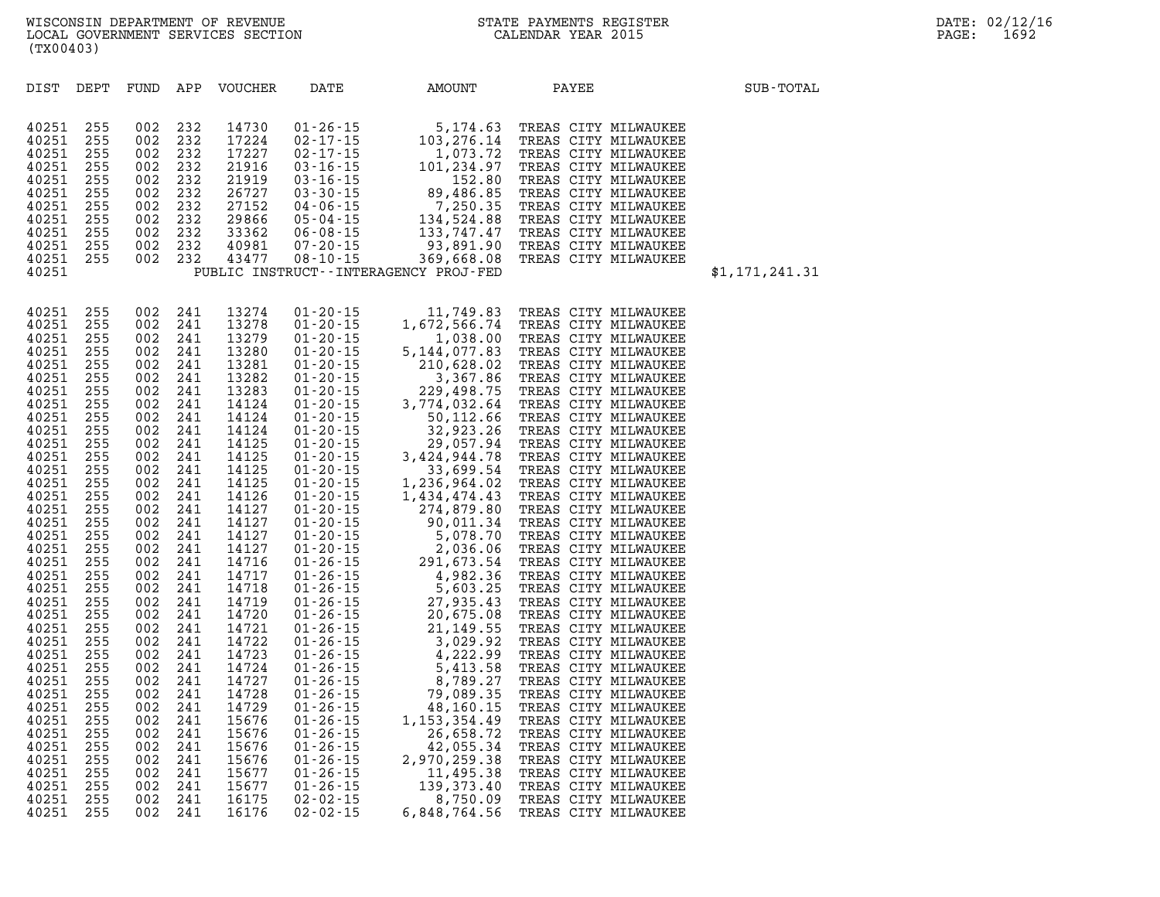| DIST           | DEPT       | FUND APP   |            | VOUCHER        | DATE | AMOUNT                                                                                                                                                                                                                                                              | PAYEE                                        | SUB-TOTAL      |
|----------------|------------|------------|------------|----------------|------|---------------------------------------------------------------------------------------------------------------------------------------------------------------------------------------------------------------------------------------------------------------------|----------------------------------------------|----------------|
|                |            |            |            |                |      |                                                                                                                                                                                                                                                                     |                                              |                |
| 40251          | 255        | 002        | 232        | 14730          |      | 01-26-15 5, 174.63<br>02-17-15 103, 276.14<br>02-17-15 1, 073.72<br>03-16-15 101, 234.97<br>03-16-15 152.80<br>03-30-15 89, 486.85<br>04-06-15 7, 250.35<br>05-04-15 133, 747.47<br>07-20-15 369, 668.08<br>TRUCT--INTERAGENCY PROJ-FED                             | TREAS CITY MILWAUKEE                         |                |
| 40251          | 255        | 002        | 232        | 17224          |      |                                                                                                                                                                                                                                                                     | TREAS CITY MILWAUKEE                         |                |
| 40251          | 255        | 002        | 232        | 17227          |      |                                                                                                                                                                                                                                                                     | TREAS CITY MILWAUKEE                         |                |
| 40251          | 255        | 002        | 232        | 21916          |      |                                                                                                                                                                                                                                                                     | TREAS CITY MILWAUKEE                         |                |
| 40251          | 255        | 002        | 232        | 21919          |      |                                                                                                                                                                                                                                                                     | TREAS CITY MILWAUKEE                         |                |
| 40251          | 255        | 002        | 232        | 26727          |      |                                                                                                                                                                                                                                                                     | TREAS CITY MILWAUKEE                         |                |
| 40251          | 255        | 002        | 232        | 27152          |      |                                                                                                                                                                                                                                                                     | TREAS CITY MILWAUKEE                         |                |
| 40251          | 255        | 002        | 232        | 29866          |      |                                                                                                                                                                                                                                                                     | TREAS CITY MILWAUKEE                         |                |
| 40251          | 255        | 002        | 232        | 33362          |      |                                                                                                                                                                                                                                                                     | TREAS CITY MILWAUKEE                         |                |
| 40251          | 255        | 002        | 232        | 40981          |      |                                                                                                                                                                                                                                                                     | TREAS CITY MILWAUKEE                         |                |
| 40251          | 255        | 002        | 232        | 43477          |      |                                                                                                                                                                                                                                                                     | TREAS CITY MILWAUKEE                         |                |
| 40251          |            |            |            |                |      | PUBLIC INSTRUCT - - INTERAGENCY PROJ-FED                                                                                                                                                                                                                            |                                              | \$1,171,241.31 |
|                |            |            |            |                |      | $\begin{array}{cccc} 01-20-15 & 11, 749.83 \\ 01-20-15 & 1, 672, 566.74 \\ 01-20-15 & 1, 038.00 \\ 01-20-15 & 5, 144, 077.83 \\ 01-20-15 & 210, 628.02 \\ 01-20-15 & 274, 932.64 \\ 01-20-15 & 3, 774, 032.64 \\ 01-20-15 & 3, 774, 032.64 \\ 01-20-15 & 329, 498.$ |                                              |                |
| 40251          | 255        | 002        | 241        | 13274          |      |                                                                                                                                                                                                                                                                     | TREAS CITY MILWAUKEE                         |                |
| 40251          | 255        | 002        | 241        | 13278          |      |                                                                                                                                                                                                                                                                     | TREAS CITY MILWAUKEE                         |                |
| 40251          | 255        | 002        | 241        | 13279          |      |                                                                                                                                                                                                                                                                     | TREAS CITY MILWAUKEE                         |                |
| 40251          | 255        | 002        | 241        | 13280          |      |                                                                                                                                                                                                                                                                     | TREAS CITY MILWAUKEE                         |                |
| 40251          | 255        | 002        | 241        | 13281          |      |                                                                                                                                                                                                                                                                     | TREAS CITY MILWAUKEE                         |                |
| 40251          | 255        | 002        | 241        | 13282          |      |                                                                                                                                                                                                                                                                     | TREAS CITY MILWAUKEE                         |                |
| 40251          | 255        | 002        | 241        | 13283          |      |                                                                                                                                                                                                                                                                     | TREAS CITY MILWAUKEE                         |                |
| 40251          | 255        | 002        | 241        | 14124          |      |                                                                                                                                                                                                                                                                     | TREAS CITY MILWAUKEE                         |                |
| 40251          | 255        | 002        | 241        | 14124          |      |                                                                                                                                                                                                                                                                     | TREAS CITY MILWAUKEE                         |                |
| 40251          | 255        | 002        | 241        | 14124          |      |                                                                                                                                                                                                                                                                     | TREAS CITY MILWAUKEE                         |                |
| 40251          | 255        | 002        | 241        | 14125          |      |                                                                                                                                                                                                                                                                     | TREAS CITY MILWAUKEE                         |                |
| 40251          | 255        | 002        | 241        | 14125          |      |                                                                                                                                                                                                                                                                     | TREAS CITY MILWAUKEE                         |                |
| 40251          | 255        | 002        | 241        | 14125          |      |                                                                                                                                                                                                                                                                     | TREAS CITY MILWAUKEE                         |                |
| 40251          | 255        | 002        | 241        | 14125          |      |                                                                                                                                                                                                                                                                     | TREAS CITY MILWAUKEE                         |                |
| 40251          | 255        | 002        | 241        | 14126          |      |                                                                                                                                                                                                                                                                     | TREAS CITY MILWAUKEE                         |                |
| 40251          | 255        | 002        | 241        | 14127          |      |                                                                                                                                                                                                                                                                     | TREAS CITY MILWAUKEE                         |                |
| 40251          | 255        | 002        | 241        | 14127          |      |                                                                                                                                                                                                                                                                     | TREAS CITY MILWAUKEE                         |                |
| 40251          | 255        | 002        | 241        | 14127          |      |                                                                                                                                                                                                                                                                     | TREAS CITY MILWAUKEE                         |                |
| 40251          | 255        | 002        | 241        | 14127          |      |                                                                                                                                                                                                                                                                     | TREAS CITY MILWAUKEE                         |                |
| 40251          | 255        | 002        | 241        | 14716          |      |                                                                                                                                                                                                                                                                     | TREAS CITY MILWAUKEE                         |                |
| 40251          | 255        | 002        | 241        | 14717<br>14718 |      |                                                                                                                                                                                                                                                                     | TREAS CITY MILWAUKEE                         |                |
| 40251<br>40251 | 255<br>255 | 002<br>002 | 241<br>241 | 14719          |      |                                                                                                                                                                                                                                                                     | TREAS CITY MILWAUKEE<br>TREAS CITY MILWAUKEE |                |
| 40251          | 255        | 002        | 241        | 14720          |      |                                                                                                                                                                                                                                                                     | TREAS CITY MILWAUKEE                         |                |
| 40251          | 255        | 002        | 241        | 14721          |      |                                                                                                                                                                                                                                                                     | TREAS CITY MILWAUKEE                         |                |
| 40251          | 255        | 002        | 241        | 14722          |      |                                                                                                                                                                                                                                                                     | TREAS CITY MILWAUKEE                         |                |
| 40251          | 255        | 002        | 241        | 14723          |      |                                                                                                                                                                                                                                                                     | TREAS CITY MILWAUKEE                         |                |
| 40251          | 255        | 002        | 241        | 14724          |      |                                                                                                                                                                                                                                                                     | TREAS CITY MILWAUKEE                         |                |
| 40251          | 255        | 002        | 241        | 14727          |      |                                                                                                                                                                                                                                                                     | TREAS CITY MILWAUKEE                         |                |
| 40251          | 255        | 002        | 241        | 14728          |      |                                                                                                                                                                                                                                                                     | TREAS CITY MILWAUKEE                         |                |
| 40251          | 255        | 002        | 241        | 14729          |      |                                                                                                                                                                                                                                                                     | TREAS CITY MILWAUKEE                         |                |
| 40251          | 255        | 002        | 241        | 15676          |      |                                                                                                                                                                                                                                                                     | TREAS CITY MILWAUKEE                         |                |
| 40251          | 255        | 002        | 241        | 15676          |      |                                                                                                                                                                                                                                                                     | TREAS CITY MILWAUKEE                         |                |
| 40251          | 255        | 002        | 241        | 15676          |      |                                                                                                                                                                                                                                                                     | TREAS CITY MILWAUKEE                         |                |
| 40251          | 255        | 002        | 241        | 15676          |      |                                                                                                                                                                                                                                                                     | TREAS CITY MILWAUKEE                         |                |
| 40251          | 255        | 002        | 241        | 15677          |      |                                                                                                                                                                                                                                                                     | TREAS CITY MILWAUKEE                         |                |
| 40251          | 255        | 002        | 241        | 15677          |      |                                                                                                                                                                                                                                                                     | TREAS CITY MILWAUKEE                         |                |
| 40251          | 255        | 002        | 241        | 16175          |      |                                                                                                                                                                                                                                                                     | TREAS CITY MILWAUKEE                         |                |

**40251 255 002 241 16176 02-02-15 6,848,764.56 TREAS CITY MILWAUKEE**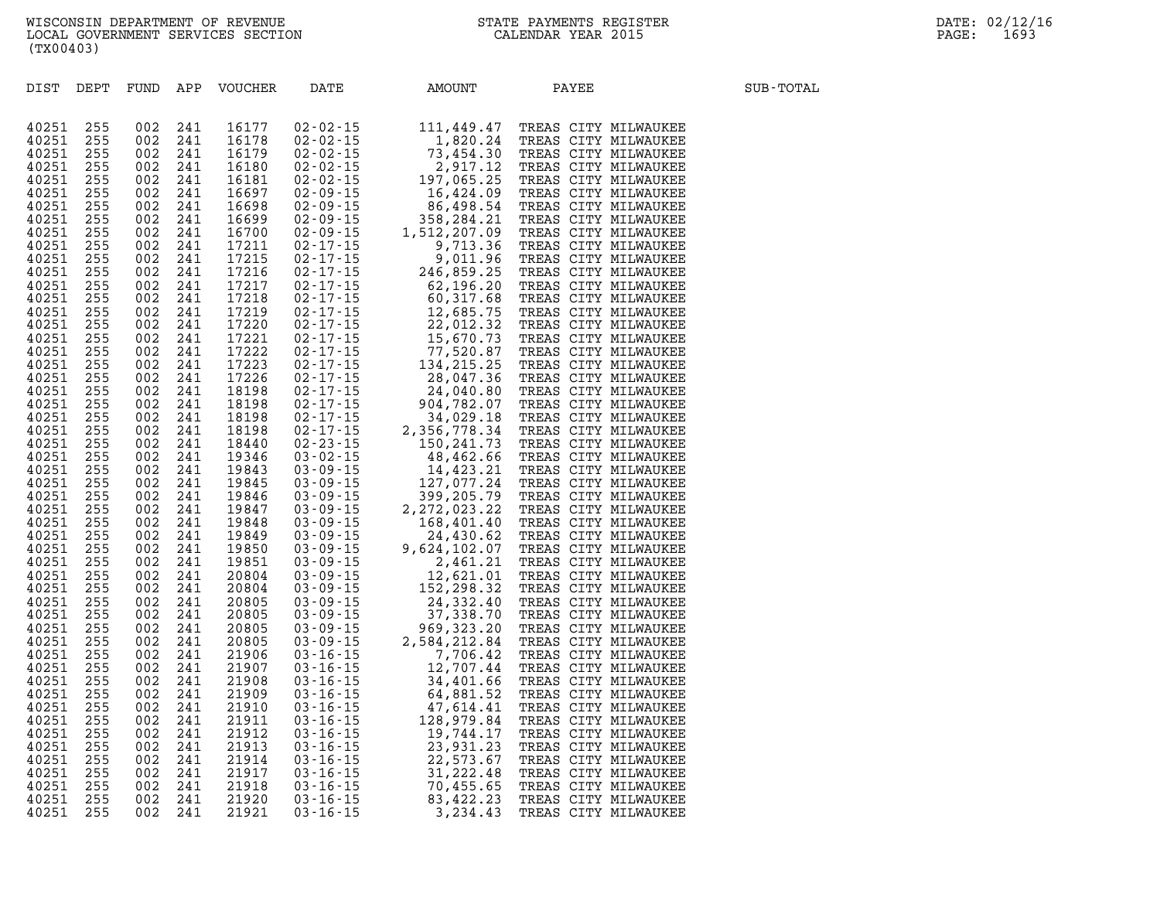| DIST           | DEPT       | FUND       | APP        | VOUCHER        | DATE | AMOUNT | PAYEE                                                                                                                                                                                                                              | SUB-TOTAL |
|----------------|------------|------------|------------|----------------|------|--------|------------------------------------------------------------------------------------------------------------------------------------------------------------------------------------------------------------------------------------|-----------|
|                |            |            |            |                |      |        | RATE MACUNT PAYER SANT TRIPADE DE SANT MILINAURES 02-101-15<br>02-02-15 11, 449.47 TREAS CITY MILINAURES 02-02-15 12, 621.10 2020<br>16, 424.09 TREAS CITY MILINAURES 02-202-15 16, 424.09 TREAS CITY MILINAURES 02-02-15 16, 424. |           |
| 40251          | 255        | 002        | 241        | 16177          |      |        |                                                                                                                                                                                                                                    |           |
| 40251          | 255        | 002        | 241        | 16178          |      |        |                                                                                                                                                                                                                                    |           |
| 40251          | 255        | 002        | 241        | 16179          |      |        |                                                                                                                                                                                                                                    |           |
| 40251          | 255        | 002        | 241        | 16180          |      |        |                                                                                                                                                                                                                                    |           |
| 40251          | 255        | 002        | 241        | 16181          |      |        |                                                                                                                                                                                                                                    |           |
| 40251          | 255        | 002        | 241        | 16697          |      |        |                                                                                                                                                                                                                                    |           |
| 40251          | 255        | 002        | 241        | 16698          |      |        |                                                                                                                                                                                                                                    |           |
| 40251          | 255        | 002        | 241        | 16699          |      |        |                                                                                                                                                                                                                                    |           |
| 40251          | 255        | 002        | 241        | 16700          |      |        |                                                                                                                                                                                                                                    |           |
| 40251          | 255        | 002        | 241        | 17211          |      |        |                                                                                                                                                                                                                                    |           |
| 40251          | 255        | 002        | 241        | 17215          |      |        |                                                                                                                                                                                                                                    |           |
| 40251          | 255        | 002        | 241        | 17216          |      |        |                                                                                                                                                                                                                                    |           |
| 40251          | 255        | 002        | 241        | 17217          |      |        |                                                                                                                                                                                                                                    |           |
| 40251          | 255        | 002        | 241        | 17218          |      |        |                                                                                                                                                                                                                                    |           |
| 40251          | 255        | 002        | 241        | 17219          |      |        |                                                                                                                                                                                                                                    |           |
| 40251          | 255        | 002        | 241        | 17220          |      |        |                                                                                                                                                                                                                                    |           |
| 40251          | 255        | 002        | 241        | 17221          |      |        |                                                                                                                                                                                                                                    |           |
| 40251          | 255        | 002        | 241        | 17222          |      |        |                                                                                                                                                                                                                                    |           |
| 40251          | 255        | 002        | 241        | 17223          |      |        |                                                                                                                                                                                                                                    |           |
| 40251          | 255        | 002        | 241        | 17226          |      |        |                                                                                                                                                                                                                                    |           |
| 40251          | 255        | 002        | 241        | 18198          |      |        |                                                                                                                                                                                                                                    |           |
| 40251          | 255        | 002        | 241        | 18198          |      |        |                                                                                                                                                                                                                                    |           |
| 40251          | 255        | 002        | 241        | 18198          |      |        |                                                                                                                                                                                                                                    |           |
| 40251          | 255        | 002        | 241        | 18198          |      |        |                                                                                                                                                                                                                                    |           |
| 40251          | 255        | 002        | 241        | 18440          |      |        |                                                                                                                                                                                                                                    |           |
| 40251          | 255        | 002        | 241        | 19346          |      |        |                                                                                                                                                                                                                                    |           |
| 40251          | 255        | 002        | 241        | 19843          |      |        |                                                                                                                                                                                                                                    |           |
| 40251          | 255        | 002        | 241        | 19845          |      |        |                                                                                                                                                                                                                                    |           |
| 40251          | 255        | 002        | 241        | 19846          |      |        |                                                                                                                                                                                                                                    |           |
| 40251          | 255        | 002        | 241        | 19847          |      |        |                                                                                                                                                                                                                                    |           |
| 40251          | 255        | 002        | 241        | 19848          |      |        |                                                                                                                                                                                                                                    |           |
| 40251          | 255        | 002        | 241        | 19849          |      |        |                                                                                                                                                                                                                                    |           |
| 40251          | 255        | 002        | 241        | 19850          |      |        |                                                                                                                                                                                                                                    |           |
| 40251          | 255        | 002        | 241        | 19851          |      |        |                                                                                                                                                                                                                                    |           |
| 40251          | 255        | 002        | 241        | 20804          |      |        |                                                                                                                                                                                                                                    |           |
| 40251          | 255        | 002        | 241        | 20804          |      |        |                                                                                                                                                                                                                                    |           |
| 40251          | 255<br>255 | 002<br>002 | 241<br>241 | 20805          |      |        |                                                                                                                                                                                                                                    |           |
| 40251          |            |            |            | 20805          |      |        |                                                                                                                                                                                                                                    |           |
| 40251          | 255<br>255 | 002<br>002 | 241<br>241 | 20805<br>20805 |      |        |                                                                                                                                                                                                                                    |           |
| 40251<br>40251 | 255        | 002        | 241        | 21906          |      |        |                                                                                                                                                                                                                                    |           |
| 40251          | 255        | 002        | 241        | 21907          |      |        |                                                                                                                                                                                                                                    |           |
| 40251          | 255        | 002        | 241        | 21908          |      |        |                                                                                                                                                                                                                                    |           |
| 40251          | 255        | 002        | 241        | 21909          |      |        |                                                                                                                                                                                                                                    |           |
| 40251          | 255        | 002        | 241        | 21910          |      |        |                                                                                                                                                                                                                                    |           |
| 40251          | 255        | 002        | 241        | 21911          |      |        |                                                                                                                                                                                                                                    |           |
| 40251          | 255        | 002        | 241        | 21912          |      |        |                                                                                                                                                                                                                                    |           |
| 40251          | 255        | 002        | 241        | 21913          |      |        |                                                                                                                                                                                                                                    |           |
| 40251          | 255        | 002        | 241        | 21914          |      |        |                                                                                                                                                                                                                                    |           |
| 40251          | 255        | 002        | 241        | 21917          |      |        |                                                                                                                                                                                                                                    |           |
| 40251          | 255        | 002        | 241        | 21918          |      |        |                                                                                                                                                                                                                                    |           |
| 40251          | 255        | 002        | 241        | 21920          |      |        |                                                                                                                                                                                                                                    |           |
| 40251          | 255        | 002        | 241        | 21921          |      |        |                                                                                                                                                                                                                                    |           |
|                |            |            |            |                |      |        |                                                                                                                                                                                                                                    |           |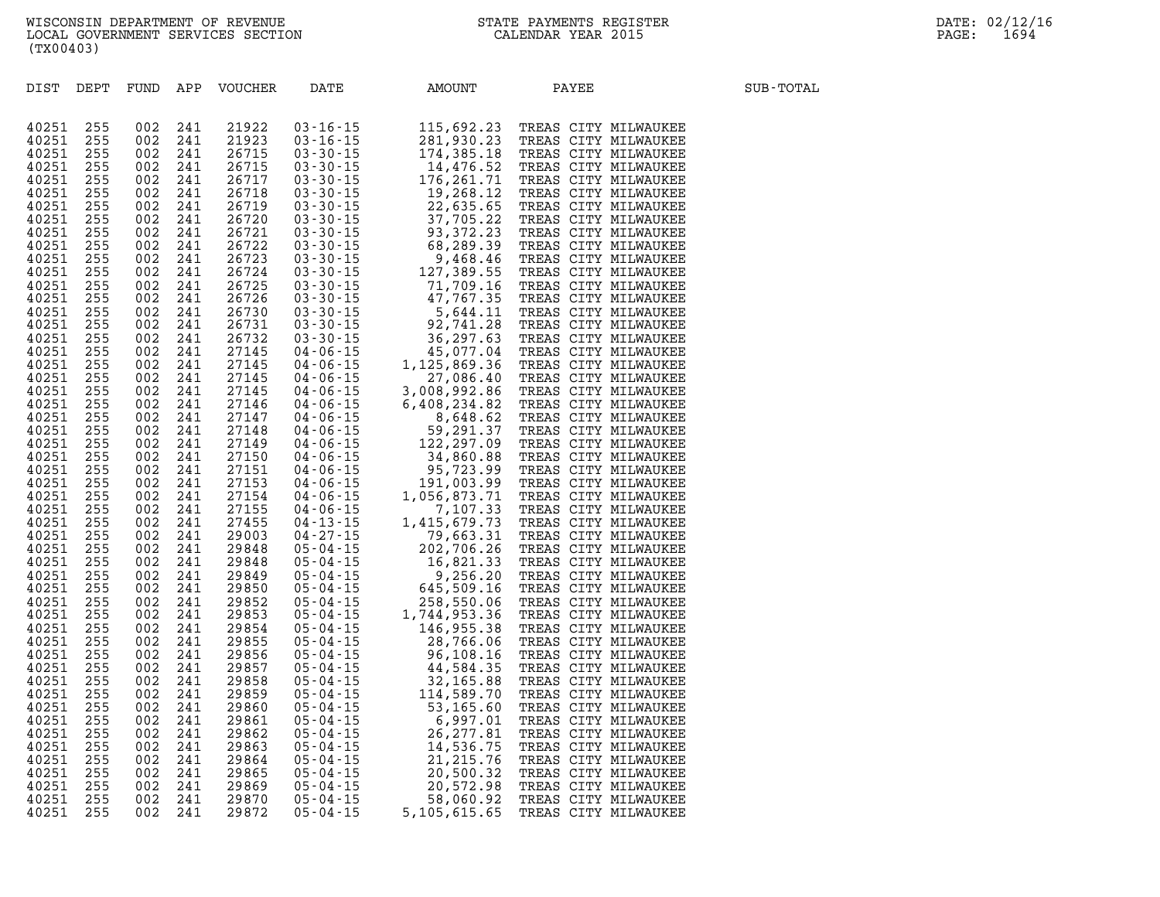| DIST DEPT |     | FUND APP |     | VOUCHER        | DATE | AMOUNT<br>DATE MAJOUNT PAYER SERIES CITY MILMAUKEE<br>03 - 16 - 15 - 12 - 22 - 23 - TREAS CITY MILMAUKEE<br>03 - 16 - 15 - 14 - 476. 52 - TREAS CITY MILMAUKEE<br>03 - 30 - 15 - 14 - 476. 52 - TREAS CITY MILMAUKEE<br>03 - 30 - 15 - 14 - 476. | PAYEE | SUB-TOTAL |
|-----------|-----|----------|-----|----------------|------|--------------------------------------------------------------------------------------------------------------------------------------------------------------------------------------------------------------------------------------------------|-------|-----------|
|           |     |          |     |                |      |                                                                                                                                                                                                                                                  |       |           |
| 40251     | 255 | 002      | 241 | 21922          |      |                                                                                                                                                                                                                                                  |       |           |
| 40251     | 255 | 002      | 241 | 21923          |      |                                                                                                                                                                                                                                                  |       |           |
| 40251     | 255 | 002      | 241 | 26715          |      |                                                                                                                                                                                                                                                  |       |           |
| 40251     | 255 | 002      | 241 | 26715          |      |                                                                                                                                                                                                                                                  |       |           |
| 40251     | 255 | 002      | 241 | 26717          |      |                                                                                                                                                                                                                                                  |       |           |
| 40251     | 255 | 002      | 241 | 26718          |      |                                                                                                                                                                                                                                                  |       |           |
| 40251     | 255 | 002      | 241 | 26719          |      |                                                                                                                                                                                                                                                  |       |           |
| 40251     | 255 | 002      | 241 | 26720          |      |                                                                                                                                                                                                                                                  |       |           |
| 40251     | 255 | 002      | 241 | 26721          |      |                                                                                                                                                                                                                                                  |       |           |
| 40251     | 255 | 002      | 241 | 26722          |      |                                                                                                                                                                                                                                                  |       |           |
| 40251     | 255 | 002      | 241 | 26723          |      |                                                                                                                                                                                                                                                  |       |           |
| 40251     | 255 | 002      | 241 | 26724          |      |                                                                                                                                                                                                                                                  |       |           |
| 40251     | 255 | 002      | 241 | 26725          |      |                                                                                                                                                                                                                                                  |       |           |
| 40251     | 255 | 002      | 241 | 26726          |      |                                                                                                                                                                                                                                                  |       |           |
| 40251     | 255 | 002      | 241 | 26730          |      |                                                                                                                                                                                                                                                  |       |           |
| 40251     | 255 | 002      | 241 | 26731          |      |                                                                                                                                                                                                                                                  |       |           |
| 40251     | 255 | 002      | 241 | 26732          |      |                                                                                                                                                                                                                                                  |       |           |
| 40251     | 255 | 002      | 241 | 27145          |      |                                                                                                                                                                                                                                                  |       |           |
| 40251     | 255 | 002      | 241 | 27145          |      |                                                                                                                                                                                                                                                  |       |           |
| 40251     | 255 | 002      | 241 | 27145          |      |                                                                                                                                                                                                                                                  |       |           |
| 40251     | 255 | 002      | 241 | 27145          |      |                                                                                                                                                                                                                                                  |       |           |
| 40251     | 255 | 002      | 241 | 27146          |      |                                                                                                                                                                                                                                                  |       |           |
| 40251     | 255 | 002      | 241 | 27147          |      |                                                                                                                                                                                                                                                  |       |           |
| 40251     | 255 | 002      | 241 | 27148          |      |                                                                                                                                                                                                                                                  |       |           |
| 40251     | 255 | 002      | 241 | 27149          |      |                                                                                                                                                                                                                                                  |       |           |
| 40251     | 255 | 002      | 241 | 27150          |      |                                                                                                                                                                                                                                                  |       |           |
| 40251     | 255 | 002      | 241 | 27151          |      |                                                                                                                                                                                                                                                  |       |           |
| 40251     | 255 | 002      | 241 | 27153          |      |                                                                                                                                                                                                                                                  |       |           |
| 40251     | 255 | 002      | 241 | 27154          |      |                                                                                                                                                                                                                                                  |       |           |
| 40251     | 255 | 002      | 241 | 27155          |      |                                                                                                                                                                                                                                                  |       |           |
| 40251     | 255 | 002      | 241 | 27455          |      |                                                                                                                                                                                                                                                  |       |           |
| 40251     | 255 | 002      | 241 | 29003          |      |                                                                                                                                                                                                                                                  |       |           |
| 40251     | 255 | 002      | 241 | 29848          |      |                                                                                                                                                                                                                                                  |       |           |
| 40251     | 255 | 002      | 241 | 29848          |      |                                                                                                                                                                                                                                                  |       |           |
| 40251     | 255 | 002      | 241 | 29849          |      |                                                                                                                                                                                                                                                  |       |           |
| 40251     | 255 | 002      | 241 | 29850          |      |                                                                                                                                                                                                                                                  |       |           |
| 40251     | 255 | 002      | 241 | 29852          |      |                                                                                                                                                                                                                                                  |       |           |
| 40251     | 255 | 002      | 241 | 29853          |      |                                                                                                                                                                                                                                                  |       |           |
| 40251     | 255 | 002      | 241 | 29854          |      |                                                                                                                                                                                                                                                  |       |           |
| 40251     | 255 | 002      | 241 | 29855          |      |                                                                                                                                                                                                                                                  |       |           |
| 40251     | 255 | 002      | 241 | 29856          |      |                                                                                                                                                                                                                                                  |       |           |
| 40251     | 255 | 002      | 241 | 29857          |      |                                                                                                                                                                                                                                                  |       |           |
| 40251     | 255 | 002      | 241 | 29858          |      |                                                                                                                                                                                                                                                  |       |           |
| 40251     | 255 | 002      | 241 | 29859          |      |                                                                                                                                                                                                                                                  |       |           |
| 40251     | 255 | 002      | 241 | 29860          |      |                                                                                                                                                                                                                                                  |       |           |
| 40251     | 255 | 002      | 241 | 29861          |      |                                                                                                                                                                                                                                                  |       |           |
| 40251     | 255 | 002      | 241 | 29862          |      |                                                                                                                                                                                                                                                  |       |           |
| 40251     | 255 | 002      | 241 | 29863          |      |                                                                                                                                                                                                                                                  |       |           |
| 40251     | 255 | 002      | 241 | 29864          |      |                                                                                                                                                                                                                                                  |       |           |
| 40251     | 255 | 002      | 241 | 29865          |      |                                                                                                                                                                                                                                                  |       |           |
| 40251     | 255 | 002      | 241 | 29869<br>29870 |      |                                                                                                                                                                                                                                                  |       |           |
| 40251     | 255 | 002      | 241 |                |      |                                                                                                                                                                                                                                                  |       |           |
| 40251     | 255 | 002      | 241 | 29872          |      |                                                                                                                                                                                                                                                  |       |           |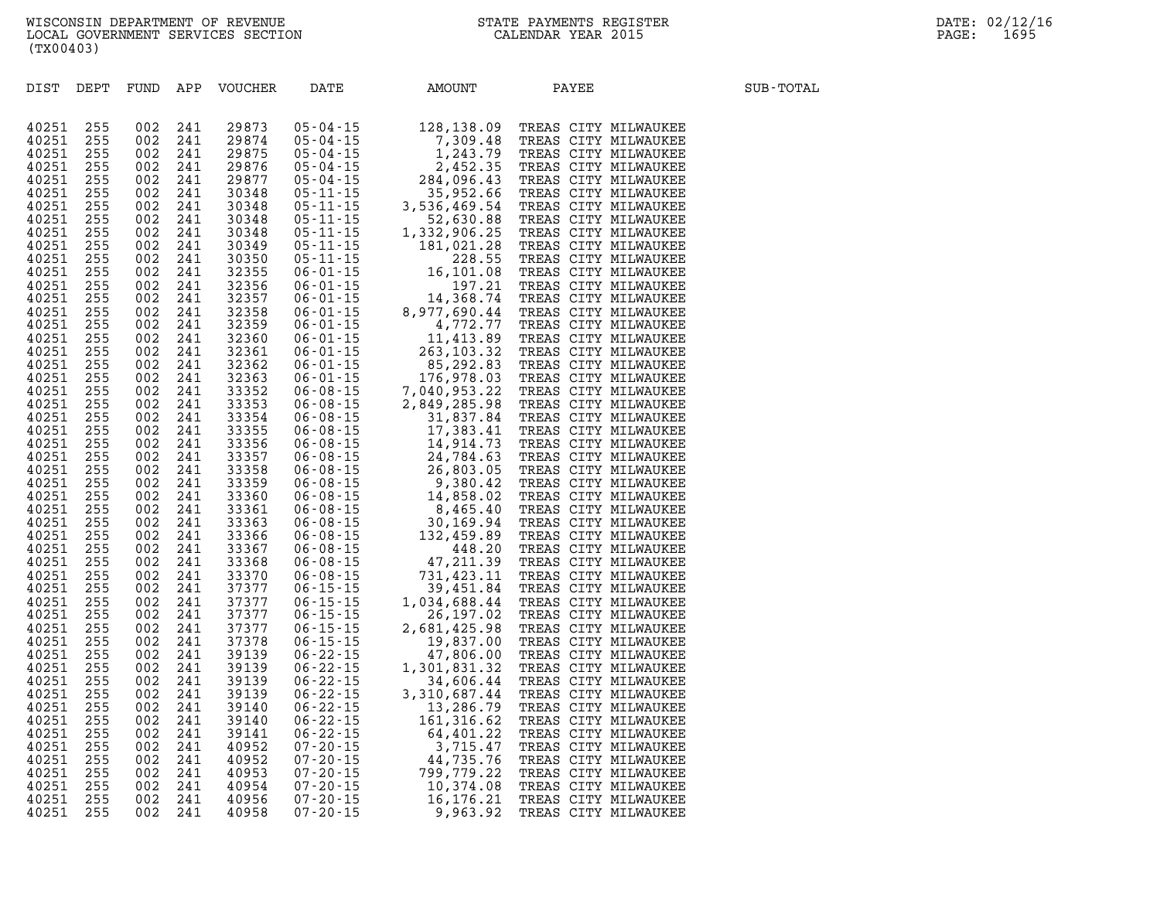| DIST DEPT |     | FUND | APP | VOUCHER | DATE | AMOUNT<br>DATE 32, 138.09 TREAS CITY MILMAUKEE<br>05 - 04 -15 128, 138.09 TREAS CITY MILMAUKEE<br>05-04 -15 128, 138.09 TREAS CITY MILMAUKEE<br>05-04 -15 128, 138.09 TREAS CITY MILMAUKEE<br>05-04 -15 128, 445.05 TREAS CITY MILMAUKEE<br>05-04 | PAYEE | SUB-TOTAL |
|-----------|-----|------|-----|---------|------|---------------------------------------------------------------------------------------------------------------------------------------------------------------------------------------------------------------------------------------------------|-------|-----------|
|           |     |      |     |         |      |                                                                                                                                                                                                                                                   |       |           |
| 40251     | 255 | 002  | 241 | 29873   |      |                                                                                                                                                                                                                                                   |       |           |
| 40251     | 255 | 002  | 241 | 29874   |      |                                                                                                                                                                                                                                                   |       |           |
| 40251     | 255 | 002  | 241 | 29875   |      |                                                                                                                                                                                                                                                   |       |           |
| 40251     | 255 | 002  | 241 | 29876   |      |                                                                                                                                                                                                                                                   |       |           |
| 40251     | 255 | 002  | 241 | 29877   |      |                                                                                                                                                                                                                                                   |       |           |
| 40251     | 255 | 002  | 241 | 30348   |      |                                                                                                                                                                                                                                                   |       |           |
| 40251     | 255 | 002  | 241 | 30348   |      |                                                                                                                                                                                                                                                   |       |           |
| 40251     | 255 | 002  | 241 | 30348   |      |                                                                                                                                                                                                                                                   |       |           |
| 40251     | 255 | 002  | 241 | 30348   |      |                                                                                                                                                                                                                                                   |       |           |
| 40251     | 255 | 002  | 241 | 30349   |      |                                                                                                                                                                                                                                                   |       |           |
| 40251     | 255 | 002  | 241 | 30350   |      |                                                                                                                                                                                                                                                   |       |           |
| 40251     | 255 | 002  | 241 | 32355   |      |                                                                                                                                                                                                                                                   |       |           |
| 40251     | 255 | 002  | 241 | 32356   |      |                                                                                                                                                                                                                                                   |       |           |
| 40251     | 255 | 002  | 241 | 32357   |      |                                                                                                                                                                                                                                                   |       |           |
| 40251     | 255 | 002  | 241 | 32358   |      |                                                                                                                                                                                                                                                   |       |           |
| 40251     | 255 | 002  | 241 | 32359   |      |                                                                                                                                                                                                                                                   |       |           |
| 40251     | 255 | 002  | 241 | 32360   |      |                                                                                                                                                                                                                                                   |       |           |
| 40251     | 255 | 002  | 241 | 32361   |      |                                                                                                                                                                                                                                                   |       |           |
| 40251     | 255 | 002  | 241 | 32362   |      |                                                                                                                                                                                                                                                   |       |           |
| 40251     | 255 | 002  | 241 | 32363   |      |                                                                                                                                                                                                                                                   |       |           |
| 40251     | 255 | 002  | 241 | 33352   |      |                                                                                                                                                                                                                                                   |       |           |
| 40251     | 255 | 002  | 241 | 33353   |      |                                                                                                                                                                                                                                                   |       |           |
| 40251     | 255 | 002  | 241 | 33354   |      |                                                                                                                                                                                                                                                   |       |           |
| 40251     | 255 | 002  | 241 | 33355   |      |                                                                                                                                                                                                                                                   |       |           |
| 40251     | 255 | 002  | 241 | 33356   |      |                                                                                                                                                                                                                                                   |       |           |
| 40251     | 255 | 002  | 241 | 33357   |      |                                                                                                                                                                                                                                                   |       |           |
| 40251     | 255 | 002  | 241 | 33358   |      |                                                                                                                                                                                                                                                   |       |           |
| 40251     | 255 | 002  | 241 | 33359   |      |                                                                                                                                                                                                                                                   |       |           |
| 40251     | 255 | 002  | 241 | 33360   |      |                                                                                                                                                                                                                                                   |       |           |
| 40251     | 255 | 002  | 241 | 33361   |      |                                                                                                                                                                                                                                                   |       |           |
| 40251     | 255 | 002  | 241 | 33363   |      |                                                                                                                                                                                                                                                   |       |           |
| 40251     | 255 | 002  | 241 | 33366   |      |                                                                                                                                                                                                                                                   |       |           |
| 40251     | 255 | 002  | 241 | 33367   |      |                                                                                                                                                                                                                                                   |       |           |
| 40251     | 255 | 002  | 241 | 33368   |      |                                                                                                                                                                                                                                                   |       |           |
| 40251     | 255 | 002  | 241 | 33370   |      |                                                                                                                                                                                                                                                   |       |           |
| 40251     | 255 | 002  | 241 | 37377   |      |                                                                                                                                                                                                                                                   |       |           |
| 40251     | 255 | 002  | 241 | 37377   |      |                                                                                                                                                                                                                                                   |       |           |
| 40251     | 255 | 002  | 241 | 37377   |      |                                                                                                                                                                                                                                                   |       |           |
| 40251     | 255 | 002  | 241 | 37377   |      |                                                                                                                                                                                                                                                   |       |           |
| 40251     | 255 | 002  | 241 | 37378   |      |                                                                                                                                                                                                                                                   |       |           |
| 40251     | 255 | 002  | 241 | 39139   |      |                                                                                                                                                                                                                                                   |       |           |
| 40251     | 255 | 002  | 241 | 39139   |      |                                                                                                                                                                                                                                                   |       |           |
| 40251     | 255 | 002  | 241 | 39139   |      |                                                                                                                                                                                                                                                   |       |           |
| 40251     | 255 | 002  | 241 | 39139   |      |                                                                                                                                                                                                                                                   |       |           |
| 40251     | 255 | 002  | 241 | 39140   |      |                                                                                                                                                                                                                                                   |       |           |
| 40251     | 255 | 002  | 241 | 39140   |      |                                                                                                                                                                                                                                                   |       |           |
| 40251     | 255 | 002  | 241 | 39141   |      |                                                                                                                                                                                                                                                   |       |           |
| 40251     | 255 | 002  | 241 | 40952   |      |                                                                                                                                                                                                                                                   |       |           |
| 40251     | 255 | 002  | 241 | 40952   |      |                                                                                                                                                                                                                                                   |       |           |
| 40251     | 255 | 002  | 241 | 40953   |      |                                                                                                                                                                                                                                                   |       |           |
| 40251     | 255 | 002  | 241 | 40954   |      |                                                                                                                                                                                                                                                   |       |           |
| 40251     | 255 | 002  | 241 | 40956   |      |                                                                                                                                                                                                                                                   |       |           |
| 40251     | 255 | 002  | 241 | 40958   |      |                                                                                                                                                                                                                                                   |       |           |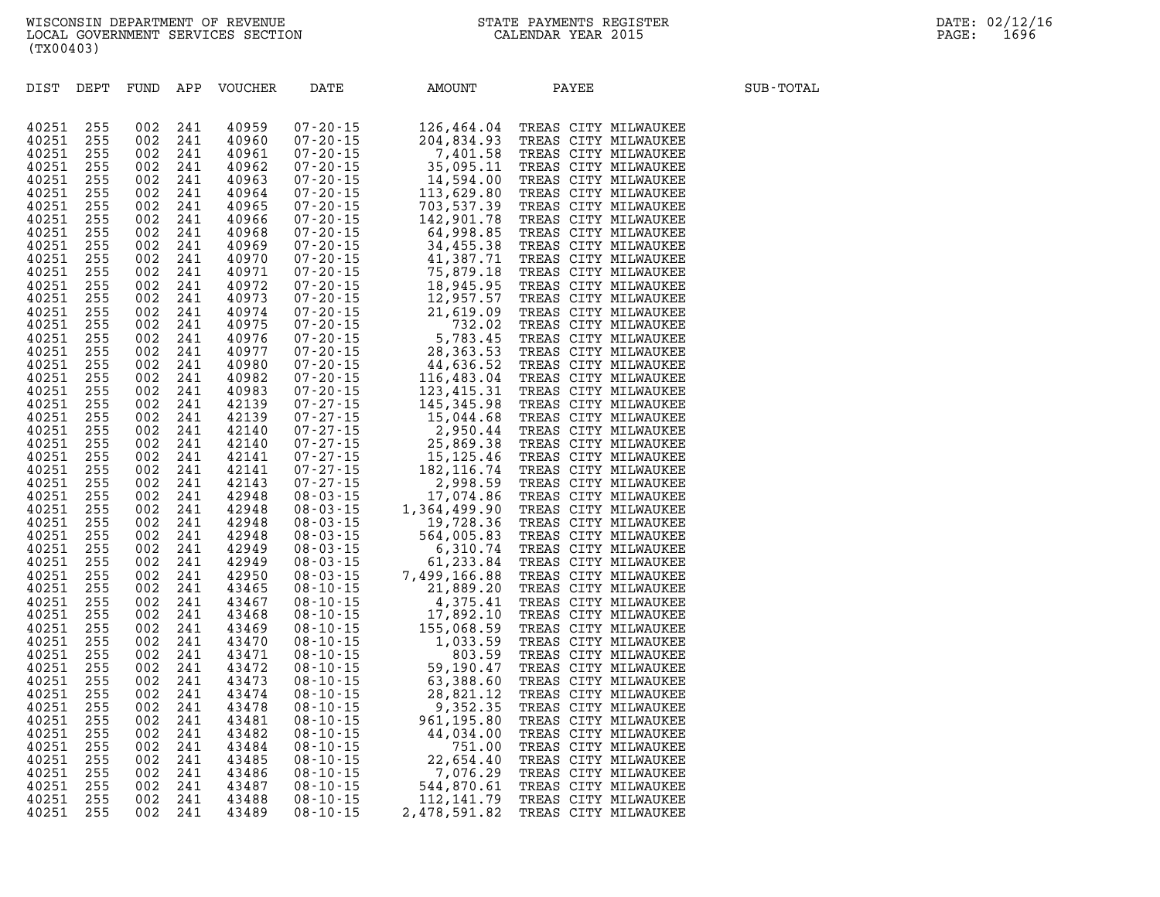| DIST DEPT      |            | FUND APP   |            | VOUCHER        | DATE | AMOUNT                                                                                                                                                                                                                                | PAYEE | SUB-TOTAL |
|----------------|------------|------------|------------|----------------|------|---------------------------------------------------------------------------------------------------------------------------------------------------------------------------------------------------------------------------------------|-------|-----------|
|                |            |            |            |                |      | PATE 200115 126.461.04 TREAS CITY MILMAUKEE<br>07-200115 20012011 126.544.04 TREAS CITY MILMAUKEE<br>07-200115 20012011 126.544.04 TREAS CITY MILMAUKEE<br>07-200115 14.594.05 TREAS CITY MILMAUKEE<br>07-200115 14.594.00 TREAS CITY |       |           |
| 40251          | 255        | 002        | 241        | 40959          |      |                                                                                                                                                                                                                                       |       |           |
| 40251          | 255        | 002        | 241        | 40960          |      |                                                                                                                                                                                                                                       |       |           |
| 40251          | 255        | 002        | 241        | 40961          |      |                                                                                                                                                                                                                                       |       |           |
| 40251          | 255        | 002        | 241        | 40962          |      |                                                                                                                                                                                                                                       |       |           |
| 40251          | 255        | 002        | 241        | 40963          |      |                                                                                                                                                                                                                                       |       |           |
| 40251          | 255        | 002        | 241        | 40964          |      |                                                                                                                                                                                                                                       |       |           |
| 40251          | 255        | 002        | 241        | 40965          |      |                                                                                                                                                                                                                                       |       |           |
| 40251          | 255        | 002        | 241        | 40966          |      |                                                                                                                                                                                                                                       |       |           |
| 40251          | 255        | 002        | 241        | 40968          |      |                                                                                                                                                                                                                                       |       |           |
| 40251          | 255        | 002        | 241        | 40969          |      |                                                                                                                                                                                                                                       |       |           |
| 40251          | 255        | 002        | 241        | 40970          |      |                                                                                                                                                                                                                                       |       |           |
| 40251          | 255        | 002        | 241        | 40971          |      |                                                                                                                                                                                                                                       |       |           |
| 40251          | 255        | 002        | 241        | 40972          |      |                                                                                                                                                                                                                                       |       |           |
| 40251          | 255        | 002        | 241        | 40973          |      |                                                                                                                                                                                                                                       |       |           |
| 40251          | 255        | 002        | 241        | 40974          |      |                                                                                                                                                                                                                                       |       |           |
| 40251          | 255        | 002        | 241        | 40975          |      |                                                                                                                                                                                                                                       |       |           |
| 40251          | 255        | 002        | 241        | 40976          |      |                                                                                                                                                                                                                                       |       |           |
| 40251          | 255        | 002        | 241        | 40977          |      |                                                                                                                                                                                                                                       |       |           |
| 40251          | 255        | 002        | 241        | 40980          |      |                                                                                                                                                                                                                                       |       |           |
| 40251          | 255        | 002        | 241        | 40982          |      |                                                                                                                                                                                                                                       |       |           |
| 40251          | 255        | 002        | 241        | 40983          |      |                                                                                                                                                                                                                                       |       |           |
| 40251          | 255        | 002        | 241        | 42139          |      |                                                                                                                                                                                                                                       |       |           |
| 40251          | 255        | 002        | 241        | 42139          |      |                                                                                                                                                                                                                                       |       |           |
| 40251          | 255        | 002        | 241        | 42140          |      |                                                                                                                                                                                                                                       |       |           |
| 40251          | 255        | 002        | 241        | 42140          |      |                                                                                                                                                                                                                                       |       |           |
| 40251          | 255        | 002        | 241        | 42141          |      |                                                                                                                                                                                                                                       |       |           |
| 40251          | 255        | 002        | 241        | 42141          |      |                                                                                                                                                                                                                                       |       |           |
| 40251          | 255        | 002        | 241        | 42143          |      |                                                                                                                                                                                                                                       |       |           |
| 40251          | 255        | 002        | 241        | 42948          |      |                                                                                                                                                                                                                                       |       |           |
| 40251          | 255        | 002        | 241        | 42948          |      |                                                                                                                                                                                                                                       |       |           |
| 40251          | 255<br>255 | 002        | 241        | 42948          |      |                                                                                                                                                                                                                                       |       |           |
| 40251          |            | 002        | 241<br>241 | 42948          |      |                                                                                                                                                                                                                                       |       |           |
| 40251<br>40251 | 255        | 002        |            | 42949          |      |                                                                                                                                                                                                                                       |       |           |
|                | 255<br>255 | 002<br>002 | 241<br>241 | 42949<br>42950 |      |                                                                                                                                                                                                                                       |       |           |
| 40251<br>40251 | 255        | 002        | 241        | 43465          |      |                                                                                                                                                                                                                                       |       |           |
| 40251          | 255        | 002        | 241        | 43467          |      |                                                                                                                                                                                                                                       |       |           |
| 40251          | 255        | 002        | 241        | 43468          |      |                                                                                                                                                                                                                                       |       |           |
| 40251          | 255        | 002        | 241        | 43469          |      |                                                                                                                                                                                                                                       |       |           |
| 40251          | 255        | 002        | 241        | 43470          |      |                                                                                                                                                                                                                                       |       |           |
| 40251          | 255        | 002        | 241        | 43471          |      |                                                                                                                                                                                                                                       |       |           |
| 40251          | 255        | 002        | 241        | 43472          |      |                                                                                                                                                                                                                                       |       |           |
| 40251          | 255        | 002        | 241        | 43473          |      |                                                                                                                                                                                                                                       |       |           |
| 40251          | 255        | 002        | 241        | 43474          |      |                                                                                                                                                                                                                                       |       |           |
| 40251          | 255        | 002        | 241        | 43478          |      |                                                                                                                                                                                                                                       |       |           |
| 40251          | 255        | 002        | 241        | 43481          |      |                                                                                                                                                                                                                                       |       |           |
| 40251          | 255        | 002        | 241        | 43482          |      |                                                                                                                                                                                                                                       |       |           |
| 40251          | 255        | 002        | 241        | 43484          |      |                                                                                                                                                                                                                                       |       |           |
| 40251          | 255        | 002        | 241        | 43485          |      |                                                                                                                                                                                                                                       |       |           |
| 40251          | 255        | 002        | 241        | 43486          |      |                                                                                                                                                                                                                                       |       |           |
| 40251          | 255        | 002        | 241        | 43487          |      |                                                                                                                                                                                                                                       |       |           |
| 40251          | 255        | 002        | 241        | 43488          |      |                                                                                                                                                                                                                                       |       |           |
| 40251          | 255        | 002        | 241        | 43489          |      | 2,478,591.82                                                                                                                                                                                                                          |       |           |
|                |            |            |            |                |      |                                                                                                                                                                                                                                       |       |           |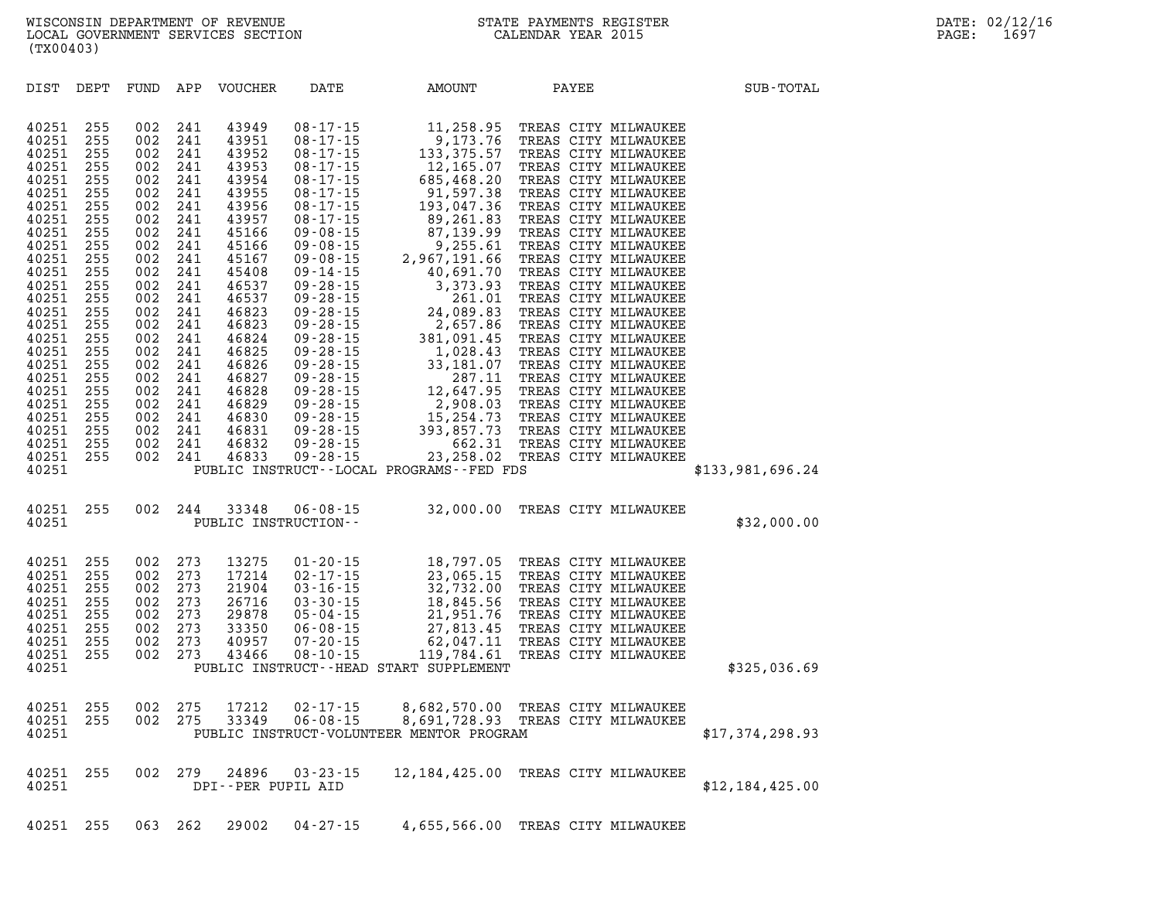| DIST                                                                                                                                                                                                                                            | DEPT                                                                                                                                                                               | FUND                                                                                                                                                                               | APP                                                                                                                                                                                | <b>VOUCHER</b>                                                                                                                                                                                                                         | DATE                                                                                                                                                                                                                                                                                                                                                                                                                                                                             | AMOUNT                                                                                                                                                                                                                                                                                                                                                                               | PAYEE                                                                                                                                                                                                                                                                                                                                                                                                                                                                                                                                                                                                                                        | SUB-TOTAL        |
|-------------------------------------------------------------------------------------------------------------------------------------------------------------------------------------------------------------------------------------------------|------------------------------------------------------------------------------------------------------------------------------------------------------------------------------------|------------------------------------------------------------------------------------------------------------------------------------------------------------------------------------|------------------------------------------------------------------------------------------------------------------------------------------------------------------------------------|----------------------------------------------------------------------------------------------------------------------------------------------------------------------------------------------------------------------------------------|----------------------------------------------------------------------------------------------------------------------------------------------------------------------------------------------------------------------------------------------------------------------------------------------------------------------------------------------------------------------------------------------------------------------------------------------------------------------------------|--------------------------------------------------------------------------------------------------------------------------------------------------------------------------------------------------------------------------------------------------------------------------------------------------------------------------------------------------------------------------------------|----------------------------------------------------------------------------------------------------------------------------------------------------------------------------------------------------------------------------------------------------------------------------------------------------------------------------------------------------------------------------------------------------------------------------------------------------------------------------------------------------------------------------------------------------------------------------------------------------------------------------------------------|------------------|
| 40251<br>40251<br>40251<br>40251<br>40251<br>40251<br>40251<br>40251<br>40251<br>40251<br>40251<br>40251<br>40251<br>40251<br>40251<br>40251<br>40251<br>40251<br>40251<br>40251<br>40251<br>40251<br>40251<br>40251<br>40251<br>40251<br>40251 | 255<br>255<br>255<br>255<br>255<br>255<br>255<br>255<br>255<br>255<br>255<br>255<br>255<br>255<br>255<br>255<br>255<br>255<br>255<br>255<br>255<br>255<br>255<br>255<br>255<br>255 | 002<br>002<br>002<br>002<br>002<br>002<br>002<br>002<br>002<br>002<br>002<br>002<br>002<br>002<br>002<br>002<br>002<br>002<br>002<br>002<br>002<br>002<br>002<br>002<br>002<br>002 | 241<br>241<br>241<br>241<br>241<br>241<br>241<br>241<br>241<br>241<br>241<br>241<br>241<br>241<br>241<br>241<br>241<br>241<br>241<br>241<br>241<br>241<br>241<br>241<br>241<br>241 | 43949<br>43951<br>43952<br>43953<br>43954<br>43955<br>43956<br>43957<br>45166<br>45166<br>45167<br>45408<br>46537<br>46537<br>46823<br>46823<br>46824<br>46825<br>46826<br>46827<br>46828<br>46829<br>46830<br>46831<br>46832<br>46833 | $08 - 17 - 15$<br>$08 - 17 - 15$<br>$08 - 17 - 15$<br>$08 - 17 - 15$<br>$08 - 17 - 15$<br>$08 - 17 - 15$<br>$08 - 17 - 15$<br>$08 - 17 - 15$<br>$09 - 08 - 15$<br>$09 - 08 - 15$<br>$09 - 08 - 15$<br>$09 - 14 - 15$<br>$09 - 28 - 15$<br>$09 - 28 - 15$<br>$09 - 28 - 15$<br>$09 - 28 - 15$<br>$09 - 28 - 15$<br>$09 - 28 - 15$<br>$09 - 28 - 15$<br>$09 - 28 - 15$<br>$09 - 28 - 15$<br>$09 - 28 - 15$<br>$09 - 28 - 15$<br>$09 - 28 - 15$<br>$09 - 28 - 15$<br>$09 - 28 - 15$ | 11,258.95<br>9,173.76<br>133,375.57<br>12,165.07<br>685,468.20<br>91,597.38<br>193,047.36<br>89,261.83<br>87,139.99<br>9,255.61<br>2,967,191.66<br>40,691.70<br>3,373.93<br>261.01<br>24,089.83<br>2,657.86<br>381,091.45<br>1,028.43<br>33,181.07<br>287.11<br>12,647.95<br>2,908.03<br>15,254.73<br>393,857.73<br>662.31<br>23, 258.02<br>PUBLIC INSTRUCT--LOCAL PROGRAMS--FED FDS | TREAS CITY MILWAUKEE<br>TREAS CITY MILWAUKEE<br>TREAS CITY MILWAUKEE<br>TREAS CITY MILWAUKEE<br>TREAS CITY MILWAUKEE<br>TREAS CITY MILWAUKEE<br>TREAS CITY MILWAUKEE<br>TREAS CITY MILWAUKEE<br>TREAS CITY MILWAUKEE<br>TREAS CITY MILWAUKEE<br>TREAS CITY MILWAUKEE<br>TREAS CITY MILWAUKEE<br>TREAS CITY MILWAUKEE<br>TREAS CITY MILWAUKEE<br>TREAS CITY MILWAUKEE<br>TREAS CITY MILWAUKEE<br>TREAS CITY MILWAUKEE<br>TREAS CITY MILWAUKEE<br>TREAS CITY MILWAUKEE<br>TREAS CITY MILWAUKEE<br>TREAS CITY MILWAUKEE<br>TREAS CITY MILWAUKEE<br>TREAS CITY MILWAUKEE<br>TREAS CITY MILWAUKEE<br>TREAS CITY MILWAUKEE<br>TREAS CITY MILWAUKEE | \$133,981,696.24 |
| 40251<br>40251                                                                                                                                                                                                                                  | 255                                                                                                                                                                                | 002                                                                                                                                                                                | 244                                                                                                                                                                                | 33348<br>PUBLIC INSTRUCTION--                                                                                                                                                                                                          | $06 - 08 - 15$                                                                                                                                                                                                                                                                                                                                                                                                                                                                   | 32,000.00                                                                                                                                                                                                                                                                                                                                                                            | TREAS CITY MILWAUKEE                                                                                                                                                                                                                                                                                                                                                                                                                                                                                                                                                                                                                         | \$32,000.00      |
| 40251<br>40251<br>40251<br>40251<br>40251<br>40251<br>40251<br>40251<br>40251                                                                                                                                                                   | 255<br>255<br>255<br>255<br>255<br>255<br>255<br>255                                                                                                                               | 002<br>002<br>002<br>002<br>002<br>002<br>002<br>002                                                                                                                               | 273<br>273<br>273<br>273<br>273<br>273<br>273<br>273                                                                                                                               | 13275<br>17214<br>21904<br>26716<br>29878<br>33350<br>40957<br>43466                                                                                                                                                                   | $01 - 20 - 15$<br>$02 - 17 - 15$<br>$03 - 16 - 15$<br>$03 - 30 - 15$<br>$05 - 04 - 15$<br>$06 - 08 - 15$<br>$07 - 20 - 15$<br>$08 - 10 - 15$                                                                                                                                                                                                                                                                                                                                     | 18,797.05<br>23,065.15<br>32,732.00<br>18,845.56<br>21,951.76<br>27,813.45<br>62,047.11<br>119,784.61<br>PUBLIC INSTRUCT--HEAD START SUPPLEMENT                                                                                                                                                                                                                                      | TREAS CITY MILWAUKEE<br>TREAS CITY MILWAUKEE<br>TREAS CITY MILWAUKEE<br>TREAS CITY MILWAUKEE<br>TREAS CITY MILWAUKEE<br>TREAS CITY MILWAUKEE<br>TREAS CITY MILWAUKEE<br>TREAS CITY MILWAUKEE                                                                                                                                                                                                                                                                                                                                                                                                                                                 | \$325,036.69     |
| 40251<br>40251<br>40251                                                                                                                                                                                                                         | 255<br>255                                                                                                                                                                         | 002<br>002                                                                                                                                                                         | 275<br>275                                                                                                                                                                         | 17212<br>33349                                                                                                                                                                                                                         | $02 - 17 - 15$<br>$06 - 08 - 15$                                                                                                                                                                                                                                                                                                                                                                                                                                                 | 8,682,570.00<br>8,691,728.93<br>PUBLIC INSTRUCT-VOLUNTEER MENTOR PROGRAM                                                                                                                                                                                                                                                                                                             | TREAS CITY MILWAUKEE<br>TREAS CITY MILWAUKEE                                                                                                                                                                                                                                                                                                                                                                                                                                                                                                                                                                                                 | \$17,374,298.93  |
| 40251<br>40251                                                                                                                                                                                                                                  | 255                                                                                                                                                                                | 002                                                                                                                                                                                | 279                                                                                                                                                                                | 24896<br>DPI--PER PUPIL AID                                                                                                                                                                                                            | $03 - 23 - 15$                                                                                                                                                                                                                                                                                                                                                                                                                                                                   | 12, 184, 425, 00                                                                                                                                                                                                                                                                                                                                                                     | TREAS CITY MILWAUKEE                                                                                                                                                                                                                                                                                                                                                                                                                                                                                                                                                                                                                         | \$12,184,425.00  |
| 40251                                                                                                                                                                                                                                           | 255                                                                                                                                                                                | 063                                                                                                                                                                                | 262                                                                                                                                                                                | 29002                                                                                                                                                                                                                                  | 04-27-15                                                                                                                                                                                                                                                                                                                                                                                                                                                                         | 4,655,566.00                                                                                                                                                                                                                                                                                                                                                                         | TREAS CITY MILWAUKEE                                                                                                                                                                                                                                                                                                                                                                                                                                                                                                                                                                                                                         |                  |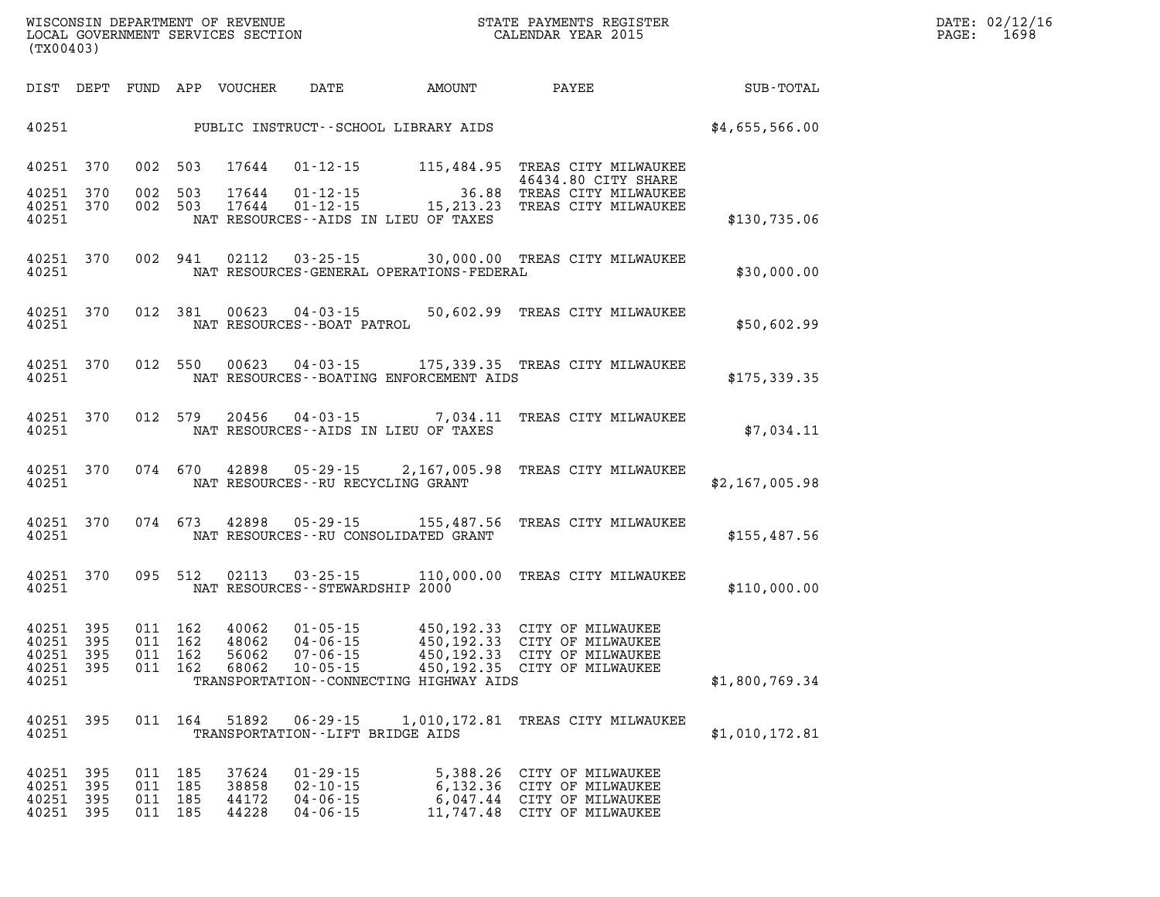| DIST                                      | <b>DEPT</b>              | FUND                     | APP                      | <b>VOUCHER</b>                   | DATE                                                                 | <b>AMOUNT</b>                                                                                   | PAYEE                                                                            | SUB-TOTAL      |
|-------------------------------------------|--------------------------|--------------------------|--------------------------|----------------------------------|----------------------------------------------------------------------|-------------------------------------------------------------------------------------------------|----------------------------------------------------------------------------------|----------------|
| 40251                                     |                          |                          |                          |                                  |                                                                      | PUBLIC INSTRUCT--SCHOOL LIBRARY AIDS                                                            |                                                                                  | \$4,655,566.00 |
| 40251                                     | 370                      | 002                      | 503                      | 17644                            | $01 - 12 - 15$                                                       | 115,484.95                                                                                      | TREAS CITY MILWAUKEE<br>46434.80 CITY SHARE                                      |                |
| 40251<br>40251<br>40251                   | 370<br>370               | 002<br>002               | 503<br>503               | 17644<br>17644                   | $01 - 12 - 15$<br>$01 - 12 - 15$                                     | 36.88<br>15, 213. 23<br>NAT RESOURCES - AIDS IN LIEU OF TAXES                                   | TREAS CITY MILWAUKEE<br>TREAS CITY MILWAUKEE                                     | \$130,735.06   |
| 40251<br>40251                            | 370                      | 002                      | 941                      | 02112                            | $03 - 25 - 15$                                                       | NAT RESOURCES-GENERAL OPERATIONS-FEDERAL                                                        | 30,000.00 TREAS CITY MILWAUKEE                                                   | \$30,000.00    |
| 40251<br>40251                            | 370                      | 012                      | 381                      | 00623                            | $04 - 03 - 15$<br>NAT RESOURCES--BOAT PATROL                         | 50,602.99                                                                                       | TREAS CITY MILWAUKEE                                                             | \$50,602.99    |
| 40251<br>40251                            | 370                      | 012                      | 550                      | 00623                            | $04 - 03 - 15$                                                       | NAT RESOURCES--BOATING ENFORCEMENT AIDS                                                         | 175,339.35 TREAS CITY MILWAUKEE                                                  | \$175,339.35   |
| 40251<br>40251                            | 370                      | 012                      | 579                      | 20456                            | $04 - 03 - 15$                                                       | 7,034.11<br>NAT RESOURCES - AIDS IN LIEU OF TAXES                                               | TREAS CITY MILWAUKEE                                                             | \$7,034.11     |
| 40251<br>40251                            | 370                      | 074                      | 670                      | 42898                            | $05 - 29 - 15$<br>NAT RESOURCES - - RU RECYCLING GRANT               | 2,167,005.98                                                                                    | TREAS CITY MILWAUKEE                                                             | \$2,167,005.98 |
| 40251<br>40251                            | 370                      | 074                      | 673                      | 42898                            | $05 - 29 - 15$                                                       | 155,487.56<br>NAT RESOURCES - - RU CONSOLIDATED GRANT                                           | TREAS CITY MILWAUKEE                                                             | \$155,487.56   |
| 40251<br>40251                            | 370                      | 095                      | 512                      | 02113                            | $03 - 25 - 15$<br>NAT RESOURCES - - STEWARDSHIP 2000                 | 110,000.00                                                                                      | TREAS CITY MILWAUKEE                                                             | \$110,000.00   |
| 40251<br>40251<br>40251<br>40251<br>40251 | 395<br>395<br>395<br>395 | 011<br>011<br>011<br>011 | 162<br>162<br>162<br>162 | 40062<br>48062<br>56062<br>68062 | $01 - 05 - 15$<br>$04 - 06 - 15$<br>$07 - 06 - 15$<br>$10 - 05 - 15$ | 450,192.33<br>450,192.33<br>450,192.33<br>450,192.35<br>TRANSPORTATION--CONNECTING HIGHWAY AIDS | CITY OF MILWAUKEE<br>CITY OF MILWAUKEE<br>CITY OF MILWAUKEE<br>CITY OF MILWAUKEE | \$1,800,769.34 |
| 40251<br>40251                            | 395                      | 011                      | 164                      | 51892                            | 06 - 29 - 15<br>TRANSPORTATION--LIFT BRIDGE AIDS                     | 1,010,172.81                                                                                    | TREAS CITY MILWAUKEE                                                             | \$1,010,172.81 |
| 40251<br>40251<br>40251                   | 395<br>395<br>395        | 011<br>011<br>011        | 185<br>185<br>185        | 37624<br>38858<br>44172          | $01 - 29 - 15$<br>$02 - 10 - 15$<br>$04 - 06 - 15$                   | 5,388.26<br>6,132.36<br>6,047.44                                                                | CITY OF MILWAUKEE<br>CITY OF MILWAUKEE<br>CITY OF MILWAUKEE                      |                |

**40251 395 011 185 44228 04-06-15 11,747.48 CITY OF MILWAUKEE**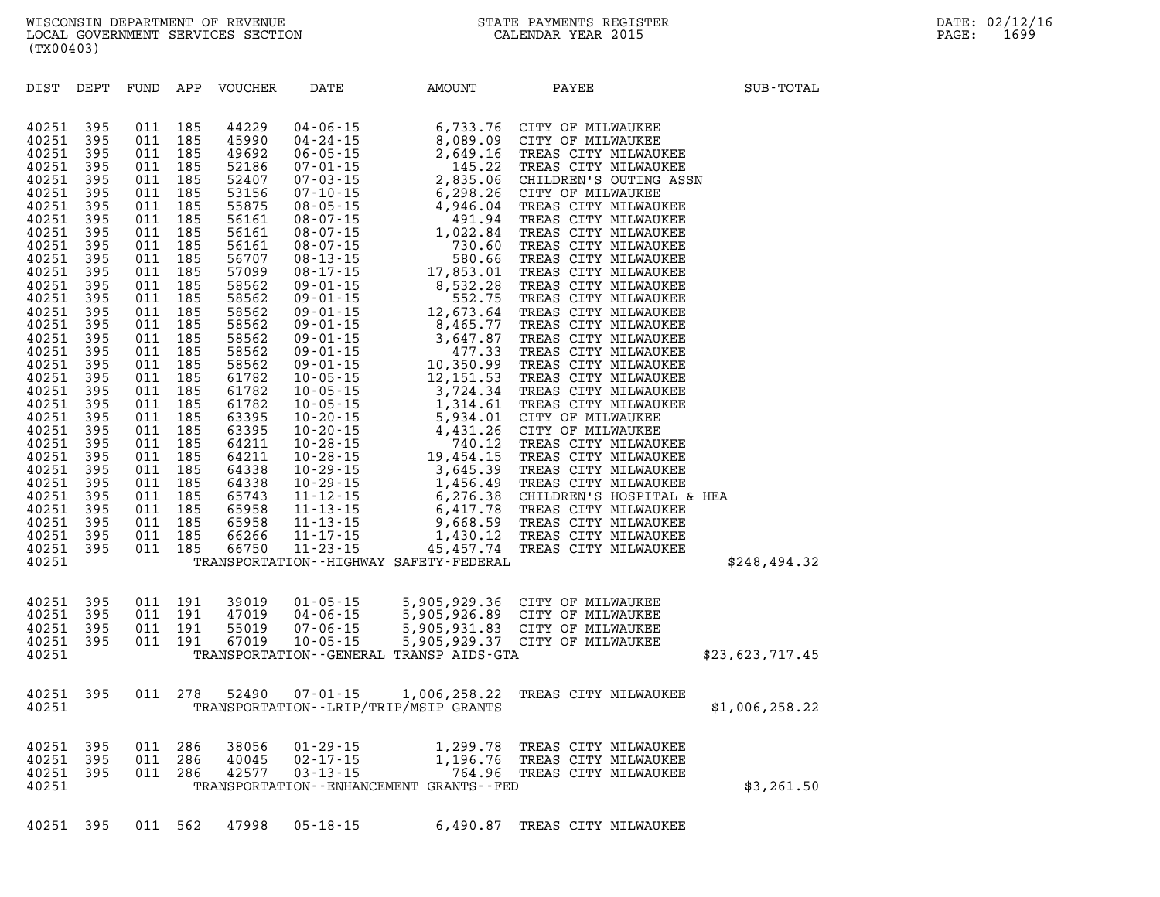| DIST           | DEPT       | FUND       | APP        | <b>VOUCHER</b> | DATE                                      | AMOUNT                                        | PAYEE                                             | SUB-TOTAL       |
|----------------|------------|------------|------------|----------------|-------------------------------------------|-----------------------------------------------|---------------------------------------------------|-----------------|
|                |            |            |            |                |                                           |                                               |                                                   |                 |
| 40251          | 395        | 011        | 185        | 44229          | $04 - 06 - 15$                            | 6,733.76                                      | CITY OF MILWAUKEE                                 |                 |
| 40251          | 395        | 011        | 185        | 45990          | $04 - 24 - 15$                            | 8,089.09                                      | CITY OF MILWAUKEE                                 |                 |
| 40251          | 395        | 011        | 185        | 49692          | $06 - 05 - 15$                            | 2,649.16                                      | TREAS CITY MILWAUKEE                              |                 |
| 40251          | 395        | 011        | 185        | 52186          | $07 - 01 - 15$                            | 145.22                                        | TREAS CITY MILWAUKEE                              |                 |
| 40251<br>40251 | 395<br>395 | 011<br>011 | 185<br>185 | 52407<br>53156 | $07 - 03 - 15$<br>$07 - 10 - 15$          | 2,835.06<br>6,298.26                          | CHILDREN'S OUTING ASSN<br>CITY OF MILWAUKEE       |                 |
| 40251          | 395        | 011        | 185        | 55875          | $08 - 05 - 15$                            | 4,946.04                                      | TREAS CITY MILWAUKEE                              |                 |
| 40251          | 395        | 011        | 185        | 56161          | $08 - 07 - 15$                            | 491.94                                        | TREAS CITY MILWAUKEE                              |                 |
| 40251          | 395        | 011        | 185        | 56161          | $08 - 07 - 15$                            | 1,022.84                                      | TREAS CITY MILWAUKEE                              |                 |
| 40251          | 395        | 011        | 185        | 56161          | $08 - 07 - 15$                            | 730.60                                        | TREAS CITY MILWAUKEE                              |                 |
| 40251          | 395        | 011        | 185        | 56707          | $08 - 13 - 15$                            | 580.66                                        | TREAS CITY MILWAUKEE                              |                 |
| 40251          | 395        | 011        | 185        | 57099          | $08 - 17 - 15$                            | 17,853.01                                     | TREAS CITY MILWAUKEE                              |                 |
| 40251<br>40251 | 395<br>395 | 011<br>011 | 185<br>185 | 58562<br>58562 | $09 - 01 - 15$<br>$09 - 01 - 15$          | 8,532.28<br>552.75                            | TREAS CITY MILWAUKEE<br>TREAS CITY MILWAUKEE      |                 |
| 40251          | 395        | 011        | 185        | 58562          | $09 - 01 - 15$                            | 12,673.64                                     | TREAS CITY MILWAUKEE                              |                 |
| 40251          | 395        | 011        | 185        | 58562          | $09 - 01 - 15$                            | 8,465.77                                      | TREAS CITY MILWAUKEE                              |                 |
| 40251          | 395        | 011        | 185        | 58562          | $09 - 01 - 15$                            | 3,647.87                                      | TREAS CITY MILWAUKEE                              |                 |
| 40251          | 395        | 011        | 185        | 58562          | $09 - 01 - 15$<br>09 - 01 - 15<br>10 - 05 | 477.33                                        | TREAS CITY MILWAUKEE                              |                 |
| 40251          | 395        | 011        | 185        | 58562          |                                           | 10,350.99                                     | TREAS CITY MILWAUKEE                              |                 |
| 40251          | 395        | 011        | 185        | 61782          | $10 - 05 - 15$                            | 12, 151.53                                    | TREAS CITY MILWAUKEE                              |                 |
| 40251<br>40251 | 395<br>395 | 011<br>011 | 185<br>185 | 61782<br>61782 | $10 - 05 - 15$<br>$10 - 05 - 15$          | 3,724.34<br>1,314.61                          | TREAS CITY MILWAUKEE<br>TREAS CITY MILWAUKEE      |                 |
| 40251          | 395        | 011        | 185        | 63395          | $10 - 20 - 15$                            | 5,934.01                                      | CITY OF MILWAUKEE                                 |                 |
| 40251          | 395        | 011        | 185        | 63395          | $10 - 20 - 15$                            | 4,431.26                                      | CITY OF MILWAUKEE                                 |                 |
| 40251          | 395        | 011        | 185        | 64211          | $10 - 28 - 15$                            | 740.12                                        | TREAS CITY MILWAUKEE                              |                 |
| 40251          | 395        | 011        | 185        | 64211          | $10 - 28 - 15$                            | 19,454.15                                     | TREAS CITY MILWAUKEE                              |                 |
| 40251          | 395        | 011        | 185        | 64338          | $10 - 29 - 15$                            | 3,645.39                                      | TREAS CITY MILWAUKEE                              |                 |
| 40251          | 395        | 011        | 185        | 64338          | $10 - 29 - 15$                            | 1,456.49                                      | TREAS CITY MILWAUKEE                              |                 |
| 40251<br>40251 | 395        | 011        | 185        | 65743<br>65958 | $11 - 12 - 15$<br>$11 - 13 - 15$          | 6,276.38<br>6,417.78                          | CHILDREN'S HOSPITAL & HEA<br>TREAS CITY MILWAUKEE |                 |
| 40251          | 395<br>395 | 011<br>011 | 185<br>185 | 65958          | $11 - 13 - 15$                            | 9,668.59                                      | TREAS CITY MILWAUKEE                              |                 |
| 40251          | 395        | 011        | 185        | 66266          | $11 - 17 - 15$                            | 1,430.12                                      | TREAS CITY MILWAUKEE                              |                 |
| 40251          | 395        | 011        | 185        | 66750          | $11 - 23 - 15$                            | 45, 457.74                                    | TREAS CITY MILWAUKEE                              |                 |
| 40251          |            |            |            |                |                                           | TRANSPORTATION - - HIGHWAY SAFETY - FEDERAL   |                                                   | \$248,494.32    |
|                |            |            |            |                |                                           |                                               |                                                   |                 |
| 40251          | 395        | 011        | 191        | 39019          | $01 - 05 - 15$                            |                                               | 5,905,929.36 CITY OF MILWAUKEE                    |                 |
| 40251          | 395        | 011        | 191        | 47019          | $04 - 06 - 15$                            | 5,905,926.89                                  | CITY OF MILWAUKEE                                 |                 |
| 40251          | 395        | 011        | 191        | 55019          | $07 - 06 - 15$                            | 5,905,931.83                                  | CITY OF MILWAUKEE                                 |                 |
| 40251          | 395        | 011        | 191        | 67019          | $10 - 05 - 15$                            | 5,905,929.37                                  | CITY OF MILWAUKEE                                 |                 |
| 40251          |            |            |            |                |                                           | TRANSPORTATION--GENERAL TRANSP AIDS-GTA       |                                                   | \$23,623,717.45 |
| 40251          | 395        | 011        | 278        | 52490          | $07 - 01 - 15$                            | 1,006,258.22                                  | TREAS CITY MILWAUKEE                              |                 |
| 40251          |            |            |            |                |                                           | TRANSPORTATION - - LRIP/TRIP/MSIP GRANTS      |                                                   | \$1,006,258.22  |
|                |            |            |            |                |                                           |                                               |                                                   |                 |
| 40251          | 395        | 011        | 286        | 38056          | $01 - 29 - 15$                            | 1,299.78                                      | TREAS CITY MILWAUKEE                              |                 |
| 40251          | 395        | 011        | 286        | 40045          | $02 - 17 - 15$                            | 1,196.76                                      | TREAS CITY MILWAUKEE                              |                 |
| 40251          | 395        | 011        | 286        | 42577          | $03 - 13 - 15$                            | 764.96                                        | TREAS CITY MILWAUKEE                              |                 |
| 40251          |            |            |            |                |                                           | TRANSPORTATION - - ENHANCEMENT GRANTS - - FED |                                                   | \$3,261.50      |
|                |            |            |            |                |                                           |                                               |                                                   |                 |

**40251 395 011 562 47998 05-18-15 6,490.87 TREAS CITY MILWAUKEE**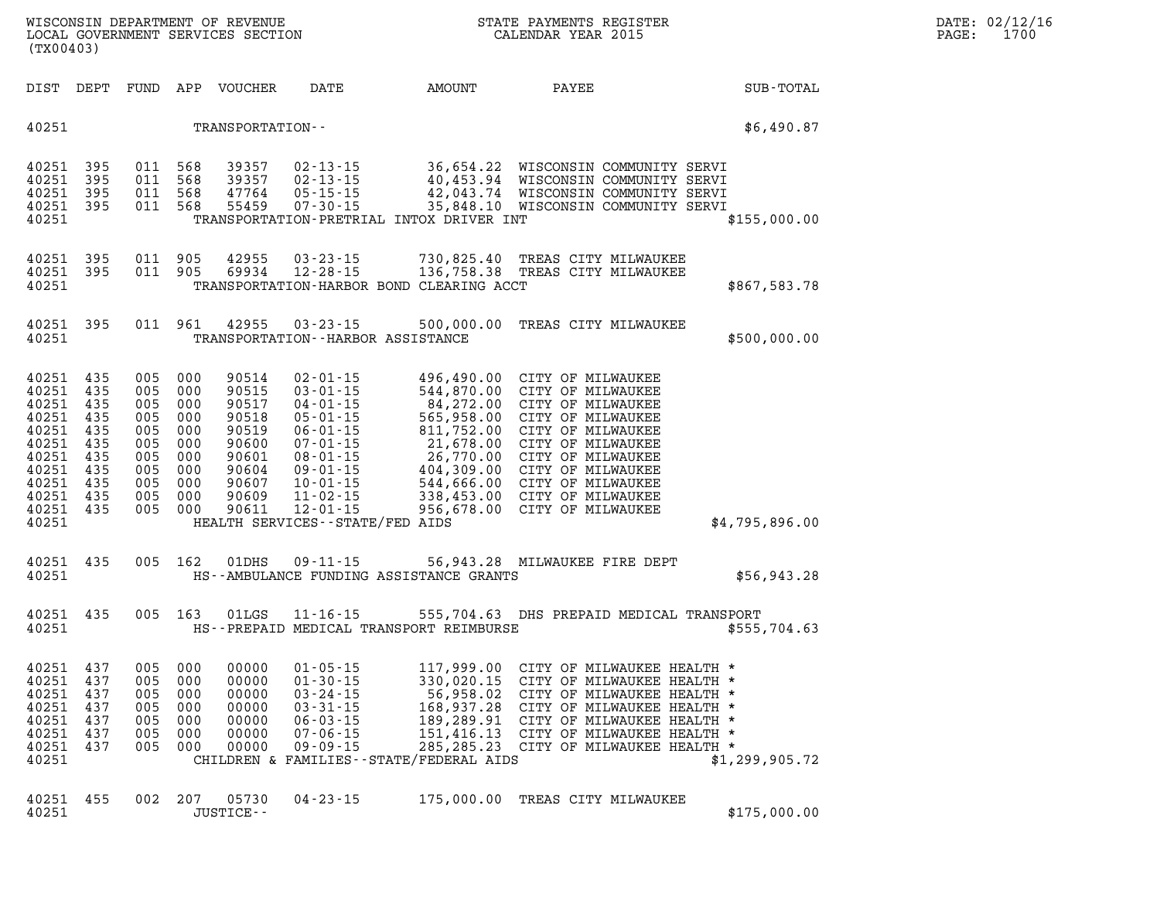**WISCONSIN DEPARTMENT OF REVENUE STATE PAYMENTS REGISTER DATE: 02/12/16**  LOCAL GOVERNMENT SERVICES SECTION **(TX00403)** 

| DIST                                                                                                     | DEPT                                                                      | FUND                                                                      | APP                                                                       | VOUCHER                                                                                         | DATE                                                                                                                                                                                                                                  | AMOUNT                                                                                                                                              | PAYEE                                                                                                                                                                                                                               | SUB-TOTAL      |
|----------------------------------------------------------------------------------------------------------|---------------------------------------------------------------------------|---------------------------------------------------------------------------|---------------------------------------------------------------------------|-------------------------------------------------------------------------------------------------|---------------------------------------------------------------------------------------------------------------------------------------------------------------------------------------------------------------------------------------|-----------------------------------------------------------------------------------------------------------------------------------------------------|-------------------------------------------------------------------------------------------------------------------------------------------------------------------------------------------------------------------------------------|----------------|
| 40251                                                                                                    |                                                                           |                                                                           |                                                                           | TRANSPORTATION--                                                                                |                                                                                                                                                                                                                                       |                                                                                                                                                     |                                                                                                                                                                                                                                     | \$6,490.87     |
| 40251<br>40251<br>40251<br>40251<br>40251                                                                | 395<br>395<br>395<br>395                                                  | 011<br>011<br>011<br>011                                                  | 568<br>568<br>568<br>568                                                  | 39357<br>39357<br>47764<br>55459                                                                | $02 - 13 - 15$<br>$02 - 13 - 15$<br>$05 - 15 - 15$<br>$07 - 30 - 15$                                                                                                                                                                  | 36,654.22<br>42,043.74<br>TRANSPORTATION-PRETRIAL INTOX DRIVER INT                                                                                  | WISCONSIN COMMUNITY SERVI<br>40,453.94 WISCONSIN COMMUNITY SERVI<br>WISCONSIN COMMUNITY SERVI<br>35,848.10 WISCONSIN COMMUNITY SERVI                                                                                                | \$155,000.00   |
| 40251<br>40251<br>40251                                                                                  | 395<br>395                                                                | 011<br>011                                                                | 905<br>905                                                                | 42955<br>69934                                                                                  | $03 - 23 - 15$<br>$12 - 28 - 15$                                                                                                                                                                                                      | 730,825.40<br>136,758.38<br>TRANSPORTATION-HARBOR BOND CLEARING ACCT                                                                                | TREAS CITY MILWAUKEE<br>TREAS CITY MILWAUKEE                                                                                                                                                                                        | \$867,583.78   |
| 40251<br>40251                                                                                           | 395                                                                       | 011                                                                       | 961                                                                       | 42955                                                                                           | $03 - 23 - 15$<br>TRANSPORTATION - - HARBOR ASSISTANCE                                                                                                                                                                                | 500,000.00                                                                                                                                          | TREAS CITY MILWAUKEE                                                                                                                                                                                                                | \$500,000.00   |
| 40251<br>40251<br>40251<br>40251<br>40251<br>40251<br>40251<br>40251<br>40251<br>40251<br>40251<br>40251 | 435<br>435<br>435<br>435<br>435<br>435<br>435<br>435<br>435<br>435<br>435 | 005<br>005<br>005<br>005<br>005<br>005<br>005<br>005<br>005<br>005<br>005 | 000<br>000<br>000<br>000<br>000<br>000<br>000<br>000<br>000<br>000<br>000 | 90514<br>90515<br>90517<br>90518<br>90519<br>90600<br>90601<br>90604<br>90607<br>90609<br>90611 | $02 - 01 - 15$<br>$03 - 01 - 15$<br>$04 - 01 - 15$<br>$05 - 01 - 15$<br>$06 - 01 - 15$<br>$07 - 01 - 15$<br>$08 - 01 - 15$<br>$09 - 01 - 15$<br>$10 - 01 - 15$<br>$11 - 02 - 15$<br>$12 - 01 - 15$<br>HEALTH SERVICES--STATE/FED AIDS | 496,490.00<br>544,870.00<br>84,272.00<br>565,958.00<br>811,752.00<br>21,678.00<br>26,770.00<br>404,309.00<br>544,666.00<br>338,453.00<br>956,678.00 | CITY OF MILWAUKEE<br>CITY OF MILWAUKEE<br>CITY OF MILWAUKEE<br>CITY OF MILWAUKEE<br>CITY OF MILWAUKEE<br>CITY OF MILWAUKEE<br>CITY OF MILWAUKEE<br>CITY OF MILWAUKEE<br>CITY OF MILWAUKEE<br>CITY OF MILWAUKEE<br>CITY OF MILWAUKEE | \$4,795,896.00 |
| 40251<br>40251                                                                                           | 435                                                                       | 005                                                                       | 162                                                                       | 01DHS                                                                                           | $09 - 11 - 15$                                                                                                                                                                                                                        | HS--AMBULANCE FUNDING ASSISTANCE GRANTS                                                                                                             | 56,943.28 MILWAUKEE FIRE DEPT                                                                                                                                                                                                       | \$56,943.28    |
| 40251<br>40251                                                                                           | 435                                                                       | 005                                                                       | 163                                                                       | 01LGS                                                                                           | $11 - 16 - 15$                                                                                                                                                                                                                        | 555,704.63<br>HS--PREPAID MEDICAL TRANSPORT REIMBURSE                                                                                               | DHS PREPAID MEDICAL TRANSPORT                                                                                                                                                                                                       | \$555,704.63   |
| 40251<br>40251<br>40251<br>40251<br>40251<br>40251<br>40251<br>40251                                     | 437<br>437<br>437<br>437<br>437<br>437<br>437                             | 005<br>005<br>005<br>005<br>005<br>005<br>005                             | 000<br>000<br>000<br>000<br>000<br>000<br>000                             | 00000<br>00000<br>00000<br>00000<br>00000<br>00000<br>00000                                     | $01 - 05 - 15$<br>$01 - 30 - 15$<br>$03 - 24 - 15$<br>$03 - 31 - 15$<br>$06 - 03 - 15$<br>$07 - 06 - 15$<br>09 - 09 - 15                                                                                                              | 117,999.00<br>330,020.15<br>168,937.28<br>189,289.91<br>151,416.13<br>285, 285. 23<br>CHILDREN & FAMILIES--STATE/FEDERAL AIDS                       | CITY OF MILWAUKEE HEALTH *<br>CITY OF MILWAUKEE HEALTH *<br>56,958.02 CITY OF MILWAUKEE HEALTH *<br>CITY OF MILWAUKEE HEALTH *<br>CITY OF MILWAUKEE HEALTH *<br>CITY OF MILWAUKEE HEALTH *<br>CITY OF MILWAUKEE HEALTH *            | \$1,299,905.72 |
| 40251<br>40251                                                                                           | 455                                                                       | 002                                                                       | 207                                                                       | 05730<br>JUSTICE--                                                                              | $04 - 23 - 15$                                                                                                                                                                                                                        | 175,000.00                                                                                                                                          | TREAS CITY MILWAUKEE                                                                                                                                                                                                                | \$175,000.00   |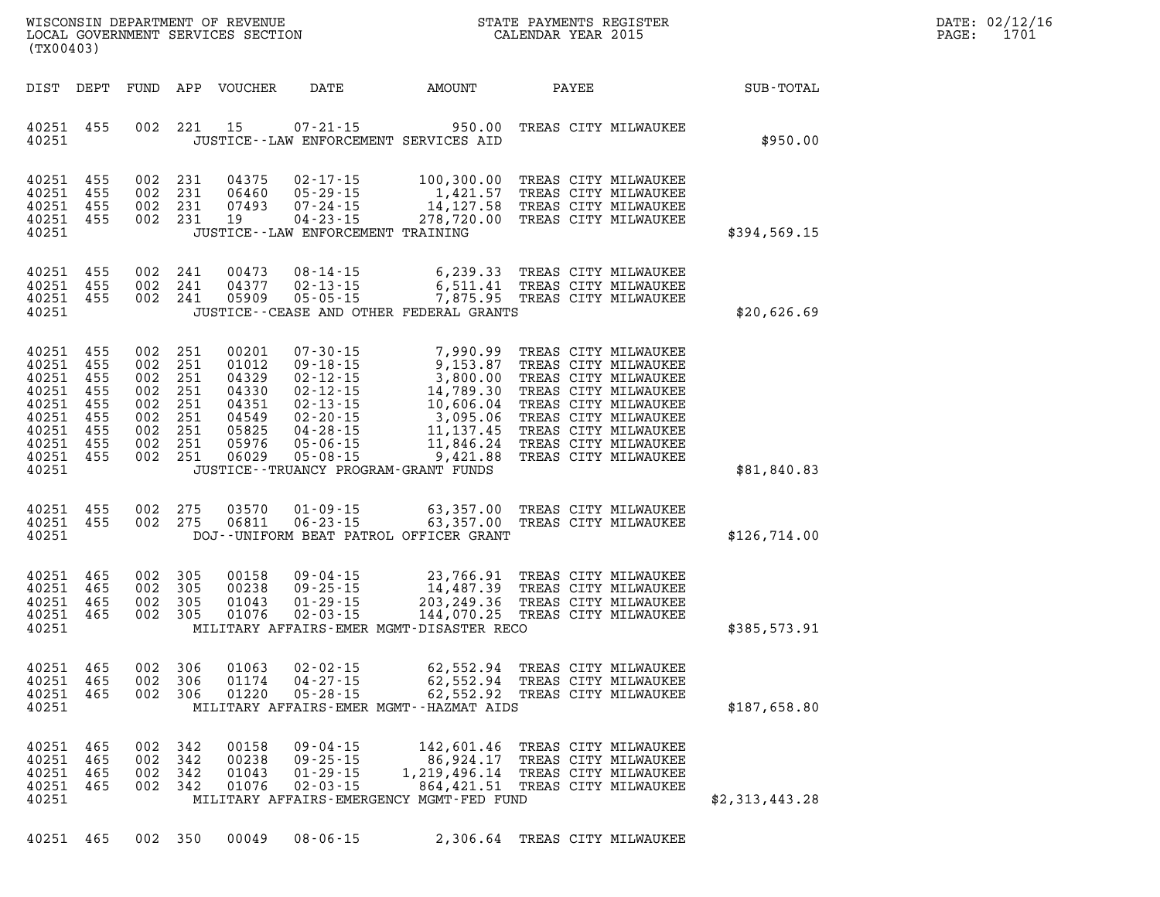| DATE: | 02/12/16 |
|-------|----------|
| PAGE: | 1701     |

| WISCONSIN DEPARTMENT OF REVENUE<br>LOCAL GOVERNMENT SERVICES SECTION<br>(TX00403)                                                                                                                                    |                                                                                                                                                                                                                                                                                                                                                             | STATE PAYMENTS REGISTER<br>CALENDAR YEAR 2015                                                                                                                                                                                                                                                                                         |                |
|----------------------------------------------------------------------------------------------------------------------------------------------------------------------------------------------------------------------|-------------------------------------------------------------------------------------------------------------------------------------------------------------------------------------------------------------------------------------------------------------------------------------------------------------------------------------------------------------|---------------------------------------------------------------------------------------------------------------------------------------------------------------------------------------------------------------------------------------------------------------------------------------------------------------------------------------|----------------|
| DIST<br>DEPT<br>FUND                                                                                                                                                                                                 | APP<br><b>VOUCHER</b><br>DATE                                                                                                                                                                                                                                                                                                                               | AMOUNT<br>PAYEE                                                                                                                                                                                                                                                                                                                       | SUB-TOTAL      |
| 002<br>40251<br>455<br>40251                                                                                                                                                                                         | 221<br>15<br>$07 - 21 - 15$<br>JUSTICE -- LAW ENFORCEMENT SERVICES AID                                                                                                                                                                                                                                                                                      | 950.00<br>TREAS CITY MILWAUKEE                                                                                                                                                                                                                                                                                                        | \$950.00       |
| 002<br>40251<br>455<br>40251<br>455<br>002<br>40251<br>455<br>002<br>40251<br>455<br>002<br>40251                                                                                                                    | 231<br>04375<br>$02 - 17 - 15$<br>$05 - 29 - 15$<br>231<br>06460<br>231<br>07493<br>$07 - 24 - 15$<br>$04 - 23 - 15$<br>231<br>19<br>JUSTICE - - LAW ENFORCEMENT TRAINING                                                                                                                                                                                   | 100,300.00<br>TREAS CITY MILWAUKEE<br>1,421.57<br>TREAS CITY MILWAUKEE<br>14,127.58<br>TREAS CITY MILWAUKEE<br>278,720.00<br>TREAS CITY MILWAUKEE                                                                                                                                                                                     | \$394,569.15   |
| 455<br>002<br>40251<br>40251<br>455<br>002<br>40251<br>455<br>002<br>40251                                                                                                                                           | 241<br>00473<br>$08 - 14 - 15$<br>241<br>04377<br>$02 - 13 - 15$<br>$05 - 05 - 15$<br>241<br>05909<br>JUSTICE -- CEASE AND OTHER FEDERAL GRANTS                                                                                                                                                                                                             | 6,239.33<br>TREAS CITY MILWAUKEE<br>6,511.41<br>TREAS CITY MILWAUKEE<br>7,875.95<br>TREAS CITY MILWAUKEE                                                                                                                                                                                                                              | \$20,626.69    |
| 40251<br>455<br>002<br>455<br>40251<br>002<br>40251<br>455<br>002<br>40251<br>455<br>002<br>40251<br>455<br>002<br>40251<br>455<br>002<br>40251<br>455<br>002<br>40251<br>455<br>002<br>40251<br>455<br>002<br>40251 | 00201<br>251<br>$07 - 30 - 15$<br>251<br>01012<br>$09 - 18 - 15$<br>$02 - 12 - 15$<br>251<br>04329<br>251<br>$02 - 12 - 15$<br>04330<br>$02 - 13 - 15$<br>251<br>04351<br>251<br>04549<br>$02 - 20 - 15$<br>251<br>05825<br>$04 - 28 - 15$<br>251<br>05976<br>$05 - 06 - 15$<br>251<br>06029<br>$05 - 08 - 15$<br>JUSTICE - - TRUANCY PROGRAM - GRANT FUNDS | 7,990.99<br>TREAS CITY MILWAUKEE<br>9,153.87<br>TREAS CITY MILWAUKEE<br>3,800.00<br>TREAS CITY MILWAUKEE<br>14,789.30<br>TREAS CITY MILWAUKEE<br>10,606.04<br>TREAS CITY MILWAUKEE<br>3,095.06<br>TREAS CITY MILWAUKEE<br>11, 137.45<br>TREAS CITY MILWAUKEE<br>TREAS CITY MILWAUKEE<br>11,846.24<br>9,421.88<br>TREAS CITY MILWAUKEE | \$81,840.83    |
| 40251<br>455<br>002<br>40251<br>455<br>002<br>40251                                                                                                                                                                  | 275<br>03570<br>$01 - 09 - 15$<br>275<br>06811<br>$06 - 23 - 15$<br>DOJ--UNIFORM BEAT PATROL OFFICER GRANT                                                                                                                                                                                                                                                  | 63,357.00<br>TREAS CITY MILWAUKEE<br>63,357.00<br>TREAS CITY MILWAUKEE                                                                                                                                                                                                                                                                | \$126,714.00   |
| 40251<br>465<br>002<br>40251<br>465<br>002<br>40251<br>465<br>002<br>40251<br>002<br>465<br>40251                                                                                                                    | 305<br>00158<br>$09 - 04 - 15$<br>305<br>00238<br>$09 - 25 - 15$<br>305<br>01043<br>$01 - 29 - 15$<br>$02 - 03 - 15$<br>305<br>01076<br>MILITARY AFFAIRS-EMER MGMT-DISASTER RECO                                                                                                                                                                            | 23,766.91<br>TREAS CITY MILWAUKEE<br>14,487.39<br>TREAS CITY MILWAUKEE<br>203, 249.36<br>TREAS CITY MILWAUKEE<br>144,070.25<br>TREAS CITY MILWAUKEE                                                                                                                                                                                   | \$385,573.91   |
| 40251<br>465<br>465<br>40251<br>002<br>40251<br>465<br>002<br>40251                                                                                                                                                  | 002 306<br>01063<br>$02 - 02 - 15$<br>$04 - 27 - 15$<br>- 306<br>01174<br>$05 - 28 - 15$<br>01220<br>306<br>MILITARY AFFAIRS-EMER MGMT--HAZMAT AIDS                                                                                                                                                                                                         | 62,552.94<br>TREAS CITY MILWAUKEE<br>62,552.94 TREAS CITY MILWAUKEE<br>62,552.92 TREAS CITY MILWAUKEE                                                                                                                                                                                                                                 | \$187,658.80   |
| 40251<br>465<br>002<br>465<br>002<br>40251<br>40251<br>002<br>465<br>40251<br>465<br>002<br>40251                                                                                                                    | 342<br>00158<br>$09 - 04 - 15$<br>342<br>00238<br>$09 - 25 - 15$<br>$01 - 29 - 15$<br>342<br>01043<br>$02 - 03 - 15$<br>342<br>01076<br>MILITARY AFFAIRS-EMERGENCY MGMT-FED FUND                                                                                                                                                                            | 142,601.46<br>TREAS CITY MILWAUKEE<br>86,924.17<br>TREAS CITY MILWAUKEE<br>1,219,496.14<br>TREAS CITY MILWAUKEE<br>864,421.51<br>TREAS CITY MILWAUKEE                                                                                                                                                                                 | \$2,313,443.28 |

**40251 465 002 350 00049 08-06-15 2,306.64 TREAS CITY MILWAUKEE**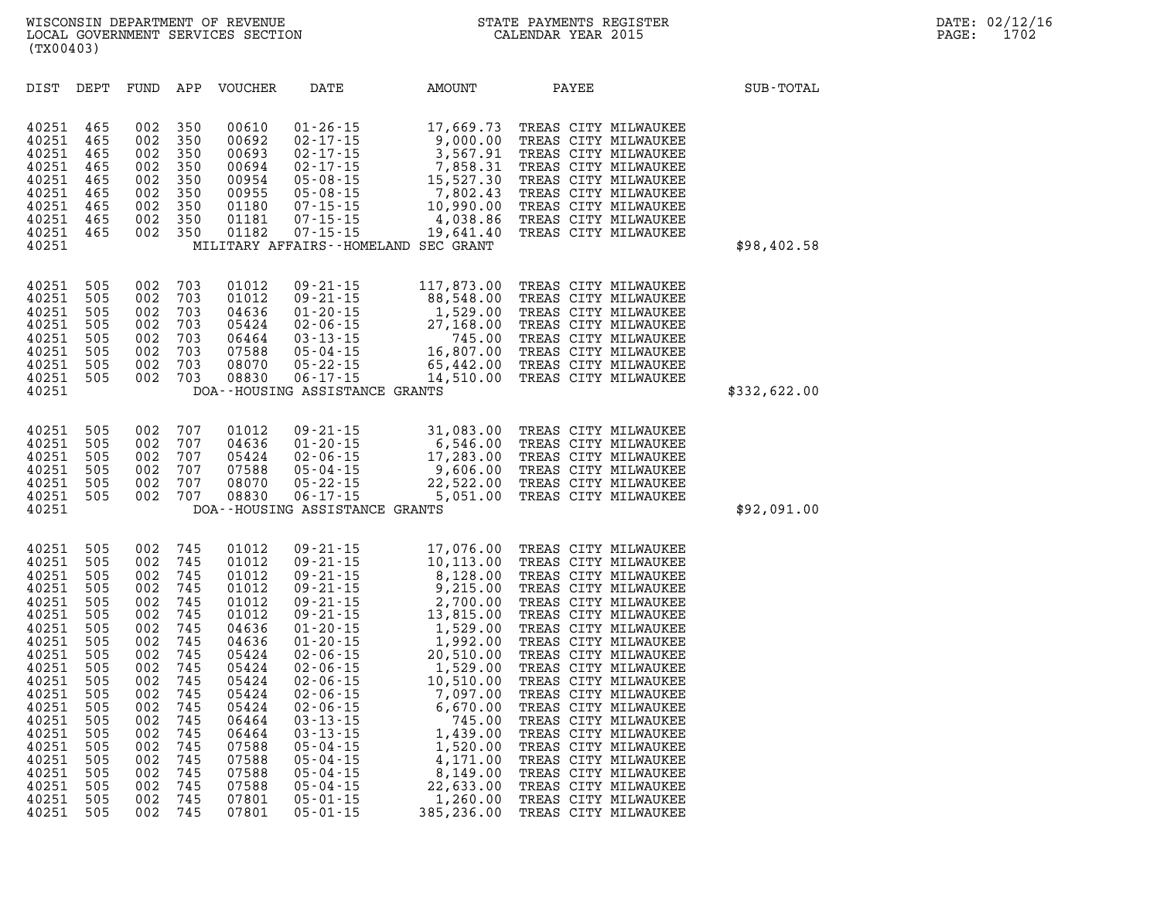| 40251<br>40251<br>40251<br>40251<br>40251<br>40251<br>40251<br>40251<br>40251<br>40251                                                                                                    | 465<br>465<br>465<br>465<br>465<br>465<br>465<br>465<br>465                                                                                     | 002<br>002<br>002<br>002<br>002<br>002<br>002<br>002<br>002                                                                                     | 350<br>350<br>350<br>350<br>350<br>350<br>350<br>350<br>350                                                                                     | 00610<br>00692<br>00693<br>00694<br>00954<br>00955<br>01180<br>01181<br>01182                                                                                                             | $01 - 26 - 15$                                   | 17,669.73<br>01-26-15<br>02-17-15<br>02-17-15<br>02-17-15<br>02-17-15<br>03-68-15<br>05-08-15<br>05-08-15<br>07-15-15<br>07-15-15<br>07-15-15<br>07-15-15<br>07-15-15<br>07-15-15<br>07-15-15<br>07-15-15<br>07-15-15<br>07-15-15<br>07-15-15<br>07-15-15<br>07-15-15<br>07-15-15<br>07<br>MILITARY AFFAIRS--HOMELAND SEC GRANT | TREAS CITY MILWAUKEE<br>TREAS CITY MILWAUKEE<br>TREAS CITY MILWAUKEE<br>TREAS CITY MILWAUKEE<br>TREAS CITY MILWAUKEE<br>TREAS CITY MILWAUKEE<br>TREAS CITY MILWAUKEE<br>TREAS CITY MILWAUKEE<br>TREAS CITY MILWAUKEE                                                                                                                                                                                                                                                                                                           | \$98,402.58  |
|-------------------------------------------------------------------------------------------------------------------------------------------------------------------------------------------|-------------------------------------------------------------------------------------------------------------------------------------------------|-------------------------------------------------------------------------------------------------------------------------------------------------|-------------------------------------------------------------------------------------------------------------------------------------------------|-------------------------------------------------------------------------------------------------------------------------------------------------------------------------------------------|--------------------------------------------------|---------------------------------------------------------------------------------------------------------------------------------------------------------------------------------------------------------------------------------------------------------------------------------------------------------------------------------|--------------------------------------------------------------------------------------------------------------------------------------------------------------------------------------------------------------------------------------------------------------------------------------------------------------------------------------------------------------------------------------------------------------------------------------------------------------------------------------------------------------------------------|--------------|
| 40251<br>40251<br>40251<br>40251<br>40251<br>40251<br>40251<br>40251<br>40251                                                                                                             | 505<br>505<br>505<br>505<br>505<br>505<br>505<br>505                                                                                            | 002<br>002<br>002<br>002<br>002<br>002<br>002<br>002                                                                                            | 703<br>703<br>703<br>703<br>703<br>703<br>703<br>703                                                                                            | 01012<br>01012<br>04636<br>05424<br>06464<br>07588<br>08070<br>08830                                                                                                                      | $09 - 21 - 15$<br>DOA--HOUSING ASSISTANCE GRANTS | 117,873.00<br>09-21-15<br>09-21-15<br>01-20-15<br>02-06-15<br>02-06-15<br>03-13-15<br>05-04-15<br>05-22-15<br>06-17-15<br>06-17-15<br>06-17-15<br>06-17-15<br>06-17-15<br>06-17-15<br>06-17-15<br>06-17-15<br>06-17-15<br>06-17-15<br>06-17-15<br>06-17-15<br>06-17-15<br>06-17-15                                              | TREAS CITY MILWAUKEE<br>TREAS CITY MILWAUKEE<br>TREAS CITY MILWAUKEE<br>TREAS CITY MILWAUKEE<br>TREAS CITY MILWAUKEE<br>TREAS CITY MILWAUKEE<br>TREAS CITY MILWAUKEE<br>TREAS CITY MILWAUKEE                                                                                                                                                                                                                                                                                                                                   | \$332,622.00 |
| 40251<br>40251<br>40251<br>40251<br>40251<br>40251<br>40251                                                                                                                               | 505<br>505<br>505<br>505<br>505<br>505                                                                                                          | 002<br>002<br>002<br>002<br>002<br>002                                                                                                          | 707<br>707<br>707<br>707<br>707<br>707                                                                                                          | 01012<br>04636<br>05424<br>07588<br>08070<br>08830                                                                                                                                        | DOA--HOUSING ASSISTANCE GRANTS                   | 09-21-15<br>01-20-15<br>02-06-15<br>05-04-15<br>05-22-15<br>06-17-15<br>06-17-15<br>06-17-15<br>07-03-08-07<br>07-04-15<br>07-04-15<br>07-04-15<br>07-04-15<br>07-04-15<br>07-04-15<br>07-04-15<br>07-04-15<br>07-04-15<br>07-04-15<br>07-04-15<br>07-04-15<br>07-04-15<br>                                                     | 31,083.00 TREAS CITY MILWAUKEE<br>TREAS CITY MILWAUKEE<br>TREAS CITY MILWAUKEE<br>TREAS CITY MILWAUKEE<br>TREAS CITY MILWAUKEE<br>TREAS CITY MILWAUKEE                                                                                                                                                                                                                                                                                                                                                                         | \$92,091.00  |
| 40251<br>40251<br>40251<br>40251<br>40251<br>40251<br>40251<br>40251<br>40251<br>40251<br>40251<br>40251<br>40251<br>40251<br>40251<br>40251<br>40251<br>40251<br>40251<br>40251<br>40251 | 505<br>505<br>505<br>505<br>505<br>505<br>505<br>505<br>505<br>505<br>505<br>505<br>505<br>505<br>505<br>505<br>505<br>505<br>505<br>505<br>505 | 002<br>002<br>002<br>002<br>002<br>002<br>002<br>002<br>002<br>002<br>002<br>002<br>002<br>002<br>002<br>002<br>002<br>002<br>002<br>002<br>002 | 745<br>745<br>745<br>745<br>745<br>745<br>745<br>745<br>745<br>745<br>745<br>745<br>745<br>745<br>745<br>745<br>745<br>745<br>745<br>745<br>745 | 01012<br>01012<br>01012<br>01012<br>01012<br>01012<br>04636<br>04636<br>05424<br>05424<br>05424<br>05424<br>05424<br>06464<br>06464<br>07588<br>07588<br>07588<br>07588<br>07801<br>07801 |                                                  | $\begin{array}{cccc} 09\hbox{-}21\hbox{-}15 & 17,076.00 \\ 09\hbox{-}21\hbox{-}15 & 10,113.00 \\ 09\hbox{-}21\hbox{-}15 & 8,128.00 \\ 09\hbox{-}21\hbox{-}15 & 9,215.00 \\ 09\hbox{-}21\hbox{-}15 & 2,700.00 \\ 09\hbox{-}21\hbox{-}15 & 2,700.00 \\ 09\hbox{-}21\hbox{-}15 & 13,815.00 \\ 09\hbox{-}21\hbox{-$                 | 17,076.00 TREAS CITY MILWAUKEE<br>TREAS CITY MILWAUKEE<br>TREAS CITY MILWAUKEE<br>TREAS CITY MILWAUKEE<br>TREAS CITY MILWAUKEE<br>TREAS CITY MILWAUKEE<br>TREAS CITY MILWAUKEE<br>TREAS CITY MILWAUKEE<br>TREAS CITY MILWAUKEE<br>TREAS CITY MILWAUKEE<br>TREAS CITY MILWAUKEE<br>TREAS CITY MILWAUKEE<br>TREAS CITY MILWAUKEE<br>TREAS CITY MILWAUKEE<br>TREAS CITY MILWAUKEE<br>TREAS CITY MILWAUKEE<br>TREAS CITY MILWAUKEE<br>TREAS CITY MILWAUKEE<br>TREAS CITY MILWAUKEE<br>TREAS CITY MILWAUKEE<br>TREAS CITY MILWAUKEE |              |

DIST DEPT FUND APP VOUCHER DATE AMOUNT PAYEE **PAYEE SUB-TOTAL**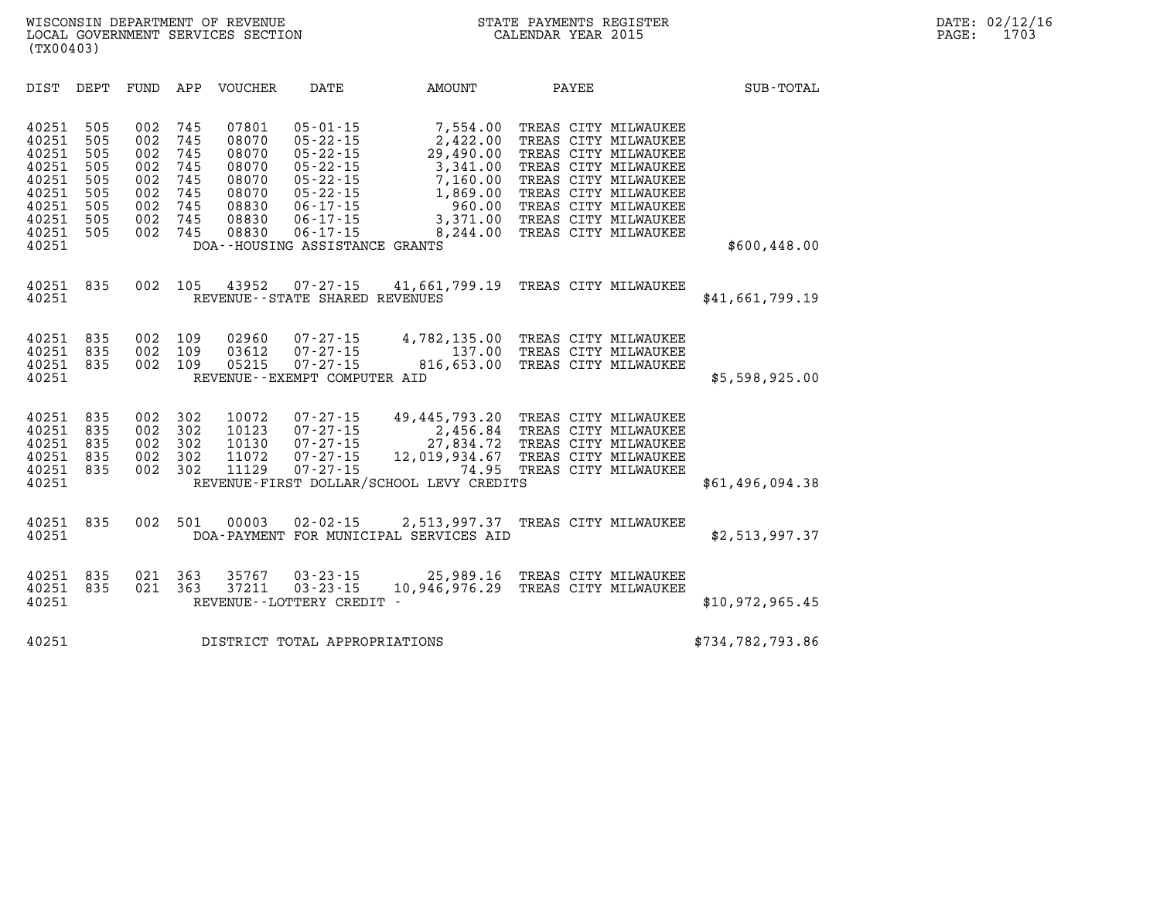| DIST                                                                                   | DEPT                                                        | FUND                                                        | APP                                                         | <b>VOUCHER</b>                                                                | DATE                                                                                                                                                                                             | <b>AMOUNT</b>                                                                                                | PAYEE                                                                                                                                                                                                                | SUB-TOTAL        |
|----------------------------------------------------------------------------------------|-------------------------------------------------------------|-------------------------------------------------------------|-------------------------------------------------------------|-------------------------------------------------------------------------------|--------------------------------------------------------------------------------------------------------------------------------------------------------------------------------------------------|--------------------------------------------------------------------------------------------------------------|----------------------------------------------------------------------------------------------------------------------------------------------------------------------------------------------------------------------|------------------|
| 40251<br>40251<br>40251<br>40251<br>40251<br>40251<br>40251<br>40251<br>40251<br>40251 | 505<br>505<br>505<br>505<br>505<br>505<br>505<br>505<br>505 | 002<br>002<br>002<br>002<br>002<br>002<br>002<br>002<br>002 | 745<br>745<br>745<br>745<br>745<br>745<br>745<br>745<br>745 | 07801<br>08070<br>08070<br>08070<br>08070<br>08070<br>08830<br>08830<br>08830 | $05 - 01 - 15$<br>$05 - 22 - 15$<br>$05 - 22 - 15$<br>$05 - 22 - 15$<br>$05 - 22 - 15$<br>$05 - 22 - 15$<br>$06 - 17 - 15$<br>$06 - 17 - 15$<br>$06 - 17 - 15$<br>DOA--HOUSING ASSISTANCE GRANTS | 7,554.00<br>2,422.00<br>29,490.00<br>3,341.00<br>7,160.00<br>1,869.00<br>960.00<br>3,371.00<br>8,244.00      | TREAS CITY MILWAUKEE<br>TREAS CITY MILWAUKEE<br>TREAS CITY MILWAUKEE<br>TREAS CITY MILWAUKEE<br>TREAS CITY MILWAUKEE<br>TREAS CITY MILWAUKEE<br>TREAS CITY MILWAUKEE<br>TREAS CITY MILWAUKEE<br>TREAS CITY MILWAUKEE | \$600,448.00     |
| 40251<br>40251                                                                         | 835                                                         | 002                                                         | 105                                                         | 43952                                                                         | $07 - 27 - 15$<br>REVENUE - - STATE SHARED REVENUES                                                                                                                                              | 41,661,799.19                                                                                                | TREAS CITY MILWAUKEE                                                                                                                                                                                                 | \$41,661,799.19  |
| 40251<br>40251<br>40251<br>40251                                                       | 835<br>835<br>835                                           | 002<br>002<br>002                                           | 109<br>109<br>109                                           | 02960<br>03612<br>05215                                                       | $07 - 27 - 15$<br>$07 - 27 - 15$<br>$07 - 27 - 15$<br>REVENUE--EXEMPT COMPUTER AID                                                                                                               | 4,782,135.00<br>137.00<br>816,653.00                                                                         | TREAS CITY MILWAUKEE<br>TREAS CITY MILWAUKEE<br>TREAS CITY MILWAUKEE                                                                                                                                                 | \$5,598,925.00   |
| 40251<br>40251<br>40251<br>40251<br>40251<br>40251                                     | 835<br>835<br>835<br>835<br>835                             | 002<br>002<br>002<br>002<br>002                             | 302<br>302<br>302<br>302<br>302                             | 10072<br>10123<br>10130<br>11072<br>11129                                     | $07 - 27 - 15$<br>$07 - 27 - 15$<br>$07 - 27 - 15$<br>$07 - 27 - 15$<br>$07 - 27 - 15$                                                                                                           | 49,445,793.20<br>2,456.84<br>27,834.72<br>12,019,934.67<br>74.95<br>REVENUE-FIRST DOLLAR/SCHOOL LEVY CREDITS | TREAS CITY MILWAUKEE<br>TREAS CITY MILWAUKEE<br>TREAS CITY MILWAUKEE<br>TREAS CITY MILWAUKEE<br>TREAS CITY MILWAUKEE                                                                                                 | \$61,496,094.38  |
| 40251<br>40251                                                                         | 835                                                         | 002                                                         | 501                                                         | 00003                                                                         | $02 - 02 - 15$                                                                                                                                                                                   | 2,513,997.37<br>DOA-PAYMENT FOR MUNICIPAL SERVICES AID                                                       | TREAS CITY MILWAUKEE                                                                                                                                                                                                 | \$2,513,997.37   |
| 40251<br>40251<br>40251                                                                | 835<br>835                                                  | 021<br>021                                                  | 363<br>363                                                  | 35767<br>37211                                                                | $03 - 23 - 15$<br>$03 - 23 - 15$<br>REVENUE - - LOTTERY CREDIT                                                                                                                                   | 25,989.16<br>10,946,976.29                                                                                   | TREAS CITY MILWAUKEE<br>TREAS CITY MILWAUKEE                                                                                                                                                                         | \$10,972,965.45  |
| 40251                                                                                  |                                                             |                                                             |                                                             |                                                                               | DISTRICT TOTAL APPROPRIATIONS                                                                                                                                                                    |                                                                                                              |                                                                                                                                                                                                                      | \$734,782,793.86 |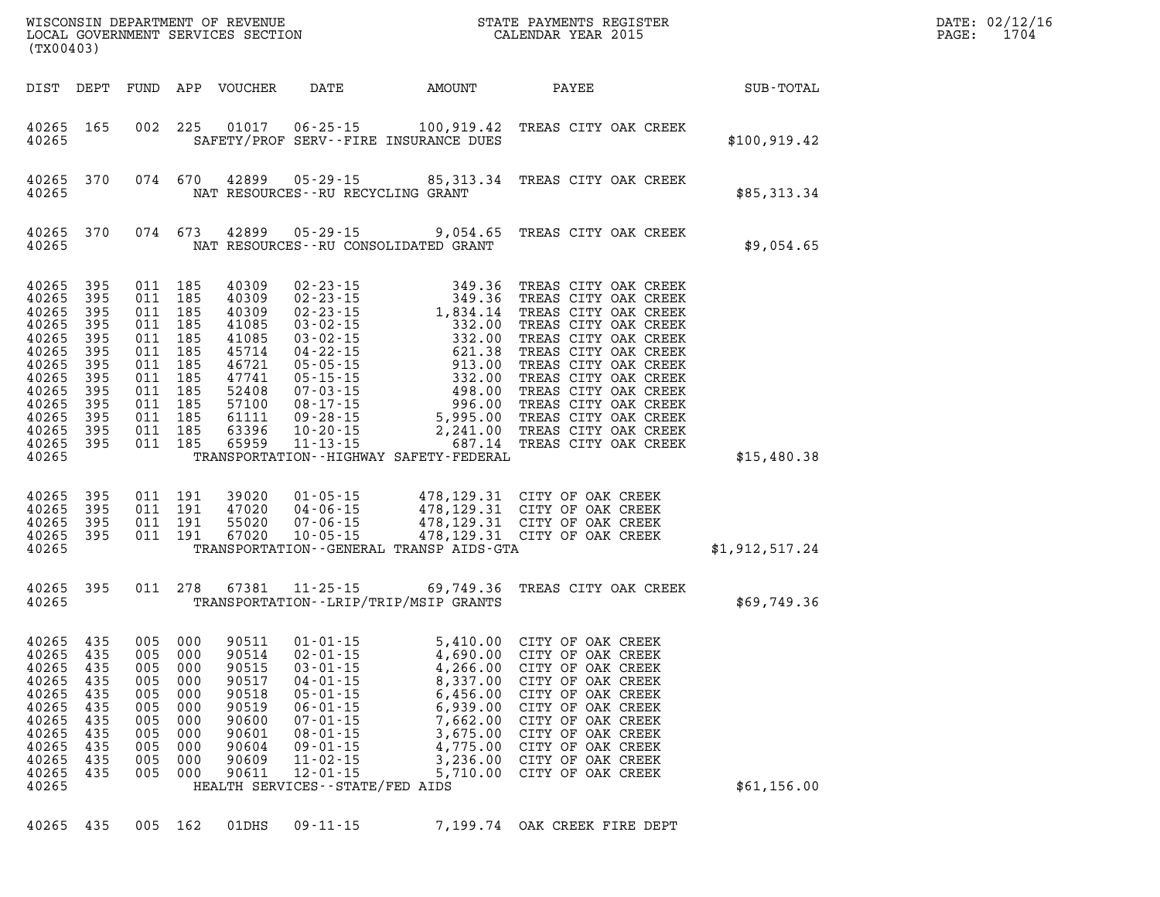| (TX00403)                                                                                                                                                                      |                                                      |                                                                                                                                             |                                                      |                                                                                                                   |                                                                                                                                                                                    |                                                                                              |                                                                                                                                                                                                                                                                                                                                                                                                                          |                | DATE: 02/12/16<br>PAGE: 1704 |
|--------------------------------------------------------------------------------------------------------------------------------------------------------------------------------|------------------------------------------------------|---------------------------------------------------------------------------------------------------------------------------------------------|------------------------------------------------------|-------------------------------------------------------------------------------------------------------------------|------------------------------------------------------------------------------------------------------------------------------------------------------------------------------------|----------------------------------------------------------------------------------------------|--------------------------------------------------------------------------------------------------------------------------------------------------------------------------------------------------------------------------------------------------------------------------------------------------------------------------------------------------------------------------------------------------------------------------|----------------|------------------------------|
|                                                                                                                                                                                |                                                      |                                                                                                                                             |                                                      |                                                                                                                   |                                                                                                                                                                                    |                                                                                              | DIST DEPT FUND APP VOUCHER DATE AMOUNT PAYEE SUB-TOTAL                                                                                                                                                                                                                                                                                                                                                                   |                |                              |
| 40265 165<br>40265                                                                                                                                                             |                                                      |                                                                                                                                             |                                                      |                                                                                                                   |                                                                                                                                                                                    | SAFETY/PROF SERV--FIRE INSURANCE DUES                                                        | 002 225 01017 06-25-15 100,919.42 TREAS CITY OAK CREEK                                                                                                                                                                                                                                                                                                                                                                   | \$100, 919.42  |                              |
| 40265                                                                                                                                                                          | 40265 370                                            |                                                                                                                                             |                                                      |                                                                                                                   |                                                                                                                                                                                    | NAT RESOURCES - - RU RECYCLING GRANT                                                         | 074 670 42899 05-29-15 85,313.34 TREAS CITY OAK CREEK                                                                                                                                                                                                                                                                                                                                                                    | \$85,313.34    |                              |
| 40265                                                                                                                                                                          | 40265 370                                            |                                                                                                                                             |                                                      |                                                                                                                   |                                                                                                                                                                                    | NAT RESOURCES--RU CONSOLIDATED GRANT                                                         | 074 673 42899 05-29-15 9,054.65 TREAS CITY OAK CREEK                                                                                                                                                                                                                                                                                                                                                                     | \$9,054.65     |                              |
| 40265 395<br>40265 395<br>40265 395<br>40265 395<br>40265 395<br>40265 395<br>40265 395<br>40265 395<br>40265 395<br>40265 395<br>40265 395<br>40265 395<br>40265 395<br>40265 |                                                      | 011 185<br>011 185<br>011 185<br>011 185<br>011 185<br>011 185<br>011 185<br>011 185<br>011 185<br>011 185<br>011 185<br>011 185<br>011 185 |                                                      | 40309<br>40309<br>40309<br>41085<br>41085<br>45714<br>46721<br>47741<br>52408<br>57100<br>61111<br>63396<br>65959 |                                                                                                                                                                                    | TRANSPORTATION - - HIGHWAY SAFETY - FEDERAL                                                  |                                                                                                                                                                                                                                                                                                                                                                                                                          | \$15,480.38    |                              |
| 40265 395<br>40265 395<br>40265 395<br>40265 395<br>40265                                                                                                                      |                                                      |                                                                                                                                             |                                                      |                                                                                                                   |                                                                                                                                                                                    | TRANSPORTATION--GENERAL TRANSP AIDS-GTA                                                      | $\begin{array}{cccccccc} 011 & 191 & 39020 & 01\cdot 05\cdot 15 & 478,129.31 & \text{CITY OF OAK CREEK} \\ 011 & 191 & 47020 & 04\cdot 06\cdot 15 & 478,129.31 & \text{CITY OF OAK CREEK} \\ 011 & 191 & 55020 & 07\cdot 06\cdot 15 & 478,129.31 & \text{CITY OF OAK CREEK} \\ 011 & 191 & 67020 & 10\cdot 05\cdot 15 & 478,129.31 & \$                                                                                  | \$1,912,517.24 |                              |
| 40265                                                                                                                                                                          | 40265 395                                            |                                                                                                                                             |                                                      |                                                                                                                   |                                                                                                                                                                                    | TRANSPORTATION - - LRIP/TRIP/MSIP GRANTS                                                     | 011 278 67381 11-25-15 69,749.36 TREAS CITY OAK CREEK                                                                                                                                                                                                                                                                                                                                                                    | \$69,749.36    |                              |
| 40265 435<br>40265 435<br>40265<br>40265<br>40265<br>40265<br>40265<br>40265<br>40265<br>40265<br>40265                                                                        | 435<br>435<br>435<br>435<br>435<br>435<br>435<br>435 | 005 000<br>005 000<br>005<br>005<br>005<br>005<br>005<br>005<br>005<br>005                                                                  | 000<br>000<br>000<br>000<br>000<br>000<br>000<br>000 | 90511<br>90514<br>90517<br>90518<br>90519<br>90600<br>90601<br>90604<br>90609<br>90611                            | $04 - 01 - 15$<br>$05 - 01 - 15$<br>$06 - 01 - 15$<br>$07 - 01 - 15$<br>$08 - 01 - 15$<br>$09 - 01 - 15$<br>$11 - 02 - 15$<br>$12 - 01 - 15$<br>HEALTH SERVICES - - STATE/FED AIDS | 8,337.00<br>6,456.00<br>6,939.00<br>7,662.00<br>3,675.00<br>4,775.00<br>3,236.00<br>5,710.00 | 01-01-15 $\begin{array}{ccc} 5,410.00 & \text{CITY OF OAK CREEK} \\ 02-01-15 & 4,690.00 & \text{CITY OF OAK CREEK} \\ 03-01-15 & 4,266.00 & \text{CTTV OF OAK CREFK} \end{array}$<br>40265 435 005 000 90515 03-01-15 4,266.00 CITY OF OAK CREEK<br>CITY OF OAK CREEK<br>CITY OF OAK CREEK<br>CITY OF OAK CREEK<br>CITY OF OAK CREEK<br>CITY OF OAK CREEK<br>CITY OF OAK CREEK<br>CITY OF OAK CREEK<br>CITY OF OAK CREEK | \$61,156.00    |                              |
| 40265 435                                                                                                                                                                      |                                                      |                                                                                                                                             | 005 162                                              | 01DHS                                                                                                             | $09 - 11 - 15$                                                                                                                                                                     |                                                                                              | 7,199.74 OAK CREEK FIRE DEPT                                                                                                                                                                                                                                                                                                                                                                                             |                |                              |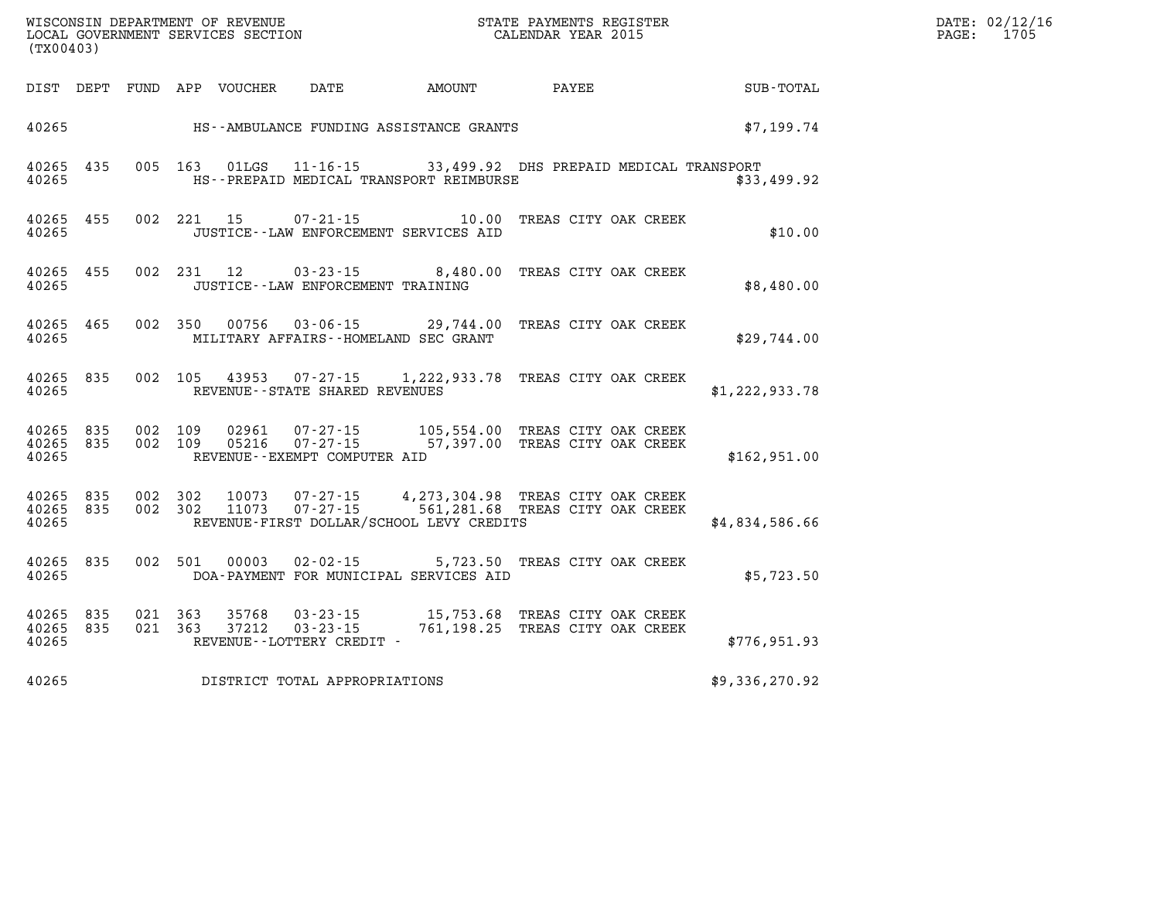| WISCONSIN DEPARTMENT OF REVENUE   | STATE PAYMENTS REGISTER | DATE: 02/12/16 |
|-----------------------------------|-------------------------|----------------|
| LOCAL GOVERNMENT SERVICES SECTION | CALENDAR YEAR 2015      | 1705<br>PAGE:  |

| (TX00403)          |                        |                    | CALENDAR YEAR 2015<br>LOCAL GOVERNMENT SERVICES SECTION |                                                |                                                                                                                                                                |                                                                               | PAGE: | 1705                                                         |  |  |
|--------------------|------------------------|--------------------|---------------------------------------------------------|------------------------------------------------|----------------------------------------------------------------------------------------------------------------------------------------------------------------|-------------------------------------------------------------------------------|-------|--------------------------------------------------------------|--|--|
|                    |                        |                    |                                                         |                                                |                                                                                                                                                                |                                                                               |       | DIST DEPT FUND APP VOUCHER DATE AMOUNT PAYEE TOTAL SUB-TOTAL |  |  |
|                    |                        |                    |                                                         |                                                | 40265 HS--AMBULANCE FUNDING ASSISTANCE GRANTS                                                                                                                  |                                                                               |       | \$7,199.74                                                   |  |  |
| 40265              | 40265 435              |                    |                                                         |                                                | HS--PREPAID MEDICAL TRANSPORT REIMBURSE                                                                                                                        | 005 163 01LGS 11-16-15 33,499.92 DHS PREPAID MEDICAL TRANSPORT<br>\$33,499.92 |       |                                                              |  |  |
| 40265              | 40265 455              |                    | 002 221 15                                              |                                                | 07-21-15 10.00 TREAS CITY OAK CREEK<br>JUSTICE -- LAW ENFORCEMENT SERVICES AID                                                                                 |                                                                               |       | \$10.00                                                      |  |  |
| 40265              | 40265 455              |                    | 002 231 12                                              | JUSTICE - - LAW ENFORCEMENT TRAINING           | 03-23-15 8,480.00 TREAS CITY OAK CREEK                                                                                                                         |                                                                               |       | \$8,480.00                                                   |  |  |
| 40265              | 40265 465              |                    | 002 350 00756                                           | MILITARY AFFAIRS -- HOMELAND SEC GRANT         | 03-06-15 29,744.00 TREAS CITY OAK CREEK                                                                                                                        |                                                                               |       | \$29,744.00                                                  |  |  |
| 40265              | 40265 835              |                    | 002 105 43953                                           | REVENUE--STATE SHARED REVENUES                 | 07-27-15 1, 222, 933.78 TREAS CITY OAK CREEK                                                                                                                   |                                                                               |       | \$1,222,933.78                                               |  |  |
| 40265              | 40265 835<br>40265 835 | 002 109<br>002 109 | 02961<br>05216                                          | $07 - 27 - 15$<br>REVENUE--EXEMPT COMPUTER AID | 07-27-15 105,554.00 TREAS CITY OAK CREEK<br>57,397.00 TREAS CITY OAK CREEK                                                                                     |                                                                               |       | \$162,951.00                                                 |  |  |
| 40265              | 40265 835<br>40265 835 |                    |                                                         |                                                | 002 302 10073 07-27-15 4,273,304.98 TREAS CITY OAK CREEK<br>002 302 11073 07-27-15 561,281.68 TREAS CITY OAK CREEK<br>REVENUE-FIRST DOLLAR/SCHOOL LEVY CREDITS |                                                                               |       | \$4,834,586.66                                               |  |  |
| 40265              | 40265 835              | 002 501            | 00003                                                   |                                                | 02-02-15 5,723.50 TREAS CITY OAK CREEK<br>DOA-PAYMENT FOR MUNICIPAL SERVICES AID                                                                               |                                                                               |       | \$5,723.50                                                   |  |  |
| 40265 835<br>40265 | 40265 835              | 021 363            | 35768<br>021 363 37212                                  | REVENUE--LOTTERY CREDIT -                      | 03-23-15 15,753.68 TREAS CITY OAK CREEK<br>03-23-15 761,198.25 TREAS CITY OAK CREEK                                                                            |                                                                               |       | \$776,951.93                                                 |  |  |
| 40265              |                        |                    |                                                         | DISTRICT TOTAL APPROPRIATIONS                  |                                                                                                                                                                |                                                                               |       | \$9,336,270.92                                               |  |  |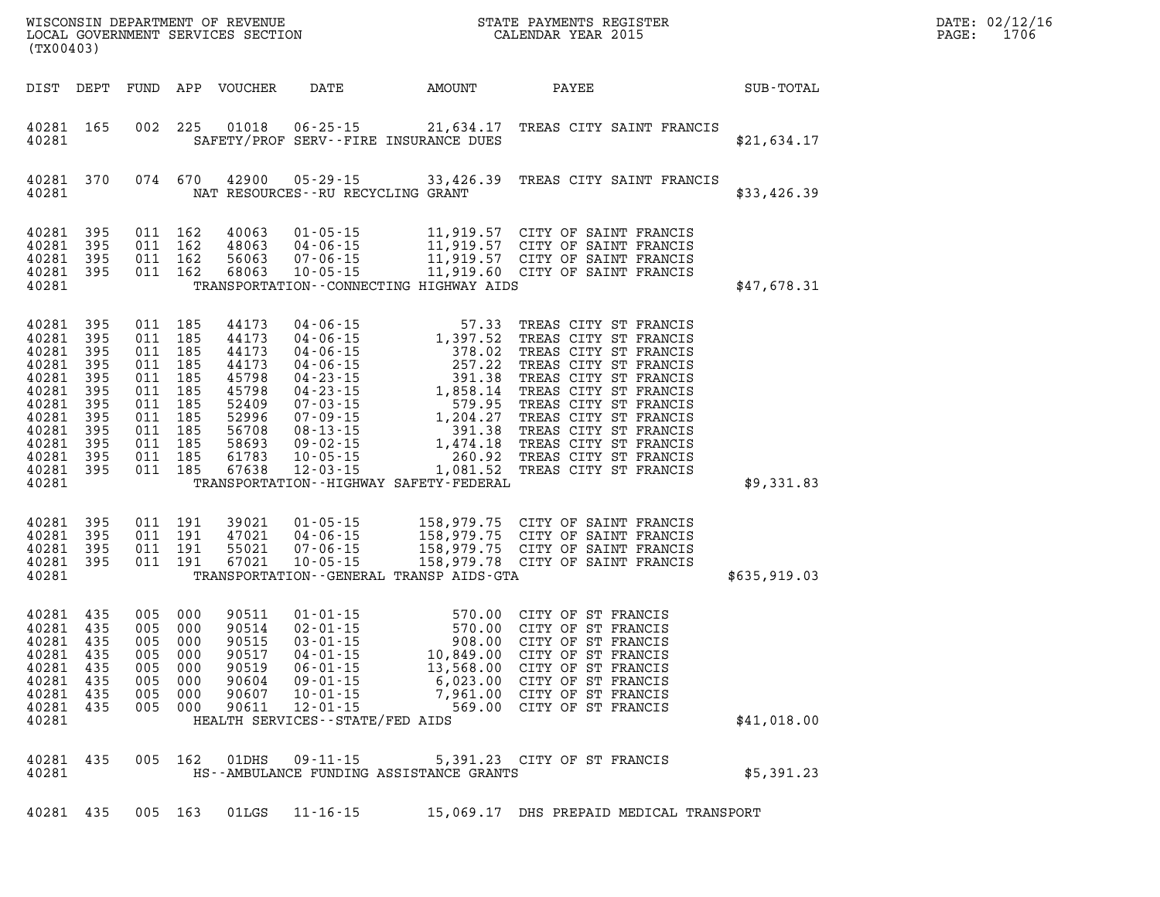| (TX00403)                                                                                                             |                                                                           |                                                                                                               |                                               | WISCONSIN DEPARTMENT OF REVENUE<br>LOCAL GOVERNMENT SERVICES SECTION                                     |                                                                                                                                                                                    |                                                                                                                                                                                                                                                                                                                         | STATE PAYMENTS REGISTER<br>CALENDAR YEAR 2015                                                                                                                                                                                                                                                                     |              | DATE: 02/12/16<br>PAGE:<br>1706 |
|-----------------------------------------------------------------------------------------------------------------------|---------------------------------------------------------------------------|---------------------------------------------------------------------------------------------------------------|-----------------------------------------------|----------------------------------------------------------------------------------------------------------|------------------------------------------------------------------------------------------------------------------------------------------------------------------------------------|-------------------------------------------------------------------------------------------------------------------------------------------------------------------------------------------------------------------------------------------------------------------------------------------------------------------------|-------------------------------------------------------------------------------------------------------------------------------------------------------------------------------------------------------------------------------------------------------------------------------------------------------------------|--------------|---------------------------------|
| DIST DEPT                                                                                                             |                                                                           |                                                                                                               |                                               | FUND APP VOUCHER                                                                                         | DATE                                                                                                                                                                               | AMOUNT                                                                                                                                                                                                                                                                                                                  | PAYEE                                                                                                                                                                                                                                                                                                             | SUB-TOTAL    |                                 |
| 40281 165<br>40281                                                                                                    |                                                                           |                                                                                                               | 002 225                                       |                                                                                                          |                                                                                                                                                                                    | 01018  06-25-15  21,634.17<br>SAFETY/PROF SERV--FIRE INSURANCE DUES                                                                                                                                                                                                                                                     | TREAS CITY SAINT FRANCIS                                                                                                                                                                                                                                                                                          | \$21,634.17  |                                 |
| 40281 370<br>40281                                                                                                    |                                                                           |                                                                                                               | 074 670                                       | 42900                                                                                                    | NAT RESOURCES--RU RECYCLING GRANT                                                                                                                                                  | $05 - 29 - 15$ 33,426.39                                                                                                                                                                                                                                                                                                | TREAS CITY SAINT FRANCIS                                                                                                                                                                                                                                                                                          | \$33,426.39  |                                 |
| 40281<br>40281<br>40281<br>40281 395<br>40281                                                                         | 395<br>395<br>395                                                         | 011 162<br>011 162<br>011 162                                                                                 | 011 162                                       | 40063<br>48063<br>56063<br>68063                                                                         | $01 - 05 - 15$<br>$04 - 06 - 15$<br>$07 - 06 - 15$<br>$10 - 05 - 15$                                                                                                               | TRANSPORTATION -- CONNECTING HIGHWAY AIDS                                                                                                                                                                                                                                                                               | 11,919.57 CITY OF SAINT FRANCIS<br>11,919.57 CITY OF SAINT FRANCIS<br>11,919.57 CITY OF SAINT FRANCIS<br>11,919.60 CITY OF SAINT FRANCIS                                                                                                                                                                          | \$47,678.31  |                                 |
| 40281<br>40281<br>40281<br>40281<br>40281<br>40281<br>40281<br>40281<br>40281<br>40281<br>40281<br>40281 395<br>40281 | 395<br>395<br>395<br>395<br>395<br>395<br>395<br>395<br>395<br>395<br>395 | 011 185<br>011 185<br>011 185<br>011 185<br>011 185<br>011 185<br>011<br>011 185<br>011 185<br>011 185<br>011 | 185<br>185<br>011 185                         | 44173<br>44173<br>44173<br>44173<br>45798<br>45798<br>52409<br>52996<br>56708<br>58693<br>61783<br>67638 |                                                                                                                                                                                    | 04-06-15<br>04-06-15<br>04-06-15<br>04-06-15<br>04-06-15<br>04-23-15<br>04-23-15<br>07-03-15<br>07-09-15<br>07-09-15<br>07-09-15<br>07-09-15<br>07-09-15<br>07-09-15<br>1, 204.27<br>08-13-15<br>09-02-15<br>1, 474.18<br>10-05-15<br>1, 474.18<br>10-05-15<br>1, 474.18<br>TRANSPORTATION - - HIGHWAY SAFETY - FEDERAL | TREAS CITY ST FRANCIS<br>TREAS CITY ST FRANCIS<br>TREAS CITY ST FRANCIS<br>TREAS CITY ST FRANCIS<br>TREAS CITY ST FRANCIS<br>TREAS CITY ST FRANCIS<br>TREAS CITY ST FRANCIS<br>TREAS CITY ST FRANCIS<br>TREAS CITY ST FRANCIS<br>TREAS CITY ST FRANCIS<br>TREAS CITY ST FRANCIS<br>1,081.52 TREAS CITY ST FRANCIS | \$9,331.83   |                                 |
| 40281 395<br>40281<br>40281<br>40281 395<br>40281                                                                     | 395<br>395                                                                | 011 191<br>011 191<br>011 191<br>011 191                                                                      |                                               | 39021<br>47021<br>55021<br>67021                                                                         | $01 - 05 - 15$<br>$04 - 06 - 15$<br>$07 - 06 - 15$<br>$10 - 05 - 15$                                                                                                               | TRANSPORTATION--GENERAL TRANSP AIDS-GTA                                                                                                                                                                                                                                                                                 | 158,979.75 CITY OF SAINT FRANCIS<br>158,979.75 CITY OF SAINT FRANCIS<br>158,979.75 CITY OF SAINT FRANCIS<br>158,979.78 CITY OF SAINT FRANCIS                                                                                                                                                                      | \$635,919.03 |                                 |
| 40281<br>40281<br>40281<br>40281<br>40281<br>40281 435<br>40281<br>40281 435<br>40281                                 | 435<br>435<br>435<br>435<br>435<br>435                                    | 005<br>005 000<br>005<br>005<br>005<br>005<br>005<br>005                                                      | 000<br>000<br>000<br>000<br>000<br>000<br>000 | 90511<br>90514<br>90515<br>90517<br>90519<br>90604<br>90607<br>90611                                     | $01 - 01 - 15$<br>$02 - 01 - 15$<br>$03 - 01 - 15$<br>$04 - 01 - 15$<br>$06 - 01 - 15$<br>$09 - 01 - 15$<br>$10 - 01 - 15$<br>$12 - 01 - 15$<br>HEALTH SERVICES - - STATE/FED AIDS | $570.00$<br>$570.00$<br>$908.00$<br>$10,849.00$<br>13,568.00                                                                                                                                                                                                                                                            | 570.00 CITY OF ST FRANCIS<br>CITY OF ST FRANCIS<br>CITY OF ST FRANCIS<br>CITY OF ST FRANCIS<br>CITY OF ST FRANCIS<br>6,023.00 CITY OF ST FRANCIS<br>7,961.00 CITY OF ST FRANCIS<br>569.00 CITY OF ST FRANCIS                                                                                                      | \$41,018.00  |                                 |
| 40281<br>40281                                                                                                        | 435                                                                       |                                                                                                               | 005 162                                       | 01DHS                                                                                                    | $09 - 11 - 15$                                                                                                                                                                     | HS--AMBULANCE FUNDING ASSISTANCE GRANTS                                                                                                                                                                                                                                                                                 | 5,391.23 CITY OF ST FRANCIS                                                                                                                                                                                                                                                                                       | \$5,391.23   |                                 |
| 40281 435                                                                                                             |                                                                           | 005 163                                                                                                       |                                               | 01LGS                                                                                                    | 11-16-15                                                                                                                                                                           |                                                                                                                                                                                                                                                                                                                         | 15,069.17 DHS PREPAID MEDICAL TRANSPORT                                                                                                                                                                                                                                                                           |              |                                 |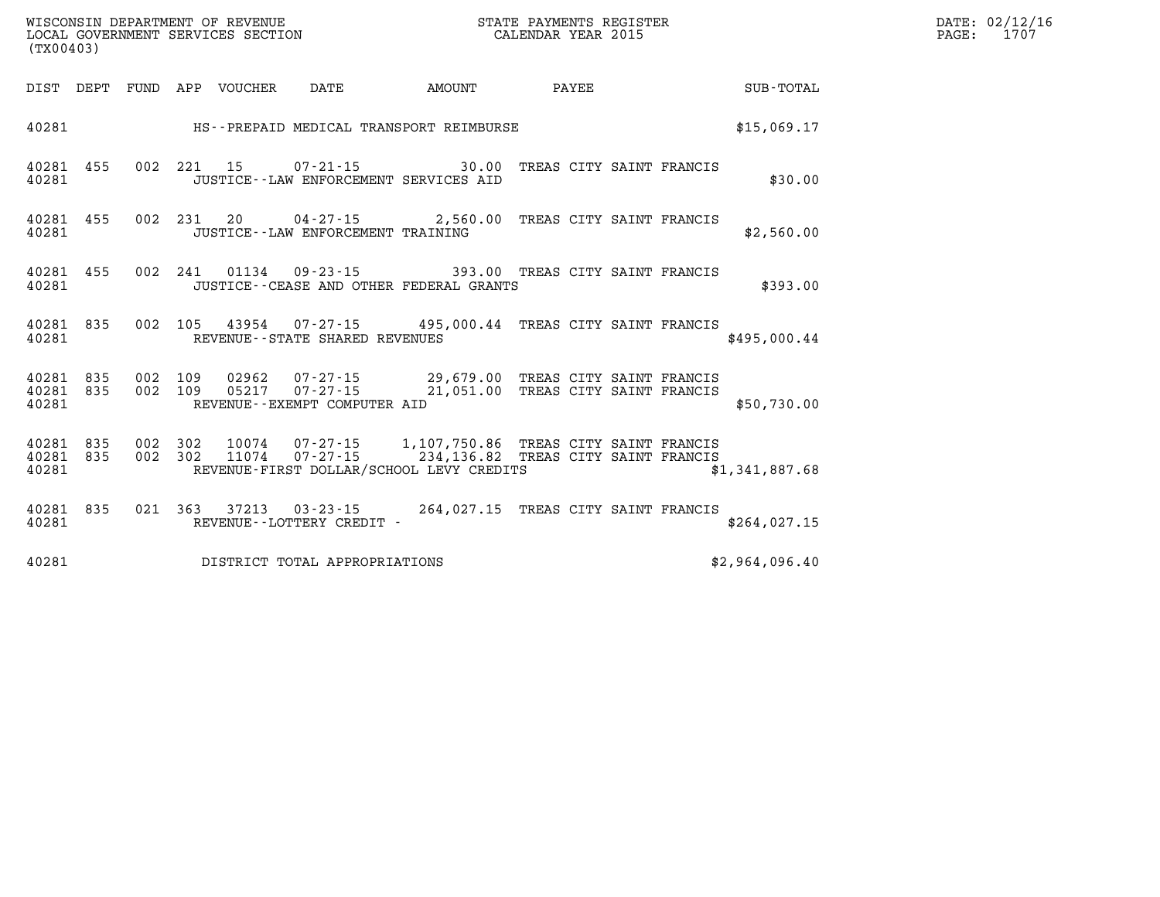| $\texttt{DATE}$ : | 02/12/16 |
|-------------------|----------|
| PAGE:             | 1707     |

|                |                          |  |       |                                                                                                                                                     |                                      |         |            |            |            | (TX00403)               |
|----------------|--------------------------|--|-------|-----------------------------------------------------------------------------------------------------------------------------------------------------|--------------------------------------|---------|------------|------------|------------|-------------------------|
| SUB-TOTAL      |                          |  | PAYEE | AMOUNT                                                                                                                                              | DATE                                 | VOUCHER | APP        | FUND       | DEPT       | DIST                    |
| \$15,069.17    |                          |  |       | HS--PREPAID MEDICAL TRANSPORT REIMBURSE                                                                                                             |                                      |         |            |            |            | 40281                   |
| \$30.00        | TREAS CITY SAINT FRANCIS |  |       | $07 - 21 - 15$ 30.00<br>JUSTICE -- LAW ENFORCEMENT SERVICES AID                                                                                     |                                      | 15      | 221        | 002        | 455        | 40281<br>40281          |
| \$2,560.00     |                          |  |       | 04-27-15 2,560.00 TREAS CITY SAINT FRANCIS                                                                                                          | JUSTICE - - LAW ENFORCEMENT TRAINING | 20      | 231        | 002        | 455        | 40281<br>40281          |
| \$393.00       |                          |  |       | 01134  09-23-15  393.00  TREAS CITY SAINT FRANCIS<br>JUSTICE -- CEASE AND OTHER FEDERAL GRANTS                                                      |                                      |         | 241        | 002        | 455        | 40281<br>40281          |
| \$495,000.44   |                          |  |       | 43954 07-27-15 495,000.44 TREAS CITY SAINT FRANCIS                                                                                                  | REVENUE - - STATE SHARED REVENUES    |         | 105        | 002        | 835        | 40281<br>40281          |
| \$50,730.00    |                          |  |       | 02962  07-27-15  29,679.00 TREAS CITY SAINT FRANCIS<br>05217  07-27-15  21,051.00  TREAS CITY SAINT FRANCIS                                         | REVENUE--EXEMPT COMPUTER AID         |         | 109<br>109 | 002<br>002 | 835<br>835 | 40281<br>40281<br>40281 |
| \$1,341,887.68 |                          |  |       | 10074  07-27-15  1,107,750.86  TREAS CITY SAINT FRANCIS<br>07-27-15 234,136.82 TREAS CITY SAINT FRANCIS<br>REVENUE-FIRST DOLLAR/SCHOOL LEVY CREDITS |                                      | 11074   | 302<br>302 | 002<br>002 | 835<br>835 | 40281<br>40281<br>40281 |
| \$264,027.15   |                          |  |       | 37213 03-23-15 264,027.15 TREAS CITY SAINT FRANCIS                                                                                                  | REVENUE - - LOTTERY CREDIT -         |         | 363        | 021        | 835        | 40281<br>40281          |
| \$2,964,096.40 |                          |  |       |                                                                                                                                                     | DISTRICT TOTAL APPROPRIATIONS        |         |            |            |            | 40281                   |

WISCONSIN DEPARTMENT OF REVENUE **STATE PAYMENTS REGISTER**<br>LOCAL GOVERNMENT SERVICES SECTION

LOCAL GOVERNMENT SERVICES SECTION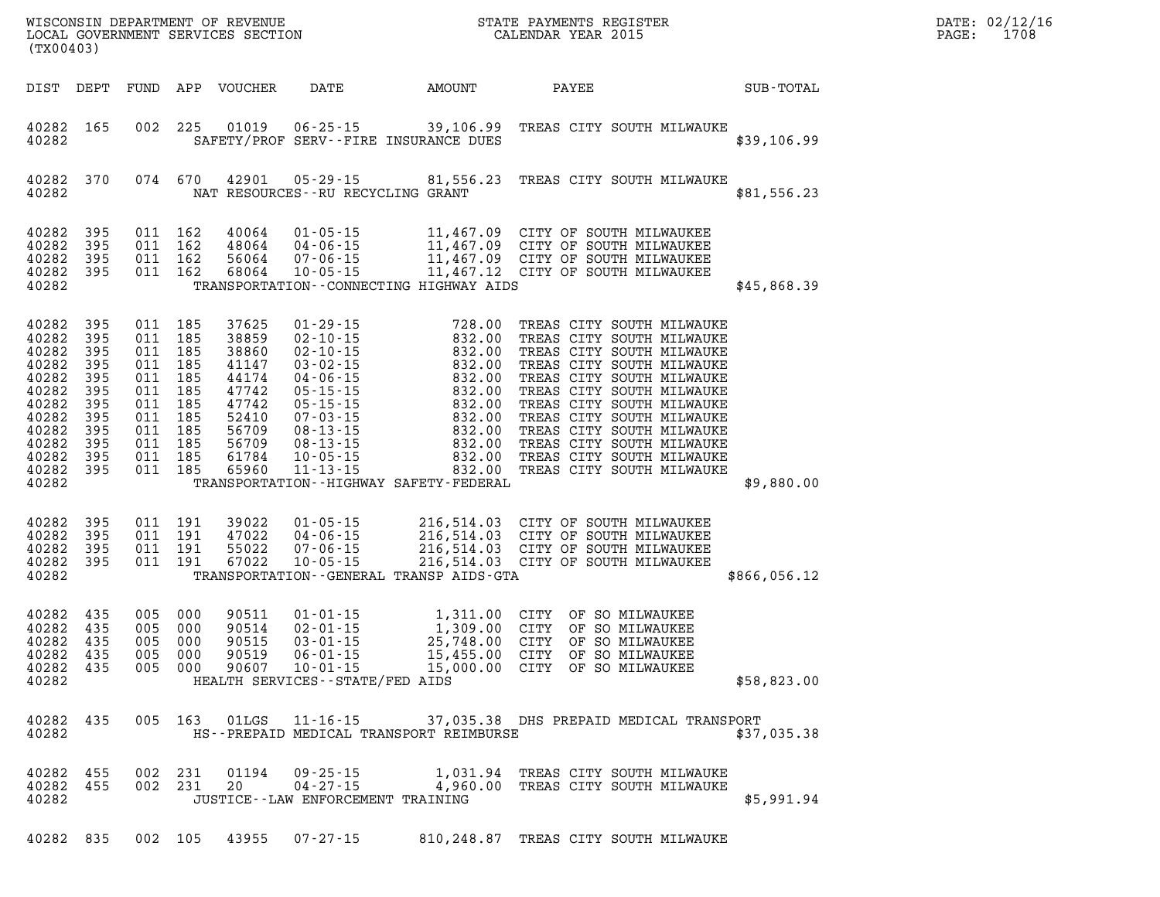| (TX00403)                                                                                                             |                                                                           |                                                                                                                                  |                   |                                                                                                          |                                                                                                                                                                                                          |                                                                                                                                                                                             | WISCONSIN DEPARTMENT OF REVENUE<br>LOCAL GOVERNMENT SERVICES SECTION<br>LOCAL GOVERNMENT SERVICES SECTION<br>CALENDAR YEAR 2015                                                                                                                                                                                                                                 |              | DATE: 02/12/16<br>PAGE:<br>1708 |
|-----------------------------------------------------------------------------------------------------------------------|---------------------------------------------------------------------------|----------------------------------------------------------------------------------------------------------------------------------|-------------------|----------------------------------------------------------------------------------------------------------|----------------------------------------------------------------------------------------------------------------------------------------------------------------------------------------------------------|---------------------------------------------------------------------------------------------------------------------------------------------------------------------------------------------|-----------------------------------------------------------------------------------------------------------------------------------------------------------------------------------------------------------------------------------------------------------------------------------------------------------------------------------------------------------------|--------------|---------------------------------|
| DIST DEPT                                                                                                             |                                                                           |                                                                                                                                  |                   | FUND APP VOUCHER                                                                                         | DATE                                                                                                                                                                                                     | AMOUNT                                                                                                                                                                                      | PAYEE                                                                                                                                                                                                                                                                                                                                                           | SUB-TOTAL    |                                 |
| 40282 165<br>40282                                                                                                    |                                                                           | 002 225                                                                                                                          |                   |                                                                                                          | 01019  06-25-15                                                                                                                                                                                          | 39,106.99<br>SAFETY/PROF SERV--FIRE INSURANCE DUES                                                                                                                                          | TREAS CITY SOUTH MILWAUKE                                                                                                                                                                                                                                                                                                                                       | \$39,106.99  |                                 |
| 40282 370<br>40282                                                                                                    |                                                                           |                                                                                                                                  | 074 670           | 42901                                                                                                    | 05-29-15<br>NAT RESOURCES - - RU RECYCLING GRANT                                                                                                                                                         | 81,556.23                                                                                                                                                                                   | TREAS CITY SOUTH MILWAUKE                                                                                                                                                                                                                                                                                                                                       | \$81,556.23  |                                 |
| 40282<br>40282<br>40282<br>40282 395<br>40282                                                                         | 395<br>395<br>395                                                         | 011 162<br>011 162<br>011 162<br>011 162                                                                                         |                   | 40064<br>48064<br>56064<br>68064                                                                         | 04-06-15                                                                                                                                                                                                 | TRANSPORTATION - - CONNECTING HIGHWAY AIDS                                                                                                                                                  |                                                                                                                                                                                                                                                                                                                                                                 | \$45,868.39  |                                 |
| 40282<br>40282<br>40282<br>40282<br>40282<br>40282<br>40282<br>40282<br>40282<br>40282<br>40282<br>40282 395<br>40282 | 395<br>395<br>395<br>395<br>395<br>395<br>395<br>395<br>395<br>395<br>395 | 011 185<br>011 185<br>011 185<br>011 185<br>011 185<br>011 185<br>011 185<br>011 185<br>011 185<br>011 185<br>011 185<br>011 185 |                   | 37625<br>38859<br>38860<br>41147<br>44174<br>47742<br>47742<br>52410<br>56709<br>56709<br>61784<br>65960 | $01 - 29 - 15$<br>02-10-15<br>$02 - 10 - 15$<br>$03 - 02 - 15$<br>$04 - 06 - 15$<br>$05 - 15 - 15$<br>$05 - 15 - 15$<br>07-03-15<br>$08 - 13 - 15$<br>$08 - 13 - 15$<br>$10 - 05 - 15$<br>$11 - 13 - 15$ | $728.00$<br>$832.00$<br>$832.00$<br>$832.00$<br>$832.00$<br>$832.00$<br>$832.00$<br>$832.00$<br>$832.00$<br>$832.00$<br>$832.00$<br>$832.00$<br>TRANSPORTATION - - HIGHWAY SAFETY - FEDERAL | TREAS CITY SOUTH MILWAUKE<br>TREAS CITY SOUTH MILWAUKE<br>TREAS CITY SOUTH MILWAUKE<br>TREAS CITY SOUTH MILWAUKE<br>TREAS CITY SOUTH MILWAUKE<br>TREAS CITY SOUTH MILWAUKE<br>TREAS CITY SOUTH MILWAUKE<br>TREAS CITY SOUTH MILWAUKE<br>TREAS CITY SOUTH MILWAUKE<br>TREAS CITY SOUTH MILWAUKE<br>TREAS CITY SOUTH MILWAUKE<br>832.00 TREAS CITY SOUTH MILWAUKE | \$9,880.00   |                                 |
| 40282 395<br>40282<br>40282<br>40282 395<br>40282                                                                     | 395<br>395                                                                | 011 191<br>011 191<br>011 191<br>011 191                                                                                         |                   | 39022<br>47022<br>55022<br>67022                                                                         | $01 - 05 - 15$<br>04-06-15<br>$07 - 06 - 15$<br>$10 - 05 - 15$                                                                                                                                           | TRANSPORTATION--GENERAL TRANSP AIDS-GTA                                                                                                                                                     | 216,514.03 CITY OF SOUTH MILWAUKEE<br>216,514.03 CITY OF SOUTH MILWAUKEE<br>216,514.03 CITY OF SOUTH MILWAUKEE<br>216,514.03 CITY OF SOUTH MILWAUKEE                                                                                                                                                                                                            | \$866,056.12 |                                 |
| 40282<br>40282<br>40282<br>40282 435<br>40282 435<br>40282                                                            | 435<br>435<br>435                                                         | 005 000<br>005 000<br>005<br>005<br>005                                                                                          | 000<br>000<br>000 | 90511<br>90514<br>90515<br>90519<br>90607                                                                | $01 - 01 - 15$<br>$02 - 01 - 15$<br>$03 - 01 - 15$<br>$06 - 01 - 15$<br>$10 - 01 - 15$<br>HEALTH SERVICES--STATE/FED AIDS                                                                                | 15,455.00                                                                                                                                                                                   | 1,311.00 CITY OF SO MILWAUKEE<br>1,309.00 CITY OF SO MILWAUKEE<br>25,748.00 CITY OF SO MILWAUKEE<br>15,455.00 CITY OF SO MILWAUKEE<br>CITY OF SO MILWAUKEE<br>15,000.00 CITY OF SO MILWAUKEE                                                                                                                                                                    | \$58,823.00  |                                 |
| 40282                                                                                                                 | 40282 435                                                                 |                                                                                                                                  |                   |                                                                                                          |                                                                                                                                                                                                          | HS--PREPAID MEDICAL TRANSPORT REIMBURSE                                                                                                                                                     | 005 163 01LGS 11-16-15 37,035.38 DHS PREPAID MEDICAL TRANSPORT                                                                                                                                                                                                                                                                                                  | \$37,035.38  |                                 |
| 40282 455<br>40282 455<br>40282                                                                                       |                                                                           |                                                                                                                                  |                   |                                                                                                          | JUSTICE - - LAW ENFORCEMENT TRAINING                                                                                                                                                                     |                                                                                                                                                                                             | 002 231 01194 09-25-15 1,031.94 TREAS CITY SOUTH MILWAUKE<br>002 231 20 04-27-15 4,960.00 TREAS CITY SOUTH MILWAUKE                                                                                                                                                                                                                                             | \$5,991.94   |                                 |
| 40282 835                                                                                                             |                                                                           |                                                                                                                                  |                   |                                                                                                          |                                                                                                                                                                                                          |                                                                                                                                                                                             | 002 105 43955 07-27-15 810,248.87 TREAS CITY SOUTH MILWAUKE                                                                                                                                                                                                                                                                                                     |              |                                 |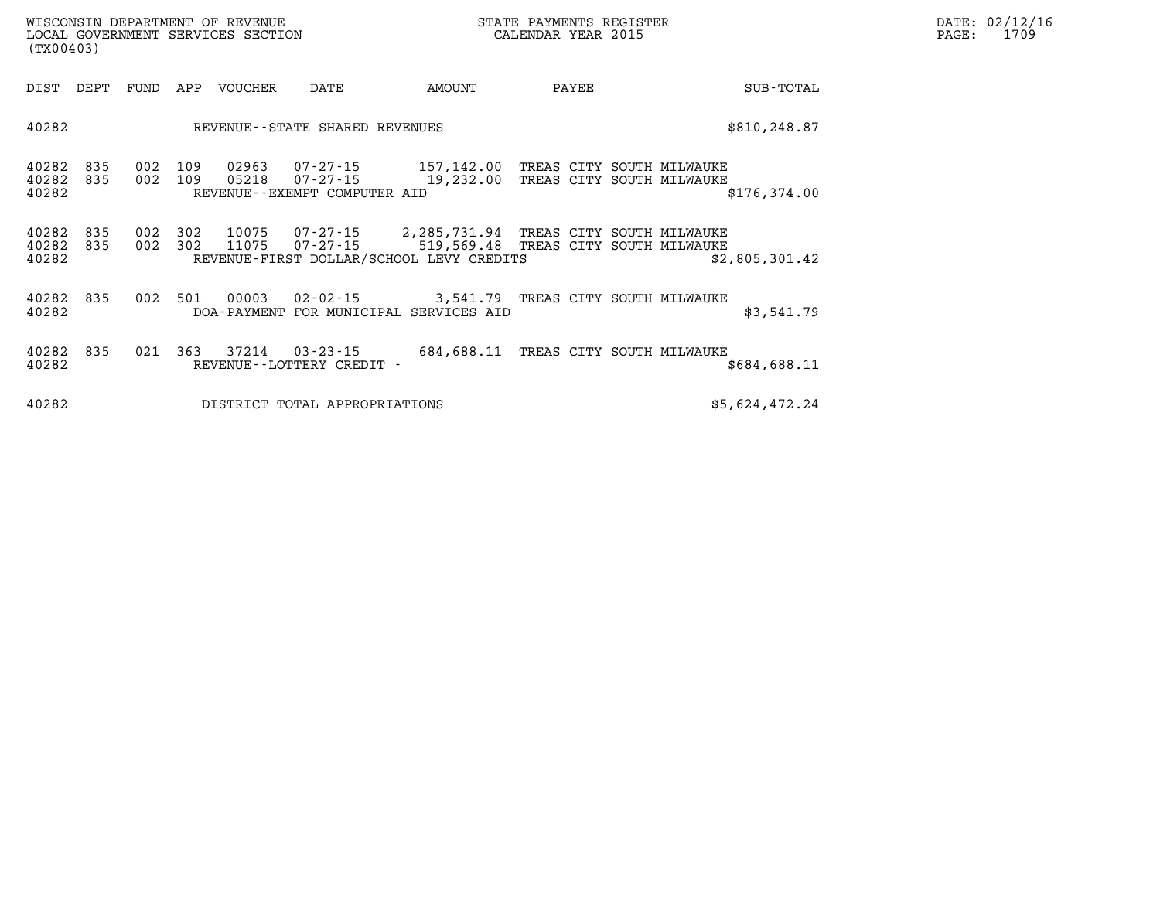| WISCONSIN DEPARTMENT OF REVENUE   | STATE PAYMENTS REGISTER | DATE: 02/12/16 |
|-----------------------------------|-------------------------|----------------|
| LOCAL GOVERNMENT SERVICES SECTION | CALENDAR YEAR 2015      | 1709<br>PAGE:  |

|                         | LOCAL GOVERNMENT SERVICES SECTION<br>(TX00403) |                |            |                |                                                      |                                                                                                                              | CALENDAR YEAR 2015                 | PAGE:          | 1709 |  |
|-------------------------|------------------------------------------------|----------------|------------|----------------|------------------------------------------------------|------------------------------------------------------------------------------------------------------------------------------|------------------------------------|----------------|------|--|
| DIST                    | DEPT                                           | FUND           | APP        | VOUCHER        | DATE                                                 | AMOUNT                                                                                                                       | PAYEE                              | SUB-TOTAL      |      |  |
| 40282                   |                                                |                |            |                | REVENUE--STATE SHARED REVENUES                       |                                                                                                                              |                                    | \$810,248.87   |      |  |
| 40282<br>40282<br>40282 | 835<br>835                                     | 002<br>002 109 | 109        | 02963<br>05218 | 07-27-15<br>07-27-15<br>REVENUE--EXEMPT COMPUTER AID | 157,142.00 TREAS CITY SOUTH MILWAUKE<br>19,232.00 TREAS CITY SOUTH MILWAUKE                                                  |                                    | \$176, 374.00  |      |  |
| 40282<br>40282<br>40282 | 835<br>835                                     | 002<br>002     | 302<br>302 | 10075<br>11075 | 07-27-15<br>$07 - 27 - 15$                           | 2, 285, 731.94 TREAS CITY SOUTH MILWAUKE<br>519,569.48 TREAS CITY SOUTH MILWAUKE<br>REVENUE-FIRST DOLLAR/SCHOOL LEVY CREDITS |                                    | \$2,805,301.42 |      |  |
| 40282<br>40282          | 835                                            | 002            | 501        | 00003          | 02-02-15                                             | DOA-PAYMENT FOR MUNICIPAL SERVICES AID                                                                                       | 3,541.79 TREAS CITY SOUTH MILWAUKE | \$3,541.79     |      |  |
| 40282<br>40282          | 835                                            | 021            | 363        | 37214          | $03 - 23 - 15$<br>REVENUE - - LOTTERY CREDIT -       | 684,688.11                                                                                                                   | TREAS CITY SOUTH MILWAUKE          | \$684,688.11   |      |  |

**40282 DISTRICT TOTAL APPROPRIATIONS \$5,624,472.24**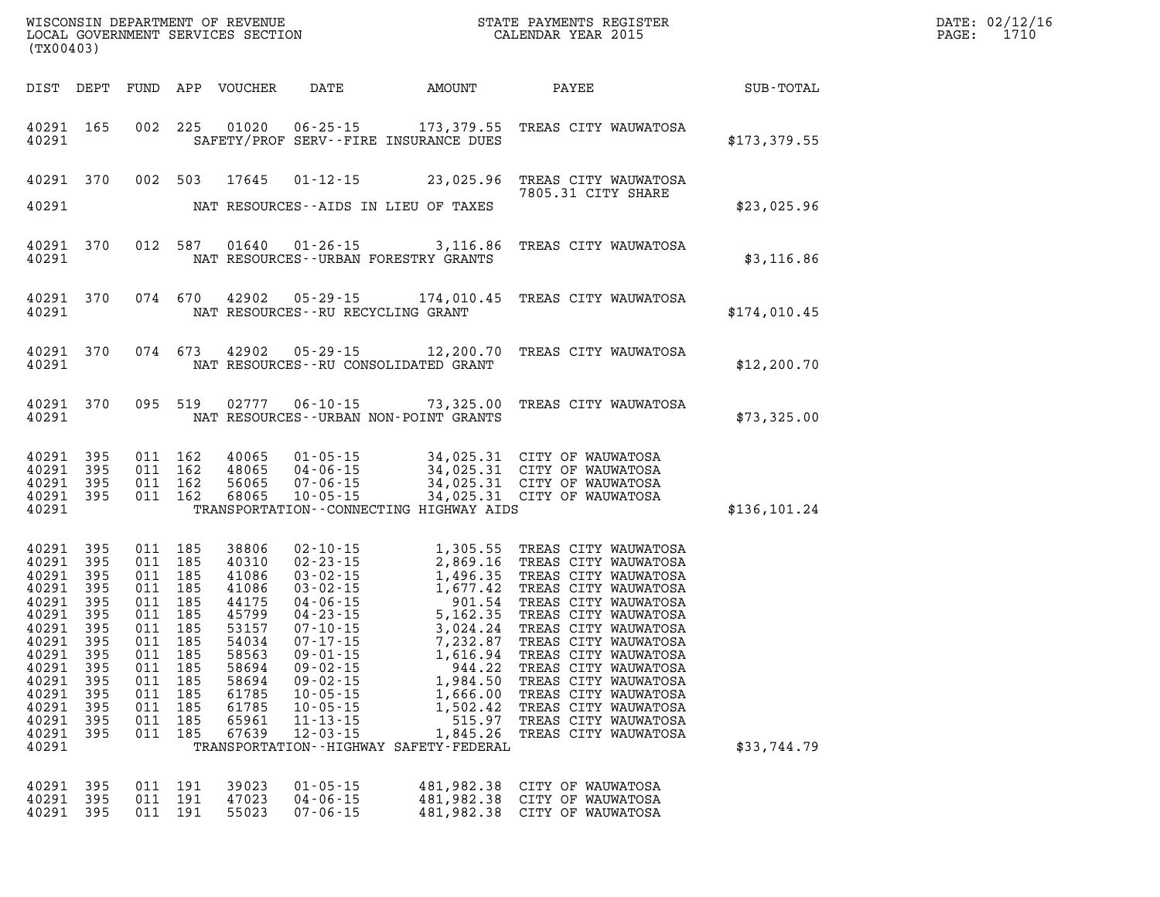| (TX00403)                                                                                                                                    |                                                                                                       |            |                                                                                                                                                           | WISCONSIN DEPARTMENT OF REVENUE<br>LOCAL GOVERNMENT SERVICES SECTION                                                                |                                                                                                          |                                                                                                                 | STATE PAYMENTS REGISTER<br>CALENDAR YEAR 2015                                                                                                                                                                                                                                                                                                                                                           |                  | DATE: 02/12/16<br>1710<br>$\mathtt{PAGE}$ : |
|----------------------------------------------------------------------------------------------------------------------------------------------|-------------------------------------------------------------------------------------------------------|------------|-----------------------------------------------------------------------------------------------------------------------------------------------------------|-------------------------------------------------------------------------------------------------------------------------------------|----------------------------------------------------------------------------------------------------------|-----------------------------------------------------------------------------------------------------------------|---------------------------------------------------------------------------------------------------------------------------------------------------------------------------------------------------------------------------------------------------------------------------------------------------------------------------------------------------------------------------------------------------------|------------------|---------------------------------------------|
|                                                                                                                                              |                                                                                                       |            |                                                                                                                                                           | DIST DEPT FUND APP VOUCHER                                                                                                          | DATE                                                                                                     | <b>AMOUNT</b>                                                                                                   | PAYEE                                                                                                                                                                                                                                                                                                                                                                                                   | <b>SUB-TOTAL</b> |                                             |
| 40291                                                                                                                                        | 40291 165                                                                                             |            |                                                                                                                                                           |                                                                                                                                     |                                                                                                          | SAFETY/PROF SERV--FIRE INSURANCE DUES                                                                           | 002 225 01020 06-25-15 173,379.55 TREAS CITY WAUWATOSA                                                                                                                                                                                                                                                                                                                                                  | \$173,379.55     |                                             |
| 40291 370<br>40291                                                                                                                           |                                                                                                       |            |                                                                                                                                                           | 002 503 17645                                                                                                                       |                                                                                                          | NAT RESOURCES--AIDS IN LIEU OF TAXES                                                                            | 01-12-15 23,025.96 TREAS CITY WAUWATOSA<br>7805.31 CITY SHARE                                                                                                                                                                                                                                                                                                                                           | \$23,025.96      |                                             |
| 40291                                                                                                                                        | 40291 370                                                                                             |            |                                                                                                                                                           |                                                                                                                                     |                                                                                                          | NAT RESOURCES--URBAN FORESTRY GRANTS                                                                            | 012 587 01640 01-26-15 3,116.86 TREAS CITY WAUWATOSA                                                                                                                                                                                                                                                                                                                                                    | \$3,116.86       |                                             |
| 40291                                                                                                                                        | 40291 370                                                                                             |            |                                                                                                                                                           |                                                                                                                                     | NAT RESOURCES--RU RECYCLING GRANT                                                                        |                                                                                                                 | 074 670 42902 05-29-15 174,010.45 TREAS CITY WAUWATOSA                                                                                                                                                                                                                                                                                                                                                  | \$174,010.45     |                                             |
| 40291                                                                                                                                        | 40291 370                                                                                             |            | 074 673                                                                                                                                                   |                                                                                                                                     |                                                                                                          | NAT RESOURCES--RU CONSOLIDATED GRANT                                                                            | 42902  05-29-15  12,200.70  TREAS CITY WAUWATOSA                                                                                                                                                                                                                                                                                                                                                        | \$12, 200.70     |                                             |
| 40291                                                                                                                                        | 40291 370                                                                                             |            |                                                                                                                                                           |                                                                                                                                     |                                                                                                          | NAT RESOURCES--URBAN NON-POINT GRANTS                                                                           | 095 519 02777 06-10-15 73,325.00 TREAS CITY WAUWATOSA                                                                                                                                                                                                                                                                                                                                                   | \$73,325.00      |                                             |
| 40291<br>40291<br>40291<br>40291<br>40291                                                                                                    | 395<br>395<br>395<br>395                                                                              |            | 011 162<br>011 162<br>011 162<br>011 162                                                                                                                  |                                                                                                                                     |                                                                                                          | TRANSPORTATION -- CONNECTING HIGHWAY AIDS                                                                       | 40065 01-05-15 34,025.31 CITY OF WAUWATOSA<br>48065 04-06-15 34,025.31 CITY OF WAUWATOSA<br>56065 07-06-15 34,025.31 CITY OF WAUWATOSA<br>68065 10-05-15 34,025.31 CITY OF WAUWATOSA                                                                                                                                                                                                                    | \$136, 101.24    |                                             |
| 40291<br>40291<br>40291<br>40291<br>40291<br>40291<br>40291<br>40291<br>40291<br>40291<br>40291<br>40291<br>40291<br>40291<br>40291<br>40291 | 395<br>395<br>395<br>395<br>395<br>395<br>395<br>395<br>395<br>395<br>395<br>395<br>395<br>395<br>395 | 011<br>011 | 011 185<br>011 185<br>011 185<br>011 185<br>011 185<br>011 185<br>011 185<br>011 185<br>011 185<br>011 185<br>011 185<br>185<br>011 185<br>185<br>011 185 | 38806<br>40310<br>41086<br>41086<br>44175<br>45799<br>53157<br>54034<br>58563<br>58694<br>58694<br>61785<br>61785<br>65961<br>67639 | $09 - 02 - 15$<br>$09 - 02 - 15$<br>$10 - 05 - 15$<br>$10 - 05 - 15$<br>$11 - 13 - 15$<br>$12 - 03 - 15$ | 944.22<br>1,984.50<br>1,666.00<br>1,502.42<br>515.97<br>1,845.26<br>TRANSPORTATION - - HIGHWAY SAFETY - FEDERAL | 02-10-15<br>02-23-15<br>2,869.16 TREAS CITY WAUWATOSA<br>03-02-15<br>1,496.35 TREAS CITY WAUWATOSA<br>03-02-15<br>1,677.42 TREAS CITY WAUWATOSA<br>04-06-15<br>901.54 TREAS CITY WAUWATOSA<br>04-23-15<br>5,162.35 TREAS CITY WAUWATOSA<br>07-10-15<br><br>TREAS CITY WAUWATOSA<br>TREAS CITY WAUWATOSA<br>TREAS CITY WAUWATOSA<br>TREAS CITY WAUWATOSA<br>TREAS CITY WAUWATOSA<br>TREAS CITY WAUWATOSA | \$33,744.79      |                                             |
| 40291<br>40291<br>40291                                                                                                                      | 395<br>395<br>- 395                                                                                   |            | 011 191<br>011 191<br>011 191                                                                                                                             | 39023<br>47023<br>55023                                                                                                             | $01 - 05 - 15$<br>$04 - 06 - 15$<br>$07 - 06 - 15$                                                       | 481,982.38<br>481,982.38                                                                                        | CITY OF WAUWATOSA<br>CITY OF WAUWATOSA<br>481,982.38 CITY OF WAUWATOSA                                                                                                                                                                                                                                                                                                                                  |                  |                                             |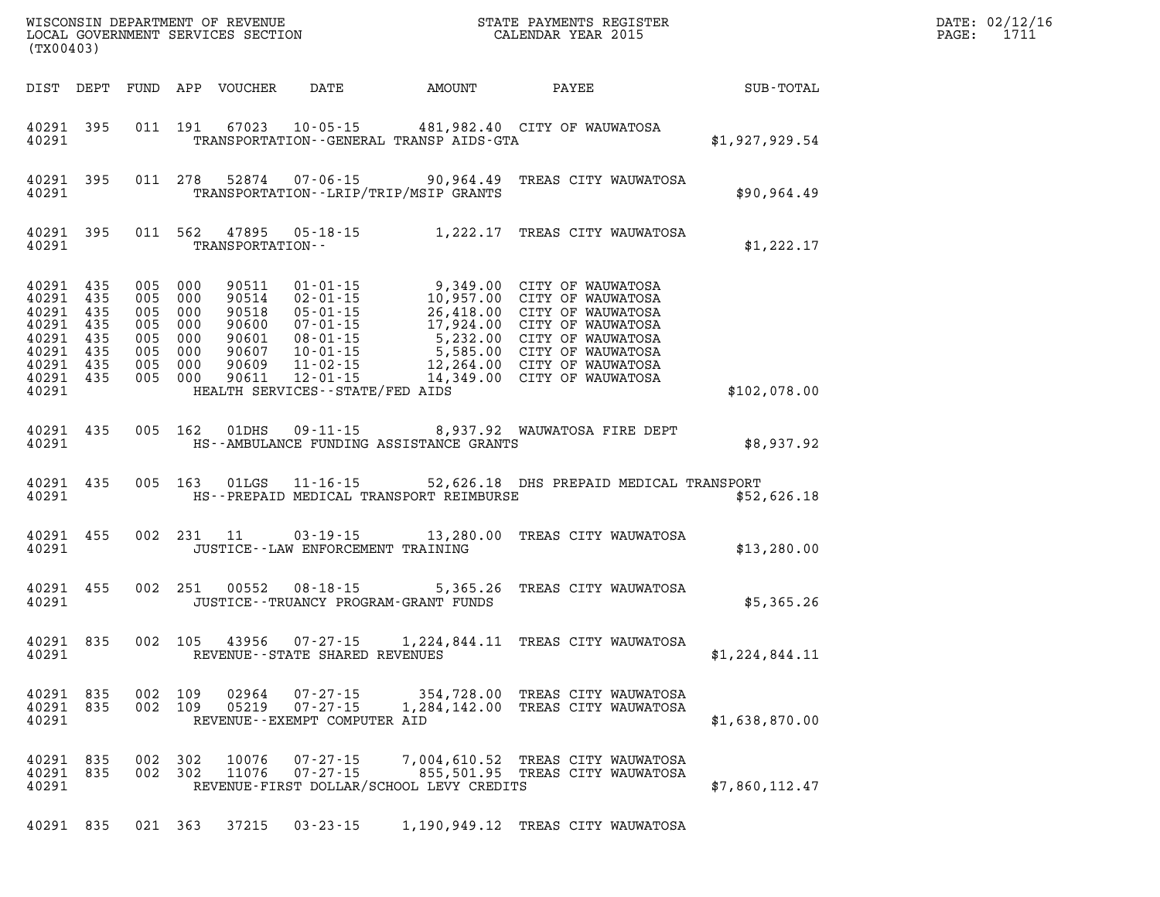|       | (TX00403)                                                                               |         |                    |                         |                                                                  |                                               | WISCONSIN DEPARTMENT OF REVENUE<br>LOCAL GOVERNMENT SERVICES SECTION<br>(TWOO403) CALENDAR YEAR 2015                                                                                                                                 |                | DATE: 02/12/16<br>PAGE: 1711 |
|-------|-----------------------------------------------------------------------------------------|---------|--------------------|-------------------------|------------------------------------------------------------------|-----------------------------------------------|--------------------------------------------------------------------------------------------------------------------------------------------------------------------------------------------------------------------------------------|----------------|------------------------------|
|       |                                                                                         |         |                    |                         |                                                                  |                                               | DIST DEPT FUND APP VOUCHER DATE AMOUNT PAYEE SUB-TOTAL                                                                                                                                                                               |                |                              |
|       | 40291 395<br>40291 and $\sim$                                                           |         |                    |                         |                                                                  |                                               | 011 191 67023 10-05-15 481,982.40 CITY OF WAUWATOSA<br>TRANSPORTATION - - GENERAL TRANSP AIDS-GTA                                                                                                                                    | \$1,927,929.54 |                              |
| 40291 | 40291 395                                                                               |         |                    |                         |                                                                  | TRANSPORTATION - - LRIP/TRIP/MSIP GRANTS      | 011 278 52874 07-06-15 90,964.49 TREAS CITY WAUWATOSA                                                                                                                                                                                | \$90,964.49    |                              |
|       | 40291 395                                                                               |         |                    | 40291 TRANSPORTATION--  |                                                                  |                                               | 011 562 47895 05-18-15 1,222.17 TREAS CITY WAUWATOSA                                                                                                                                                                                 | \$1,222.17     |                              |
| 40291 | 40291 435<br>40291 435<br>40291 435<br>40291 435<br>40291 435<br>40291 435<br>40291 435 | 005 000 |                    | 40291 435 005 000 90611 | HEALTH SERVICES--STATE/FED AIDS                                  |                                               | 005 000 90511 01-01-15 9,349.00 CITY OF WAUWATOSA<br>005 000 90514 02-01-15 10,957.00 CITY OF WAUWATOSA<br>005 000 90518 05-01-15 26,418.00 CITY OF WAUWATOSA<br>005 000 90600 07-01-15 17,924.00 CITY OF WAUWATOSA<br>005 000 90601 | \$102,078.00   |                              |
|       |                                                                                         |         |                    |                         |                                                                  | 40291 HS--AMBULANCE FUNDING ASSISTANCE GRANTS | 40291 435 005 162 01DHS 09-11-15 8,937.92 WAUWATOSA FIRE DEPT                                                                                                                                                                        | \$8,937.92     |                              |
|       | 40291                                                                                   |         |                    |                         |                                                                  | HS--PREPAID MEDICAL TRANSPORT REIMBURSE       | 40291 435 005 163 01LGS 11-16-15 52,626.18 DHS PREPAID MEDICAL TRANSPORT                                                                                                                                                             | \$52,626.18    |                              |
|       | 40291                                                                                   |         |                    |                         | JUSTICE -- LAW ENFORCEMENT TRAINING                              |                                               | 40291 455 002 231 11 03-19-15 13,280.00 TREAS CITY WAUWATOSA                                                                                                                                                                         | \$13,280.00    |                              |
|       | 40291                                                                                   |         |                    |                         |                                                                  | JUSTICE - - TRUANCY PROGRAM - GRANT FUNDS     | 40291 455 002 251 00552 08-18-15 5,365.26 TREAS CITY WAUWATOSA                                                                                                                                                                       | \$5,365.26     |                              |
| 40291 | 40291 835                                                                               |         |                    |                         | REVENUE--STATE SHARED REVENUES                                   |                                               | 002 105 43956 07-27-15 1,224,844.11 TREAS CITY WAUWATOSA                                                                                                                                                                             | \$1,224,844.11 |                              |
| 40291 | 40291 835<br>40291 835                                                                  |         | 002 109<br>002 109 | 02964<br>05219          | $07 - 27 - 15$<br>$07 - 27 - 15$<br>REVENUE--EXEMPT COMPUTER AID |                                               | 354,728.00 TREAS CITY WAUWATOSA<br>1,284,142.00 TREAS CITY WAUWATOSA                                                                                                                                                                 | \$1,638,870.00 |                              |
| 40291 | 40291 835<br>40291 835                                                                  | 002     | 302<br>002 302     | 10076<br>11076          | $07 - 27 - 15$<br>$07 - 27 - 15$                                 | REVENUE-FIRST DOLLAR/SCHOOL LEVY CREDITS      | 7,004,610.52 TREAS CITY WAUWATOSA<br>855,501.95 TREAS CITY WAUWATOSA                                                                                                                                                                 | \$7,860,112.47 |                              |
|       | 40291 835                                                                               |         |                    | 021 363 37215           | $03 - 23 - 15$                                                   |                                               | 1,190,949.12 TREAS CITY WAUWATOSA                                                                                                                                                                                                    |                |                              |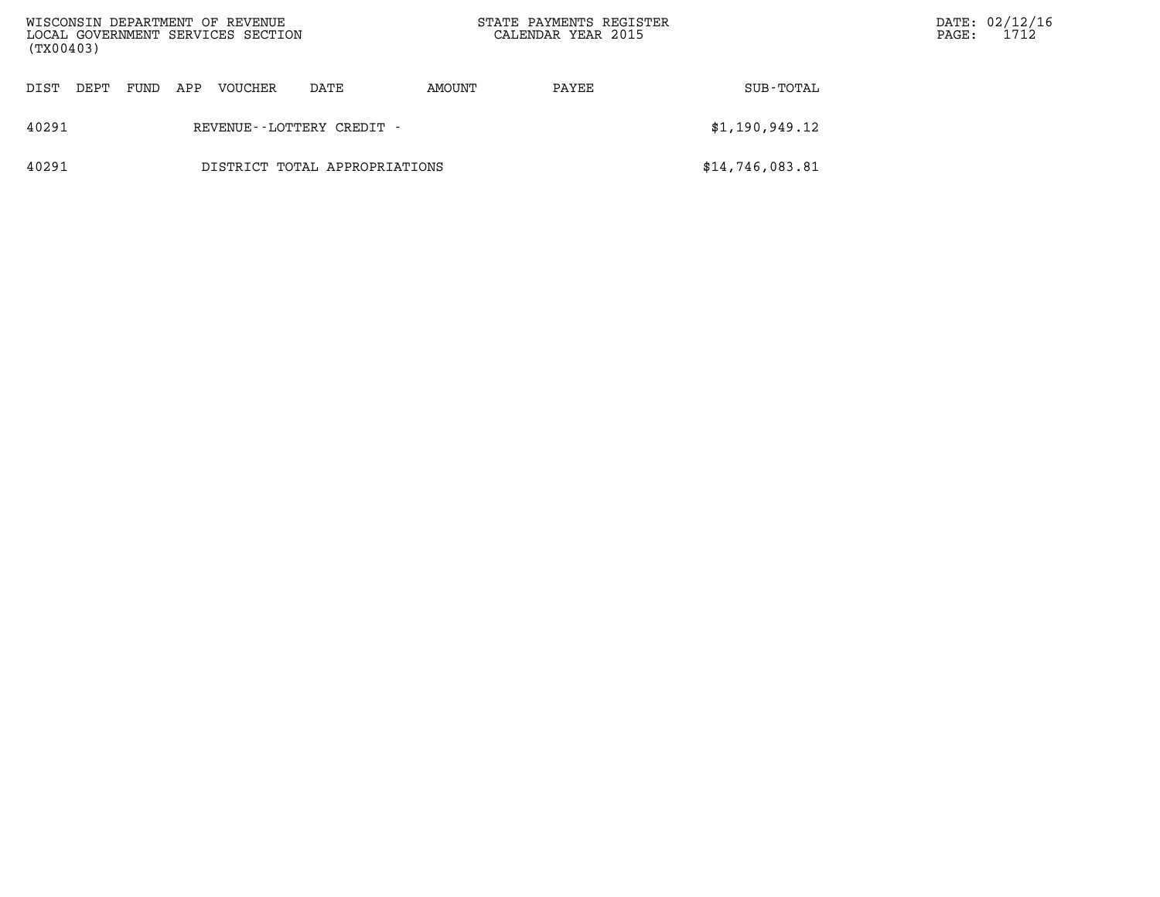| (TX00403)                              |      |     | WISCONSIN DEPARTMENT OF REVENUE<br>LOCAL GOVERNMENT SERVICES SECTION |      | STATE PAYMENTS REGISTER<br>CALENDAR YEAR 2015 | PAGE:           | DATE: 02/12/1<br>1712 |  |  |
|----------------------------------------|------|-----|----------------------------------------------------------------------|------|-----------------------------------------------|-----------------|-----------------------|--|--|
| DIST<br>DEPT                           | FUND | APP | <b>VOUCHER</b>                                                       | DATE | AMOUNT                                        | PAYEE           | SUB-TOTAL             |  |  |
| 40291<br>REVENUE - - LOTTERY CREDIT -  |      |     |                                                                      |      |                                               |                 | \$1,190,949.12        |  |  |
| 40291<br>DISTRICT TOTAL APPROPRIATIONS |      |     |                                                                      |      |                                               | \$14,746,083.81 |                       |  |  |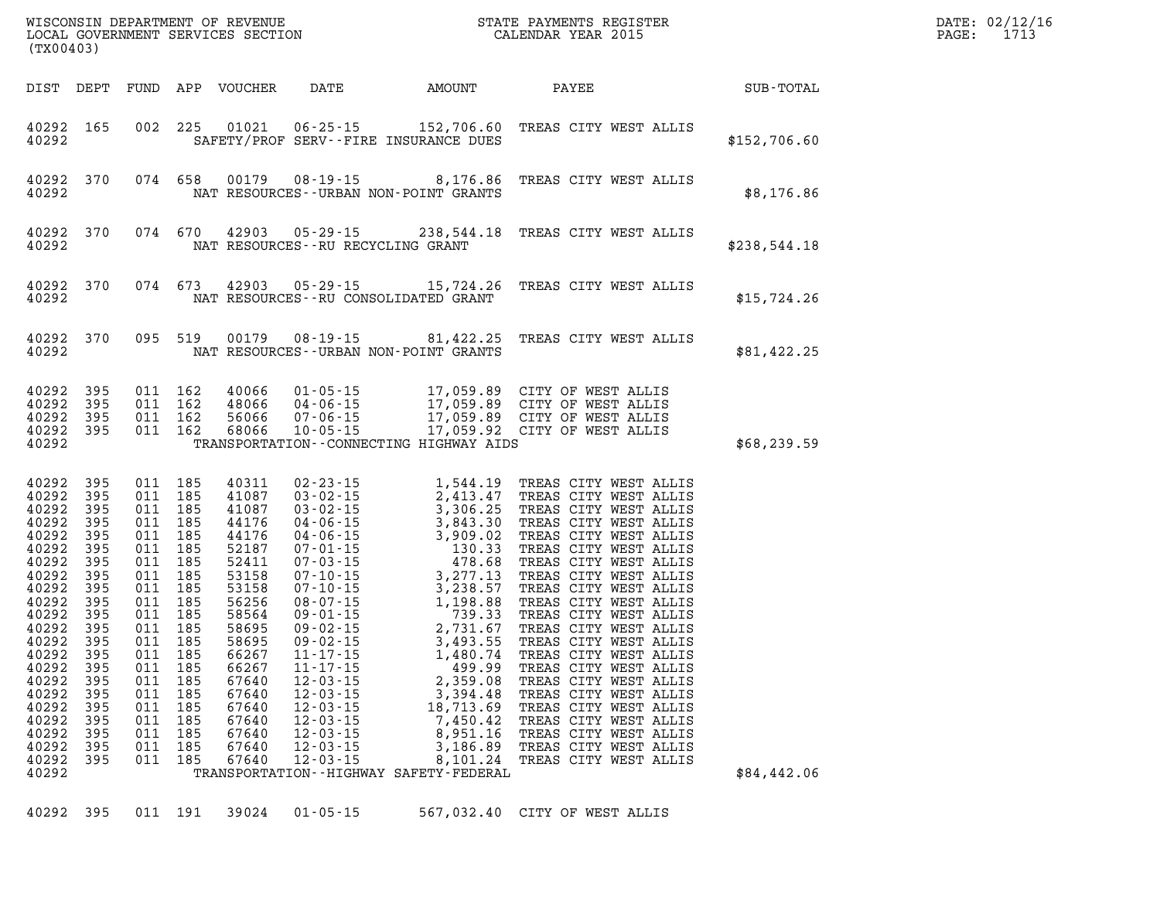| (TX00403)                                                                                                                                                                                                   |                                                                                                                                                        |                                                                    |                                                                                                                                                                                                        |                                                                                                                                                                                                    |                                                                                                                            |                                                                                                                                                                                                                                                                                                                                                                                                                                                                                                           |                                                                                                                                                                                                                                                                                                                                                                                                                                                                                                                                                                    | R<br>DATE: 02/12/16<br>1713<br>PAGE: |  |
|-------------------------------------------------------------------------------------------------------------------------------------------------------------------------------------------------------------|--------------------------------------------------------------------------------------------------------------------------------------------------------|--------------------------------------------------------------------|--------------------------------------------------------------------------------------------------------------------------------------------------------------------------------------------------------|----------------------------------------------------------------------------------------------------------------------------------------------------------------------------------------------------|----------------------------------------------------------------------------------------------------------------------------|-----------------------------------------------------------------------------------------------------------------------------------------------------------------------------------------------------------------------------------------------------------------------------------------------------------------------------------------------------------------------------------------------------------------------------------------------------------------------------------------------------------|--------------------------------------------------------------------------------------------------------------------------------------------------------------------------------------------------------------------------------------------------------------------------------------------------------------------------------------------------------------------------------------------------------------------------------------------------------------------------------------------------------------------------------------------------------------------|--------------------------------------|--|
| DIST DEPT                                                                                                                                                                                                   |                                                                                                                                                        |                                                                    |                                                                                                                                                                                                        | FUND APP VOUCHER                                                                                                                                                                                   | DATE                                                                                                                       | AMOUNT                                                                                                                                                                                                                                                                                                                                                                                                                                                                                                    | PAYEE                                                                                                                                                                                                                                                                                                                                                                                                                                                                                                                                                              | SUB-TOTAL                            |  |
| 40292 165<br>40292                                                                                                                                                                                          |                                                                                                                                                        |                                                                    | 002 225                                                                                                                                                                                                |                                                                                                                                                                                                    |                                                                                                                            | 01021  06-25-15  152,706.60<br>SAFETY/PROF SERV--FIRE INSURANCE DUES                                                                                                                                                                                                                                                                                                                                                                                                                                      | TREAS CITY WEST ALLIS                                                                                                                                                                                                                                                                                                                                                                                                                                                                                                                                              | \$152,706.60                         |  |
| 40292 370<br>40292                                                                                                                                                                                          |                                                                                                                                                        |                                                                    | 074 658                                                                                                                                                                                                |                                                                                                                                                                                                    |                                                                                                                            | 00179 08-19-15 8,176.86<br>NAT RESOURCES - - URBAN NON-POINT GRANTS                                                                                                                                                                                                                                                                                                                                                                                                                                       | TREAS CITY WEST ALLIS                                                                                                                                                                                                                                                                                                                                                                                                                                                                                                                                              | \$8,176.86                           |  |
| 40292 370<br>40292                                                                                                                                                                                          |                                                                                                                                                        |                                                                    | 074 670                                                                                                                                                                                                |                                                                                                                                                                                                    | NAT RESOURCES -- RU RECYCLING GRANT                                                                                        |                                                                                                                                                                                                                                                                                                                                                                                                                                                                                                           | 42903  05-29-15  238,544.18  TREAS CITY WEST ALLIS                                                                                                                                                                                                                                                                                                                                                                                                                                                                                                                 | \$238,544.18                         |  |
| 40292 370<br>40292                                                                                                                                                                                          |                                                                                                                                                        |                                                                    | 074 673                                                                                                                                                                                                |                                                                                                                                                                                                    |                                                                                                                            | NAT RESOURCES - - RU CONSOLIDATED GRANT                                                                                                                                                                                                                                                                                                                                                                                                                                                                   | 42903 05-29-15 15,724.26 TREAS CITY WEST ALLIS                                                                                                                                                                                                                                                                                                                                                                                                                                                                                                                     | \$15,724.26                          |  |
| 40292 370<br>40292                                                                                                                                                                                          |                                                                                                                                                        |                                                                    | 095 519                                                                                                                                                                                                |                                                                                                                                                                                                    |                                                                                                                            | 00179 08-19-15 81,422.25<br>NAT RESOURCES - - URBAN NON-POINT GRANTS                                                                                                                                                                                                                                                                                                                                                                                                                                      | TREAS CITY WEST ALLIS                                                                                                                                                                                                                                                                                                                                                                                                                                                                                                                                              | \$81,422.25                          |  |
| 40292<br>40292<br>40292<br>40292 395<br>40292                                                                                                                                                               | 395<br>395<br>395                                                                                                                                      |                                                                    | 011 162<br>011 162<br>011 162<br>011 162                                                                                                                                                               | 40066<br>48066<br>56066<br>68066                                                                                                                                                                   | 04-06-15                                                                                                                   | TRANSPORTATION - - CONNECTING HIGHWAY AIDS                                                                                                                                                                                                                                                                                                                                                                                                                                                                | 01-05-15 17,059.89 CITY OF WEST ALLIS<br>04-06-15 17,059.89 CITY OF WEST ALLIS<br>07-06-15 17,059.89 CITY OF WEST ALLIS<br>10-05-15 17,059.92 CITY OF WEST ALLIS                                                                                                                                                                                                                                                                                                                                                                                                   | \$68, 239.59                         |  |
| 40292<br>40292<br>40292<br>40292<br>40292<br>40292<br>40292<br>40292<br>40292<br>40292<br>40292<br>40292<br>40292<br>40292<br>40292<br>40292<br>40292<br>40292<br>40292<br>40292<br>40292<br>40292<br>40292 | 395<br>395<br>395<br>395<br>395<br>395<br>395<br>395<br>395<br>395<br>395<br>395<br>395<br>395<br>395<br>395<br>395<br>395<br>395<br>395<br>395<br>395 | 011<br>011<br>011<br>011<br>011<br>011<br>011<br>011<br>011<br>011 | 011 185<br>011 185<br>011 185<br>011 185<br>011 185<br>011 185<br>185<br>185<br>011 185<br>011 185<br>185<br>011 185<br>011 185<br>011 185<br>011 185<br>185<br>185<br>185<br>185<br>185<br>185<br>185 | 40311<br>41087<br>41087<br>44176<br>44176<br>52187<br>52411<br>53158<br>53158<br>56256<br>58564<br>58695<br>58695<br>66267<br>66267<br>67640<br>67640<br>67640<br>67640<br>67640<br>67640<br>67640 | $12 - 03 - 15$<br>$12 - 03 - 15$<br>$12 - 03 - 15$<br>$12 - 03 - 15$<br>$12 - 03 - 15$<br>$12 - 03 - 15$<br>$12 - 03 - 15$ | $\begin{array}{cccc} 02\text{-}23\text{-}15 & 1,544\text{-}19 \\ 03\text{-}02\text{-}15 & 2,413\text{-}47 \\ 03\text{-}02\text{-}15 & 3,306\text{-}25 \\ 04\text{-}06\text{-}15 & 3,943\text{-}30 \\ 07\text{-}01\text{-}15 & 130\text{-}33 \\ 07\text{-}03\text{-}15 & 478\text{-}68 \\ 07\text{-}10\text{-}15 & 3,277\text{-}13 \\ 07\text{-}10\text{-}1$<br>499.99<br>2,359.08<br>3,394.48<br>18,713.69<br>7,450.42<br>8,951.16<br>3,186.89<br>8,101.24<br>TRANSPORTATION - - HIGHWAY SAFETY - FEDERAL | TREAS CITY WEST ALLIS<br>TREAS CITY WEST ALLIS<br>TREAS CITY WEST ALLIS<br>TREAS CITY WEST ALLIS<br>TREAS CITY WEST ALLIS<br>TREAS CITY WEST ALLIS<br>TREAS CITY WEST ALLIS<br>TREAS CITY WEST ALLIS<br>TREAS CITY WEST ALLIS<br>TREAS CITY WEST ALLIS<br>TREAS CITY WEST ALLIS<br>TREAS CITY WEST ALLIS<br>TREAS CITY WEST ALLIS<br>TREAS CITY WEST ALLIS<br>TREAS CITY WEST ALLIS<br>TREAS CITY WEST ALLIS<br>TREAS CITY WEST ALLIS<br>TREAS CITY WEST ALLIS<br>TREAS CITY WEST ALLIS<br>TREAS CITY WEST ALLIS<br>TREAS CITY WEST ALLIS<br>TREAS CITY WEST ALLIS | \$84,442.06                          |  |
| 40292                                                                                                                                                                                                       | 395                                                                                                                                                    |                                                                    | 011 191                                                                                                                                                                                                | 39024                                                                                                                                                                                              | $01 - 05 - 15$                                                                                                             | 567,032.40                                                                                                                                                                                                                                                                                                                                                                                                                                                                                                | CITY OF WEST ALLIS                                                                                                                                                                                                                                                                                                                                                                                                                                                                                                                                                 |                                      |  |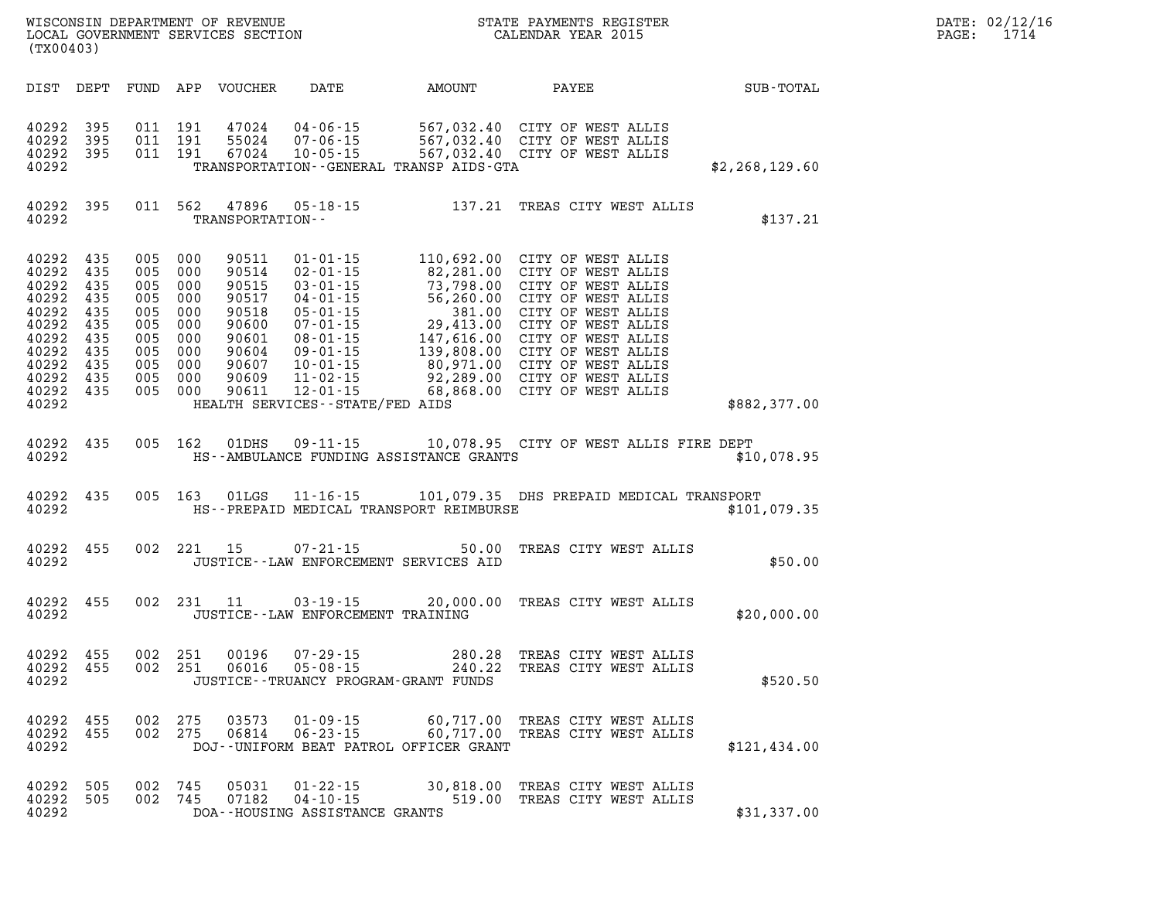| (TX00403)                                                                                                        |                                                             |                                                                  |                                                                  |                                                                                                 |                                                                    |                                                     | WISCONSIN DEPARTMENT OF REVENUE<br>LOCAL GOVERNMENT SERVICES SECTION FOR THE STATE PAYMENTS REGISTER<br>CALENDAR YEAR 2015                                                                                                                                                                                                                         |                  | DATE: 02/12/16<br>1714<br>PAGE: |
|------------------------------------------------------------------------------------------------------------------|-------------------------------------------------------------|------------------------------------------------------------------|------------------------------------------------------------------|-------------------------------------------------------------------------------------------------|--------------------------------------------------------------------|-----------------------------------------------------|----------------------------------------------------------------------------------------------------------------------------------------------------------------------------------------------------------------------------------------------------------------------------------------------------------------------------------------------------|------------------|---------------------------------|
|                                                                                                                  |                                                             |                                                                  |                                                                  | DIST DEPT FUND APP VOUCHER                                                                      | DATE                                                               | AMOUNT                                              | PAYEE                                                                                                                                                                                                                                                                                                                                              | SUB-TOTAL        |                                 |
| 40292<br>40292<br>40292 395<br>40292                                                                             | 395<br>395                                                  | 011 191<br>011 191                                               | 011 191                                                          | 47024<br>55024<br>67024                                                                         |                                                                    | TRANSPORTATION - - GENERAL TRANSP AIDS - GTA        | 04-06-15 567,032.40 CITY OF WEST ALLIS<br>07-06-15 567,032.40 CITY OF WEST ALLIS<br>10-05-15 567,032.40 CITY OF WEST ALLIS                                                                                                                                                                                                                         | \$2, 268, 129.60 |                                 |
| 40292 395<br>40292                                                                                               |                                                             |                                                                  | 011 562                                                          | 47896<br>TRANSPORTATION--                                                                       |                                                                    |                                                     | 05-18-15 137.21 TREAS CITY WEST ALLIS                                                                                                                                                                                                                                                                                                              | \$137.21         |                                 |
| 40292 435<br>40292<br>40292<br>40292<br>40292<br>40292<br>40292<br>40292<br>40292<br>40292<br>40292 435<br>40292 | 435<br>435<br>435<br>435<br>435<br>435<br>435<br>435<br>435 | 005 000<br>005<br>005<br>005<br>005<br>005<br>005 000<br>005 000 | 000<br>005 000<br>000<br>000<br>000<br>005 000<br>000<br>005 000 | 90511<br>90514<br>90515<br>90517<br>90518<br>90600<br>90601<br>90604<br>90607<br>90609<br>90611 | 11-02-15<br>HEALTH SERVICES - - STATE/FED AIDS                     |                                                     | 01-01-15<br>02-01-15<br>02-01-15<br>03-01-15<br>03-01-15<br>04-01-15<br>05-01-15<br>05-01-15<br>06-01-15<br>06-01-15<br>08-01-15<br>08-01-15<br>147,616.00 CITY OF WEST ALLIS<br>09-01-15<br>147,616.00 CITY OF WEST ALLIS<br>09-01-15<br>139,808.00 CITY OF W<br>11-02-15 92, 289.00 CITY OF WEST ALLIS<br>12-01-15 68, 868.00 CITY OF WEST ALLIS | \$882,377.00     |                                 |
| 40292 435<br>40292                                                                                               |                                                             |                                                                  | 005 162                                                          | 01DHS                                                                                           |                                                                    | HS--AMBULANCE FUNDING ASSISTANCE GRANTS             | 09-11-15 10,078.95 CITY OF WEST ALLIS FIRE DEPT                                                                                                                                                                                                                                                                                                    | \$10,078.95      |                                 |
| 40292 435<br>40292                                                                                               |                                                             |                                                                  | 005 163                                                          | 01LGS                                                                                           |                                                                    | HS--PREPAID MEDICAL TRANSPORT REIMBURSE             | 11-16-15 101,079.35 DHS PREPAID MEDICAL TRANSPORT                                                                                                                                                                                                                                                                                                  | \$101,079.35     |                                 |
| 40292 455<br>40292                                                                                               |                                                             |                                                                  | 002 221 15                                                       |                                                                                                 | 07-21-15                                                           | 50.00<br>JUSTICE -- LAW ENFORCEMENT SERVICES AID    | TREAS CITY WEST ALLIS                                                                                                                                                                                                                                                                                                                              | \$50.00          |                                 |
| 40292 455<br>40292                                                                                               |                                                             |                                                                  |                                                                  | 002 231 11                                                                                      | JUSTICE - - LAW ENFORCEMENT TRAINING                               |                                                     | 03-19-15 20,000.00 TREAS CITY WEST ALLIS                                                                                                                                                                                                                                                                                                           | \$20,000.00      |                                 |
| 40292<br>40292<br>40292                                                                                          | 455<br>455                                                  | 002 251<br>002 251                                               |                                                                  | 00196<br>06016                                                                                  | $07 - 29 - 15$<br>$05 - 08 - 15$                                   | 280.28<br>JUSTICE - - TRUANCY PROGRAM - GRANT FUNDS | TREAS CITY WEST ALLIS<br>240.22 TREAS CITY WEST ALLIS                                                                                                                                                                                                                                                                                              | \$520.50         |                                 |
| 40292 455<br>40292 455<br>40292                                                                                  |                                                             | 002 275<br>002 275                                               |                                                                  | 03573<br>06814                                                                                  |                                                                    | DOJ--UNIFORM BEAT PATROL OFFICER GRANT              | 01-09-15 60,717.00 TREAS CITY WEST ALLIS<br>06-23-15 60,717.00 TREAS CITY WEST ALLIS                                                                                                                                                                                                                                                               | \$121,434.00     |                                 |
| 40292<br>40292 505<br>40292                                                                                      | 505                                                         | 002 745<br>002 745                                               |                                                                  | 05031<br>07182                                                                                  | $01 - 22 - 15$<br>$04 - 10 - 15$<br>DOA--HOUSING ASSISTANCE GRANTS | 519.00                                              | 30,818.00 TREAS CITY WEST ALLIS<br>TREAS CITY WEST ALLIS                                                                                                                                                                                                                                                                                           | \$31,337.00      |                                 |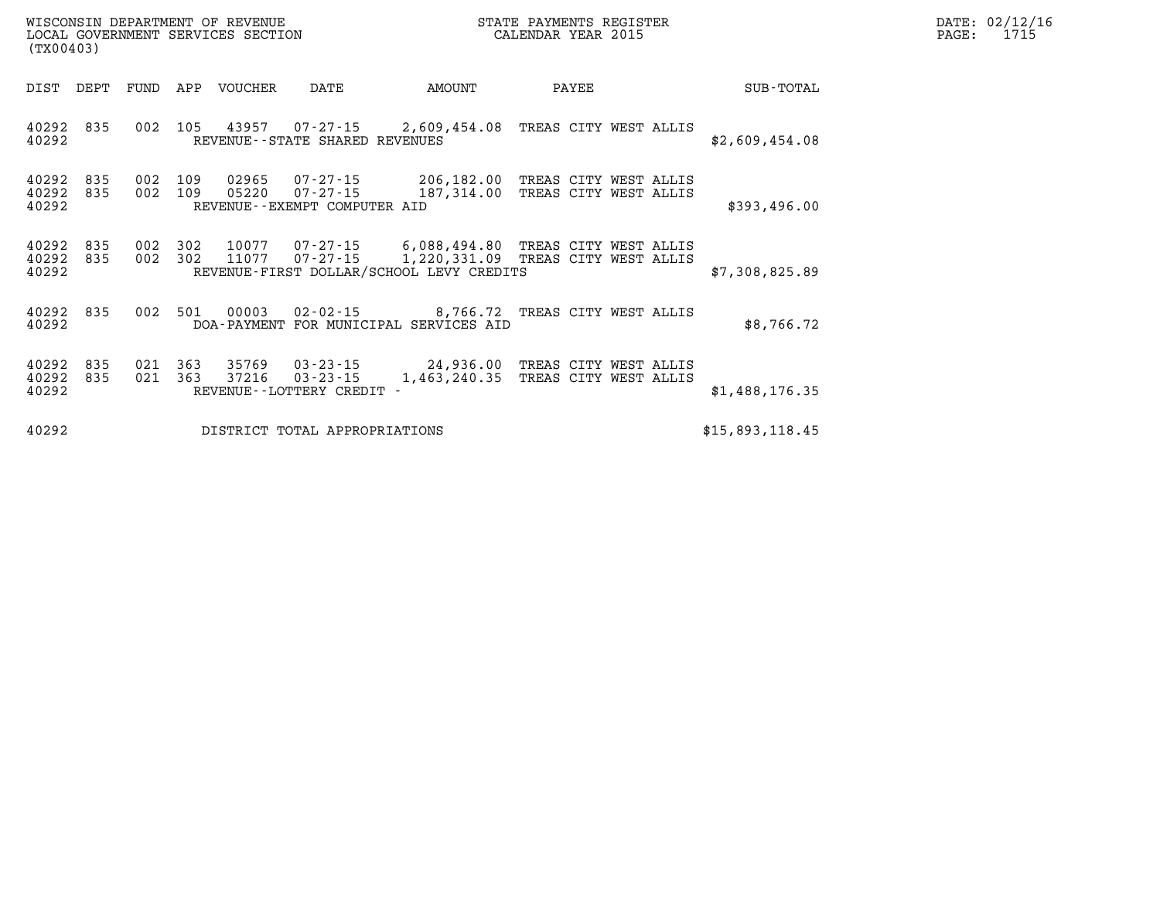| $\mathtt{DATE}$ : | 02/12/16 |
|-------------------|----------|
| PAGE:             | 1715     |

**40292 835 002 105 43957 07-27-15 2,609,454.08 TREAS CITY WEST ALLIS 40292 REVENUE--STATE SHARED REVENUES \$2,609,454.08 40292 835 002 109 02965 07-27-15 206,182.00 TREAS CITY WEST ALLIS 40292 835 002 109 05220 07-27-15 187,314.00 TREAS CITY WEST ALLIS 40292 REVENUE--EXEMPT COMPUTER AID \$393,496.00 40292 835 002 302 10077 07-27-15 6,088,494.80 TREAS CITY WEST ALLIS 40292 835 002 302 11077 07-27-15 1,220,331.09 TREAS CITY WEST ALLIS 40292 REVENUE-FIRST DOLLAR/SCHOOL LEVY CREDITS \$7,308,825.89 40292 835 002 501 00003 02-02-15 8,766.72 TREAS CITY WEST ALLIS 40292 DOA-PAYMENT FOR MUNICIPAL SERVICES AID \$8,766.72** 

**(TX00403)** 

**40292 835 021 363 35769 03-23-15 24,936.00 TREAS CITY WEST ALLIS 40292 835 021 363 37216 03-23-15 1,463,240.35 TREAS CITY WEST ALLIS 40292 REVENUE--LOTTERY CREDIT - \$1,488,176.35** 

**40292 DISTRICT TOTAL APPROPRIATIONS \$15,893,118.45**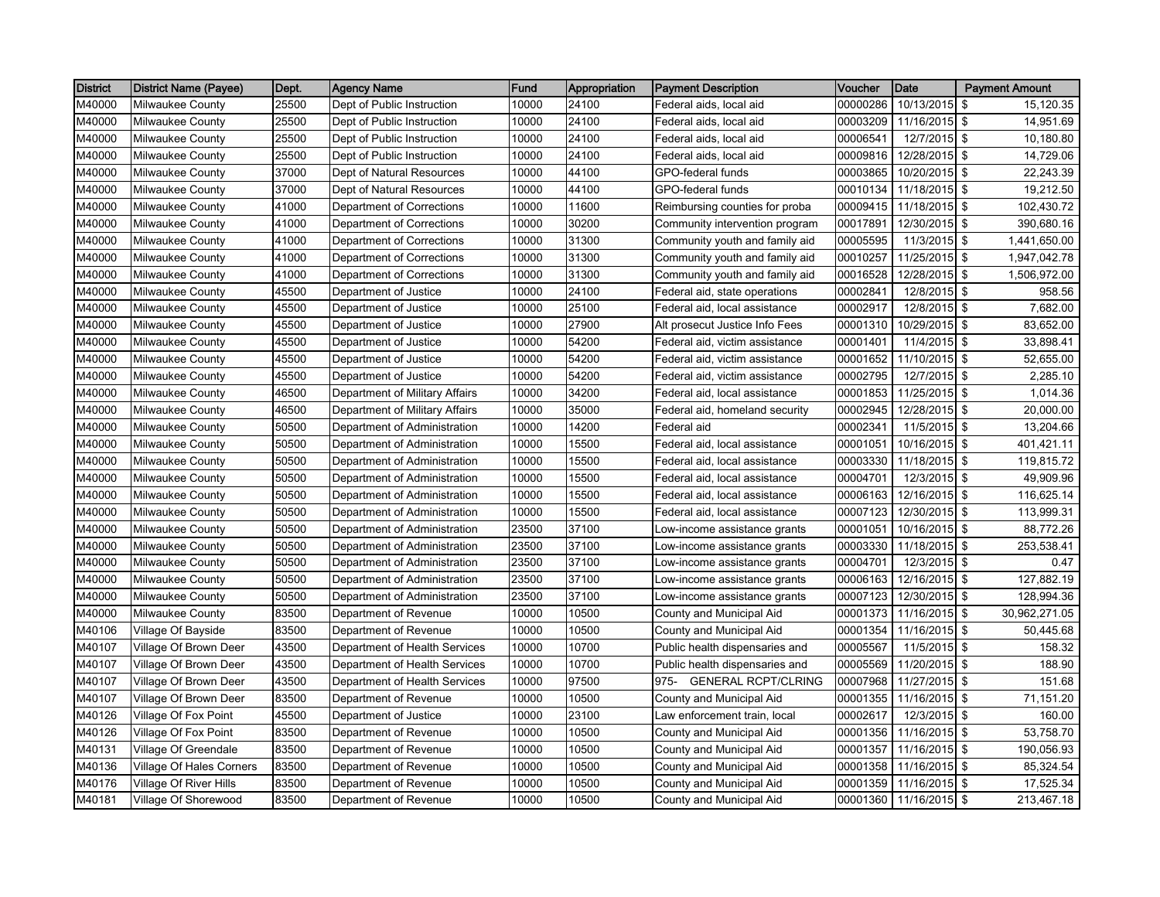| <b>District</b> | <b>District Name (Payee)</b> | Dept. | Agency Name                    | Fund  | Appropriation | <b>Payment Description</b>            | Voucher  | Date          | <b>Payment Amount</b> |
|-----------------|------------------------------|-------|--------------------------------|-------|---------------|---------------------------------------|----------|---------------|-----------------------|
| M40000          | Milwaukee County             | 25500 | Dept of Public Instruction     | 10000 | 24100         | Federal aids, local aid               | 00000286 | 10/13/2015    | \$<br>15,120.35       |
| M40000          | Milwaukee County             | 25500 | Dept of Public Instruction     | 10000 | 24100         | Federal aids, local aid               | 00003209 | 11/16/2015    | \$<br>14,951.69       |
| M40000          | Milwaukee County             | 25500 | Dept of Public Instruction     | 10000 | 24100         | Federal aids, local aid               | 00006541 | 12/7/2015 \$  | 10,180.80             |
| M40000          | Milwaukee County             | 25500 | Dept of Public Instruction     | 10000 | 24100         | Federal aids, local aid               | 00009816 | 12/28/2015 \$ | 14,729.06             |
| M40000          | Milwaukee County             | 37000 | Dept of Natural Resources      | 10000 | 44100         | GPO-federal funds                     | 00003865 | 10/20/2015 \$ | 22,243.39             |
| M40000          | Milwaukee County             | 37000 | Dept of Natural Resources      | 10000 | 44100         | GPO-federal funds                     | 00010134 | 11/18/2015 \$ | 19,212.50             |
| M40000          | Milwaukee County             | 41000 | Department of Corrections      | 10000 | 11600         | Reimbursing counties for proba        | 00009415 | 11/18/2015 \$ | 102,430.72            |
| M40000          | Milwaukee County             | 41000 | Department of Corrections      | 10000 | 30200         | Community intervention program        | 00017891 | 12/30/2015 \$ | 390,680.16            |
| M40000          | Milwaukee County             | 41000 | Department of Corrections      | 10000 | 31300         | Community youth and family aid        | 00005595 | 11/3/2015 \$  | 1,441,650.00          |
| M40000          | Milwaukee County             | 41000 | Department of Corrections      | 10000 | 31300         | Community youth and family aid        | 00010257 | 11/25/2015 \$ | 1,947,042.78          |
| M40000          | Milwaukee County             | 41000 | Department of Corrections      | 10000 | 31300         | Community youth and family aid        | 00016528 | 12/28/2015 \$ | 1,506,972.00          |
| M40000          | Milwaukee County             | 45500 | Department of Justice          | 10000 | 24100         | Federal aid, state operations         | 00002841 | 12/8/2015 \$  | 958.56                |
| M40000          | Milwaukee County             | 45500 | Department of Justice          | 10000 | 25100         | Federal aid, local assistance         | 00002917 | 12/8/2015 \$  | 7,682.00              |
| M40000          | Milwaukee County             | 45500 | Department of Justice          | 10000 | 27900         | Alt prosecut Justice Info Fees        | 00001310 | 10/29/2015 \$ | 83,652.00             |
| M40000          | Milwaukee County             | 45500 | Department of Justice          | 10000 | 54200         | Federal aid, victim assistance        | 00001401 | 11/4/2015 \$  | 33,898.41             |
| M40000          | Milwaukee County             | 45500 | Department of Justice          | 10000 | 54200         | Federal aid, victim assistance        | 00001652 | 11/10/2015 \$ | 52,655.00             |
| M40000          | Milwaukee County             | 45500 | Department of Justice          | 10000 | 54200         | Federal aid, victim assistance        | 00002795 | 12/7/2015     | \$<br>2,285.10        |
| M40000          | Milwaukee County             | 46500 | Department of Military Affairs | 10000 | 34200         | Federal aid, local assistance         | 00001853 | 11/25/2015 \$ | 1,014.36              |
| M40000          | Milwaukee County             | 46500 | Department of Military Affairs | 10000 | 35000         | Federal aid, homeland security        | 00002945 | 12/28/2015 \$ | 20,000.00             |
| M40000          | Milwaukee County             | 50500 | Department of Administration   | 10000 | 14200         | Federal aid                           | 00002341 | 11/5/2015 \$  | 13,204.66             |
| M40000          | Milwaukee County             | 50500 | Department of Administration   | 10000 | 15500         | Federal aid, local assistance         | 00001051 | 10/16/2015 \$ | 401,421.11            |
| M40000          | Milwaukee County             | 50500 | Department of Administration   | 10000 | 15500         | Federal aid, local assistance         | 00003330 | 11/18/2015 \$ | 119,815.72            |
| M40000          | Milwaukee County             | 50500 | Department of Administration   | 10000 | 15500         | Federal aid, local assistance         | 00004701 | 12/3/2015 \$  | 49,909.96             |
| M40000          | Milwaukee County             | 50500 | Department of Administration   | 10000 | 15500         | Federal aid, local assistance         | 00006163 | 12/16/2015 \$ | 116,625.14            |
| M40000          | Milwaukee County             | 50500 | Department of Administration   | 10000 | 15500         | Federal aid, local assistance         | 00007123 | 12/30/2015 \$ | 113,999.31            |
| M40000          | Milwaukee County             | 50500 | Department of Administration   | 23500 | 37100         | Low-income assistance grants          | 00001051 | 10/16/2015 \$ | 88,772.26             |
| M40000          | Milwaukee County             | 50500 | Department of Administration   | 23500 | 37100         | Low-income assistance grants          | 00003330 | 11/18/2015 \$ | 253,538.41            |
| M40000          | Milwaukee County             | 50500 | Department of Administration   | 23500 | 37100         | Low-income assistance grants          | 00004701 | 12/3/2015 \$  | 0.47                  |
| M40000          | Milwaukee County             | 50500 | Department of Administration   | 23500 | 37100         | Low-income assistance grants          | 00006163 | 12/16/2015 \$ | 127,882.19            |
| M40000          | Milwaukee County             | 50500 | Department of Administration   | 23500 | 37100         | Low-income assistance grants          | 00007123 | 12/30/2015 \$ | 128,994.36            |
| M40000          | Milwaukee County             | 83500 | Department of Revenue          | 10000 | 10500         | County and Municipal Aid              | 00001373 | 11/16/2015 \$ | 30,962,271.05         |
| M40106          | Village Of Bayside           | 83500 | Department of Revenue          | 10000 | 10500         | County and Municipal Aid              | 00001354 | 11/16/2015 \$ | 50,445.68             |
| M40107          | Village Of Brown Deer        | 43500 | Department of Health Services  | 10000 | 10700         | Public health dispensaries and        | 00005567 | 11/5/2015 \$  | 158.32                |
| M40107          | Village Of Brown Deer        | 43500 | Department of Health Services  | 10000 | 10700         | Public health dispensaries and        | 00005569 | 11/20/2015    | \$<br>188.90          |
| M40107          | Village Of Brown Deer        | 43500 | Department of Health Services  | 10000 | 97500         | <b>GENERAL RCPT/CLRING</b><br>$975 -$ | 00007968 | 11/27/2015 \$ | 151.68                |
| M40107          | Village Of Brown Deer        | 83500 | Department of Revenue          | 10000 | 10500         | County and Municipal Aid              | 00001355 | 11/16/2015 \$ | 71,151.20             |
| M40126          | Village Of Fox Point         | 45500 | Department of Justice          | 10000 | 23100         | Law enforcement train, local          | 00002617 | 12/3/2015 \$  | 160.00                |
| M40126          | Village Of Fox Point         | 83500 | Department of Revenue          | 10000 | 10500         | County and Municipal Aid              | 00001356 | 11/16/2015    | \$<br>53,758.70       |
| M40131          | Village Of Greendale         | 83500 | Department of Revenue          | 10000 | 10500         | County and Municipal Aid              | 00001357 | 11/16/2015 \$ | 190,056.93            |
| M40136          | Village Of Hales Corners     | 83500 | Department of Revenue          | 10000 | 10500         | County and Municipal Aid              | 00001358 | 11/16/2015 \$ | 85,324.54             |
| M40176          | Village Of River Hills       | 83500 | Department of Revenue          | 10000 | 10500         | County and Municipal Aid              | 00001359 | 11/16/2015 \$ | 17,525.34             |
| M40181          | Village Of Shorewood         | 83500 | Department of Revenue          | 10000 | 10500         | County and Municipal Aid              | 00001360 | 11/16/2015    | \$<br>213,467.18      |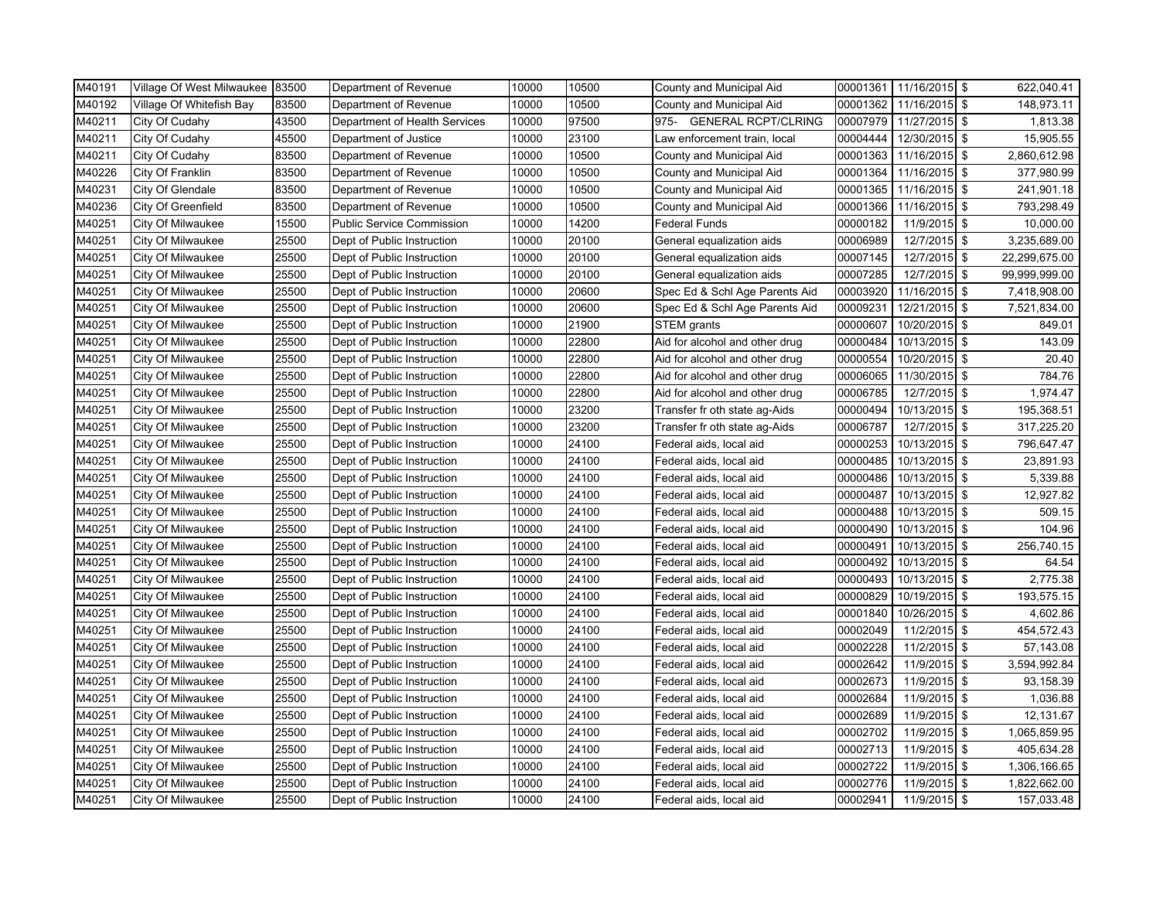| M40191 | Village Of West Milwaukee 83500 |       | Department of Revenue            | 10000 | 10500 | County and Municipal Aid       | 00001361 | 11/16/2015 \$  | 622,040.41    |
|--------|---------------------------------|-------|----------------------------------|-------|-------|--------------------------------|----------|----------------|---------------|
| M40192 | Village Of Whitefish Bay        | 83500 | Department of Revenue            | 10000 | 10500 | County and Municipal Aid       | 00001362 | 11/16/2015 \$  | 148,973.11    |
| M40211 | City Of Cudahy                  | 43500 | Department of Health Services    | 10000 | 97500 | 975- GENERAL RCPT/CLRING       | 00007979 | 11/27/2015 \$  | 1,813.38      |
| M40211 | City Of Cudahy                  | 45500 | Department of Justice            | 10000 | 23100 | Law enforcement train, local   | 00004444 | 12/30/2015 \$  | 15,905.55     |
| M40211 | City Of Cudahy                  | 83500 | Department of Revenue            | 10000 | 10500 | County and Municipal Aid       | 00001363 | 11/16/2015 \$  | 2,860,612.98  |
| M40226 | City Of Franklin                | 83500 | Department of Revenue            | 10000 | 10500 | County and Municipal Aid       | 00001364 | 11/16/2015 \$  | 377,980.99    |
| M40231 | City Of Glendale                | 83500 | Department of Revenue            | 10000 | 10500 | County and Municipal Aid       | 00001365 | 11/16/2015 \$  | 241,901.18    |
| M40236 | City Of Greenfield              | 83500 | Department of Revenue            | 10000 | 10500 | County and Municipal Aid       | 00001366 | 11/16/2015 \$  | 793,298.49    |
| M40251 | City Of Milwaukee               | 15500 | <b>Public Service Commission</b> | 10000 | 14200 | <b>Federal Funds</b>           | 00000182 | 11/9/2015 \$   | 10,000.00     |
| M40251 | City Of Milwaukee               | 25500 | Dept of Public Instruction       | 10000 | 20100 | General equalization aids      | 00006989 | 12/7/2015 \$   | 3,235,689.00  |
| M40251 | City Of Milwaukee               | 25500 | Dept of Public Instruction       | 10000 | 20100 | General equalization aids      | 00007145 | 12/7/2015 \$   | 22,299,675.00 |
| M40251 | City Of Milwaukee               | 25500 | Dept of Public Instruction       | 10000 | 20100 | General equalization aids      | 00007285 | 12/7/2015 \$   | 99,999,999.00 |
| M40251 | City Of Milwaukee               | 25500 | Dept of Public Instruction       | 10000 | 20600 | Spec Ed & Schl Age Parents Aid | 00003920 | 11/16/2015 \$  | 7,418,908.00  |
| M40251 | City Of Milwaukee               | 25500 | Dept of Public Instruction       | 10000 | 20600 | Spec Ed & Schl Age Parents Aid | 00009231 | 12/21/2015 \$  | 7,521,834.00  |
| M40251 | City Of Milwaukee               | 25500 | Dept of Public Instruction       | 10000 | 21900 | STEM grants                    | 00000607 | 10/20/2015 \$  | 849.01        |
| M40251 | City Of Milwaukee               | 25500 | Dept of Public Instruction       | 10000 | 22800 | Aid for alcohol and other drug | 00000484 | 10/13/2015 \$  | 143.09        |
| M40251 | City Of Milwaukee               | 25500 | Dept of Public Instruction       | 10000 | 22800 | Aid for alcohol and other drug | 00000554 | 10/20/2015 \$  | 20.40         |
| M40251 | City Of Milwaukee               | 25500 | Dept of Public Instruction       | 10000 | 22800 | Aid for alcohol and other drug | 00006065 | 11/30/2015 \$  | 784.76        |
| M40251 | City Of Milwaukee               | 25500 | Dept of Public Instruction       | 10000 | 22800 | Aid for alcohol and other drug | 00006785 | 12/7/2015 \$   | 1,974.47      |
| M40251 | City Of Milwaukee               | 25500 | Dept of Public Instruction       | 10000 | 23200 | Transfer fr oth state ag-Aids  | 00000494 | 10/13/2015 \$  | 195,368.51    |
| M40251 | City Of Milwaukee               | 25500 | Dept of Public Instruction       | 10000 | 23200 | Transfer fr oth state ag-Aids  | 00006787 | 12/7/2015 \$   | 317,225.20    |
| M40251 | City Of Milwaukee               | 25500 | Dept of Public Instruction       | 10000 | 24100 | Federal aids, local aid        | 00000253 | 10/13/2015 \$  | 796,647.47    |
| M40251 | City Of Milwaukee               | 25500 | Dept of Public Instruction       | 10000 | 24100 | Federal aids, local aid        | 00000485 | 10/13/2015 \$  | 23,891.93     |
| M40251 | City Of Milwaukee               | 25500 | Dept of Public Instruction       | 10000 | 24100 | Federal aids, local aid        | 00000486 | 10/13/2015 \$  | 5,339.88      |
| M40251 | City Of Milwaukee               | 25500 | Dept of Public Instruction       | 10000 | 24100 | Federal aids, local aid        | 00000487 | 10/13/2015 \$  | 12,927.82     |
| M40251 | City Of Milwaukee               | 25500 | Dept of Public Instruction       | 10000 | 24100 | Federal aids, local aid        | 00000488 | 10/13/2015     | \$<br>509.15  |
| M40251 | City Of Milwaukee               | 25500 | Dept of Public Instruction       | 10000 | 24100 | Federal aids, local aid        | 00000490 | 10/13/2015 \$  | 104.96        |
| M40251 | City Of Milwaukee               | 25500 | Dept of Public Instruction       | 10000 | 24100 | Federal aids, local aid        | 00000491 | 10/13/2015 \$  | 256,740.15    |
| M40251 | City Of Milwaukee               | 25500 | Dept of Public Instruction       | 10000 | 24100 | Federal aids, local aid        | 00000492 | 10/13/2015 \$  | 64.54         |
| M40251 | City Of Milwaukee               | 25500 | Dept of Public Instruction       | 10000 | 24100 | Federal aids, local aid        | 00000493 | 10/13/2015 \$  | 2,775.38      |
| M40251 | City Of Milwaukee               | 25500 | Dept of Public Instruction       | 10000 | 24100 | Federal aids, local aid        | 00000829 | 10/19/2015 \$  | 193,575.15    |
| M40251 | City Of Milwaukee               | 25500 | Dept of Public Instruction       | 10000 | 24100 | Federal aids, local aid        | 00001840 | 10/26/2015 \$  | 4,602.86      |
| M40251 | City Of Milwaukee               | 25500 | Dept of Public Instruction       | 10000 | 24100 | Federal aids, local aid        | 00002049 | 11/2/2015 \$   | 454,572.43    |
| M40251 | City Of Milwaukee               | 25500 | Dept of Public Instruction       | 10000 | 24100 | Federal aids, local aid        | 00002228 | 11/2/2015 \$   | 57,143.08     |
| M40251 | City Of Milwaukee               | 25500 | Dept of Public Instruction       | 10000 | 24100 | Federal aids, local aid        | 00002642 | 11/9/2015 \$   | 3,594,992.84  |
| M40251 | City Of Milwaukee               | 25500 | Dept of Public Instruction       | 10000 | 24100 | Federal aids, local aid        | 00002673 | 11/9/2015 \$   | 93,158.39     |
| M40251 | City Of Milwaukee               | 25500 | Dept of Public Instruction       | 10000 | 24100 | Federal aids, local aid        | 00002684 | 11/9/2015 \$   | 1,036.88      |
| M40251 | City Of Milwaukee               | 25500 | Dept of Public Instruction       | 10000 | 24100 | Federal aids, local aid        | 00002689 | 11/9/2015 \$   | 12,131.67     |
| M40251 | City Of Milwaukee               | 25500 | Dept of Public Instruction       | 10000 | 24100 | Federal aids, local aid        | 00002702 | 11/9/2015 \$   | 1,065,859.95  |
| M40251 | City Of Milwaukee               | 25500 | Dept of Public Instruction       | 10000 | 24100 | Federal aids, local aid        | 00002713 | 11/9/2015 \$   | 405,634.28    |
| M40251 | City Of Milwaukee               | 25500 | Dept of Public Instruction       | 10000 | 24100 | Federal aids, local aid        | 00002722 | 11/9/2015 \$   | 1,306,166.65  |
| M40251 | City Of Milwaukee               | 25500 | Dept of Public Instruction       | 10000 | 24100 | Federal aids, local aid        | 00002776 | 11/9/2015 \$   | 1,822,662.00  |
| M40251 | City Of Milwaukee               | 25500 | Dept of Public Instruction       | 10000 | 24100 | Federal aids, local aid        | 00002941 | $11/9/2015$ \$ | 157,033.48    |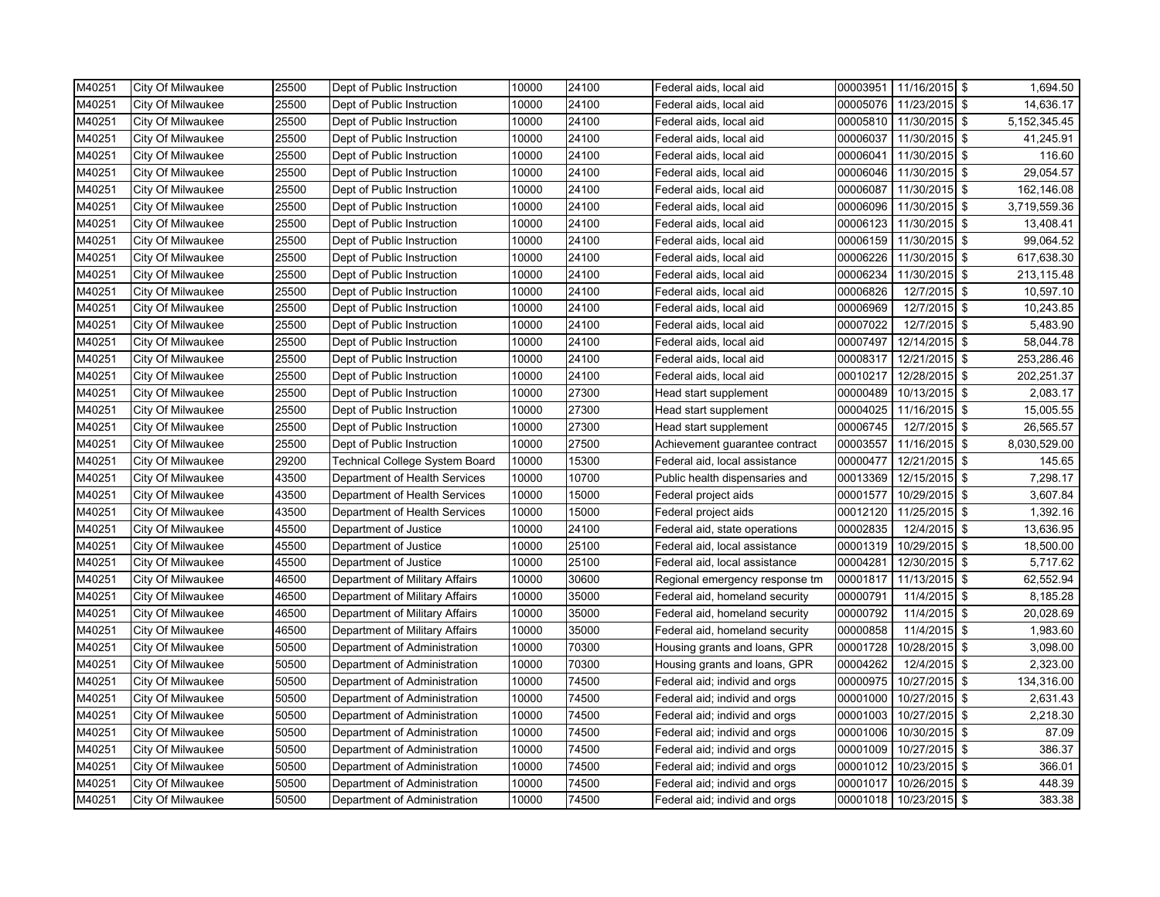| M40251 | City Of Milwaukee        | 25500 | Dept of Public Instruction     | 10000 | 24100 | Federal aids, local aid        | 00003951 | 11/16/2015 \$ | 1,694.50                          |
|--------|--------------------------|-------|--------------------------------|-------|-------|--------------------------------|----------|---------------|-----------------------------------|
| M40251 | City Of Milwaukee        | 25500 | Dept of Public Instruction     | 10000 | 24100 | Federal aids, local aid        | 00005076 | 11/23/2015 \$ | 14,636.17                         |
| M40251 | City Of Milwaukee        | 25500 | Dept of Public Instruction     | 10000 | 24100 | Federal aids, local aid        | 00005810 | 11/30/2015 \$ | 5,152,345.45                      |
| M40251 | City Of Milwaukee        | 25500 | Dept of Public Instruction     | 10000 | 24100 | Federal aids, local aid        | 00006037 | 11/30/2015 \$ | 41,245.91                         |
| M40251 | City Of Milwaukee        | 25500 | Dept of Public Instruction     | 10000 | 24100 | Federal aids, local aid        | 00006041 | 11/30/2015 \$ | 116.60                            |
| M40251 | City Of Milwaukee        | 25500 | Dept of Public Instruction     | 10000 | 24100 | Federal aids, local aid        | 00006046 | 11/30/2015 \$ | 29,054.57                         |
| M40251 | City Of Milwaukee        | 25500 | Dept of Public Instruction     | 10000 | 24100 | Federal aids, local aid        | 00006087 | 11/30/2015 \$ | 162,146.08                        |
| M40251 | City Of Milwaukee        | 25500 | Dept of Public Instruction     | 10000 | 24100 | Federal aids, local aid        | 00006096 | 11/30/2015 \$ | 3,719,559.36                      |
| M40251 | City Of Milwaukee        | 25500 | Dept of Public Instruction     | 10000 | 24100 | Federal aids, local aid        | 00006123 | 11/30/2015 \$ | 13,408.41                         |
| M40251 | City Of Milwaukee        | 25500 | Dept of Public Instruction     | 10000 | 24100 | Federal aids, local aid        | 00006159 | 11/30/2015 \$ | 99,064.52                         |
| M40251 | City Of Milwaukee        | 25500 | Dept of Public Instruction     | 10000 | 24100 | Federal aids, local aid        | 00006226 | 11/30/2015 \$ | 617,638.30                        |
| M40251 | City Of Milwaukee        | 25500 | Dept of Public Instruction     | 10000 | 24100 | Federal aids, local aid        | 00006234 | 11/30/2015 \$ | 213,115.48                        |
| M40251 | City Of Milwaukee        | 25500 | Dept of Public Instruction     | 10000 | 24100 | Federal aids, local aid        | 00006826 | 12/7/2015 \$  | 10,597.10                         |
| M40251 | City Of Milwaukee        | 25500 | Dept of Public Instruction     | 10000 | 24100 | Federal aids, local aid        | 00006969 | 12/7/2015 \$  | 10,243.85                         |
| M40251 | City Of Milwaukee        | 25500 | Dept of Public Instruction     | 10000 | 24100 | Federal aids, local aid        | 00007022 | 12/7/2015 \$  | 5,483.90                          |
| M40251 | City Of Milwaukee        | 25500 | Dept of Public Instruction     | 10000 | 24100 | Federal aids, local aid        | 00007497 | 12/14/2015 \$ | 58,044.78                         |
| M40251 | City Of Milwaukee        | 25500 | Dept of Public Instruction     | 10000 | 24100 | Federal aids, local aid        | 00008317 | 12/21/2015 \$ | 253,286.46                        |
| M40251 | City Of Milwaukee        | 25500 | Dept of Public Instruction     | 10000 | 24100 | Federal aids, local aid        | 00010217 | 12/28/2015    | \$<br>202,251.37                  |
| M40251 | City Of Milwaukee        | 25500 | Dept of Public Instruction     | 10000 | 27300 | Head start supplement          | 00000489 | 10/13/2015 \$ | 2,083.17                          |
| M40251 | City Of Milwaukee        | 25500 | Dept of Public Instruction     | 10000 | 27300 | Head start supplement          | 00004025 | 11/16/2015 \$ | 15,005.55                         |
| M40251 | City Of Milwaukee        | 25500 | Dept of Public Instruction     | 10000 | 27300 | Head start supplement          | 00006745 | 12/7/2015 \$  | 26,565.57                         |
| M40251 | City Of Milwaukee        | 25500 | Dept of Public Instruction     | 10000 | 27500 | Achievement guarantee contract | 00003557 | 11/16/2015    | \$<br>8,030,529.00                |
| M40251 | City Of Milwaukee        | 29200 | Technical College System Board | 10000 | 15300 | Federal aid, local assistance  | 00000477 | 12/21/2015    | \$<br>145.65                      |
| M40251 | City Of Milwaukee        | 43500 | Department of Health Services  | 10000 | 10700 | Public health dispensaries and | 00013369 | 12/15/2015    | \$<br>7,298.17                    |
| M40251 | City Of Milwaukee        | 43500 | Department of Health Services  | 10000 | 15000 | Federal project aids           | 00001577 | 10/29/2015 \$ | 3,607.84                          |
| M40251 | City Of Milwaukee        | 43500 | Department of Health Services  | 10000 | 15000 | Federal project aids           | 00012120 | 11/25/2015 \$ | 1,392.16                          |
| M40251 | <b>City Of Milwaukee</b> | 45500 | Department of Justice          | 10000 | 24100 | Federal aid, state operations  | 00002835 | 12/4/2015 \$  | 13,636.95                         |
| M40251 | City Of Milwaukee        | 45500 | Department of Justice          | 10000 | 25100 | Federal aid, local assistance  | 00001319 | 10/29/2015 \$ | 18,500.00                         |
| M40251 | City Of Milwaukee        | 45500 | Department of Justice          | 10000 | 25100 | Federal aid, local assistance  | 00004281 | 12/30/2015 \$ | 5,717.62                          |
| M40251 | City Of Milwaukee        | 46500 | Department of Military Affairs | 10000 | 30600 | Regional emergency response tm | 00001817 | 11/13/2015 \$ | 62,552.94                         |
| M40251 | City Of Milwaukee        | 46500 | Department of Military Affairs | 10000 | 35000 | Federal aid, homeland security | 00000791 | 11/4/2015 \$  | 8,185.28                          |
| M40251 | City Of Milwaukee        | 46500 | Department of Military Affairs | 10000 | 35000 | Federal aid, homeland security | 00000792 | 11/4/2015 \$  | 20,028.69                         |
| M40251 | City Of Milwaukee        | 46500 | Department of Military Affairs | 10000 | 35000 | Federal aid, homeland security | 00000858 | 11/4/2015 \$  | 1,983.60                          |
| M40251 | City Of Milwaukee        | 50500 | Department of Administration   | 10000 | 70300 | Housing grants and loans, GPR  | 00001728 | 10/28/2015 \$ | 3,098.00                          |
| M40251 | City Of Milwaukee        | 50500 | Department of Administration   | 10000 | 70300 | Housing grants and loans, GPR  | 00004262 | 12/4/2015 \$  | 2,323.00                          |
| M40251 | City Of Milwaukee        | 50500 | Department of Administration   | 10000 | 74500 | Federal aid; individ and orgs  | 00000975 | 10/27/2015 \$ | 134,316.00                        |
| M40251 | City Of Milwaukee        | 50500 | Department of Administration   | 10000 | 74500 | Federal aid; individ and orgs  | 00001000 | 10/27/2015 \$ | 2,631.43                          |
| M40251 | City Of Milwaukee        | 50500 | Department of Administration   | 10000 | 74500 | Federal aid; individ and orgs  | 00001003 | 10/27/2015 \$ | 2,218.30                          |
| M40251 | City Of Milwaukee        | 50500 | Department of Administration   | 10000 | 74500 | Federal aid; individ and orgs  | 00001006 | 10/30/2015    | \$<br>87.09                       |
| M40251 | City Of Milwaukee        | 50500 | Department of Administration   | 10000 | 74500 | Federal aid; individ and orgs  | 00001009 | 10/27/2015 \$ | 386.37                            |
| M40251 | City Of Milwaukee        | 50500 | Department of Administration   | 10000 | 74500 | Federal aid; individ and orgs  | 00001012 | 10/23/2015 \$ | 366.01                            |
| M40251 | City Of Milwaukee        | 50500 | Department of Administration   | 10000 | 74500 | Federal aid; individ and orgs  | 00001017 | 10/26/2015 \$ | 448.39                            |
| M40251 | City Of Milwaukee        | 50500 | Department of Administration   | 10000 | 74500 | Federal aid; individ and orgs  | 00001018 | 10/23/2015    | $\sqrt[6]{\frac{1}{2}}$<br>383.38 |